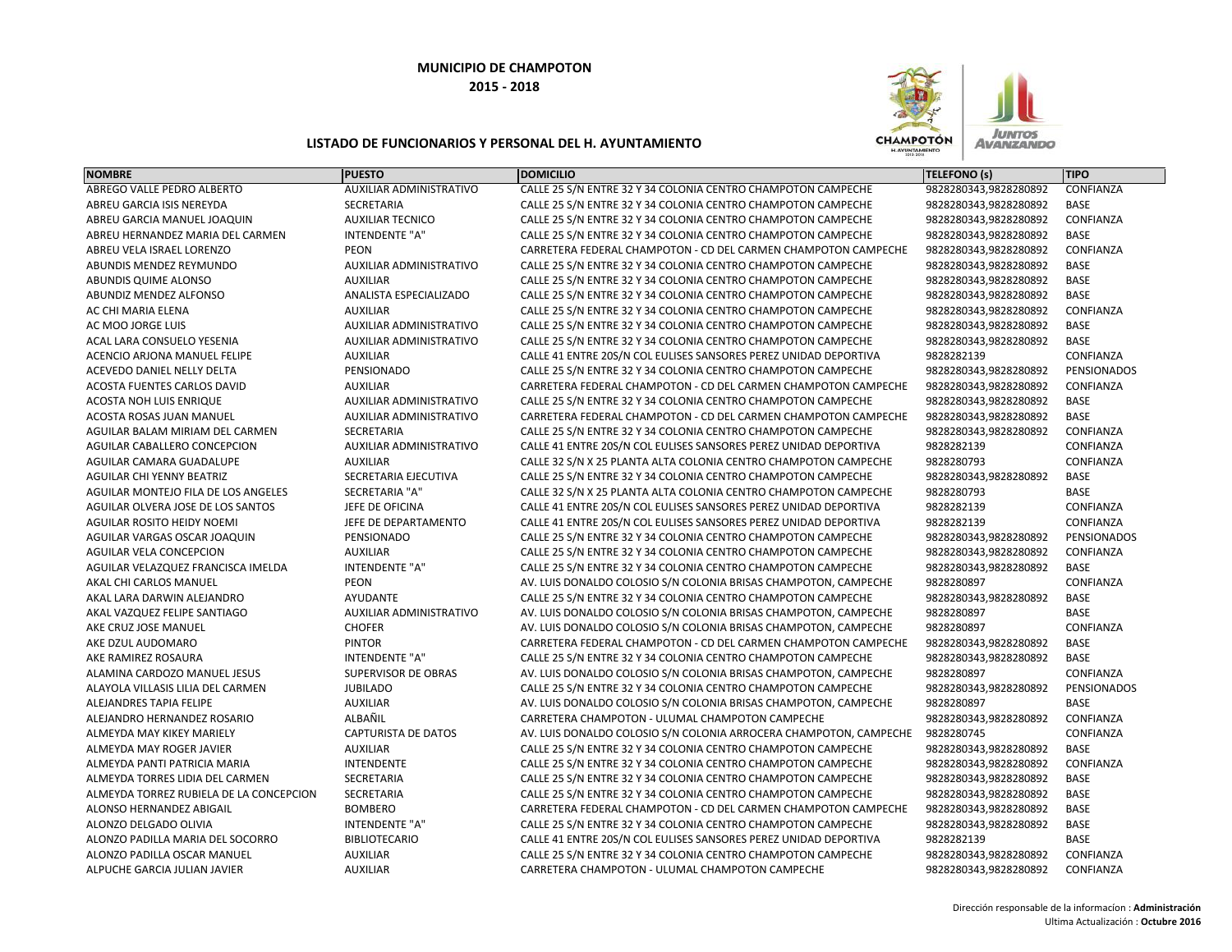

| <b>NOMBRE</b>                           | <b>PUESTO</b>                  | <b>DOMICILIO</b>                                                  | <b>TELEFONO (s)</b>   | <b>TIPO</b>        |
|-----------------------------------------|--------------------------------|-------------------------------------------------------------------|-----------------------|--------------------|
| ABREGO VALLE PEDRO ALBERTO              | AUXILIAR ADMINISTRATIVO        | CALLE 25 S/N ENTRE 32 Y 34 COLONIA CENTRO CHAMPOTON CAMPECHE      | 9828280343,9828280892 | CONFIANZA          |
| ABREU GARCIA ISIS NEREYDA               | <b>SECRETARIA</b>              | CALLE 25 S/N ENTRE 32 Y 34 COLONIA CENTRO CHAMPOTON CAMPECHE      | 9828280343,9828280892 | <b>BASE</b>        |
| ABREU GARCIA MANUEL JOAQUIN             | <b>AUXILIAR TECNICO</b>        | CALLE 25 S/N ENTRE 32 Y 34 COLONIA CENTRO CHAMPOTON CAMPECHE      | 9828280343,9828280892 | CONFIANZA          |
| ABREU HERNANDEZ MARIA DEL CARMEN        | <b>INTENDENTE "A"</b>          | CALLE 25 S/N ENTRE 32 Y 34 COLONIA CENTRO CHAMPOTON CAMPECHE      | 9828280343,9828280892 | <b>BASE</b>        |
| ABREU VELA ISRAEL LORENZO               | <b>PEON</b>                    | CARRETERA FEDERAL CHAMPOTON - CD DEL CARMEN CHAMPOTON CAMPECHE    | 9828280343,9828280892 | CONFIANZA          |
| ABUNDIS MENDEZ REYMUNDO                 | AUXILIAR ADMINISTRATIVO        | CALLE 25 S/N ENTRE 32 Y 34 COLONIA CENTRO CHAMPOTON CAMPECHE      | 9828280343,9828280892 | <b>BASE</b>        |
| ABUNDIS QUIME ALONSO                    | <b>AUXILIAR</b>                | CALLE 25 S/N ENTRE 32 Y 34 COLONIA CENTRO CHAMPOTON CAMPECHE      | 9828280343,9828280892 | <b>BASE</b>        |
| <b>ABUNDIZ MENDEZ ALFONSO</b>           | ANALISTA ESPECIALIZADO         | CALLE 25 S/N ENTRE 32 Y 34 COLONIA CENTRO CHAMPOTON CAMPECHE      | 9828280343,9828280892 | <b>BASE</b>        |
| AC CHI MARIA ELENA                      | <b>AUXILIAR</b>                | CALLE 25 S/N ENTRE 32 Y 34 COLONIA CENTRO CHAMPOTON CAMPECHE      | 9828280343,9828280892 | CONFIANZA          |
| AC MOO JORGE LUIS                       | <b>AUXILIAR ADMINISTRATIVO</b> | CALLE 25 S/N ENTRE 32 Y 34 COLONIA CENTRO CHAMPOTON CAMPECHE      | 9828280343,9828280892 | <b>BASE</b>        |
| ACAL LARA CONSUELO YESENIA              | <b>AUXILIAR ADMINISTRATIVO</b> | CALLE 25 S/N ENTRE 32 Y 34 COLONIA CENTRO CHAMPOTON CAMPECHE      | 9828280343,9828280892 | <b>BASE</b>        |
| ACENCIO ARJONA MANUEL FELIPE            | <b>AUXILIAR</b>                | CALLE 41 ENTRE 20S/N COL EULISES SANSORES PEREZ UNIDAD DEPORTIVA  | 9828282139            | CONFIANZA          |
| ACEVEDO DANIEL NELLY DELTA              | PENSIONADO                     | CALLE 25 S/N ENTRE 32 Y 34 COLONIA CENTRO CHAMPOTON CAMPECHE      | 9828280343,9828280892 | <b>PENSIONADOS</b> |
| ACOSTA FUENTES CARLOS DAVID             | <b>AUXILIAR</b>                | CARRETERA FEDERAL CHAMPOTON - CD DEL CARMEN CHAMPOTON CAMPECHE    | 9828280343,9828280892 | CONFIANZA          |
| ACOSTA NOH LUIS ENRIQUE                 | AUXILIAR ADMINISTRATIVO        | CALLE 25 S/N ENTRE 32 Y 34 COLONIA CENTRO CHAMPOTON CAMPECHE      | 9828280343,9828280892 | <b>BASE</b>        |
| ACOSTA ROSAS JUAN MANUEL                | AUXILIAR ADMINISTRATIVO        | CARRETERA FEDERAL CHAMPOTON - CD DEL CARMEN CHAMPOTON CAMPECHE    | 9828280343,9828280892 | <b>BASE</b>        |
| AGUILAR BALAM MIRIAM DEL CARMEN         | <b>SECRETARIA</b>              | CALLE 25 S/N ENTRE 32 Y 34 COLONIA CENTRO CHAMPOTON CAMPECHE      | 9828280343,9828280892 | CONFIANZA          |
| AGUILAR CABALLERO CONCEPCION            | AUXILIAR ADMINISTRATIVO        | CALLE 41 ENTRE 20S/N COL EULISES SANSORES PEREZ UNIDAD DEPORTIVA  | 9828282139            | CONFIANZA          |
| AGUILAR CAMARA GUADALUPE                | <b>AUXILIAR</b>                | CALLE 32 S/N X 25 PLANTA ALTA COLONIA CENTRO CHAMPOTON CAMPECHE   | 9828280793            | CONFIANZA          |
| AGUILAR CHI YENNY BEATRIZ               | SECRETARIA EJECUTIVA           | CALLE 25 S/N ENTRE 32 Y 34 COLONIA CENTRO CHAMPOTON CAMPECHE      | 9828280343,9828280892 | <b>BASE</b>        |
| AGUILAR MONTEJO FILA DE LOS ANGELES     | <b>SECRETARIA "A"</b>          | CALLE 32 S/N X 25 PLANTA ALTA COLONIA CENTRO CHAMPOTON CAMPECHE   | 9828280793            | BASE               |
| AGUILAR OLVERA JOSE DE LOS SANTOS       | JEFE DE OFICINA                | CALLE 41 ENTRE 20S/N COL EULISES SANSORES PEREZ UNIDAD DEPORTIVA  | 9828282139            | CONFIANZA          |
| AGUILAR ROSITO HEIDY NOEMI              | JEFE DE DEPARTAMENTO           | CALLE 41 ENTRE 20S/N COL EULISES SANSORES PEREZ UNIDAD DEPORTIVA  | 9828282139            | CONFIANZA          |
| AGUILAR VARGAS OSCAR JOAQUIN            | PENSIONADO                     | CALLE 25 S/N ENTRE 32 Y 34 COLONIA CENTRO CHAMPOTON CAMPECHE      | 9828280343,9828280892 | <b>PENSIONADOS</b> |
| AGUILAR VELA CONCEPCION                 | <b>AUXILIAR</b>                | CALLE 25 S/N ENTRE 32 Y 34 COLONIA CENTRO CHAMPOTON CAMPECHE      | 9828280343,9828280892 | CONFIANZA          |
| AGUILAR VELAZQUEZ FRANCISCA IMELDA      | <b>INTENDENTE "A"</b>          | CALLE 25 S/N ENTRE 32 Y 34 COLONIA CENTRO CHAMPOTON CAMPECHE      | 9828280343,9828280892 | <b>BASE</b>        |
| AKAL CHI CARLOS MANUEL                  | PEON                           | AV. LUIS DONALDO COLOSIO S/N COLONIA BRISAS CHAMPOTON, CAMPECHE   | 9828280897            | CONFIANZA          |
| AKAL LARA DARWIN ALEJANDRO              | AYUDANTE                       | CALLE 25 S/N ENTRE 32 Y 34 COLONIA CENTRO CHAMPOTON CAMPECHE      | 9828280343,9828280892 | <b>BASE</b>        |
| AKAL VAZQUEZ FELIPE SANTIAGO            | <b>AUXILIAR ADMINISTRATIVO</b> | AV. LUIS DONALDO COLOSIO S/N COLONIA BRISAS CHAMPOTON, CAMPECHE   | 9828280897            | <b>BASE</b>        |
| AKE CRUZ JOSE MANUEL                    | <b>CHOFER</b>                  | AV. LUIS DONALDO COLOSIO S/N COLONIA BRISAS CHAMPOTON, CAMPECHE   | 9828280897            | CONFIANZA          |
| AKE DZUL AUDOMARO                       | <b>PINTOR</b>                  | CARRETERA FEDERAL CHAMPOTON - CD DEL CARMEN CHAMPOTON CAMPECHE    | 9828280343,9828280892 | <b>BASE</b>        |
| AKE RAMIREZ ROSAURA                     | <b>INTENDENTE "A"</b>          | CALLE 25 S/N ENTRE 32 Y 34 COLONIA CENTRO CHAMPOTON CAMPECHE      | 9828280343,9828280892 | <b>BASE</b>        |
| ALAMINA CARDOZO MANUEL JESUS            | SUPERVISOR DE OBRAS            | AV. LUIS DONALDO COLOSIO S/N COLONIA BRISAS CHAMPOTON, CAMPECHE   | 9828280897            | CONFIANZA          |
| ALAYOLA VILLASIS LILIA DEL CARMEN       | <b>JUBILADO</b>                | CALLE 25 S/N ENTRE 32 Y 34 COLONIA CENTRO CHAMPOTON CAMPECHE      | 9828280343,9828280892 | PENSIONADOS        |
| <b>ALEJANDRES TAPIA FELIPE</b>          | <b>AUXILIAR</b>                | AV. LUIS DONALDO COLOSIO S/N COLONIA BRISAS CHAMPOTON, CAMPECHE   | 9828280897            | <b>BASE</b>        |
| ALEJANDRO HERNANDEZ ROSARIO             | ALBAÑIL                        | CARRETERA CHAMPOTON - ULUMAL CHAMPOTON CAMPECHE                   | 9828280343,9828280892 | CONFIANZA          |
| ALMEYDA MAY KIKEY MARIELY               | CAPTURISTA DE DATOS            | AV. LUIS DONALDO COLOSIO S/N COLONIA ARROCERA CHAMPOTON, CAMPECHE | 9828280745            | CONFIANZA          |
| ALMEYDA MAY ROGER JAVIER                | <b>AUXILIAR</b>                | CALLE 25 S/N ENTRE 32 Y 34 COLONIA CENTRO CHAMPOTON CAMPECHE      | 9828280343,9828280892 | BASE               |
| ALMEYDA PANTI PATRICIA MARIA            | <b>INTENDENTE</b>              | CALLE 25 S/N ENTRE 32 Y 34 COLONIA CENTRO CHAMPOTON CAMPECHE      | 9828280343,9828280892 | CONFIANZA          |
| ALMEYDA TORRES LIDIA DEL CARMEN         | SECRETARIA                     | CALLE 25 S/N ENTRE 32 Y 34 COLONIA CENTRO CHAMPOTON CAMPECHE      | 9828280343,9828280892 | <b>BASE</b>        |
| ALMEYDA TORREZ RUBIELA DE LA CONCEPCION | SECRETARIA                     | CALLE 25 S/N ENTRE 32 Y 34 COLONIA CENTRO CHAMPOTON CAMPECHE      | 9828280343,9828280892 | <b>BASE</b>        |
| ALONSO HERNANDEZ ABIGAIL                | <b>BOMBERO</b>                 | CARRETERA FEDERAL CHAMPOTON - CD DEL CARMEN CHAMPOTON CAMPECHE    | 9828280343,9828280892 | <b>BASE</b>        |
| ALONZO DELGADO OLIVIA                   | <b>INTENDENTE "A"</b>          | CALLE 25 S/N ENTRE 32 Y 34 COLONIA CENTRO CHAMPOTON CAMPECHE      | 9828280343,9828280892 | <b>BASE</b>        |
| ALONZO PADILLA MARIA DEL SOCORRO        | <b>BIBLIOTECARIO</b>           | CALLE 41 ENTRE 20S/N COL EULISES SANSORES PEREZ UNIDAD DEPORTIVA  | 9828282139            | <b>BASE</b>        |
| ALONZO PADILLA OSCAR MANUEL             | <b>AUXILIAR</b>                | CALLE 25 S/N ENTRE 32 Y 34 COLONIA CENTRO CHAMPOTON CAMPECHE      | 9828280343,9828280892 | CONFIANZA          |
| ALPUCHE GARCIA JULIAN JAVIER            | <b>AUXILIAR</b>                | CARRETERA CHAMPOTON - ULUMAL CHAMPOTON CAMPECHE                   | 9828280343,9828280892 | CONFIANZA          |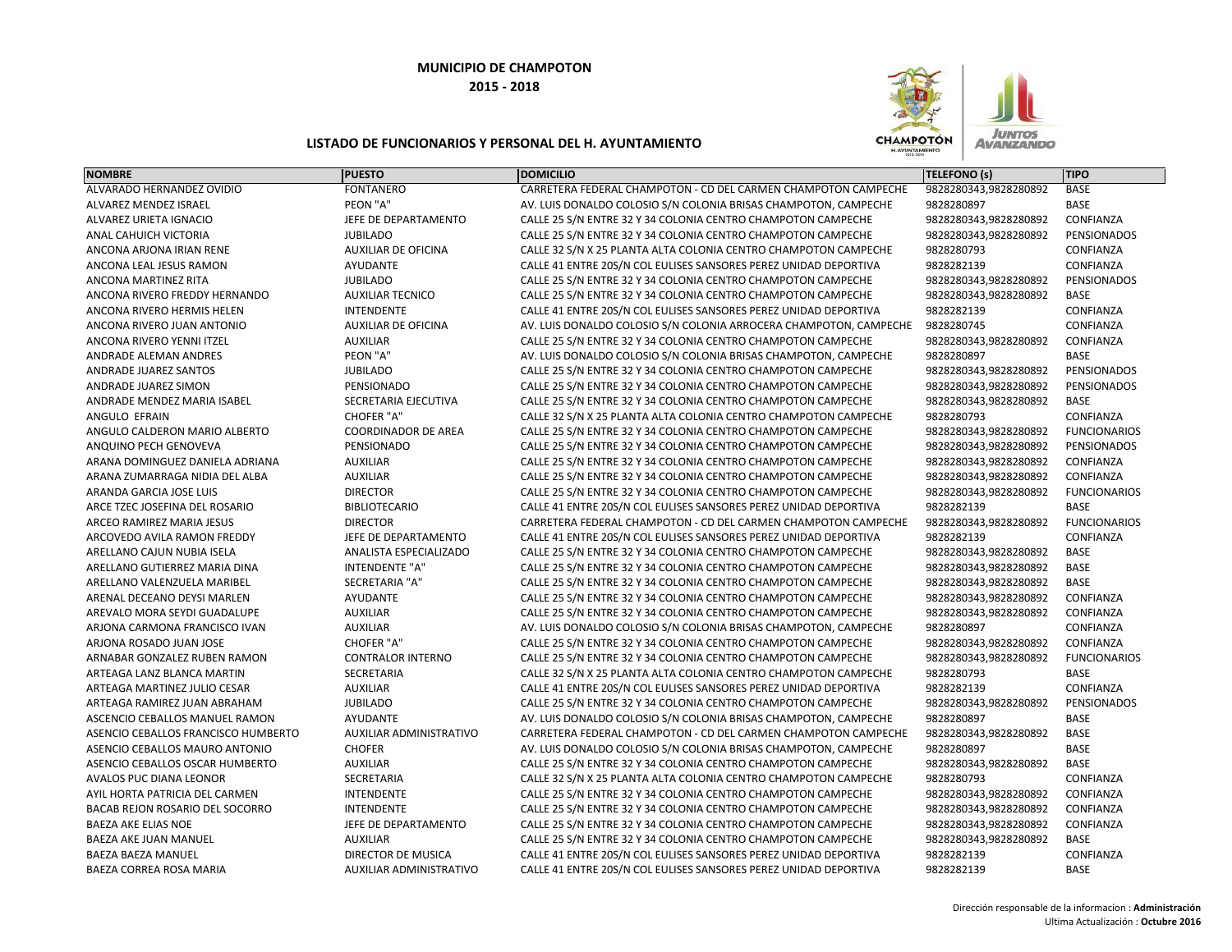

|                                     | <b>PUESTO</b>                                                                                                                                                                                                                                                 | <b>DOMICILIO</b>                                                                                                                                                                                                                            | <b>TELEFONO (s)</b>                                                                                                                                                                                                                                                                                                                                                                                                                                                                                                                       | <b>TIPO</b>                                                                                                                                                                                                                                          |
|-------------------------------------|---------------------------------------------------------------------------------------------------------------------------------------------------------------------------------------------------------------------------------------------------------------|---------------------------------------------------------------------------------------------------------------------------------------------------------------------------------------------------------------------------------------------|-------------------------------------------------------------------------------------------------------------------------------------------------------------------------------------------------------------------------------------------------------------------------------------------------------------------------------------------------------------------------------------------------------------------------------------------------------------------------------------------------------------------------------------------|------------------------------------------------------------------------------------------------------------------------------------------------------------------------------------------------------------------------------------------------------|
| ALVARADO HERNANDEZ OVIDIO           | <b>FONTANERO</b>                                                                                                                                                                                                                                              | CARRETERA FEDERAL CHAMPOTON - CD DEL CARMEN CHAMPOTON CAMPECHE                                                                                                                                                                              | 9828280343,9828280892                                                                                                                                                                                                                                                                                                                                                                                                                                                                                                                     | BASE                                                                                                                                                                                                                                                 |
| <b>ALVAREZ MENDEZ ISRAEL</b>        | PEON "A"                                                                                                                                                                                                                                                      | AV. LUIS DONALDO COLOSIO S/N COLONIA BRISAS CHAMPOTON, CAMPECHE                                                                                                                                                                             | 9828280897                                                                                                                                                                                                                                                                                                                                                                                                                                                                                                                                | <b>BASE</b>                                                                                                                                                                                                                                          |
| ALVAREZ URIETA IGNACIO              | JEFE DE DEPARTAMENTO                                                                                                                                                                                                                                          | CALLE 25 S/N ENTRE 32 Y 34 COLONIA CENTRO CHAMPOTON CAMPECHE                                                                                                                                                                                | 9828280343,9828280892                                                                                                                                                                                                                                                                                                                                                                                                                                                                                                                     | CONFIANZA                                                                                                                                                                                                                                            |
| ANAL CAHUICH VICTORIA               | <b>JUBILADO</b>                                                                                                                                                                                                                                               | CALLE 25 S/N ENTRE 32 Y 34 COLONIA CENTRO CHAMPOTON CAMPECHE                                                                                                                                                                                | 9828280343,9828280892                                                                                                                                                                                                                                                                                                                                                                                                                                                                                                                     | PENSIONADOS                                                                                                                                                                                                                                          |
| ANCONA ARJONA IRIAN RENE            | <b>AUXILIAR DE OFICINA</b>                                                                                                                                                                                                                                    | CALLE 32 S/N X 25 PLANTA ALTA COLONIA CENTRO CHAMPOTON CAMPECHE                                                                                                                                                                             | 9828280793                                                                                                                                                                                                                                                                                                                                                                                                                                                                                                                                | CONFIANZA                                                                                                                                                                                                                                            |
| ANCONA LEAL JESUS RAMON             | <b>AYUDANTE</b>                                                                                                                                                                                                                                               | CALLE 41 ENTRE 20S/N COL EULISES SANSORES PEREZ UNIDAD DEPORTIVA                                                                                                                                                                            | 9828282139                                                                                                                                                                                                                                                                                                                                                                                                                                                                                                                                | CONFIANZA                                                                                                                                                                                                                                            |
| ANCONA MARTINEZ RITA                | <b>JUBILADO</b>                                                                                                                                                                                                                                               | CALLE 25 S/N ENTRE 32 Y 34 COLONIA CENTRO CHAMPOTON CAMPECHE                                                                                                                                                                                | 9828280343,9828280892                                                                                                                                                                                                                                                                                                                                                                                                                                                                                                                     | PENSIONADOS                                                                                                                                                                                                                                          |
| ANCONA RIVERO FREDDY HERNANDO       | <b>AUXILIAR TECNICO</b>                                                                                                                                                                                                                                       | CALLE 25 S/N ENTRE 32 Y 34 COLONIA CENTRO CHAMPOTON CAMPECHE                                                                                                                                                                                | 9828280343,9828280892                                                                                                                                                                                                                                                                                                                                                                                                                                                                                                                     | BASE                                                                                                                                                                                                                                                 |
| ANCONA RIVERO HERMIS HELEN          | <b>INTENDENTE</b>                                                                                                                                                                                                                                             | CALLE 41 ENTRE 20S/N COL EULISES SANSORES PEREZ UNIDAD DEPORTIVA                                                                                                                                                                            | 9828282139                                                                                                                                                                                                                                                                                                                                                                                                                                                                                                                                | CONFIANZA                                                                                                                                                                                                                                            |
| ANCONA RIVERO JUAN ANTONIO          | <b>AUXILIAR DE OFICINA</b>                                                                                                                                                                                                                                    | AV. LUIS DONALDO COLOSIO S/N COLONIA ARROCERA CHAMPOTON, CAMPECHE                                                                                                                                                                           | 9828280745                                                                                                                                                                                                                                                                                                                                                                                                                                                                                                                                | CONFIANZA                                                                                                                                                                                                                                            |
| ANCONA RIVERO YENNI ITZEL           | <b>AUXILIAR</b>                                                                                                                                                                                                                                               | CALLE 25 S/N ENTRE 32 Y 34 COLONIA CENTRO CHAMPOTON CAMPECHE                                                                                                                                                                                | 9828280343,9828280892                                                                                                                                                                                                                                                                                                                                                                                                                                                                                                                     | CONFIANZA                                                                                                                                                                                                                                            |
| ANDRADE ALEMAN ANDRES               |                                                                                                                                                                                                                                                               | AV. LUIS DONALDO COLOSIO S/N COLONIA BRISAS CHAMPOTON, CAMPECHE                                                                                                                                                                             | 9828280897                                                                                                                                                                                                                                                                                                                                                                                                                                                                                                                                | <b>BASE</b>                                                                                                                                                                                                                                          |
| ANDRADE JUAREZ SANTOS               | <b>JUBILADO</b>                                                                                                                                                                                                                                               | CALLE 25 S/N ENTRE 32 Y 34 COLONIA CENTRO CHAMPOTON CAMPECHE                                                                                                                                                                                | 9828280343,9828280892                                                                                                                                                                                                                                                                                                                                                                                                                                                                                                                     | PENSIONADOS                                                                                                                                                                                                                                          |
| ANDRADE JUAREZ SIMON                |                                                                                                                                                                                                                                                               | CALLE 25 S/N ENTRE 32 Y 34 COLONIA CENTRO CHAMPOTON CAMPECHE                                                                                                                                                                                | 9828280343,9828280892                                                                                                                                                                                                                                                                                                                                                                                                                                                                                                                     | PENSIONADOS                                                                                                                                                                                                                                          |
| ANDRADE MENDEZ MARIA ISABEL         | SECRETARIA EJECUTIVA                                                                                                                                                                                                                                          | CALLE 25 S/N ENTRE 32 Y 34 COLONIA CENTRO CHAMPOTON CAMPECHE                                                                                                                                                                                | 9828280343,9828280892                                                                                                                                                                                                                                                                                                                                                                                                                                                                                                                     | BASE                                                                                                                                                                                                                                                 |
| ANGULO EFRAIN                       | <b>CHOFER "A"</b>                                                                                                                                                                                                                                             | CALLE 32 S/N X 25 PLANTA ALTA COLONIA CENTRO CHAMPOTON CAMPECHE                                                                                                                                                                             | 9828280793                                                                                                                                                                                                                                                                                                                                                                                                                                                                                                                                | CONFIANZA                                                                                                                                                                                                                                            |
| ANGULO CALDERON MARIO ALBERTO       | <b>COORDINADOR DE AREA</b>                                                                                                                                                                                                                                    | CALLE 25 S/N ENTRE 32 Y 34 COLONIA CENTRO CHAMPOTON CAMPECHE                                                                                                                                                                                | 9828280343,9828280892                                                                                                                                                                                                                                                                                                                                                                                                                                                                                                                     | <b>FUNCIONARIOS</b>                                                                                                                                                                                                                                  |
| ANQUINO PECH GENOVEVA               | PENSIONADO                                                                                                                                                                                                                                                    | CALLE 25 S/N ENTRE 32 Y 34 COLONIA CENTRO CHAMPOTON CAMPECHE                                                                                                                                                                                | 9828280343,9828280892                                                                                                                                                                                                                                                                                                                                                                                                                                                                                                                     | PENSIONADOS                                                                                                                                                                                                                                          |
| ARANA DOMINGUEZ DANIELA ADRIANA     | <b>AUXILIAR</b>                                                                                                                                                                                                                                               | CALLE 25 S/N ENTRE 32 Y 34 COLONIA CENTRO CHAMPOTON CAMPECHE                                                                                                                                                                                | 9828280343,9828280892                                                                                                                                                                                                                                                                                                                                                                                                                                                                                                                     | CONFIANZA                                                                                                                                                                                                                                            |
| ARANA ZUMARRAGA NIDIA DEL ALBA      | <b>AUXILIAR</b>                                                                                                                                                                                                                                               | CALLE 25 S/N ENTRE 32 Y 34 COLONIA CENTRO CHAMPOTON CAMPECHE                                                                                                                                                                                | 9828280343,9828280892                                                                                                                                                                                                                                                                                                                                                                                                                                                                                                                     | CONFIANZA                                                                                                                                                                                                                                            |
| ARANDA GARCIA JOSE LUIS             | <b>DIRECTOR</b>                                                                                                                                                                                                                                               | CALLE 25 S/N ENTRE 32 Y 34 COLONIA CENTRO CHAMPOTON CAMPECHE                                                                                                                                                                                | 9828280343,9828280892                                                                                                                                                                                                                                                                                                                                                                                                                                                                                                                     | <b>FUNCIONARIOS</b>                                                                                                                                                                                                                                  |
| ARCE TZEC JOSEFINA DEL ROSARIO      |                                                                                                                                                                                                                                                               | CALLE 41 ENTRE 20S/N COL EULISES SANSORES PEREZ UNIDAD DEPORTIVA                                                                                                                                                                            |                                                                                                                                                                                                                                                                                                                                                                                                                                                                                                                                           | BASE                                                                                                                                                                                                                                                 |
| ARCEO RAMIREZ MARIA JESUS           | <b>DIRECTOR</b>                                                                                                                                                                                                                                               | CARRETERA FEDERAL CHAMPOTON - CD DEL CARMEN CHAMPOTON CAMPECHE                                                                                                                                                                              | 9828280343,9828280892                                                                                                                                                                                                                                                                                                                                                                                                                                                                                                                     | <b>FUNCIONARIOS</b>                                                                                                                                                                                                                                  |
| ARCOVEDO AVILA RAMON FREDDY         | JEFE DE DEPARTAMENTO                                                                                                                                                                                                                                          | CALLE 41 ENTRE 20S/N COL EULISES SANSORES PEREZ UNIDAD DEPORTIVA                                                                                                                                                                            |                                                                                                                                                                                                                                                                                                                                                                                                                                                                                                                                           | CONFIANZA                                                                                                                                                                                                                                            |
| ARELLANO CAJUN NUBIA ISELA          | ANALISTA ESPECIALIZADO                                                                                                                                                                                                                                        | CALLE 25 S/N ENTRE 32 Y 34 COLONIA CENTRO CHAMPOTON CAMPECHE                                                                                                                                                                                | 9828280343,9828280892                                                                                                                                                                                                                                                                                                                                                                                                                                                                                                                     | BASE                                                                                                                                                                                                                                                 |
| ARELLANO GUTIERREZ MARIA DINA       | <b>INTENDENTE "A"</b>                                                                                                                                                                                                                                         | CALLE 25 S/N ENTRE 32 Y 34 COLONIA CENTRO CHAMPOTON CAMPECHE                                                                                                                                                                                | 9828280343,9828280892                                                                                                                                                                                                                                                                                                                                                                                                                                                                                                                     | BASE                                                                                                                                                                                                                                                 |
| ARELLANO VALENZUELA MARIBEL         | <b>SECRETARIA "A"</b>                                                                                                                                                                                                                                         | CALLE 25 S/N ENTRE 32 Y 34 COLONIA CENTRO CHAMPOTON CAMPECHE                                                                                                                                                                                | 9828280343,9828280892                                                                                                                                                                                                                                                                                                                                                                                                                                                                                                                     | <b>BASE</b>                                                                                                                                                                                                                                          |
| ARENAL DECEANO DEYSI MARLEN         | AYUDANTE                                                                                                                                                                                                                                                      | CALLE 25 S/N ENTRE 32 Y 34 COLONIA CENTRO CHAMPOTON CAMPECHE                                                                                                                                                                                | 9828280343,9828280892                                                                                                                                                                                                                                                                                                                                                                                                                                                                                                                     | CONFIANZA                                                                                                                                                                                                                                            |
|                                     |                                                                                                                                                                                                                                                               | CALLE 25 S/N ENTRE 32 Y 34 COLONIA CENTRO CHAMPOTON CAMPECHE                                                                                                                                                                                |                                                                                                                                                                                                                                                                                                                                                                                                                                                                                                                                           | CONFIANZA                                                                                                                                                                                                                                            |
|                                     |                                                                                                                                                                                                                                                               |                                                                                                                                                                                                                                             |                                                                                                                                                                                                                                                                                                                                                                                                                                                                                                                                           | CONFIANZA                                                                                                                                                                                                                                            |
| ARJONA ROSADO JUAN JOSE             |                                                                                                                                                                                                                                                               |                                                                                                                                                                                                                                             |                                                                                                                                                                                                                                                                                                                                                                                                                                                                                                                                           | CONFIANZA                                                                                                                                                                                                                                            |
|                                     |                                                                                                                                                                                                                                                               |                                                                                                                                                                                                                                             |                                                                                                                                                                                                                                                                                                                                                                                                                                                                                                                                           | <b>FUNCIONARIOS</b>                                                                                                                                                                                                                                  |
| ARTEAGA LANZ BLANCA MARTIN          |                                                                                                                                                                                                                                                               |                                                                                                                                                                                                                                             |                                                                                                                                                                                                                                                                                                                                                                                                                                                                                                                                           | BASE                                                                                                                                                                                                                                                 |
|                                     |                                                                                                                                                                                                                                                               |                                                                                                                                                                                                                                             |                                                                                                                                                                                                                                                                                                                                                                                                                                                                                                                                           | CONFIANZA                                                                                                                                                                                                                                            |
|                                     |                                                                                                                                                                                                                                                               |                                                                                                                                                                                                                                             |                                                                                                                                                                                                                                                                                                                                                                                                                                                                                                                                           | PENSIONADOS                                                                                                                                                                                                                                          |
| ASCENCIO CEBALLOS MANUEL RAMON      | AYUDANTE                                                                                                                                                                                                                                                      | AV. LUIS DONALDO COLOSIO S/N COLONIA BRISAS CHAMPOTON, CAMPECHE                                                                                                                                                                             | 9828280897                                                                                                                                                                                                                                                                                                                                                                                                                                                                                                                                | BASE                                                                                                                                                                                                                                                 |
| ASENCIO CEBALLOS FRANCISCO HUMBERTO | AUXILIAR ADMINISTRATIVO                                                                                                                                                                                                                                       | CARRETERA FEDERAL CHAMPOTON - CD DEL CARMEN CHAMPOTON CAMPECHE                                                                                                                                                                              |                                                                                                                                                                                                                                                                                                                                                                                                                                                                                                                                           | BASE                                                                                                                                                                                                                                                 |
|                                     |                                                                                                                                                                                                                                                               |                                                                                                                                                                                                                                             |                                                                                                                                                                                                                                                                                                                                                                                                                                                                                                                                           | <b>BASE</b>                                                                                                                                                                                                                                          |
|                                     |                                                                                                                                                                                                                                                               |                                                                                                                                                                                                                                             |                                                                                                                                                                                                                                                                                                                                                                                                                                                                                                                                           | <b>BASE</b>                                                                                                                                                                                                                                          |
|                                     |                                                                                                                                                                                                                                                               | CALLE 32 S/N X 25 PLANTA ALTA COLONIA CENTRO CHAMPOTON CAMPECHE                                                                                                                                                                             |                                                                                                                                                                                                                                                                                                                                                                                                                                                                                                                                           | CONFIANZA                                                                                                                                                                                                                                            |
| AYIL HORTA PATRICIA DEL CARMEN      | <b>INTENDENTE</b>                                                                                                                                                                                                                                             | CALLE 25 S/N ENTRE 32 Y 34 COLONIA CENTRO CHAMPOTON CAMPECHE                                                                                                                                                                                | 9828280343,9828280892                                                                                                                                                                                                                                                                                                                                                                                                                                                                                                                     | CONFIANZA                                                                                                                                                                                                                                            |
| BACAB REJON ROSARIO DEL SOCORRO     | <b>INTENDENTE</b>                                                                                                                                                                                                                                             | CALLE 25 S/N ENTRE 32 Y 34 COLONIA CENTRO CHAMPOTON CAMPECHE                                                                                                                                                                                | 9828280343,9828280892                                                                                                                                                                                                                                                                                                                                                                                                                                                                                                                     | CONFIANZA                                                                                                                                                                                                                                            |
| <b>BAEZA AKE ELIAS NOE</b>          | JEFE DE DEPARTAMENTO                                                                                                                                                                                                                                          | CALLE 25 S/N ENTRE 32 Y 34 COLONIA CENTRO CHAMPOTON CAMPECHE                                                                                                                                                                                | 9828280343,9828280892                                                                                                                                                                                                                                                                                                                                                                                                                                                                                                                     | CONFIANZA                                                                                                                                                                                                                                            |
| BAEZA AKE JUAN MANUEL               | <b>AUXILIAR</b>                                                                                                                                                                                                                                               | CALLE 25 S/N ENTRE 32 Y 34 COLONIA CENTRO CHAMPOTON CAMPECHE                                                                                                                                                                                | 9828280343,9828280892                                                                                                                                                                                                                                                                                                                                                                                                                                                                                                                     | <b>BASE</b>                                                                                                                                                                                                                                          |
| <b>BAEZA BAEZA MANUEL</b>           | <b>DIRECTOR DE MUSICA</b>                                                                                                                                                                                                                                     | CALLE 41 ENTRE 20S/N COL EULISES SANSORES PEREZ UNIDAD DEPORTIVA                                                                                                                                                                            | 9828282139                                                                                                                                                                                                                                                                                                                                                                                                                                                                                                                                | CONFIANZA                                                                                                                                                                                                                                            |
| BAEZA CORREA ROSA MARIA             | <b>AUXILIAR ADMINISTRATIVO</b>                                                                                                                                                                                                                                | CALLE 41 ENTRE 20S/N COL EULISES SANSORES PEREZ UNIDAD DEPORTIVA                                                                                                                                                                            | 9828282139                                                                                                                                                                                                                                                                                                                                                                                                                                                                                                                                | <b>BASE</b>                                                                                                                                                                                                                                          |
|                                     | AREVALO MORA SEYDI GUADALUPE<br>ARJONA CARMONA FRANCISCO IVAN<br>ARNABAR GONZALEZ RUBEN RAMON<br>ARTEAGA MARTINEZ JULIO CESAR<br>ARTEAGA RAMIREZ JUAN ABRAHAM<br>ASENCIO CEBALLOS MAURO ANTONIO<br>ASENCIO CEBALLOS OSCAR HUMBERTO<br>AVALOS PUC DIANA LEONOR | PEON "A"<br>PENSIONADO<br><b>BIBLIOTECARIO</b><br><b>AUXILIAR</b><br><b>AUXILIAR</b><br><b>CHOFER "A"</b><br><b>CONTRALOR INTERNO</b><br>SECRETARIA<br><b>AUXILIAR</b><br><b>JUBILADO</b><br><b>CHOFER</b><br><b>AUXILIAR</b><br>SECRETARIA | AV. LUIS DONALDO COLOSIO S/N COLONIA BRISAS CHAMPOTON, CAMPECHE<br>CALLE 25 S/N ENTRE 32 Y 34 COLONIA CENTRO CHAMPOTON CAMPECHE<br>CALLE 25 S/N ENTRE 32 Y 34 COLONIA CENTRO CHAMPOTON CAMPECHE<br>CALLE 32 S/N X 25 PLANTA ALTA COLONIA CENTRO CHAMPOTON CAMPECHE<br>CALLE 41 ENTRE 20S/N COL EULISES SANSORES PEREZ UNIDAD DEPORTIVA<br>CALLE 25 S/N ENTRE 32 Y 34 COLONIA CENTRO CHAMPOTON CAMPECHE<br>AV. LUIS DONALDO COLOSIO S/N COLONIA BRISAS CHAMPOTON, CAMPECHE<br>CALLE 25 S/N ENTRE 32 Y 34 COLONIA CENTRO CHAMPOTON CAMPECHE | 9828282139<br>9828282139<br>9828280343,9828280892<br>9828280897<br>9828280343,9828280892<br>9828280343,9828280892<br>9828280793<br>9828282139<br>9828280343,9828280892<br>9828280343,9828280892<br>9828280897<br>9828280343,9828280892<br>9828280793 |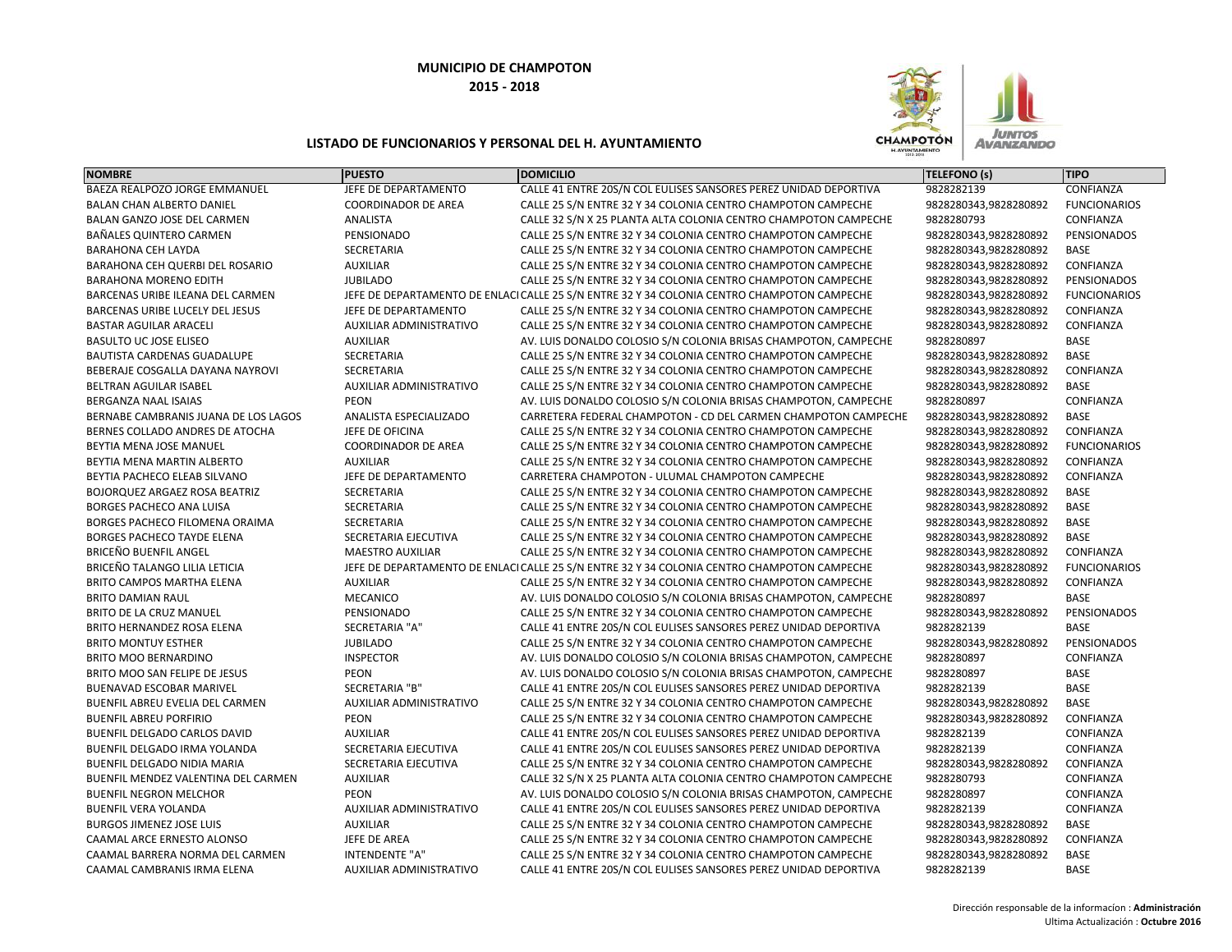

| <b>NOMBRE</b>                          | <b>PUESTO</b>                  | <b>DOMICILIO</b>                                                                            | <b>TELEFONO (s)</b>   | <b>TIPO</b>         |
|----------------------------------------|--------------------------------|---------------------------------------------------------------------------------------------|-----------------------|---------------------|
| BAEZA REALPOZO JORGE EMMANUEL          | JEFE DE DEPARTAMENTO           | CALLE 41 ENTRE 20S/N COL EULISES SANSORES PEREZ UNIDAD DEPORTIVA                            | 9828282139            | CONFIANZA           |
| BALAN CHAN ALBERTO DANIEL              | <b>COORDINADOR DE AREA</b>     | CALLE 25 S/N ENTRE 32 Y 34 COLONIA CENTRO CHAMPOTON CAMPECHE                                | 9828280343,9828280892 | <b>FUNCIONARIOS</b> |
| BALAN GANZO JOSE DEL CARMEN            | <b>ANALISTA</b>                | CALLE 32 S/N X 25 PLANTA ALTA COLONIA CENTRO CHAMPOTON CAMPECHE                             | 9828280793            | CONFIANZA           |
| BAÑALES QUINTERO CARMEN                | PENSIONADO                     | CALLE 25 S/N ENTRE 32 Y 34 COLONIA CENTRO CHAMPOTON CAMPECHE                                | 9828280343,9828280892 | PENSIONADOS         |
| <b>BARAHONA CEH LAYDA</b>              | SECRETARIA                     | CALLE 25 S/N ENTRE 32 Y 34 COLONIA CENTRO CHAMPOTON CAMPECHE                                | 9828280343,9828280892 | <b>BASE</b>         |
| BARAHONA CEH QUERBI DEL ROSARIO        | <b>AUXILIAR</b>                | CALLE 25 S/N ENTRE 32 Y 34 COLONIA CENTRO CHAMPOTON CAMPECHE                                | 9828280343,9828280892 | CONFIANZA           |
| <b>BARAHONA MORENO EDITH</b>           | <b>JUBILADO</b>                | CALLE 25 S/N ENTRE 32 Y 34 COLONIA CENTRO CHAMPOTON CAMPECHE                                | 9828280343,9828280892 | <b>PENSIONADOS</b>  |
| BARCENAS URIBE ILEANA DEL CARMEN       |                                | JEFE DE DEPARTAMENTO DE ENLACI CALLE 25 S/N ENTRE 32 Y 34 COLONIA CENTRO CHAMPOTON CAMPECHE | 9828280343,9828280892 | <b>FUNCIONARIOS</b> |
| <b>BARCENAS URIBE LUCELY DEL JESUS</b> | JEFE DE DEPARTAMENTO           | CALLE 25 S/N ENTRE 32 Y 34 COLONIA CENTRO CHAMPOTON CAMPECHE                                | 9828280343,9828280892 | CONFIANZA           |
| <b>BASTAR AGUILAR ARACELI</b>          | AUXILIAR ADMINISTRATIVO        | CALLE 25 S/N ENTRE 32 Y 34 COLONIA CENTRO CHAMPOTON CAMPECHE                                | 9828280343,9828280892 | CONFIANZA           |
| <b>BASULTO UC JOSE ELISEO</b>          | <b>AUXILIAR</b>                | AV. LUIS DONALDO COLOSIO S/N COLONIA BRISAS CHAMPOTON, CAMPECHE                             | 9828280897            | <b>BASE</b>         |
| BAUTISTA CARDENAS GUADALUPE            | SECRETARIA                     | CALLE 25 S/N ENTRE 32 Y 34 COLONIA CENTRO CHAMPOTON CAMPECHE                                | 9828280343,9828280892 | BASE                |
| BEBERAJE COSGALLA DAYANA NAYROVI       | <b>SECRETARIA</b>              | CALLE 25 S/N ENTRE 32 Y 34 COLONIA CENTRO CHAMPOTON CAMPECHE                                | 9828280343,9828280892 | CONFIANZA           |
| BELTRAN AGUILAR ISABEL                 | AUXILIAR ADMINISTRATIVO        | CALLE 25 S/N ENTRE 32 Y 34 COLONIA CENTRO CHAMPOTON CAMPECHE                                | 9828280343,9828280892 | BASE                |
| <b>BERGANZA NAAL ISAIAS</b>            | PEON                           | AV. LUIS DONALDO COLOSIO S/N COLONIA BRISAS CHAMPOTON, CAMPECHE                             | 9828280897            | CONFIANZA           |
| BERNABE CAMBRANIS JUANA DE LOS LAGOS   | ANALISTA ESPECIALIZADO         | CARRETERA FEDERAL CHAMPOTON - CD DEL CARMEN CHAMPOTON CAMPECHE                              | 9828280343,9828280892 | <b>BASE</b>         |
| BERNES COLLADO ANDRES DE ATOCHA        | JEFE DE OFICINA                | CALLE 25 S/N ENTRE 32 Y 34 COLONIA CENTRO CHAMPOTON CAMPECHE                                | 9828280343,9828280892 | CONFIANZA           |
| BEYTIA MENA JOSE MANUEL                | <b>COORDINADOR DE AREA</b>     | CALLE 25 S/N ENTRE 32 Y 34 COLONIA CENTRO CHAMPOTON CAMPECHE                                | 9828280343,9828280892 | <b>FUNCIONARIOS</b> |
| BEYTIA MENA MARTIN ALBERTO             | <b>AUXILIAR</b>                | CALLE 25 S/N ENTRE 32 Y 34 COLONIA CENTRO CHAMPOTON CAMPECHE                                | 9828280343,9828280892 | CONFIANZA           |
| BEYTIA PACHECO ELEAB SILVANO           | JEFE DE DEPARTAMENTO           | CARRETERA CHAMPOTON - ULUMAL CHAMPOTON CAMPECHE                                             | 9828280343,9828280892 | CONFIANZA           |
| BOJORQUEZ ARGAEZ ROSA BEATRIZ          | SECRETARIA                     | CALLE 25 S/N ENTRE 32 Y 34 COLONIA CENTRO CHAMPOTON CAMPECHE                                | 9828280343,9828280892 | <b>BASE</b>         |
| <b>BORGES PACHECO ANA LUISA</b>        | SECRETARIA                     | CALLE 25 S/N ENTRE 32 Y 34 COLONIA CENTRO CHAMPOTON CAMPECHE                                | 9828280343,9828280892 | <b>BASE</b>         |
| BORGES PACHECO FILOMENA ORAIMA         | <b>SECRETARIA</b>              | CALLE 25 S/N ENTRE 32 Y 34 COLONIA CENTRO CHAMPOTON CAMPECHE                                | 9828280343,9828280892 | <b>BASE</b>         |
| <b>BORGES PACHECO TAYDE ELENA</b>      | SECRETARIA EJECUTIVA           | CALLE 25 S/N ENTRE 32 Y 34 COLONIA CENTRO CHAMPOTON CAMPECHE                                | 9828280343,9828280892 | <b>BASE</b>         |
| <b>BRICEÑO BUENFIL ANGEL</b>           | <b>MAESTRO AUXILIAR</b>        | CALLE 25 S/N ENTRE 32 Y 34 COLONIA CENTRO CHAMPOTON CAMPECHE                                | 9828280343,9828280892 | CONFIANZA           |
| BRICEÑO TALANGO LILIA LETICIA          |                                | JEFE DE DEPARTAMENTO DE ENLACI CALLE 25 S/N ENTRE 32 Y 34 COLONIA CENTRO CHAMPOTON CAMPECHE | 9828280343,9828280892 | <b>FUNCIONARIOS</b> |
| BRITO CAMPOS MARTHA ELENA              | <b>AUXILIAR</b>                | CALLE 25 S/N ENTRE 32 Y 34 COLONIA CENTRO CHAMPOTON CAMPECHE                                | 9828280343,9828280892 | CONFIANZA           |
| <b>BRITO DAMIAN RAUL</b>               | MECANICO                       | AV. LUIS DONALDO COLOSIO S/N COLONIA BRISAS CHAMPOTON, CAMPECHE                             | 9828280897            | <b>BASE</b>         |
| BRITO DE LA CRUZ MANUEL                | PENSIONADO                     | CALLE 25 S/N ENTRE 32 Y 34 COLONIA CENTRO CHAMPOTON CAMPECHE                                | 9828280343,9828280892 | PENSIONADOS         |
| BRITO HERNANDEZ ROSA ELENA             | SECRETARIA "A"                 | CALLE 41 ENTRE 20S/N COL EULISES SANSORES PEREZ UNIDAD DEPORTIVA                            | 9828282139            | <b>BASE</b>         |
| <b>BRITO MONTUY ESTHER</b>             | <b>JUBILADO</b>                | CALLE 25 S/N ENTRE 32 Y 34 COLONIA CENTRO CHAMPOTON CAMPECHE                                | 9828280343,9828280892 | PENSIONADOS         |
| BRITO MOO BERNARDINO                   | <b>INSPECTOR</b>               | AV. LUIS DONALDO COLOSIO S/N COLONIA BRISAS CHAMPOTON, CAMPECHE                             | 9828280897            | CONFIANZA           |
| BRITO MOO SAN FELIPE DE JESUS          | <b>PEON</b>                    | AV. LUIS DONALDO COLOSIO S/N COLONIA BRISAS CHAMPOTON, CAMPECHE                             | 9828280897            | <b>BASE</b>         |
| <b>BUENAVAD ESCOBAR MARIVEL</b>        | <b>SECRETARIA "B"</b>          | CALLE 41 ENTRE 20S/N COL EULISES SANSORES PEREZ UNIDAD DEPORTIVA                            | 9828282139            | <b>BASE</b>         |
| BUENFIL ABREU EVELIA DEL CARMEN        | AUXILIAR ADMINISTRATIVO        | CALLE 25 S/N ENTRE 32 Y 34 COLONIA CENTRO CHAMPOTON CAMPECHE                                | 9828280343,9828280892 | <b>BASE</b>         |
| <b>BUENFIL ABREU PORFIRIO</b>          | PEON                           | CALLE 25 S/N ENTRE 32 Y 34 COLONIA CENTRO CHAMPOTON CAMPECHE                                | 9828280343,9828280892 | CONFIANZA           |
| BUENFIL DELGADO CARLOS DAVID           | <b>AUXILIAR</b>                | CALLE 41 ENTRE 20S/N COL EULISES SANSORES PEREZ UNIDAD DEPORTIVA                            | 9828282139            | CONFIANZA           |
| BUENFIL DELGADO IRMA YOLANDA           | SECRETARIA EJECUTIVA           | CALLE 41 ENTRE 20S/N COL EULISES SANSORES PEREZ UNIDAD DEPORTIVA                            | 9828282139            | CONFIANZA           |
| BUENFIL DELGADO NIDIA MARIA            | SECRETARIA EJECUTIVA           | CALLE 25 S/N ENTRE 32 Y 34 COLONIA CENTRO CHAMPOTON CAMPECHE                                | 9828280343,9828280892 | CONFIANZA           |
| BUENFIL MENDEZ VALENTINA DEL CARMEN    | <b>AUXILIAR</b>                | CALLE 32 S/N X 25 PLANTA ALTA COLONIA CENTRO CHAMPOTON CAMPECHE                             | 9828280793            | CONFIANZA           |
| <b>BUENFIL NEGRON MELCHOR</b>          | <b>PEON</b>                    | AV. LUIS DONALDO COLOSIO S/N COLONIA BRISAS CHAMPOTON, CAMPECHE                             | 9828280897            | CONFIANZA           |
| <b>BUENFIL VERA YOLANDA</b>            | AUXILIAR ADMINISTRATIVO        | CALLE 41 ENTRE 20S/N COL EULISES SANSORES PEREZ UNIDAD DEPORTIVA                            | 9828282139            | CONFIANZA           |
| <b>BURGOS JIMENEZ JOSE LUIS</b>        | <b>AUXILIAR</b>                | CALLE 25 S/N ENTRE 32 Y 34 COLONIA CENTRO CHAMPOTON CAMPECHE                                | 9828280343,9828280892 | <b>BASE</b>         |
| CAAMAL ARCE ERNESTO ALONSO             | JEFE DE AREA                   | CALLE 25 S/N ENTRE 32 Y 34 COLONIA CENTRO CHAMPOTON CAMPECHE                                | 9828280343,9828280892 | CONFIANZA           |
| CAAMAL BARRERA NORMA DEL CARMEN        | <b>INTENDENTE "A"</b>          | CALLE 25 S/N ENTRE 32 Y 34 COLONIA CENTRO CHAMPOTON CAMPECHE                                | 9828280343,9828280892 | <b>BASE</b>         |
| CAAMAL CAMBRANIS IRMA ELENA            | <b>AUXILIAR ADMINISTRATIVO</b> | CALLE 41 ENTRE 20S/N COL EULISES SANSORES PEREZ UNIDAD DEPORTIVA                            | 9828282139            | <b>BASE</b>         |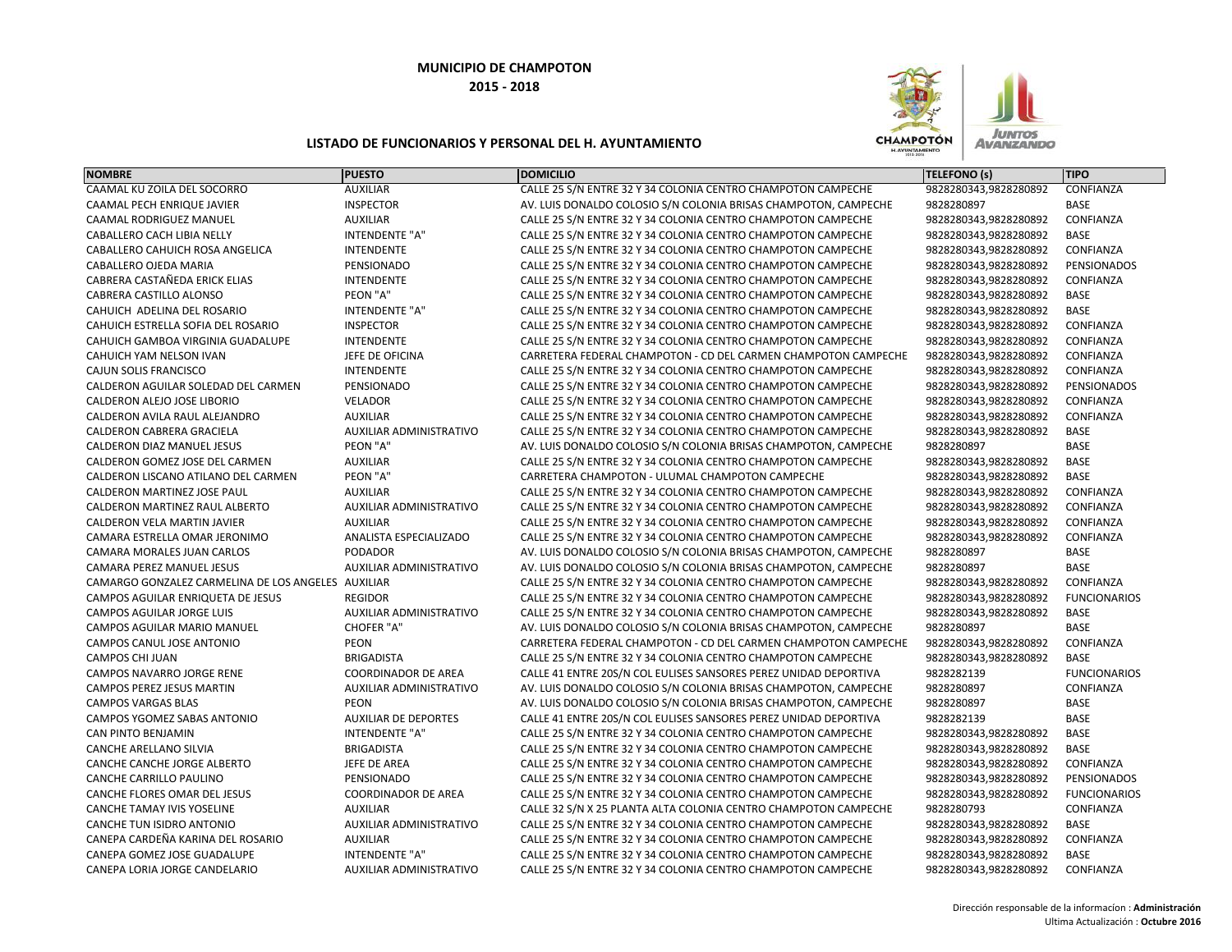

| <b>NOMBRE</b>                                      | <b>PUESTO</b>                  | <b>DOMICILIO</b>                                                 | <b>TELEFONO (s)</b>   | <b>TIPO</b>         |
|----------------------------------------------------|--------------------------------|------------------------------------------------------------------|-----------------------|---------------------|
| CAAMAL KU ZOILA DEL SOCORRO                        | <b>AUXILIAR</b>                | CALLE 25 S/N ENTRE 32 Y 34 COLONIA CENTRO CHAMPOTON CAMPECHE     | 9828280343,9828280892 | CONFIANZA           |
| CAAMAL PECH ENRIQUE JAVIER                         | <b>INSPECTOR</b>               | AV. LUIS DONALDO COLOSIO S/N COLONIA BRISAS CHAMPOTON, CAMPECHE  | 9828280897            | BASE                |
| CAAMAL RODRIGUEZ MANUEL                            | <b>AUXILIAR</b>                | CALLE 25 S/N ENTRE 32 Y 34 COLONIA CENTRO CHAMPOTON CAMPECHE     | 9828280343,9828280892 | CONFIANZA           |
| CABALLERO CACH LIBIA NELLY                         | <b>INTENDENTE "A"</b>          | CALLE 25 S/N ENTRE 32 Y 34 COLONIA CENTRO CHAMPOTON CAMPECHE     | 9828280343,9828280892 | <b>BASE</b>         |
| CABALLERO CAHUICH ROSA ANGELICA                    | <b>INTENDENTE</b>              | CALLE 25 S/N ENTRE 32 Y 34 COLONIA CENTRO CHAMPOTON CAMPECHE     | 9828280343,9828280892 | CONFIANZA           |
| CABALLERO OJEDA MARIA                              | PENSIONADO                     | CALLE 25 S/N ENTRE 32 Y 34 COLONIA CENTRO CHAMPOTON CAMPECHE     | 9828280343,9828280892 | PENSIONADOS         |
| CABRERA CASTAÑEDA ERICK ELIAS                      | <b>INTENDENTE</b>              | CALLE 25 S/N ENTRE 32 Y 34 COLONIA CENTRO CHAMPOTON CAMPECHE     | 9828280343,9828280892 | CONFIANZA           |
| CABRERA CASTILLO ALONSO                            | PEON "A"                       | CALLE 25 S/N ENTRE 32 Y 34 COLONIA CENTRO CHAMPOTON CAMPECHE     | 9828280343,9828280892 | BASE                |
| CAHUICH ADELINA DEL ROSARIO                        | INTENDENTE "A"                 | CALLE 25 S/N ENTRE 32 Y 34 COLONIA CENTRO CHAMPOTON CAMPECHE     | 9828280343,9828280892 | BASE                |
| CAHUICH ESTRELLA SOFIA DEL ROSARIO                 | <b>INSPECTOR</b>               | CALLE 25 S/N ENTRE 32 Y 34 COLONIA CENTRO CHAMPOTON CAMPECHE     | 9828280343,9828280892 | CONFIANZA           |
| CAHUICH GAMBOA VIRGINIA GUADALUPE                  | <b>INTENDENTE</b>              | CALLE 25 S/N ENTRE 32 Y 34 COLONIA CENTRO CHAMPOTON CAMPECHE     | 9828280343,9828280892 | CONFIANZA           |
| CAHUICH YAM NELSON IVAN                            | JEFE DE OFICINA                | CARRETERA FEDERAL CHAMPOTON - CD DEL CARMEN CHAMPOTON CAMPECHE   | 9828280343,9828280892 | CONFIANZA           |
| CAJUN SOLIS FRANCISCO                              | <b>INTENDENTE</b>              | CALLE 25 S/N ENTRE 32 Y 34 COLONIA CENTRO CHAMPOTON CAMPECHE     | 9828280343,9828280892 | CONFIANZA           |
| CALDERON AGUILAR SOLEDAD DEL CARMEN                | PENSIONADO                     | CALLE 25 S/N ENTRE 32 Y 34 COLONIA CENTRO CHAMPOTON CAMPECHE     | 9828280343,9828280892 | PENSIONADOS         |
| CALDERON ALEJO JOSE LIBORIO                        | <b>VELADOR</b>                 | CALLE 25 S/N ENTRE 32 Y 34 COLONIA CENTRO CHAMPOTON CAMPECHE     | 9828280343,9828280892 | CONFIANZA           |
| CALDERON AVILA RAUL ALEJANDRO                      | <b>AUXILIAR</b>                | CALLE 25 S/N ENTRE 32 Y 34 COLONIA CENTRO CHAMPOTON CAMPECHE     | 9828280343,9828280892 | CONFIANZA           |
| CALDERON CABRERA GRACIELA                          | <b>AUXILIAR ADMINISTRATIVO</b> | CALLE 25 S/N ENTRE 32 Y 34 COLONIA CENTRO CHAMPOTON CAMPECHE     | 9828280343,9828280892 | BASE                |
| CALDERON DIAZ MANUEL JESUS                         | PEON "A"                       | AV. LUIS DONALDO COLOSIO S/N COLONIA BRISAS CHAMPOTON, CAMPECHE  | 9828280897            | <b>BASE</b>         |
| CALDERON GOMEZ JOSE DEL CARMEN                     | <b>AUXILIAR</b>                | CALLE 25 S/N ENTRE 32 Y 34 COLONIA CENTRO CHAMPOTON CAMPECHE     | 9828280343,9828280892 | BASE                |
| CALDERON LISCANO ATILANO DEL CARMEN                | PEON "A"                       | CARRETERA CHAMPOTON - ULUMAL CHAMPOTON CAMPECHE                  | 9828280343,9828280892 | <b>BASE</b>         |
| CALDERON MARTINEZ JOSE PAUL                        | <b>AUXILIAR</b>                | CALLE 25 S/N ENTRE 32 Y 34 COLONIA CENTRO CHAMPOTON CAMPECHE     | 9828280343,9828280892 | CONFIANZA           |
| CALDERON MARTINEZ RAUL ALBERTO                     | AUXILIAR ADMINISTRATIVO        | CALLE 25 S/N ENTRE 32 Y 34 COLONIA CENTRO CHAMPOTON CAMPECHE     | 9828280343,9828280892 | CONFIANZA           |
| CALDERON VELA MARTIN JAVIER                        | <b>AUXILIAR</b>                | CALLE 25 S/N ENTRE 32 Y 34 COLONIA CENTRO CHAMPOTON CAMPECHE     | 9828280343,9828280892 | CONFIANZA           |
| CAMARA ESTRELLA OMAR JERONIMO                      | ANALISTA ESPECIALIZADO         | CALLE 25 S/N ENTRE 32 Y 34 COLONIA CENTRO CHAMPOTON CAMPECHE     | 9828280343,9828280892 | CONFIANZA           |
| CAMARA MORALES JUAN CARLOS                         | <b>PODADOR</b>                 | AV. LUIS DONALDO COLOSIO S/N COLONIA BRISAS CHAMPOTON, CAMPECHE  | 9828280897            | <b>BASE</b>         |
| CAMARA PEREZ MANUEL JESUS                          | AUXILIAR ADMINISTRATIVO        | AV. LUIS DONALDO COLOSIO S/N COLONIA BRISAS CHAMPOTON, CAMPECHE  | 9828280897            | <b>BASE</b>         |
| CAMARGO GONZALEZ CARMELINA DE LOS ANGELES AUXILIAR |                                | CALLE 25 S/N ENTRE 32 Y 34 COLONIA CENTRO CHAMPOTON CAMPECHE     | 9828280343,9828280892 | CONFIANZA           |
| CAMPOS AGUILAR ENRIQUETA DE JESUS                  | <b>REGIDOR</b>                 | CALLE 25 S/N ENTRE 32 Y 34 COLONIA CENTRO CHAMPOTON CAMPECHE     | 9828280343,9828280892 | <b>FUNCIONARIOS</b> |
| CAMPOS AGUILAR JORGE LUIS                          | AUXILIAR ADMINISTRATIVO        | CALLE 25 S/N ENTRE 32 Y 34 COLONIA CENTRO CHAMPOTON CAMPECHE     | 9828280343,9828280892 | BASE                |
| CAMPOS AGUILAR MARIO MANUEL                        | CHOFER "A"                     | AV. LUIS DONALDO COLOSIO S/N COLONIA BRISAS CHAMPOTON, CAMPECHE  | 9828280897            | <b>BASE</b>         |
| CAMPOS CANUL JOSE ANTONIO                          | <b>PEON</b>                    | CARRETERA FEDERAL CHAMPOTON - CD DEL CARMEN CHAMPOTON CAMPECHE   | 9828280343,9828280892 | CONFIANZA           |
| CAMPOS CHI JUAN                                    | <b>BRIGADISTA</b>              | CALLE 25 S/N ENTRE 32 Y 34 COLONIA CENTRO CHAMPOTON CAMPECHE     | 9828280343,9828280892 | <b>BASE</b>         |
| CAMPOS NAVARRO JORGE RENE                          | <b>COORDINADOR DE AREA</b>     | CALLE 41 ENTRE 20S/N COL EULISES SANSORES PEREZ UNIDAD DEPORTIVA | 9828282139            | <b>FUNCIONARIOS</b> |
| CAMPOS PEREZ JESUS MARTIN                          | AUXILIAR ADMINISTRATIVO        | AV. LUIS DONALDO COLOSIO S/N COLONIA BRISAS CHAMPOTON, CAMPECHE  | 9828280897            | CONFIANZA           |
| <b>CAMPOS VARGAS BLAS</b>                          | PEON                           | AV. LUIS DONALDO COLOSIO S/N COLONIA BRISAS CHAMPOTON, CAMPECHE  | 9828280897            | <b>BASE</b>         |
| CAMPOS YGOMEZ SABAS ANTONIO                        | <b>AUXILIAR DE DEPORTES</b>    | CALLE 41 ENTRE 20S/N COL EULISES SANSORES PEREZ UNIDAD DEPORTIVA | 9828282139            | <b>BASE</b>         |
| <b>CAN PINTO BENJAMIN</b>                          | <b>INTENDENTE "A"</b>          | CALLE 25 S/N ENTRE 32 Y 34 COLONIA CENTRO CHAMPOTON CAMPECHE     | 9828280343,9828280892 | <b>BASE</b>         |
| CANCHE ARELLANO SILVIA                             | <b>BRIGADISTA</b>              | CALLE 25 S/N ENTRE 32 Y 34 COLONIA CENTRO CHAMPOTON CAMPECHE     | 9828280343,9828280892 | <b>BASE</b>         |
| CANCHE CANCHE JORGE ALBERTO                        | JEFE DE AREA                   | CALLE 25 S/N ENTRE 32 Y 34 COLONIA CENTRO CHAMPOTON CAMPECHE     | 9828280343,9828280892 | CONFIANZA           |
| CANCHE CARRILLO PAULINO                            | PENSIONADO                     | CALLE 25 S/N ENTRE 32 Y 34 COLONIA CENTRO CHAMPOTON CAMPECHE     | 9828280343,9828280892 | PENSIONADOS         |
| CANCHE FLORES OMAR DEL JESUS                       | <b>COORDINADOR DE AREA</b>     | CALLE 25 S/N ENTRE 32 Y 34 COLONIA CENTRO CHAMPOTON CAMPECHE     | 9828280343,9828280892 | <b>FUNCIONARIOS</b> |
| <b>CANCHE TAMAY IVIS YOSELINE</b>                  | <b>AUXILIAR</b>                | CALLE 32 S/N X 25 PLANTA ALTA COLONIA CENTRO CHAMPOTON CAMPECHE  | 9828280793            | CONFIANZA           |
| CANCHE TUN ISIDRO ANTONIO                          | AUXILIAR ADMINISTRATIVO        | CALLE 25 S/N ENTRE 32 Y 34 COLONIA CENTRO CHAMPOTON CAMPECHE     | 9828280343,9828280892 | BASE                |
| CANEPA CARDEÑA KARINA DEL ROSARIO                  | <b>AUXILIAR</b>                | CALLE 25 S/N ENTRE 32 Y 34 COLONIA CENTRO CHAMPOTON CAMPECHE     | 9828280343,9828280892 | CONFIANZA           |
| CANEPA GOMEZ JOSE GUADALUPE                        | <b>INTENDENTE "A"</b>          | CALLE 25 S/N ENTRE 32 Y 34 COLONIA CENTRO CHAMPOTON CAMPECHE     | 9828280343,9828280892 | <b>BASE</b>         |
| CANEPA LORIA JORGE CANDELARIO                      | <b>AUXILIAR ADMINISTRATIVO</b> | CALLE 25 S/N ENTRE 32 Y 34 COLONIA CENTRO CHAMPOTON CAMPECHE     | 9828280343,9828280892 | CONFIANZA           |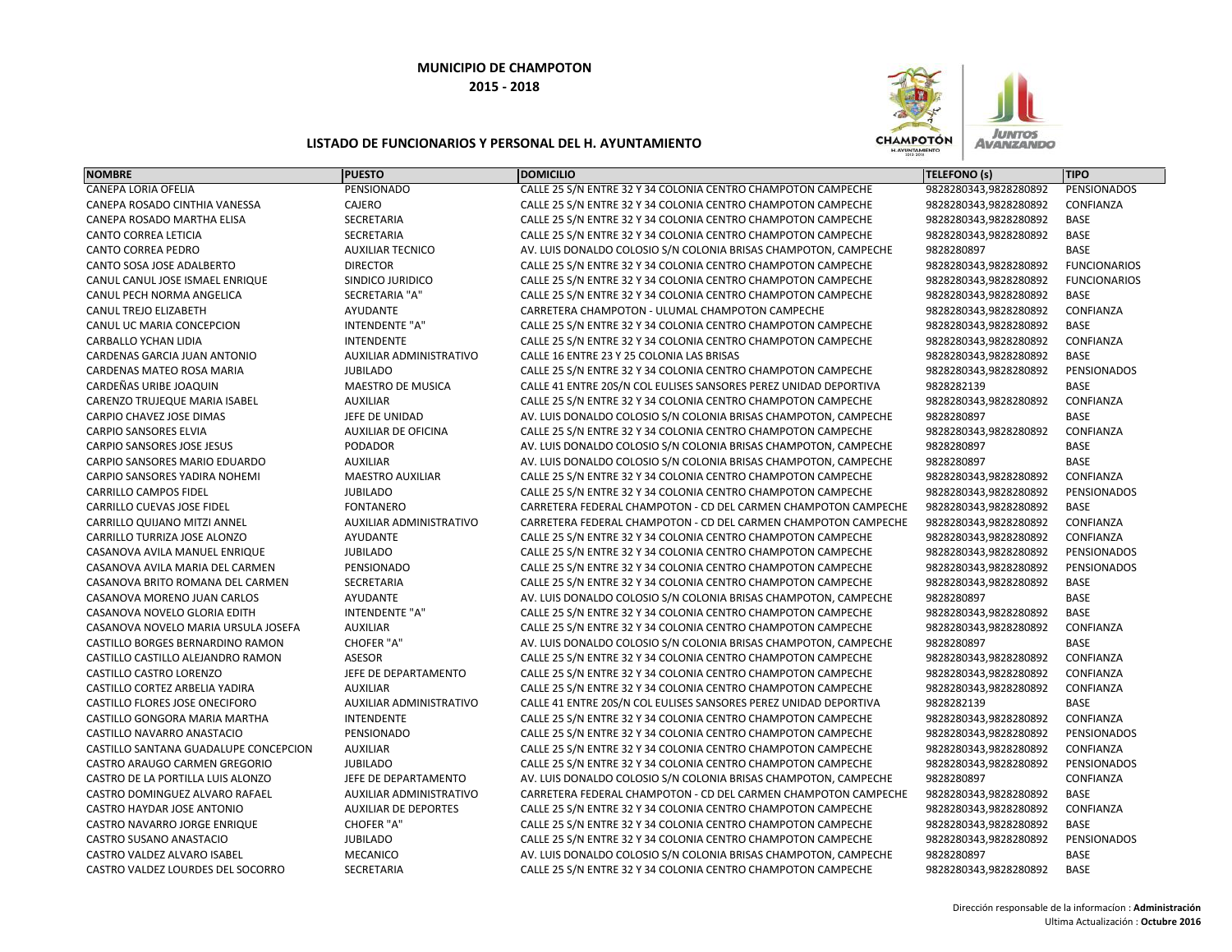

| <b>NOMBRE</b>                         | <b>PUESTO</b>                  | <b>DOMICILIO</b>                                                 | <b>TELEFONO (s)</b>   | <b>TIPO</b>         |
|---------------------------------------|--------------------------------|------------------------------------------------------------------|-----------------------|---------------------|
| CANEPA LORIA OFELIA                   | PENSIONADO                     | CALLE 25 S/N ENTRE 32 Y 34 COLONIA CENTRO CHAMPOTON CAMPECHE     | 9828280343,9828280892 | PENSIONADOS         |
| CANEPA ROSADO CINTHIA VANESSA         | CAJERO                         | CALLE 25 S/N ENTRE 32 Y 34 COLONIA CENTRO CHAMPOTON CAMPECHE     | 9828280343,9828280892 | CONFIANZA           |
| CANEPA ROSADO MARTHA ELISA            | SECRETARIA                     | CALLE 25 S/N ENTRE 32 Y 34 COLONIA CENTRO CHAMPOTON CAMPECHE     | 9828280343,9828280892 | BASE                |
| CANTO CORREA LETICIA                  | <b>SECRETARIA</b>              | CALLE 25 S/N ENTRE 32 Y 34 COLONIA CENTRO CHAMPOTON CAMPECHE     | 9828280343,9828280892 | <b>BASE</b>         |
| <b>CANTO CORREA PEDRO</b>             | <b>AUXILIAR TECNICO</b>        | AV. LUIS DONALDO COLOSIO S/N COLONIA BRISAS CHAMPOTON, CAMPECHE  | 9828280897            | <b>BASE</b>         |
| CANTO SOSA JOSE ADALBERTO             | <b>DIRECTOR</b>                | CALLE 25 S/N ENTRE 32 Y 34 COLONIA CENTRO CHAMPOTON CAMPECHE     | 9828280343,9828280892 | <b>FUNCIONARIOS</b> |
| CANUL CANUL JOSE ISMAEL ENRIQUE       | SINDICO JURIDICO               | CALLE 25 S/N ENTRE 32 Y 34 COLONIA CENTRO CHAMPOTON CAMPECHE     | 9828280343,9828280892 | <b>FUNCIONARIOS</b> |
| CANUL PECH NORMA ANGELICA             | SECRETARIA "A"                 | CALLE 25 S/N ENTRE 32 Y 34 COLONIA CENTRO CHAMPOTON CAMPECHE     | 9828280343,9828280892 | <b>BASE</b>         |
| CANUL TREJO ELIZABETH                 | AYUDANTE                       | CARRETERA CHAMPOTON - ULUMAL CHAMPOTON CAMPECHE                  | 9828280343,9828280892 | CONFIANZA           |
| CANUL UC MARIA CONCEPCION             | <b>INTENDENTE "A"</b>          | CALLE 25 S/N ENTRE 32 Y 34 COLONIA CENTRO CHAMPOTON CAMPECHE     | 9828280343,9828280892 | <b>BASE</b>         |
| CARBALLO YCHAN LIDIA                  | <b>INTENDENTE</b>              | CALLE 25 S/N ENTRE 32 Y 34 COLONIA CENTRO CHAMPOTON CAMPECHE     | 9828280343,9828280892 | CONFIANZA           |
| <b>CARDENAS GARCIA JUAN ANTONIO</b>   | <b>AUXILIAR ADMINISTRATIVO</b> | CALLE 16 ENTRE 23 Y 25 COLONIA LAS BRISAS                        | 9828280343,9828280892 | <b>BASE</b>         |
| CARDENAS MATEO ROSA MARIA             | <b>JUBILADO</b>                | CALLE 25 S/N ENTRE 32 Y 34 COLONIA CENTRO CHAMPOTON CAMPECHE     | 9828280343,9828280892 | PENSIONADOS         |
| CARDEÑAS URIBE JOAQUIN                | MAESTRO DE MUSICA              | CALLE 41 ENTRE 20S/N COL EULISES SANSORES PEREZ UNIDAD DEPORTIVA | 9828282139            | <b>BASE</b>         |
| CARENZO TRUJEQUE MARIA ISABEL         | <b>AUXILIAR</b>                | CALLE 25 S/N ENTRE 32 Y 34 COLONIA CENTRO CHAMPOTON CAMPECHE     | 9828280343,9828280892 | CONFIANZA           |
| CARPIO CHAVEZ JOSE DIMAS              | JEFE DE UNIDAD                 | AV. LUIS DONALDO COLOSIO S/N COLONIA BRISAS CHAMPOTON, CAMPECHE  | 9828280897            | <b>BASE</b>         |
| <b>CARPIO SANSORES ELVIA</b>          | <b>AUXILIAR DE OFICINA</b>     | CALLE 25 S/N ENTRE 32 Y 34 COLONIA CENTRO CHAMPOTON CAMPECHE     | 9828280343,9828280892 | CONFIANZA           |
| CARPIO SANSORES JOSE JESUS            | PODADOR                        | AV. LUIS DONALDO COLOSIO S/N COLONIA BRISAS CHAMPOTON, CAMPECHE  | 9828280897            | <b>BASE</b>         |
| CARPIO SANSORES MARIO EDUARDO         | <b>AUXILIAR</b>                | AV. LUIS DONALDO COLOSIO S/N COLONIA BRISAS CHAMPOTON, CAMPECHE  | 9828280897            | <b>BASE</b>         |
| CARPIO SANSORES YADIRA NOHEMI         | <b>MAESTRO AUXILIAR</b>        | CALLE 25 S/N ENTRE 32 Y 34 COLONIA CENTRO CHAMPOTON CAMPECHE     | 9828280343,9828280892 | CONFIANZA           |
| <b>CARRILLO CAMPOS FIDEL</b>          | <b>JUBILADO</b>                | CALLE 25 S/N ENTRE 32 Y 34 COLONIA CENTRO CHAMPOTON CAMPECHE     | 9828280343,9828280892 | PENSIONADOS         |
| CARRILLO CUEVAS JOSE FIDEL            | <b>FONTANERO</b>               | CARRETERA FEDERAL CHAMPOTON - CD DEL CARMEN CHAMPOTON CAMPECHE   | 9828280343,9828280892 | <b>BASE</b>         |
| CARRILLO QUIJANO MITZI ANNEL          | AUXILIAR ADMINISTRATIVO        | CARRETERA FEDERAL CHAMPOTON - CD DEL CARMEN CHAMPOTON CAMPECHE   | 9828280343,9828280892 | CONFIANZA           |
| CARRILLO TURRIZA JOSE ALONZO          | AYUDANTE                       | CALLE 25 S/N ENTRE 32 Y 34 COLONIA CENTRO CHAMPOTON CAMPECHE     | 9828280343,9828280892 | CONFIANZA           |
| CASANOVA AVILA MANUEL ENRIQUE         | <b>JUBILADO</b>                | CALLE 25 S/N ENTRE 32 Y 34 COLONIA CENTRO CHAMPOTON CAMPECHE     | 9828280343,9828280892 | PENSIONADOS         |
| CASANOVA AVILA MARIA DEL CARMEN       | PENSIONADO                     | CALLE 25 S/N ENTRE 32 Y 34 COLONIA CENTRO CHAMPOTON CAMPECHE     | 9828280343,9828280892 | PENSIONADOS         |
| CASANOVA BRITO ROMANA DEL CARMEN      | SECRETARIA                     | CALLE 25 S/N ENTRE 32 Y 34 COLONIA CENTRO CHAMPOTON CAMPECHE     | 9828280343,9828280892 | BASE                |
| CASANOVA MORENO JUAN CARLOS           | <b>AYUDANTE</b>                | AV. LUIS DONALDO COLOSIO S/N COLONIA BRISAS CHAMPOTON, CAMPECHE  | 9828280897            | BASE                |
| CASANOVA NOVELO GLORIA EDITH          | <b>INTENDENTE "A"</b>          | CALLE 25 S/N ENTRE 32 Y 34 COLONIA CENTRO CHAMPOTON CAMPECHE     | 9828280343,9828280892 | <b>BASE</b>         |
| CASANOVA NOVELO MARIA URSULA JOSEFA   | <b>AUXILIAR</b>                | CALLE 25 S/N ENTRE 32 Y 34 COLONIA CENTRO CHAMPOTON CAMPECHE     | 9828280343,9828280892 | CONFIANZA           |
| CASTILLO BORGES BERNARDINO RAMON      | CHOFER "A"                     | AV. LUIS DONALDO COLOSIO S/N COLONIA BRISAS CHAMPOTON, CAMPECHE  | 9828280897            | <b>BASE</b>         |
| CASTILLO CASTILLO ALEJANDRO RAMON     | <b>ASESOR</b>                  | CALLE 25 S/N ENTRE 32 Y 34 COLONIA CENTRO CHAMPOTON CAMPECHE     | 9828280343,9828280892 | CONFIANZA           |
| CASTILLO CASTRO LORENZO               | JEFE DE DEPARTAMENTO           | CALLE 25 S/N ENTRE 32 Y 34 COLONIA CENTRO CHAMPOTON CAMPECHE     | 9828280343,9828280892 | CONFIANZA           |
| CASTILLO CORTEZ ARBELIA YADIRA        | <b>AUXILIAR</b>                | CALLE 25 S/N ENTRE 32 Y 34 COLONIA CENTRO CHAMPOTON CAMPECHE     | 9828280343,9828280892 | CONFIANZA           |
| CASTILLO FLORES JOSE ONECIFORO        | AUXILIAR ADMINISTRATIVO        | CALLE 41 ENTRE 20S/N COL EULISES SANSORES PEREZ UNIDAD DEPORTIVA | 9828282139            | <b>BASE</b>         |
| CASTILLO GONGORA MARIA MARTHA         | <b>INTENDENTE</b>              | CALLE 25 S/N ENTRE 32 Y 34 COLONIA CENTRO CHAMPOTON CAMPECHE     | 9828280343,9828280892 | CONFIANZA           |
| CASTILLO NAVARRO ANASTACIO            | PENSIONADO                     | CALLE 25 S/N ENTRE 32 Y 34 COLONIA CENTRO CHAMPOTON CAMPECHE     | 9828280343,9828280892 | PENSIONADOS         |
| CASTILLO SANTANA GUADALUPE CONCEPCION | <b>AUXILIAR</b>                | CALLE 25 S/N ENTRE 32 Y 34 COLONIA CENTRO CHAMPOTON CAMPECHE     | 9828280343,9828280892 | CONFIANZA           |
| CASTRO ARAUGO CARMEN GREGORIO         | <b>JUBILADO</b>                | CALLE 25 S/N ENTRE 32 Y 34 COLONIA CENTRO CHAMPOTON CAMPECHE     | 9828280343,9828280892 | PENSIONADOS         |
| CASTRO DE LA PORTILLA LUIS ALONZO     | JEFE DE DEPARTAMENTO           | AV. LUIS DONALDO COLOSIO S/N COLONIA BRISAS CHAMPOTON, CAMPECHE  | 9828280897            | CONFIANZA           |
| CASTRO DOMINGUEZ ALVARO RAFAEL        | AUXILIAR ADMINISTRATIVO        | CARRETERA FEDERAL CHAMPOTON - CD DEL CARMEN CHAMPOTON CAMPECHE   | 9828280343,9828280892 | BASE                |
| CASTRO HAYDAR JOSE ANTONIO            | <b>AUXILIAR DE DEPORTES</b>    | CALLE 25 S/N ENTRE 32 Y 34 COLONIA CENTRO CHAMPOTON CAMPECHE     | 9828280343,9828280892 | CONFIANZA           |
| CASTRO NAVARRO JORGE ENRIQUE          | CHOFER "A"                     | CALLE 25 S/N ENTRE 32 Y 34 COLONIA CENTRO CHAMPOTON CAMPECHE     | 9828280343,9828280892 | <b>BASE</b>         |
| CASTRO SUSANO ANASTACIO               | <b>JUBILADO</b>                | CALLE 25 S/N ENTRE 32 Y 34 COLONIA CENTRO CHAMPOTON CAMPECHE     | 9828280343,9828280892 | PENSIONADOS         |
| CASTRO VALDEZ ALVARO ISABEL           | <b>MECANICO</b>                | AV. LUIS DONALDO COLOSIO S/N COLONIA BRISAS CHAMPOTON, CAMPECHE  | 9828280897            | <b>BASE</b>         |
| CASTRO VALDEZ LOURDES DEL SOCORRO     | SECRETARIA                     | CALLE 25 S/N ENTRE 32 Y 34 COLONIA CENTRO CHAMPOTON CAMPECHE     | 9828280343,9828280892 | <b>BASE</b>         |
|                                       |                                |                                                                  |                       |                     |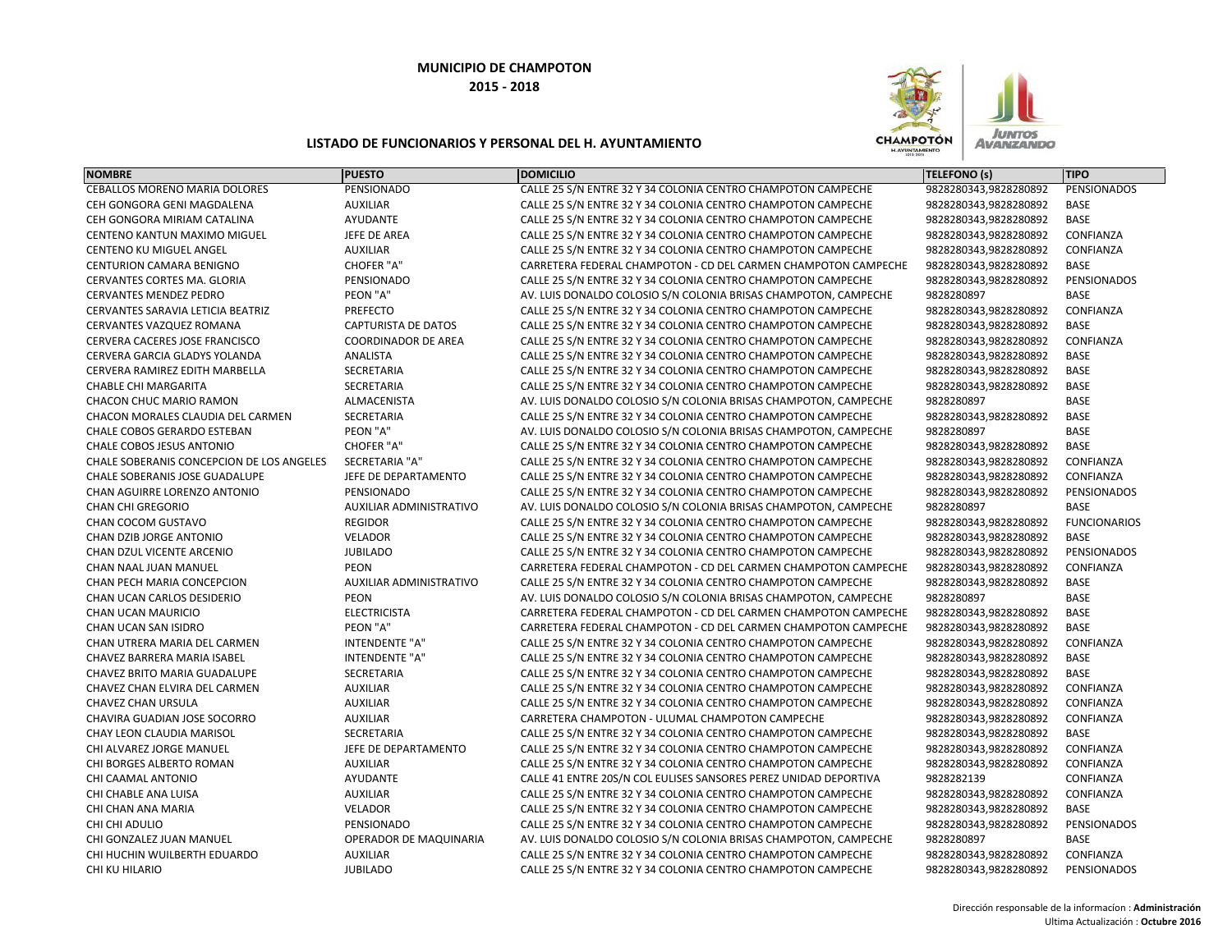

| <b>NOMBRE</b>                             | <b>PUESTO</b>                  | <b>DOMICILIO</b>                                                 | <b>TELEFONO (s)</b>   | <b>TIPO</b>         |
|-------------------------------------------|--------------------------------|------------------------------------------------------------------|-----------------------|---------------------|
| <b>CEBALLOS MORENO MARIA DOLORES</b>      | PENSIONADO                     | CALLE 25 S/N ENTRE 32 Y 34 COLONIA CENTRO CHAMPOTON CAMPECHE     | 9828280343,9828280892 | PENSIONADOS         |
| CEH GONGORA GENI MAGDALENA                | <b>AUXILIAR</b>                | CALLE 25 S/N ENTRE 32 Y 34 COLONIA CENTRO CHAMPOTON CAMPECHE     | 9828280343,9828280892 | <b>BASE</b>         |
| CEH GONGORA MIRIAM CATALINA               | <b>AYUDANTE</b>                | CALLE 25 S/N ENTRE 32 Y 34 COLONIA CENTRO CHAMPOTON CAMPECHE     | 9828280343,9828280892 | <b>BASE</b>         |
| CENTENO KANTUN MAXIMO MIGUEL              | JEFE DE AREA                   | CALLE 25 S/N ENTRE 32 Y 34 COLONIA CENTRO CHAMPOTON CAMPECHE     | 9828280343,9828280892 | CONFIANZA           |
| <b>CENTENO KU MIGUEL ANGEL</b>            | <b>AUXILIAR</b>                | CALLE 25 S/N ENTRE 32 Y 34 COLONIA CENTRO CHAMPOTON CAMPECHE     | 9828280343,9828280892 | CONFIANZA           |
| CENTURION CAMARA BENIGNO                  | <b>CHOFER "A"</b>              | CARRETERA FEDERAL CHAMPOTON - CD DEL CARMEN CHAMPOTON CAMPECHE   | 9828280343,9828280892 | <b>BASE</b>         |
| CERVANTES CORTES MA. GLORIA               | PENSIONADO                     | CALLE 25 S/N ENTRE 32 Y 34 COLONIA CENTRO CHAMPOTON CAMPECHE     | 9828280343,9828280892 | PENSIONADOS         |
| <b>CERVANTES MENDEZ PEDRO</b>             | PEON "A"                       | AV. LUIS DONALDO COLOSIO S/N COLONIA BRISAS CHAMPOTON, CAMPECHE  | 9828280897            | <b>BASE</b>         |
| CERVANTES SARAVIA LETICIA BEATRIZ         | PREFECTO                       | CALLE 25 S/N ENTRE 32 Y 34 COLONIA CENTRO CHAMPOTON CAMPECHE     | 9828280343,9828280892 | CONFIANZA           |
| CERVANTES VAZQUEZ ROMANA                  | <b>CAPTURISTA DE DATOS</b>     | CALLE 25 S/N ENTRE 32 Y 34 COLONIA CENTRO CHAMPOTON CAMPECHE     | 9828280343,9828280892 | <b>BASE</b>         |
| CERVERA CACERES JOSE FRANCISCO            | <b>COORDINADOR DE AREA</b>     | CALLE 25 S/N ENTRE 32 Y 34 COLONIA CENTRO CHAMPOTON CAMPECHE     | 9828280343,9828280892 | CONFIANZA           |
| CERVERA GARCIA GLADYS YOLANDA             | <b>ANALISTA</b>                | CALLE 25 S/N ENTRE 32 Y 34 COLONIA CENTRO CHAMPOTON CAMPECHE     | 9828280343,9828280892 | BASE                |
| CERVERA RAMIREZ EDITH MARBELLA            | SECRETARIA                     | CALLE 25 S/N ENTRE 32 Y 34 COLONIA CENTRO CHAMPOTON CAMPECHE     | 9828280343,9828280892 | BASE                |
| <b>CHABLE CHI MARGARITA</b>               | SECRETARIA                     | CALLE 25 S/N ENTRE 32 Y 34 COLONIA CENTRO CHAMPOTON CAMPECHE     | 9828280343,9828280892 | <b>BASE</b>         |
| <b>CHACON CHUC MARIO RAMON</b>            | <b>ALMACENISTA</b>             | AV. LUIS DONALDO COLOSIO S/N COLONIA BRISAS CHAMPOTON, CAMPECHE  | 9828280897            | <b>BASE</b>         |
| CHACON MORALES CLAUDIA DEL CARMEN         | SECRETARIA                     | CALLE 25 S/N ENTRE 32 Y 34 COLONIA CENTRO CHAMPOTON CAMPECHE     | 9828280343,9828280892 | <b>BASE</b>         |
| CHALE COBOS GERARDO ESTEBAN               | PEON "A"                       | AV. LUIS DONALDO COLOSIO S/N COLONIA BRISAS CHAMPOTON, CAMPECHE  | 9828280897            | BASE                |
| <b>CHALE COBOS JESUS ANTONIO</b>          | CHOFER "A"                     | CALLE 25 S/N ENTRE 32 Y 34 COLONIA CENTRO CHAMPOTON CAMPECHE     | 9828280343,9828280892 | <b>BASE</b>         |
| CHALE SOBERANIS CONCEPCION DE LOS ANGELES | SECRETARIA "A"                 | CALLE 25 S/N ENTRE 32 Y 34 COLONIA CENTRO CHAMPOTON CAMPECHE     | 9828280343,9828280892 | CONFIANZA           |
| CHALE SOBERANIS JOSE GUADALUPE            | JEFE DE DEPARTAMENTO           | CALLE 25 S/N ENTRE 32 Y 34 COLONIA CENTRO CHAMPOTON CAMPECHE     | 9828280343,9828280892 | CONFIANZA           |
| CHAN AGUIRRE LORENZO ANTONIO              | PENSIONADO                     | CALLE 25 S/N ENTRE 32 Y 34 COLONIA CENTRO CHAMPOTON CAMPECHE     | 9828280343,9828280892 | PENSIONADOS         |
| <b>CHAN CHI GREGORIO</b>                  | AUXILIAR ADMINISTRATIVO        | AV. LUIS DONALDO COLOSIO S/N COLONIA BRISAS CHAMPOTON, CAMPECHE  | 9828280897            | <b>BASE</b>         |
| <b>CHAN COCOM GUSTAVO</b>                 | <b>REGIDOR</b>                 | CALLE 25 S/N ENTRE 32 Y 34 COLONIA CENTRO CHAMPOTON CAMPECHE     | 9828280343,9828280892 | <b>FUNCIONARIOS</b> |
| CHAN DZIB JORGE ANTONIO                   | <b>VELADOR</b>                 | CALLE 25 S/N ENTRE 32 Y 34 COLONIA CENTRO CHAMPOTON CAMPECHE     | 9828280343,9828280892 | BASE                |
| CHAN DZUL VICENTE ARCENIO                 | <b>JUBILADO</b>                | CALLE 25 S/N ENTRE 32 Y 34 COLONIA CENTRO CHAMPOTON CAMPECHE     | 9828280343,9828280892 | PENSIONADOS         |
| CHAN NAAL JUAN MANUEL                     | <b>PEON</b>                    | CARRETERA FEDERAL CHAMPOTON - CD DEL CARMEN CHAMPOTON CAMPECHE   | 9828280343,9828280892 | CONFIANZA           |
| CHAN PECH MARIA CONCEPCION                | <b>AUXILIAR ADMINISTRATIVO</b> | CALLE 25 S/N ENTRE 32 Y 34 COLONIA CENTRO CHAMPOTON CAMPECHE     | 9828280343,9828280892 | <b>BASE</b>         |
| CHAN UCAN CARLOS DESIDERIO                | <b>PEON</b>                    | AV. LUIS DONALDO COLOSIO S/N COLONIA BRISAS CHAMPOTON, CAMPECHE  | 9828280897            | <b>BASE</b>         |
| CHAN UCAN MAURICIO                        | <b>ELECTRICISTA</b>            | CARRETERA FEDERAL CHAMPOTON - CD DEL CARMEN CHAMPOTON CAMPECHE   | 9828280343,9828280892 | <b>BASE</b>         |
| CHAN UCAN SAN ISIDRO                      | PEON "A"                       | CARRETERA FEDERAL CHAMPOTON - CD DEL CARMEN CHAMPOTON CAMPECHE   | 9828280343,9828280892 | <b>BASE</b>         |
| CHAN UTRERA MARIA DEL CARMEN              | INTENDENTE "A"                 | CALLE 25 S/N ENTRE 32 Y 34 COLONIA CENTRO CHAMPOTON CAMPECHE     | 9828280343,9828280892 | CONFIANZA           |
| CHAVEZ BARRERA MARIA ISABEL               | <b>INTENDENTE "A"</b>          | CALLE 25 S/N ENTRE 32 Y 34 COLONIA CENTRO CHAMPOTON CAMPECHE     | 9828280343,9828280892 | <b>BASE</b>         |
| <b>CHAVEZ BRITO MARIA GUADALUPE</b>       | <b>SECRETARIA</b>              | CALLE 25 S/N ENTRE 32 Y 34 COLONIA CENTRO CHAMPOTON CAMPECHE     | 9828280343,9828280892 | BASE                |
| CHAVEZ CHAN ELVIRA DEL CARMEN             | <b>AUXILIAR</b>                | CALLE 25 S/N ENTRE 32 Y 34 COLONIA CENTRO CHAMPOTON CAMPECHE     | 9828280343,9828280892 | CONFIANZA           |
| <b>CHAVEZ CHAN URSULA</b>                 | <b>AUXILIAR</b>                | CALLE 25 S/N ENTRE 32 Y 34 COLONIA CENTRO CHAMPOTON CAMPECHE     | 9828280343,9828280892 | CONFIANZA           |
| <b>CHAVIRA GUADIAN JOSE SOCORRO</b>       | <b>AUXILIAR</b>                | CARRETERA CHAMPOTON - ULUMAL CHAMPOTON CAMPECHE                  | 9828280343,9828280892 | CONFIANZA           |
| CHAY LEON CLAUDIA MARISOL                 | <b>SECRETARIA</b>              | CALLE 25 S/N ENTRE 32 Y 34 COLONIA CENTRO CHAMPOTON CAMPECHE     | 9828280343,9828280892 | BASE                |
| CHI ALVAREZ JORGE MANUEL                  | JEFE DE DEPARTAMENTO           | CALLE 25 S/N ENTRE 32 Y 34 COLONIA CENTRO CHAMPOTON CAMPECHE     | 9828280343,9828280892 | CONFIANZA           |
| CHI BORGES ALBERTO ROMAN                  | <b>AUXILIAR</b>                | CALLE 25 S/N ENTRE 32 Y 34 COLONIA CENTRO CHAMPOTON CAMPECHE     | 9828280343,9828280892 | CONFIANZA           |
| CHI CAAMAL ANTONIO                        | AYUDANTE                       | CALLE 41 ENTRE 20S/N COL EULISES SANSORES PEREZ UNIDAD DEPORTIVA | 9828282139            | CONFIANZA           |
| CHI CHABLE ANA LUISA                      | <b>AUXILIAR</b>                | CALLE 25 S/N ENTRE 32 Y 34 COLONIA CENTRO CHAMPOTON CAMPECHE     | 9828280343,9828280892 | CONFIANZA           |
| CHI CHAN ANA MARIA                        | VELADOR                        | CALLE 25 S/N ENTRE 32 Y 34 COLONIA CENTRO CHAMPOTON CAMPECHE     | 9828280343,9828280892 | <b>BASE</b>         |
| CHI CHI ADULIO                            | PENSIONADO                     | CALLE 25 S/N ENTRE 32 Y 34 COLONIA CENTRO CHAMPOTON CAMPECHE     | 9828280343,9828280892 | PENSIONADOS         |
| CHI GONZALEZ JUAN MANUEL                  | OPERADOR DE MAQUINARIA         | AV. LUIS DONALDO COLOSIO S/N COLONIA BRISAS CHAMPOTON, CAMPECHE  | 9828280897            | <b>BASE</b>         |
| CHI HUCHIN WUILBERTH EDUARDO              | <b>AUXILIAR</b>                | CALLE 25 S/N ENTRE 32 Y 34 COLONIA CENTRO CHAMPOTON CAMPECHE     | 9828280343,9828280892 | CONFIANZA           |
| CHI KU HILARIO                            | <b>JUBILADO</b>                | CALLE 25 S/N ENTRE 32 Y 34 COLONIA CENTRO CHAMPOTON CAMPECHE     | 9828280343,9828280892 | PENSIONADOS         |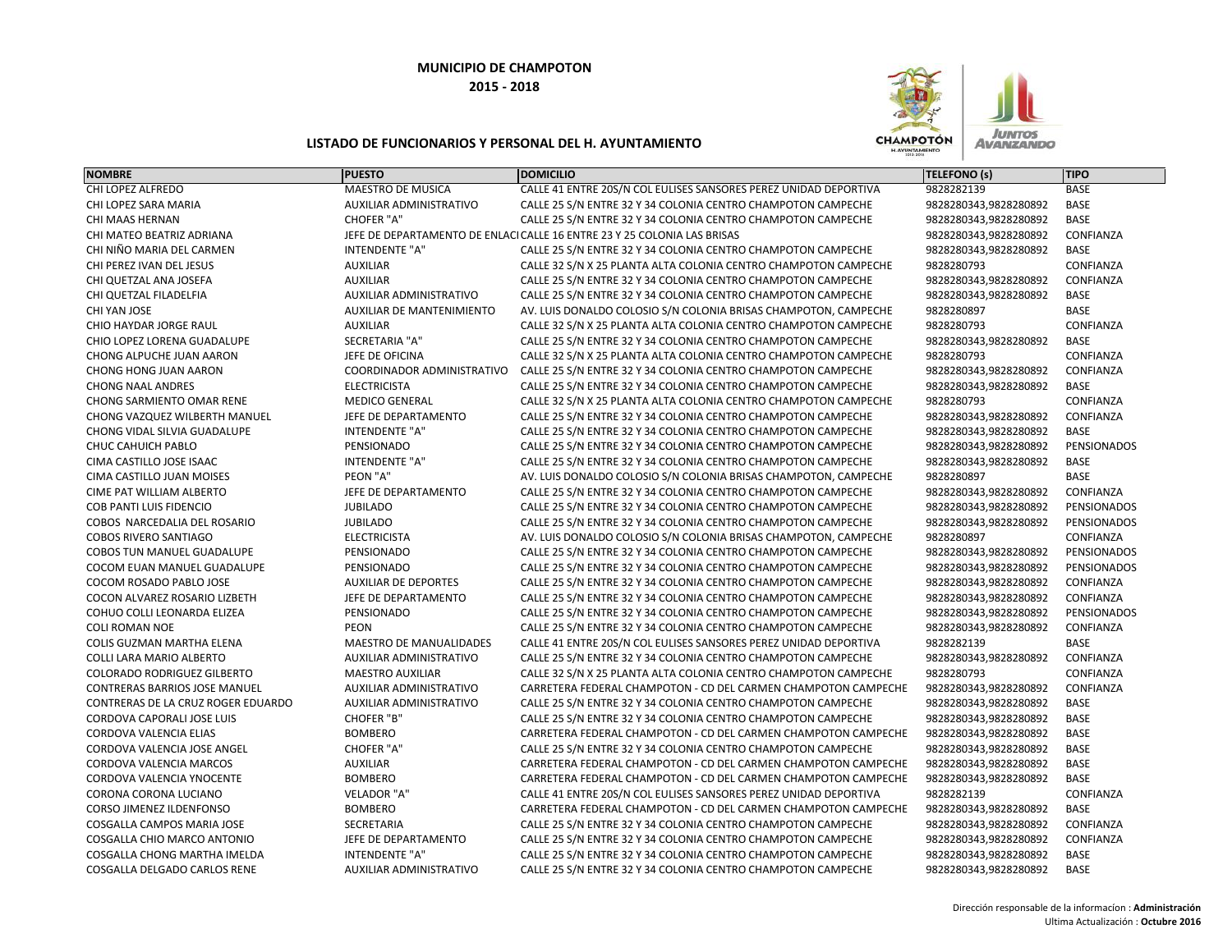

| <b>NOMBRE</b>                        | <b>PUESTO</b>                  | <b>DOMICILIO</b>                                                         | TELEFONO (s)          | <b>TIPO</b> |
|--------------------------------------|--------------------------------|--------------------------------------------------------------------------|-----------------------|-------------|
| CHI LOPEZ ALFREDO                    | MAESTRO DE MUSICA              | CALLE 41 ENTRE 20S/N COL EULISES SANSORES PEREZ UNIDAD DEPORTIVA         | 9828282139            | <b>BASE</b> |
| CHI LOPEZ SARA MARIA                 | <b>AUXILIAR ADMINISTRATIVO</b> | CALLE 25 S/N ENTRE 32 Y 34 COLONIA CENTRO CHAMPOTON CAMPECHE             | 9828280343,9828280892 | <b>BASE</b> |
| CHI MAAS HERNAN                      | <b>CHOFER "A"</b>              | CALLE 25 S/N ENTRE 32 Y 34 COLONIA CENTRO CHAMPOTON CAMPECHE             | 9828280343,9828280892 | <b>BASE</b> |
| CHI MATEO BEATRIZ ADRIANA            |                                | JEFE DE DEPARTAMENTO DE ENLACI CALLE 16 ENTRE 23 Y 25 COLONIA LAS BRISAS | 9828280343,9828280892 | CONFIANZA   |
| CHI NIÑO MARIA DEL CARMEN            | <b>INTENDENTE "A"</b>          | CALLE 25 S/N ENTRE 32 Y 34 COLONIA CENTRO CHAMPOTON CAMPECHE             | 9828280343,9828280892 | BASE        |
| CHI PEREZ IVAN DEL JESUS             | <b>AUXILIAR</b>                | CALLE 32 S/N X 25 PLANTA ALTA COLONIA CENTRO CHAMPOTON CAMPECHE          | 9828280793            | CONFIANZA   |
| CHI QUETZAL ANA JOSEFA               | <b>AUXILIAR</b>                | CALLE 25 S/N ENTRE 32 Y 34 COLONIA CENTRO CHAMPOTON CAMPECHE             | 9828280343,9828280892 | CONFIANZA   |
| CHI QUETZAL FILADELFIA               | <b>AUXILIAR ADMINISTRATIVO</b> | CALLE 25 S/N ENTRE 32 Y 34 COLONIA CENTRO CHAMPOTON CAMPECHE             | 9828280343,9828280892 | <b>BASE</b> |
| CHI YAN JOSE                         | AUXILIAR DE MANTENIMIENTO      | AV. LUIS DONALDO COLOSIO S/N COLONIA BRISAS CHAMPOTON, CAMPECHE          | 9828280897            | BASE        |
| CHIO HAYDAR JORGE RAUL               | <b>AUXILIAR</b>                | CALLE 32 S/N X 25 PLANTA ALTA COLONIA CENTRO CHAMPOTON CAMPECHE          | 9828280793            | CONFIANZA   |
| CHIO LOPEZ LORENA GUADALUPE          | SECRETARIA "A"                 | CALLE 25 S/N ENTRE 32 Y 34 COLONIA CENTRO CHAMPOTON CAMPECHE             | 9828280343,9828280892 | <b>BASE</b> |
| CHONG ALPUCHE JUAN AARON             | JEFE DE OFICINA                | CALLE 32 S/N X 25 PLANTA ALTA COLONIA CENTRO CHAMPOTON CAMPECHE          | 9828280793            | CONFIANZA   |
| CHONG HONG JUAN AARON                | COORDINADOR ADMINISTRATIVO     | CALLE 25 S/N ENTRE 32 Y 34 COLONIA CENTRO CHAMPOTON CAMPECHE             | 9828280343,9828280892 | CONFIANZA   |
| <b>CHONG NAAL ANDRES</b>             | <b>ELECTRICISTA</b>            | CALLE 25 S/N ENTRE 32 Y 34 COLONIA CENTRO CHAMPOTON CAMPECHE             | 9828280343,9828280892 | <b>BASE</b> |
| <b>CHONG SARMIENTO OMAR RENE</b>     | <b>MEDICO GENERAL</b>          | CALLE 32 S/N X 25 PLANTA ALTA COLONIA CENTRO CHAMPOTON CAMPECHE          | 9828280793            | CONFIANZA   |
| CHONG VAZQUEZ WILBERTH MANUEL        | JEFE DE DEPARTAMENTO           | CALLE 25 S/N ENTRE 32 Y 34 COLONIA CENTRO CHAMPOTON CAMPECHE             | 9828280343,9828280892 | CONFIANZA   |
| CHONG VIDAL SILVIA GUADALUPE         | INTENDENTE "A"                 | CALLE 25 S/N ENTRE 32 Y 34 COLONIA CENTRO CHAMPOTON CAMPECHE             | 9828280343,9828280892 | BASE        |
| CHUC CAHUICH PABLO                   | PENSIONADO                     | CALLE 25 S/N ENTRE 32 Y 34 COLONIA CENTRO CHAMPOTON CAMPECHE             | 9828280343,9828280892 | PENSIONADOS |
| CIMA CASTILLO JOSE ISAAC             | INTENDENTE "A"                 | CALLE 25 S/N ENTRE 32 Y 34 COLONIA CENTRO CHAMPOTON CAMPECHE             | 9828280343,9828280892 | <b>BASE</b> |
| CIMA CASTILLO JUAN MOISES            | PEON "A"                       | AV. LUIS DONALDO COLOSIO S/N COLONIA BRISAS CHAMPOTON, CAMPECHE          | 9828280897            | <b>BASE</b> |
| CIME PAT WILLIAM ALBERTO             | JEFE DE DEPARTAMENTO           | CALLE 25 S/N ENTRE 32 Y 34 COLONIA CENTRO CHAMPOTON CAMPECHE             | 9828280343,9828280892 | CONFIANZA   |
| <b>COB PANTI LUIS FIDENCIO</b>       | <b>JUBILADO</b>                | CALLE 25 S/N ENTRE 32 Y 34 COLONIA CENTRO CHAMPOTON CAMPECHE             | 9828280343,9828280892 | PENSIONADOS |
| COBOS NARCEDALIA DEL ROSARIO         | <b>JUBILADO</b>                | CALLE 25 S/N ENTRE 32 Y 34 COLONIA CENTRO CHAMPOTON CAMPECHE             | 9828280343,9828280892 | PENSIONADOS |
| <b>COBOS RIVERO SANTIAGO</b>         | <b>ELECTRICISTA</b>            | AV. LUIS DONALDO COLOSIO S/N COLONIA BRISAS CHAMPOTON, CAMPECHE          | 9828280897            | CONFIANZA   |
| COBOS TUN MANUEL GUADALUPE           | PENSIONADO                     | CALLE 25 S/N ENTRE 32 Y 34 COLONIA CENTRO CHAMPOTON CAMPECHE             | 9828280343,9828280892 | PENSIONADOS |
| COCOM EUAN MANUEL GUADALUPE          | PENSIONADO                     | CALLE 25 S/N ENTRE 32 Y 34 COLONIA CENTRO CHAMPOTON CAMPECHE             | 9828280343,9828280892 | PENSIONADOS |
| COCOM ROSADO PABLO JOSE              | <b>AUXILIAR DE DEPORTES</b>    | CALLE 25 S/N ENTRE 32 Y 34 COLONIA CENTRO CHAMPOTON CAMPECHE             | 9828280343,9828280892 | CONFIANZA   |
| COCON ALVAREZ ROSARIO LIZBETH        | JEFE DE DEPARTAMENTO           | CALLE 25 S/N ENTRE 32 Y 34 COLONIA CENTRO CHAMPOTON CAMPECHE             | 9828280343,9828280892 | CONFIANZA   |
| COHUO COLLI LEONARDA ELIZEA          | PENSIONADO                     | CALLE 25 S/N ENTRE 32 Y 34 COLONIA CENTRO CHAMPOTON CAMPECHE             | 9828280343,9828280892 | PENSIONADOS |
| <b>COLI ROMAN NOE</b>                | <b>PEON</b>                    | CALLE 25 S/N ENTRE 32 Y 34 COLONIA CENTRO CHAMPOTON CAMPECHE             | 9828280343,9828280892 | CONFIANZA   |
| COLIS GUZMAN MARTHA ELENA            | <b>MAESTRO DE MANUALIDADES</b> | CALLE 41 ENTRE 20S/N COL EULISES SANSORES PEREZ UNIDAD DEPORTIVA         | 9828282139            | <b>BASE</b> |
| <b>COLLI LARA MARIO ALBERTO</b>      | AUXILIAR ADMINISTRATIVO        | CALLE 25 S/N ENTRE 32 Y 34 COLONIA CENTRO CHAMPOTON CAMPECHE             | 9828280343,9828280892 | CONFIANZA   |
| <b>COLORADO RODRIGUEZ GILBERTO</b>   | <b>MAESTRO AUXILIAR</b>        | CALLE 32 S/N X 25 PLANTA ALTA COLONIA CENTRO CHAMPOTON CAMPECHE          | 9828280793            | CONFIANZA   |
| <b>CONTRERAS BARRIOS JOSE MANUEL</b> | AUXILIAR ADMINISTRATIVO        | CARRETERA FEDERAL CHAMPOTON - CD DEL CARMEN CHAMPOTON CAMPECHE           | 9828280343,9828280892 | CONFIANZA   |
| CONTRERAS DE LA CRUZ ROGER EDUARDO   | AUXILIAR ADMINISTRATIVO        | CALLE 25 S/N ENTRE 32 Y 34 COLONIA CENTRO CHAMPOTON CAMPECHE             | 9828280343,9828280892 | BASE        |
| CORDOVA CAPORALI JOSE LUIS           | CHOFER "B"                     | CALLE 25 S/N ENTRE 32 Y 34 COLONIA CENTRO CHAMPOTON CAMPECHE             | 9828280343,9828280892 | <b>BASE</b> |
| CORDOVA VALENCIA ELIAS               | <b>BOMBERO</b>                 | CARRETERA FEDERAL CHAMPOTON - CD DEL CARMEN CHAMPOTON CAMPECHE           | 9828280343,9828280892 | <b>BASE</b> |
| CORDOVA VALENCIA JOSE ANGEL          | <b>CHOFER "A"</b>              | CALLE 25 S/N ENTRE 32 Y 34 COLONIA CENTRO CHAMPOTON CAMPECHE             | 9828280343,9828280892 | <b>BASE</b> |
| CORDOVA VALENCIA MARCOS              | <b>AUXILIAR</b>                | CARRETERA FEDERAL CHAMPOTON - CD DEL CARMEN CHAMPOTON CAMPECHE           | 9828280343,9828280892 | <b>BASE</b> |
| CORDOVA VALENCIA YNOCENTE            | <b>BOMBERO</b>                 | CARRETERA FEDERAL CHAMPOTON - CD DEL CARMEN CHAMPOTON CAMPECHE           | 9828280343,9828280892 | <b>BASE</b> |
| CORONA CORONA LUCIANO                | VELADOR "A"                    | CALLE 41 ENTRE 20S/N COL EULISES SANSORES PEREZ UNIDAD DEPORTIVA         | 9828282139            | CONFIANZA   |
| <b>CORSO JIMENEZ ILDENFONSO</b>      | <b>BOMBERO</b>                 | CARRETERA FEDERAL CHAMPOTON - CD DEL CARMEN CHAMPOTON CAMPECHE           | 9828280343,9828280892 | <b>BASE</b> |
| COSGALLA CAMPOS MARIA JOSE           | <b>SECRETARIA</b>              | CALLE 25 S/N ENTRE 32 Y 34 COLONIA CENTRO CHAMPOTON CAMPECHE             | 9828280343,9828280892 | CONFIANZA   |
| COSGALLA CHIO MARCO ANTONIO          | JEFE DE DEPARTAMENTO           | CALLE 25 S/N ENTRE 32 Y 34 COLONIA CENTRO CHAMPOTON CAMPECHE             | 9828280343,9828280892 | CONFIANZA   |
| COSGALLA CHONG MARTHA IMELDA         | <b>INTENDENTE "A"</b>          | CALLE 25 S/N ENTRE 32 Y 34 COLONIA CENTRO CHAMPOTON CAMPECHE             | 9828280343,9828280892 | BASE        |
| COSGALLA DELGADO CARLOS RENE         | <b>AUXILIAR ADMINISTRATIVO</b> | CALLE 25 S/N ENTRE 32 Y 34 COLONIA CENTRO CHAMPOTON CAMPECHE             | 9828280343,9828280892 | <b>BASE</b> |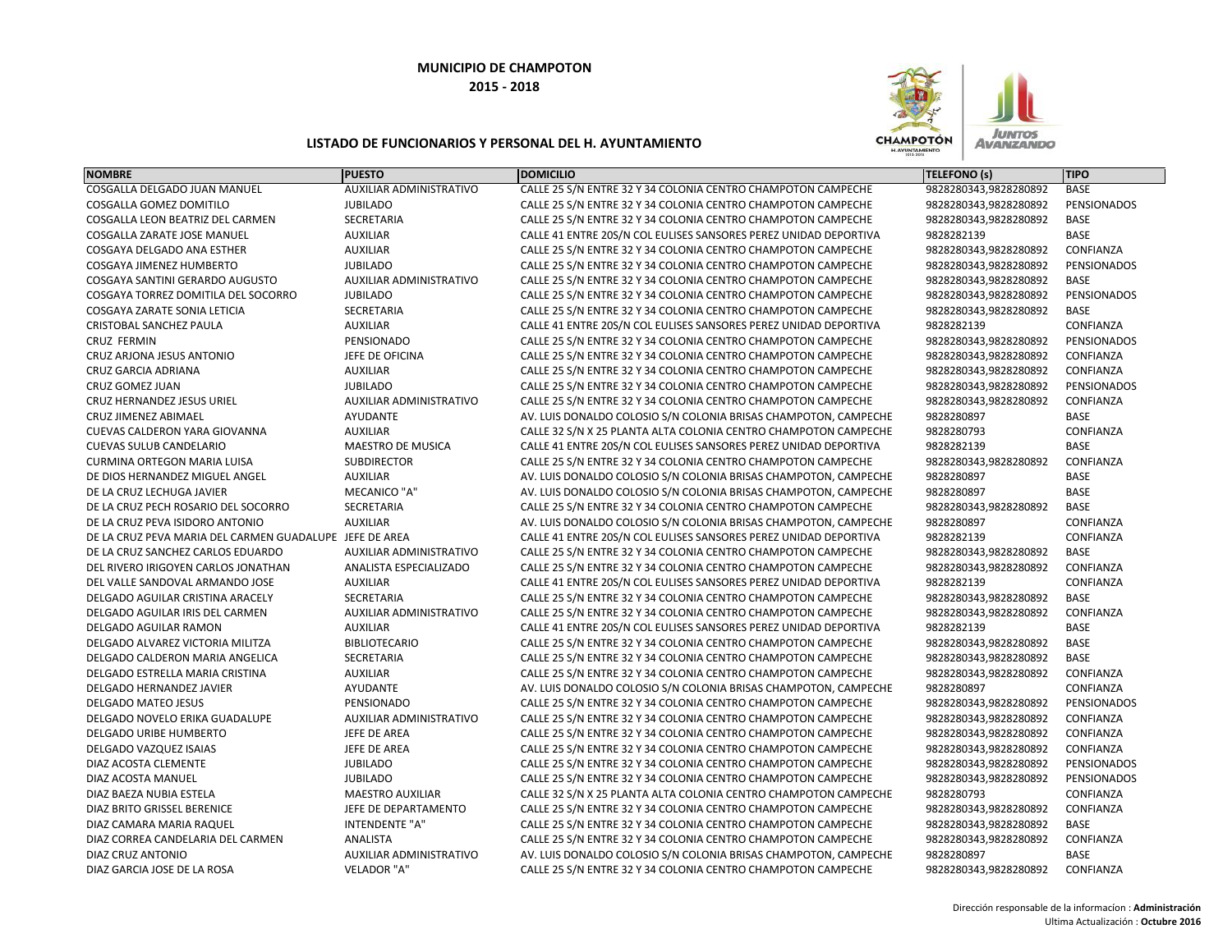

| <b>NOMBRE</b>                                           | <b>PUESTO</b>                  | <b>DOMICILIO</b>                                                 | <b>TELEFONO (s)</b>   | <b>TIPO</b>        |
|---------------------------------------------------------|--------------------------------|------------------------------------------------------------------|-----------------------|--------------------|
| COSGALLA DELGADO JUAN MANUEL                            | <b>AUXILIAR ADMINISTRATIVO</b> | CALLE 25 S/N ENTRE 32 Y 34 COLONIA CENTRO CHAMPOTON CAMPECHE     | 9828280343,9828280892 | <b>BASE</b>        |
| COSGALLA GOMEZ DOMITILO                                 | <b>JUBILADO</b>                | CALLE 25 S/N ENTRE 32 Y 34 COLONIA CENTRO CHAMPOTON CAMPECHE     | 9828280343,9828280892 | PENSIONADOS        |
| COSGALLA LEON BEATRIZ DEL CARMEN                        | SECRETARIA                     | CALLE 25 S/N ENTRE 32 Y 34 COLONIA CENTRO CHAMPOTON CAMPECHE     | 9828280343,9828280892 | <b>BASE</b>        |
| <b>COSGALLA ZARATE JOSE MANUEL</b>                      | <b>AUXILIAR</b>                | CALLE 41 ENTRE 20S/N COL EULISES SANSORES PEREZ UNIDAD DEPORTIVA | 9828282139            | <b>BASE</b>        |
| COSGAYA DELGADO ANA ESTHER                              | <b>AUXILIAR</b>                | CALLE 25 S/N ENTRE 32 Y 34 COLONIA CENTRO CHAMPOTON CAMPECHE     | 9828280343,9828280892 | CONFIANZA          |
| COSGAYA JIMENEZ HUMBERTO                                | <b>JUBILADO</b>                | CALLE 25 S/N ENTRE 32 Y 34 COLONIA CENTRO CHAMPOTON CAMPECHE     | 9828280343,9828280892 | <b>PENSIONADOS</b> |
| COSGAYA SANTINI GERARDO AUGUSTO                         | <b>AUXILIAR ADMINISTRATIVO</b> | CALLE 25 S/N ENTRE 32 Y 34 COLONIA CENTRO CHAMPOTON CAMPECHE     | 9828280343,9828280892 | <b>BASE</b>        |
| COSGAYA TORREZ DOMITILA DEL SOCORRO                     | <b>JUBILADO</b>                | CALLE 25 S/N ENTRE 32 Y 34 COLONIA CENTRO CHAMPOTON CAMPECHE     | 9828280343,9828280892 | PENSIONADOS        |
| COSGAYA ZARATE SONIA LETICIA                            | <b>SECRETARIA</b>              | CALLE 25 S/N ENTRE 32 Y 34 COLONIA CENTRO CHAMPOTON CAMPECHE     | 9828280343,9828280892 | <b>BASE</b>        |
| CRISTOBAL SANCHEZ PAULA                                 | <b>AUXILIAR</b>                | CALLE 41 ENTRE 20S/N COL EULISES SANSORES PEREZ UNIDAD DEPORTIVA | 9828282139            | CONFIANZA          |
| <b>CRUZ FERMIN</b>                                      | PENSIONADO                     | CALLE 25 S/N ENTRE 32 Y 34 COLONIA CENTRO CHAMPOTON CAMPECHE     | 9828280343,9828280892 | PENSIONADOS        |
| CRUZ ARJONA JESUS ANTONIO                               | JEFE DE OFICINA                | CALLE 25 S/N ENTRE 32 Y 34 COLONIA CENTRO CHAMPOTON CAMPECHE     | 9828280343,9828280892 | CONFIANZA          |
| <b>CRUZ GARCIA ADRIANA</b>                              | <b>AUXILIAR</b>                | CALLE 25 S/N ENTRE 32 Y 34 COLONIA CENTRO CHAMPOTON CAMPECHE     | 9828280343,9828280892 | CONFIANZA          |
| CRUZ GOMEZ JUAN                                         | <b>JUBILADO</b>                | CALLE 25 S/N ENTRE 32 Y 34 COLONIA CENTRO CHAMPOTON CAMPECHE     | 9828280343,9828280892 | PENSIONADOS        |
| CRUZ HERNANDEZ JESUS URIEL                              | AUXILIAR ADMINISTRATIVO        | CALLE 25 S/N ENTRE 32 Y 34 COLONIA CENTRO CHAMPOTON CAMPECHE     | 9828280343,9828280892 | CONFIANZA          |
| CRUZ JIMENEZ ABIMAEL                                    | AYUDANTE                       | AV. LUIS DONALDO COLOSIO S/N COLONIA BRISAS CHAMPOTON, CAMPECHE  | 9828280897            | <b>BASE</b>        |
| CUEVAS CALDERON YARA GIOVANNA                           | <b>AUXILIAR</b>                | CALLE 32 S/N X 25 PLANTA ALTA COLONIA CENTRO CHAMPOTON CAMPECHE  | 9828280793            | CONFIANZA          |
| <b>CUEVAS SULUB CANDELARIO</b>                          | <b>MAESTRO DE MUSICA</b>       | CALLE 41 ENTRE 20S/N COL EULISES SANSORES PEREZ UNIDAD DEPORTIVA | 9828282139            | <b>BASE</b>        |
| <b>CURMINA ORTEGON MARIA LUISA</b>                      | <b>SUBDIRECTOR</b>             | CALLE 25 S/N ENTRE 32 Y 34 COLONIA CENTRO CHAMPOTON CAMPECHE     | 9828280343,9828280892 | CONFIANZA          |
| DE DIOS HERNANDEZ MIGUEL ANGEL                          | <b>AUXILIAR</b>                | AV. LUIS DONALDO COLOSIO S/N COLONIA BRISAS CHAMPOTON, CAMPECHE  | 9828280897            | <b>BASE</b>        |
| DE LA CRUZ LECHUGA JAVIER                               | <b>MECANICO "A"</b>            | AV. LUIS DONALDO COLOSIO S/N COLONIA BRISAS CHAMPOTON, CAMPECHE  | 9828280897            | <b>BASE</b>        |
| DE LA CRUZ PECH ROSARIO DEL SOCORRO                     | SECRETARIA                     | CALLE 25 S/N ENTRE 32 Y 34 COLONIA CENTRO CHAMPOTON CAMPECHE     | 9828280343,9828280892 | BASE               |
| DE LA CRUZ PEVA ISIDORO ANTONIO                         | <b>AUXILIAR</b>                | AV. LUIS DONALDO COLOSIO S/N COLONIA BRISAS CHAMPOTON, CAMPECHE  | 9828280897            | CONFIANZA          |
| DE LA CRUZ PEVA MARIA DEL CARMEN GUADALUPE JEFE DE AREA |                                | CALLE 41 ENTRE 20S/N COL EULISES SANSORES PEREZ UNIDAD DEPORTIVA | 9828282139            | CONFIANZA          |
| DE LA CRUZ SANCHEZ CARLOS EDUARDO                       | AUXILIAR ADMINISTRATIVO        | CALLE 25 S/N ENTRE 32 Y 34 COLONIA CENTRO CHAMPOTON CAMPECHE     | 9828280343,9828280892 | <b>BASE</b>        |
| DEL RIVERO IRIGOYEN CARLOS JONATHAN                     | ANALISTA ESPECIALIZADO         | CALLE 25 S/N ENTRE 32 Y 34 COLONIA CENTRO CHAMPOTON CAMPECHE     | 9828280343,9828280892 | CONFIANZA          |
| DEL VALLE SANDOVAL ARMANDO JOSE                         | <b>AUXILIAR</b>                | CALLE 41 ENTRE 20S/N COL EULISES SANSORES PEREZ UNIDAD DEPORTIVA | 9828282139            | CONFIANZA          |
| DELGADO AGUILAR CRISTINA ARACELY                        | SECRETARIA                     | CALLE 25 S/N ENTRE 32 Y 34 COLONIA CENTRO CHAMPOTON CAMPECHE     | 9828280343,9828280892 | <b>BASE</b>        |
| DELGADO AGUILAR IRIS DEL CARMEN                         | AUXILIAR ADMINISTRATIVO        | CALLE 25 S/N ENTRE 32 Y 34 COLONIA CENTRO CHAMPOTON CAMPECHE     | 9828280343,9828280892 | CONFIANZA          |
| DELGADO AGUILAR RAMON                                   | <b>AUXILIAR</b>                | CALLE 41 ENTRE 20S/N COL EULISES SANSORES PEREZ UNIDAD DEPORTIVA | 9828282139            | <b>BASE</b>        |
| DELGADO ALVAREZ VICTORIA MILITZA                        | <b>BIBLIOTECARIO</b>           | CALLE 25 S/N ENTRE 32 Y 34 COLONIA CENTRO CHAMPOTON CAMPECHE     | 9828280343,9828280892 | <b>BASE</b>        |
| DELGADO CALDERON MARIA ANGELICA                         | SECRETARIA                     | CALLE 25 S/N ENTRE 32 Y 34 COLONIA CENTRO CHAMPOTON CAMPECHE     | 9828280343,9828280892 | <b>BASE</b>        |
| DELGADO ESTRELLA MARIA CRISTINA                         | <b>AUXILIAR</b>                | CALLE 25 S/N ENTRE 32 Y 34 COLONIA CENTRO CHAMPOTON CAMPECHE     | 9828280343,9828280892 | CONFIANZA          |
| DELGADO HERNANDEZ JAVIER                                | AYUDANTE                       | AV. LUIS DONALDO COLOSIO S/N COLONIA BRISAS CHAMPOTON, CAMPECHE  | 9828280897            | CONFIANZA          |
| <b>DELGADO MATEO JESUS</b>                              | PENSIONADO                     | CALLE 25 S/N ENTRE 32 Y 34 COLONIA CENTRO CHAMPOTON CAMPECHE     | 9828280343,9828280892 | PENSIONADOS        |
| DELGADO NOVELO ERIKA GUADALUPE                          | <b>AUXILIAR ADMINISTRATIVO</b> | CALLE 25 S/N ENTRE 32 Y 34 COLONIA CENTRO CHAMPOTON CAMPECHE     | 9828280343,9828280892 | CONFIANZA          |
| <b>DELGADO URIBE HUMBERTO</b>                           | JEFE DE AREA                   | CALLE 25 S/N ENTRE 32 Y 34 COLONIA CENTRO CHAMPOTON CAMPECHE     | 9828280343,9828280892 | CONFIANZA          |
| DELGADO VAZQUEZ ISAIAS                                  | JEFE DE AREA                   | CALLE 25 S/N ENTRE 32 Y 34 COLONIA CENTRO CHAMPOTON CAMPECHE     | 9828280343,9828280892 | CONFIANZA          |
| DIAZ ACOSTA CLEMENTE                                    | <b>JUBILADO</b>                | CALLE 25 S/N ENTRE 32 Y 34 COLONIA CENTRO CHAMPOTON CAMPECHE     | 9828280343,9828280892 | PENSIONADOS        |
| DIAZ ACOSTA MANUEL                                      | <b>JUBILADO</b>                | CALLE 25 S/N ENTRE 32 Y 34 COLONIA CENTRO CHAMPOTON CAMPECHE     | 9828280343,9828280892 | PENSIONADOS        |
| DIAZ BAEZA NUBIA ESTELA                                 | <b>MAESTRO AUXILIAR</b>        | CALLE 32 S/N X 25 PLANTA ALTA COLONIA CENTRO CHAMPOTON CAMPECHE  | 9828280793            | CONFIANZA          |
| DIAZ BRITO GRISSEL BERENICE                             | JEFE DE DEPARTAMENTO           | CALLE 25 S/N ENTRE 32 Y 34 COLONIA CENTRO CHAMPOTON CAMPECHE     | 9828280343,9828280892 | CONFIANZA          |
| DIAZ CAMARA MARIA RAQUEL                                | INTENDENTE "A"                 | CALLE 25 S/N ENTRE 32 Y 34 COLONIA CENTRO CHAMPOTON CAMPECHE     | 9828280343,9828280892 | <b>BASE</b>        |
| DIAZ CORREA CANDELARIA DEL CARMEN                       | <b>ANALISTA</b>                | CALLE 25 S/N ENTRE 32 Y 34 COLONIA CENTRO CHAMPOTON CAMPECHE     | 9828280343,9828280892 | CONFIANZA          |
| <b>DIAZ CRUZ ANTONIO</b>                                | AUXILIAR ADMINISTRATIVO        | AV. LUIS DONALDO COLOSIO S/N COLONIA BRISAS CHAMPOTON, CAMPECHE  | 9828280897            | <b>BASE</b>        |
| DIAZ GARCIA JOSE DE LA ROSA                             | VELADOR "A"                    | CALLE 25 S/N ENTRE 32 Y 34 COLONIA CENTRO CHAMPOTON CAMPECHE     | 9828280343,9828280892 | CONFIANZA          |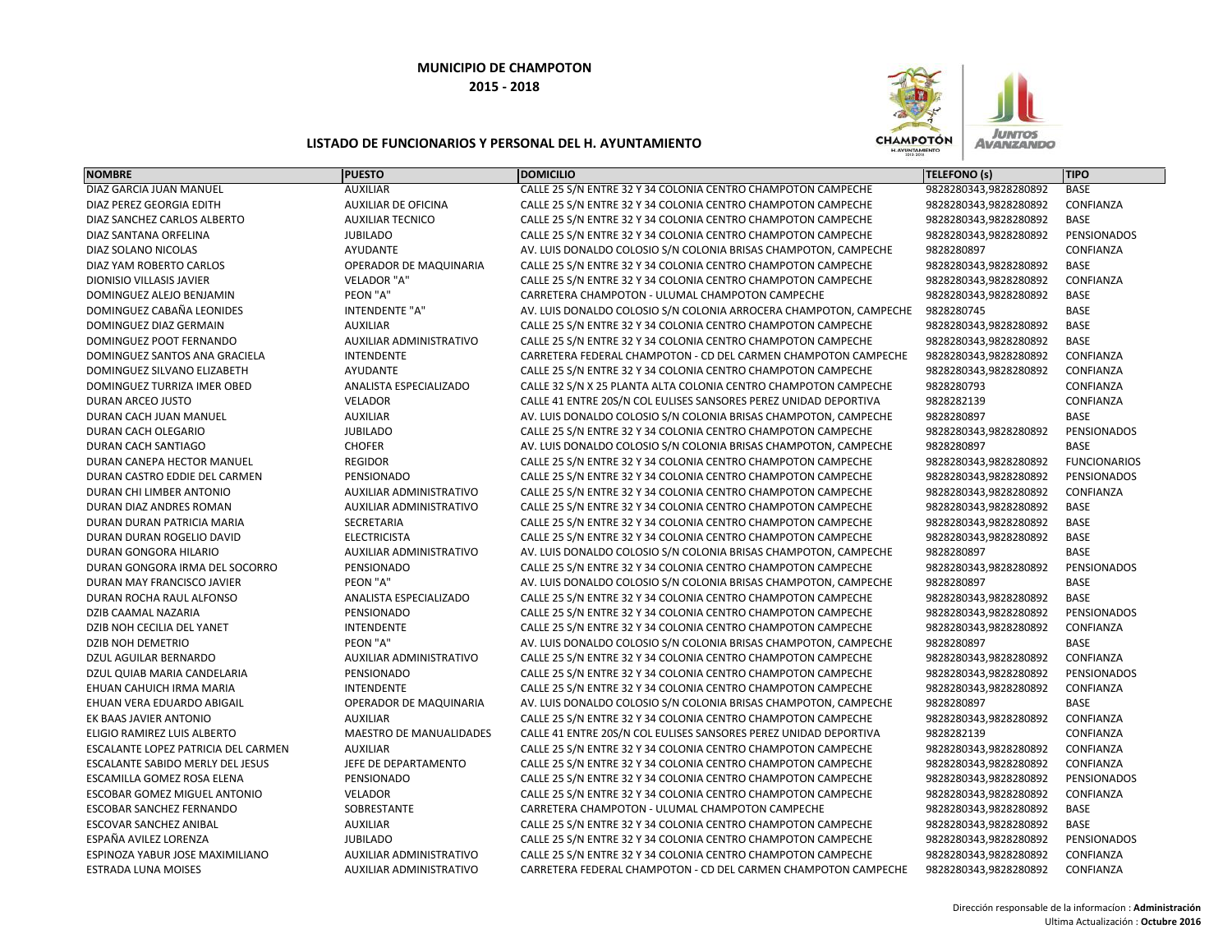

| <b>NOMBRE</b>                       | <b>PUESTO</b>                  | <b>DOMICILIO</b>                                                  | <b>TELEFONO (s)</b>   | <b>TIPO</b>         |
|-------------------------------------|--------------------------------|-------------------------------------------------------------------|-----------------------|---------------------|
| DIAZ GARCIA JUAN MANUEL             | <b>AUXILIAR</b>                | CALLE 25 S/N ENTRE 32 Y 34 COLONIA CENTRO CHAMPOTON CAMPECHE      | 9828280343,9828280892 | <b>BASE</b>         |
| DIAZ PEREZ GEORGIA EDITH            | <b>AUXILIAR DE OFICINA</b>     | CALLE 25 S/N ENTRE 32 Y 34 COLONIA CENTRO CHAMPOTON CAMPECHE      | 9828280343,9828280892 | CONFIANZA           |
| DIAZ SANCHEZ CARLOS ALBERTO         | <b>AUXILIAR TECNICO</b>        | CALLE 25 S/N ENTRE 32 Y 34 COLONIA CENTRO CHAMPOTON CAMPECHE      | 9828280343,9828280892 | <b>BASE</b>         |
| DIAZ SANTANA ORFELINA               | <b>JUBILADO</b>                | CALLE 25 S/N ENTRE 32 Y 34 COLONIA CENTRO CHAMPOTON CAMPECHE      | 9828280343,9828280892 | PENSIONADOS         |
| DIAZ SOLANO NICOLAS                 | AYUDANTE                       | AV. LUIS DONALDO COLOSIO S/N COLONIA BRISAS CHAMPOTON, CAMPECHE   | 9828280897            | CONFIANZA           |
| DIAZ YAM ROBERTO CARLOS             | OPERADOR DE MAQUINARIA         | CALLE 25 S/N ENTRE 32 Y 34 COLONIA CENTRO CHAMPOTON CAMPECHE      | 9828280343,9828280892 | <b>BASE</b>         |
| DIONISIO VILLASIS JAVIER            | VELADOR "A"                    | CALLE 25 S/N ENTRE 32 Y 34 COLONIA CENTRO CHAMPOTON CAMPECHE      | 9828280343,9828280892 | CONFIANZA           |
| <b>DOMINGUEZ ALEJO BENJAMIN</b>     | PEON "A"                       | CARRETERA CHAMPOTON - ULUMAL CHAMPOTON CAMPECHE                   | 9828280343,9828280892 | <b>BASE</b>         |
| DOMINGUEZ CABAÑA LEONIDES           | INTENDENTE "A"                 | AV. LUIS DONALDO COLOSIO S/N COLONIA ARROCERA CHAMPOTON, CAMPECHE | 9828280745            | BASE                |
| DOMINGUEZ DIAZ GERMAIN              | <b>AUXILIAR</b>                | CALLE 25 S/N ENTRE 32 Y 34 COLONIA CENTRO CHAMPOTON CAMPECHE      | 9828280343,9828280892 | <b>BASE</b>         |
| DOMINGUEZ POOT FERNANDO             | AUXILIAR ADMINISTRATIVO        | CALLE 25 S/N ENTRE 32 Y 34 COLONIA CENTRO CHAMPOTON CAMPECHE      | 9828280343,9828280892 | <b>BASE</b>         |
| DOMINGUEZ SANTOS ANA GRACIELA       | <b>INTENDENTE</b>              | CARRETERA FEDERAL CHAMPOTON - CD DEL CARMEN CHAMPOTON CAMPECHE    | 9828280343,9828280892 | CONFIANZA           |
| DOMINGUEZ SILVANO ELIZABETH         | AYUDANTE                       | CALLE 25 S/N ENTRE 32 Y 34 COLONIA CENTRO CHAMPOTON CAMPECHE      | 9828280343,9828280892 | CONFIANZA           |
| DOMINGUEZ TURRIZA IMER OBED         | ANALISTA ESPECIALIZADO         | CALLE 32 S/N X 25 PLANTA ALTA COLONIA CENTRO CHAMPOTON CAMPECHE   | 9828280793            | CONFIANZA           |
| <b>DURAN ARCEO JUSTO</b>            | <b>VELADOR</b>                 | CALLE 41 ENTRE 20S/N COL EULISES SANSORES PEREZ UNIDAD DEPORTIVA  | 9828282139            | CONFIANZA           |
| DURAN CACH JUAN MANUEL              | <b>AUXILIAR</b>                | AV. LUIS DONALDO COLOSIO S/N COLONIA BRISAS CHAMPOTON, CAMPECHE   | 9828280897            | <b>BASE</b>         |
| DURAN CACH OLEGARIO                 | <b>JUBILADO</b>                | CALLE 25 S/N ENTRE 32 Y 34 COLONIA CENTRO CHAMPOTON CAMPECHE      | 9828280343,9828280892 | PENSIONADOS         |
| DURAN CACH SANTIAGO                 | <b>CHOFER</b>                  | AV. LUIS DONALDO COLOSIO S/N COLONIA BRISAS CHAMPOTON, CAMPECHE   | 9828280897            | BASE                |
| DURAN CANEPA HECTOR MANUEL          | <b>REGIDOR</b>                 | CALLE 25 S/N ENTRE 32 Y 34 COLONIA CENTRO CHAMPOTON CAMPECHE      | 9828280343,9828280892 | <b>FUNCIONARIOS</b> |
| DURAN CASTRO EDDIE DEL CARMEN       | PENSIONADO                     | CALLE 25 S/N ENTRE 32 Y 34 COLONIA CENTRO CHAMPOTON CAMPECHE      | 9828280343,9828280892 | PENSIONADOS         |
| DURAN CHI LIMBER ANTONIO            | AUXILIAR ADMINISTRATIVO        | CALLE 25 S/N ENTRE 32 Y 34 COLONIA CENTRO CHAMPOTON CAMPECHE      | 9828280343,9828280892 | CONFIANZA           |
| DURAN DIAZ ANDRES ROMAN             | AUXILIAR ADMINISTRATIVO        | CALLE 25 S/N ENTRE 32 Y 34 COLONIA CENTRO CHAMPOTON CAMPECHE      | 9828280343,9828280892 | BASE                |
| DURAN DURAN PATRICIA MARIA          | SECRETARIA                     | CALLE 25 S/N ENTRE 32 Y 34 COLONIA CENTRO CHAMPOTON CAMPECHE      | 9828280343,9828280892 | <b>BASE</b>         |
| DURAN DURAN ROGELIO DAVID           | <b>ELECTRICISTA</b>            | CALLE 25 S/N ENTRE 32 Y 34 COLONIA CENTRO CHAMPOTON CAMPECHE      | 9828280343,9828280892 | BASE                |
| DURAN GONGORA HILARIO               | AUXILIAR ADMINISTRATIVO        | AV. LUIS DONALDO COLOSIO S/N COLONIA BRISAS CHAMPOTON, CAMPECHE   | 9828280897            | <b>BASE</b>         |
| DURAN GONGORA IRMA DEL SOCORRO      | PENSIONADO                     | CALLE 25 S/N ENTRE 32 Y 34 COLONIA CENTRO CHAMPOTON CAMPECHE      | 9828280343,9828280892 | <b>PENSIONADOS</b>  |
| DURAN MAY FRANCISCO JAVIER          | PEON "A"                       | AV. LUIS DONALDO COLOSIO S/N COLONIA BRISAS CHAMPOTON, CAMPECHE   | 9828280897            | BASE                |
| DURAN ROCHA RAUL ALFONSO            | ANALISTA ESPECIALIZADO         | CALLE 25 S/N ENTRE 32 Y 34 COLONIA CENTRO CHAMPOTON CAMPECHE      | 9828280343,9828280892 | <b>BASE</b>         |
| DZIB CAAMAL NAZARIA                 | PENSIONADO                     | CALLE 25 S/N ENTRE 32 Y 34 COLONIA CENTRO CHAMPOTON CAMPECHE      | 9828280343,9828280892 | PENSIONADOS         |
| DZIB NOH CECILIA DEL YANET          | <b>INTENDENTE</b>              | CALLE 25 S/N ENTRE 32 Y 34 COLONIA CENTRO CHAMPOTON CAMPECHE      | 9828280343,9828280892 | CONFIANZA           |
| <b>DZIB NOH DEMETRIO</b>            | PEON "A"                       | AV. LUIS DONALDO COLOSIO S/N COLONIA BRISAS CHAMPOTON, CAMPECHE   | 9828280897            | <b>BASE</b>         |
| DZUL AGUILAR BERNARDO               | AUXILIAR ADMINISTRATIVO        | CALLE 25 S/N ENTRE 32 Y 34 COLONIA CENTRO CHAMPOTON CAMPECHE      | 9828280343,9828280892 | CONFIANZA           |
| DZUL QUIAB MARIA CANDELARIA         | PENSIONADO                     | CALLE 25 S/N ENTRE 32 Y 34 COLONIA CENTRO CHAMPOTON CAMPECHE      | 9828280343,9828280892 | PENSIONADOS         |
| EHUAN CAHUICH IRMA MARIA            | <b>INTENDENTE</b>              | CALLE 25 S/N ENTRE 32 Y 34 COLONIA CENTRO CHAMPOTON CAMPECHE      | 9828280343,9828280892 | CONFIANZA           |
| EHUAN VERA EDUARDO ABIGAIL          | OPERADOR DE MAQUINARIA         | AV. LUIS DONALDO COLOSIO S/N COLONIA BRISAS CHAMPOTON, CAMPECHE   | 9828280897            | <b>BASE</b>         |
| EK BAAS JAVIER ANTONIO              | <b>AUXILIAR</b>                | CALLE 25 S/N ENTRE 32 Y 34 COLONIA CENTRO CHAMPOTON CAMPECHE      | 9828280343,9828280892 | CONFIANZA           |
| <b>ELIGIO RAMIREZ LUIS ALBERTO</b>  | <b>MAESTRO DE MANUALIDADES</b> | CALLE 41 ENTRE 20S/N COL EULISES SANSORES PEREZ UNIDAD DEPORTIVA  | 9828282139            | CONFIANZA           |
| ESCALANTE LOPEZ PATRICIA DEL CARMEN | <b>AUXILIAR</b>                | CALLE 25 S/N ENTRE 32 Y 34 COLONIA CENTRO CHAMPOTON CAMPECHE      | 9828280343,9828280892 | CONFIANZA           |
| ESCALANTE SABIDO MERLY DEL JESUS    | JEFE DE DEPARTAMENTO           | CALLE 25 S/N ENTRE 32 Y 34 COLONIA CENTRO CHAMPOTON CAMPECHE      | 9828280343,9828280892 | CONFIANZA           |
| ESCAMILLA GOMEZ ROSA ELENA          | PENSIONADO                     | CALLE 25 S/N ENTRE 32 Y 34 COLONIA CENTRO CHAMPOTON CAMPECHE      | 9828280343,9828280892 | PENSIONADOS         |
| ESCOBAR GOMEZ MIGUEL ANTONIO        | VELADOR                        | CALLE 25 S/N ENTRE 32 Y 34 COLONIA CENTRO CHAMPOTON CAMPECHE      | 9828280343,9828280892 | CONFIANZA           |
| <b>ESCOBAR SANCHEZ FERNANDO</b>     | SOBRESTANTE                    | CARRETERA CHAMPOTON - ULUMAL CHAMPOTON CAMPECHE                   | 9828280343,9828280892 | BASE                |
| <b>ESCOVAR SANCHEZ ANIBAL</b>       | <b>AUXILIAR</b>                | CALLE 25 S/N ENTRE 32 Y 34 COLONIA CENTRO CHAMPOTON CAMPECHE      | 9828280343,9828280892 | <b>BASE</b>         |
| ESPAÑA AVILEZ LORENZA               | <b>JUBILADO</b>                | CALLE 25 S/N ENTRE 32 Y 34 COLONIA CENTRO CHAMPOTON CAMPECHE      | 9828280343,9828280892 | PENSIONADOS         |
| ESPINOZA YABUR JOSE MAXIMILIANO     | AUXILIAR ADMINISTRATIVO        | CALLE 25 S/N ENTRE 32 Y 34 COLONIA CENTRO CHAMPOTON CAMPECHE      | 9828280343,9828280892 | CONFIANZA           |
| <b>ESTRADA LUNA MOISES</b>          | <b>AUXILIAR ADMINISTRATIVO</b> | CARRETERA FEDERAL CHAMPOTON - CD DEL CARMEN CHAMPOTON CAMPECHE    | 9828280343,9828280892 | CONFIANZA           |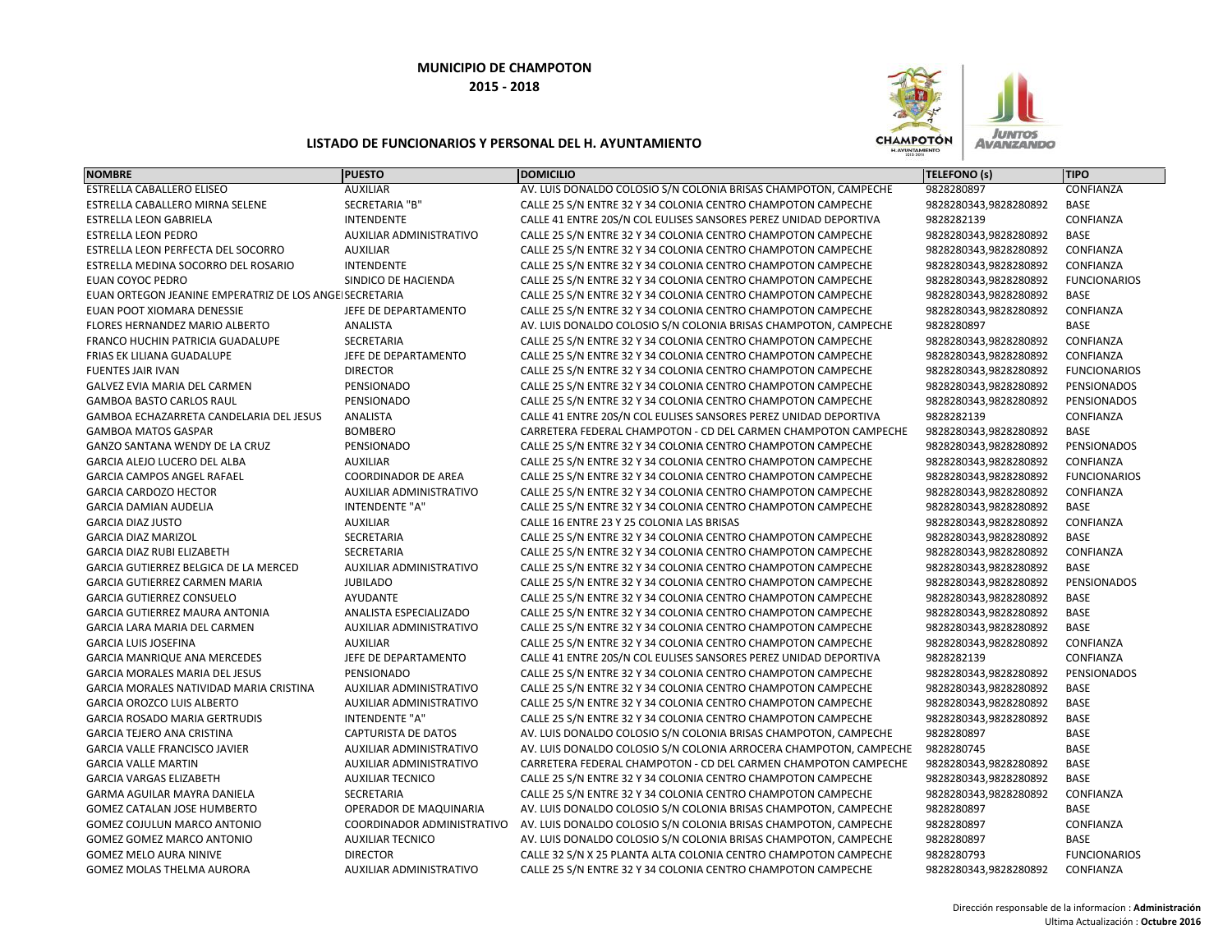

| <b>NOMBRE</b>                                          | <b>PUESTO</b>                  | <b>DOMICILIO</b>                                                  | <b>TELEFONO (s)</b>   | <b>TIPO</b>         |
|--------------------------------------------------------|--------------------------------|-------------------------------------------------------------------|-----------------------|---------------------|
| ESTRELLA CABALLERO ELISEO                              | <b>AUXILIAR</b>                | AV. LUIS DONALDO COLOSIO S/N COLONIA BRISAS CHAMPOTON, CAMPECHE   | 9828280897            | CONFIANZA           |
| ESTRELLA CABALLERO MIRNA SELENE                        | SECRETARIA "B"                 | CALLE 25 S/N ENTRE 32 Y 34 COLONIA CENTRO CHAMPOTON CAMPECHE      | 9828280343,9828280892 | BASE                |
| <b>ESTRELLA LEON GABRIELA</b>                          | <b>INTENDENTE</b>              | CALLE 41 ENTRE 20S/N COL EULISES SANSORES PEREZ UNIDAD DEPORTIVA  | 9828282139            | CONFIANZA           |
| <b>ESTRELLA LEON PEDRO</b>                             | AUXILIAR ADMINISTRATIVO        | CALLE 25 S/N ENTRE 32 Y 34 COLONIA CENTRO CHAMPOTON CAMPECHE      | 9828280343,9828280892 | <b>BASE</b>         |
| ESTRELLA LEON PERFECTA DEL SOCORRO                     | <b>AUXILIAR</b>                | CALLE 25 S/N ENTRE 32 Y 34 COLONIA CENTRO CHAMPOTON CAMPECHE      | 9828280343,9828280892 | CONFIANZA           |
| ESTRELLA MEDINA SOCORRO DEL ROSARIO                    | <b>INTENDENTE</b>              | CALLE 25 S/N ENTRE 32 Y 34 COLONIA CENTRO CHAMPOTON CAMPECHE      | 9828280343,9828280892 | CONFIANZA           |
| <b>EUAN COYOC PEDRO</b>                                | SINDICO DE HACIENDA            | CALLE 25 S/N ENTRE 32 Y 34 COLONIA CENTRO CHAMPOTON CAMPECHE      | 9828280343,9828280892 | <b>FUNCIONARIOS</b> |
| EUAN ORTEGON JEANINE EMPERATRIZ DE LOS ANGEISECRETARIA |                                | CALLE 25 S/N ENTRE 32 Y 34 COLONIA CENTRO CHAMPOTON CAMPECHE      | 9828280343,9828280892 | <b>BASE</b>         |
| EUAN POOT XIOMARA DENESSIE                             | JEFE DE DEPARTAMENTO           | CALLE 25 S/N ENTRE 32 Y 34 COLONIA CENTRO CHAMPOTON CAMPECHE      | 9828280343,9828280892 | CONFIANZA           |
| FLORES HERNANDEZ MARIO ALBERTO                         | ANALISTA                       | AV. LUIS DONALDO COLOSIO S/N COLONIA BRISAS CHAMPOTON, CAMPECHE   | 9828280897            | BASE                |
| FRANCO HUCHIN PATRICIA GUADALUPE                       | SECRETARIA                     | CALLE 25 S/N ENTRE 32 Y 34 COLONIA CENTRO CHAMPOTON CAMPECHE      | 9828280343,9828280892 | CONFIANZA           |
| FRIAS EK LILIANA GUADALUPE                             | JEFE DE DEPARTAMENTO           | CALLE 25 S/N ENTRE 32 Y 34 COLONIA CENTRO CHAMPOTON CAMPECHE      | 9828280343,9828280892 | CONFIANZA           |
| <b>FUENTES JAIR IVAN</b>                               | <b>DIRECTOR</b>                | CALLE 25 S/N ENTRE 32 Y 34 COLONIA CENTRO CHAMPOTON CAMPECHE      | 9828280343,9828280892 | <b>FUNCIONARIOS</b> |
| GALVEZ EVIA MARIA DEL CARMEN                           | PENSIONADO                     | CALLE 25 S/N ENTRE 32 Y 34 COLONIA CENTRO CHAMPOTON CAMPECHE      | 9828280343,9828280892 | PENSIONADOS         |
| <b>GAMBOA BASTO CARLOS RAUL</b>                        | PENSIONADO                     | CALLE 25 S/N ENTRE 32 Y 34 COLONIA CENTRO CHAMPOTON CAMPECHE      | 9828280343,9828280892 | PENSIONADOS         |
| GAMBOA ECHAZARRETA CANDELARIA DEL JESUS                | ANALISTA                       | CALLE 41 ENTRE 20S/N COL EULISES SANSORES PEREZ UNIDAD DEPORTIVA  | 9828282139            | CONFIANZA           |
| <b>GAMBOA MATOS GASPAR</b>                             | <b>BOMBERO</b>                 | CARRETERA FEDERAL CHAMPOTON - CD DEL CARMEN CHAMPOTON CAMPECHE    | 9828280343,9828280892 | <b>BASE</b>         |
| GANZO SANTANA WENDY DE LA CRUZ                         | PENSIONADO                     | CALLE 25 S/N ENTRE 32 Y 34 COLONIA CENTRO CHAMPOTON CAMPECHE      | 9828280343,9828280892 | PENSIONADOS         |
| GARCIA ALEJO LUCERO DEL ALBA                           | <b>AUXILIAR</b>                | CALLE 25 S/N ENTRE 32 Y 34 COLONIA CENTRO CHAMPOTON CAMPECHE      | 9828280343,9828280892 | CONFIANZA           |
| <b>GARCIA CAMPOS ANGEL RAFAEL</b>                      | <b>COORDINADOR DE AREA</b>     | CALLE 25 S/N ENTRE 32 Y 34 COLONIA CENTRO CHAMPOTON CAMPECHE      | 9828280343,9828280892 | <b>FUNCIONARIOS</b> |
| <b>GARCIA CARDOZO HECTOR</b>                           | AUXILIAR ADMINISTRATIVO        | CALLE 25 S/N ENTRE 32 Y 34 COLONIA CENTRO CHAMPOTON CAMPECHE      | 9828280343,9828280892 | CONFIANZA           |
| <b>GARCIA DAMIAN AUDELIA</b>                           | <b>INTENDENTE "A"</b>          | CALLE 25 S/N ENTRE 32 Y 34 COLONIA CENTRO CHAMPOTON CAMPECHE      | 9828280343,9828280892 | <b>BASE</b>         |
| <b>GARCIA DIAZ JUSTO</b>                               | <b>AUXILIAR</b>                | CALLE 16 ENTRE 23 Y 25 COLONIA LAS BRISAS                         | 9828280343,9828280892 | CONFIANZA           |
| <b>GARCIA DIAZ MARIZOL</b>                             | SECRETARIA                     | CALLE 25 S/N ENTRE 32 Y 34 COLONIA CENTRO CHAMPOTON CAMPECHE      | 9828280343,9828280892 | BASE                |
| <b>GARCIA DIAZ RUBI ELIZABETH</b>                      | SECRETARIA                     | CALLE 25 S/N ENTRE 32 Y 34 COLONIA CENTRO CHAMPOTON CAMPECHE      | 9828280343,9828280892 | CONFIANZA           |
| GARCIA GUTIERREZ BELGICA DE LA MERCED                  | <b>AUXILIAR ADMINISTRATIVO</b> | CALLE 25 S/N ENTRE 32 Y 34 COLONIA CENTRO CHAMPOTON CAMPECHE      | 9828280343,9828280892 | BASE                |
| GARCIA GUTIERREZ CARMEN MARIA                          | <b>JUBILADO</b>                | CALLE 25 S/N ENTRE 32 Y 34 COLONIA CENTRO CHAMPOTON CAMPECHE      | 9828280343,9828280892 | PENSIONADOS         |
| <b>GARCIA GUTIERREZ CONSUELO</b>                       | AYUDANTE                       | CALLE 25 S/N ENTRE 32 Y 34 COLONIA CENTRO CHAMPOTON CAMPECHE      | 9828280343,9828280892 | <b>BASE</b>         |
| <b>GARCIA GUTIERREZ MAURA ANTONIA</b>                  | ANALISTA ESPECIALIZADO         | CALLE 25 S/N ENTRE 32 Y 34 COLONIA CENTRO CHAMPOTON CAMPECHE      | 9828280343,9828280892 | <b>BASE</b>         |
| GARCIA LARA MARIA DEL CARMEN                           | AUXILIAR ADMINISTRATIVO        | CALLE 25 S/N ENTRE 32 Y 34 COLONIA CENTRO CHAMPOTON CAMPECHE      | 9828280343,9828280892 | <b>BASE</b>         |
| <b>GARCIA LUIS JOSEFINA</b>                            | <b>AUXILIAR</b>                | CALLE 25 S/N ENTRE 32 Y 34 COLONIA CENTRO CHAMPOTON CAMPECHE      | 9828280343,9828280892 | CONFIANZA           |
| <b>GARCIA MANRIQUE ANA MERCEDES</b>                    | JEFE DE DEPARTAMENTO           | CALLE 41 ENTRE 20S/N COL EULISES SANSORES PEREZ UNIDAD DEPORTIVA  | 9828282139            | CONFIANZA           |
| <b>GARCIA MORALES MARIA DEL JESUS</b>                  | PENSIONADO                     | CALLE 25 S/N ENTRE 32 Y 34 COLONIA CENTRO CHAMPOTON CAMPECHE      | 9828280343,9828280892 | PENSIONADOS         |
| GARCIA MORALES NATIVIDAD MARIA CRISTINA                | <b>AUXILIAR ADMINISTRATIVO</b> | CALLE 25 S/N ENTRE 32 Y 34 COLONIA CENTRO CHAMPOTON CAMPECHE      | 9828280343,9828280892 | <b>BASE</b>         |
| <b>GARCIA OROZCO LUIS ALBERTO</b>                      | AUXILIAR ADMINISTRATIVO        | CALLE 25 S/N ENTRE 32 Y 34 COLONIA CENTRO CHAMPOTON CAMPECHE      | 9828280343,9828280892 | <b>BASE</b>         |
| <b>GARCIA ROSADO MARIA GERTRUDIS</b>                   | <b>INTENDENTE "A"</b>          | CALLE 25 S/N ENTRE 32 Y 34 COLONIA CENTRO CHAMPOTON CAMPECHE      | 9828280343,9828280892 | <b>BASE</b>         |
| <b>GARCIA TEJERO ANA CRISTINA</b>                      | <b>CAPTURISTA DE DATOS</b>     | AV. LUIS DONALDO COLOSIO S/N COLONIA BRISAS CHAMPOTON, CAMPECHE   | 9828280897            | <b>BASE</b>         |
| <b>GARCIA VALLE FRANCISCO JAVIER</b>                   | AUXILIAR ADMINISTRATIVO        | AV. LUIS DONALDO COLOSIO S/N COLONIA ARROCERA CHAMPOTON, CAMPECHE | 9828280745            | <b>BASE</b>         |
| <b>GARCIA VALLE MARTIN</b>                             | AUXILIAR ADMINISTRATIVO        | CARRETERA FEDERAL CHAMPOTON - CD DEL CARMEN CHAMPOTON CAMPECHE    | 9828280343,9828280892 | <b>BASE</b>         |
| <b>GARCIA VARGAS ELIZABETH</b>                         | <b>AUXILIAR TECNICO</b>        | CALLE 25 S/N ENTRE 32 Y 34 COLONIA CENTRO CHAMPOTON CAMPECHE      | 9828280343,9828280892 | <b>BASE</b>         |
| GARMA AGUILAR MAYRA DANIELA                            | SECRETARIA                     | CALLE 25 S/N ENTRE 32 Y 34 COLONIA CENTRO CHAMPOTON CAMPECHE      | 9828280343,9828280892 | CONFIANZA           |
| GOMEZ CATALAN JOSE HUMBERTO                            | OPERADOR DE MAQUINARIA         | AV. LUIS DONALDO COLOSIO S/N COLONIA BRISAS CHAMPOTON, CAMPECHE   | 9828280897            | <b>BASE</b>         |
| GOMEZ COJULUN MARCO ANTONIO                            | COORDINADOR ADMINISTRATIVO     | AV. LUIS DONALDO COLOSIO S/N COLONIA BRISAS CHAMPOTON, CAMPECHE   | 9828280897            | CONFIANZA           |
| GOMEZ GOMEZ MARCO ANTONIO                              | <b>AUXILIAR TECNICO</b>        | AV. LUIS DONALDO COLOSIO S/N COLONIA BRISAS CHAMPOTON, CAMPECHE   | 9828280897            | BASE                |
| <b>GOMEZ MELO AURA NINIVE</b>                          | <b>DIRECTOR</b>                | CALLE 32 S/N X 25 PLANTA ALTA COLONIA CENTRO CHAMPOTON CAMPECHE   | 9828280793            | <b>FUNCIONARIOS</b> |
| <b>GOMEZ MOLAS THELMA AURORA</b>                       | <b>AUXILIAR ADMINISTRATIVO</b> | CALLE 25 S/N ENTRE 32 Y 34 COLONIA CENTRO CHAMPOTON CAMPECHE      | 9828280343,9828280892 | CONFIANZA           |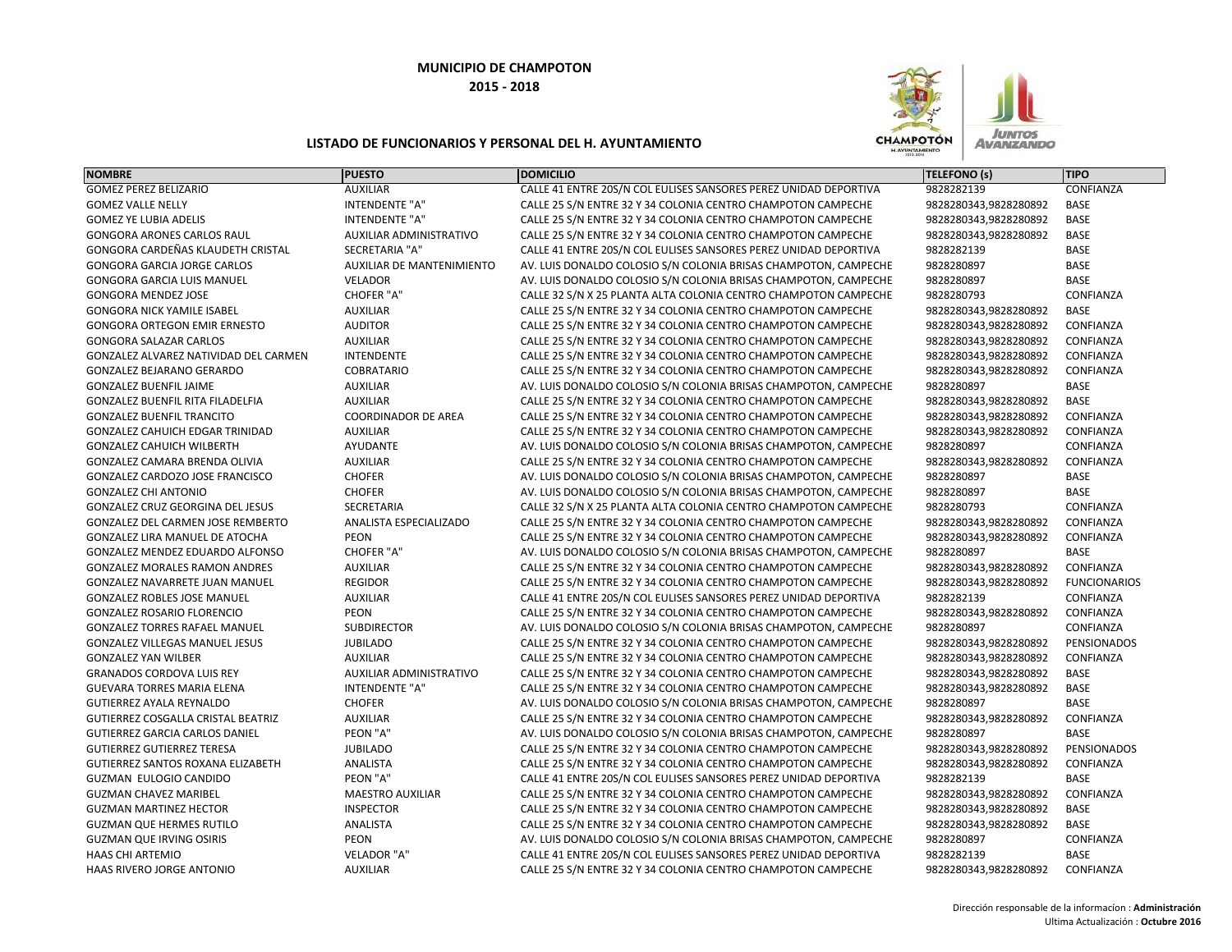

| <b>NOMBRE</b>                            | <b>PUESTO</b>                    | <b>DOMICILIO</b>                                                 | <b>TELEFONO (s)</b>   | <b>TIPO</b>         |
|------------------------------------------|----------------------------------|------------------------------------------------------------------|-----------------------|---------------------|
| <b>GOMEZ PEREZ BELIZARIO</b>             | <b>AUXILIAR</b>                  | CALLE 41 ENTRE 20S/N COL EULISES SANSORES PEREZ UNIDAD DEPORTIVA | 9828282139            | CONFIANZA           |
| <b>GOMEZ VALLE NELLY</b>                 | <b>INTENDENTE "A"</b>            | CALLE 25 S/N ENTRE 32 Y 34 COLONIA CENTRO CHAMPOTON CAMPECHE     | 9828280343,9828280892 | <b>BASE</b>         |
| <b>GOMEZ YE LUBIA ADELIS</b>             | INTENDENTE "A"                   | CALLE 25 S/N ENTRE 32 Y 34 COLONIA CENTRO CHAMPOTON CAMPECHE     | 9828280343,9828280892 | <b>BASE</b>         |
| <b>GONGORA ARONES CARLOS RAUL</b>        | <b>AUXILIAR ADMINISTRATIVO</b>   | CALLE 25 S/N ENTRE 32 Y 34 COLONIA CENTRO CHAMPOTON CAMPECHE     | 9828280343,9828280892 | <b>BASE</b>         |
| GONGORA CARDEÑAS KLAUDETH CRISTAL        | <b>SECRETARIA "A"</b>            | CALLE 41 ENTRE 20S/N COL EULISES SANSORES PEREZ UNIDAD DEPORTIVA | 9828282139            | <b>BASE</b>         |
| GONGORA GARCIA JORGE CARLOS              | <b>AUXILIAR DE MANTENIMIENTO</b> | AV. LUIS DONALDO COLOSIO S/N COLONIA BRISAS CHAMPOTON, CAMPECHE  | 9828280897            | <b>BASE</b>         |
| <b>GONGORA GARCIA LUIS MANUEL</b>        | <b>VELADOR</b>                   | AV. LUIS DONALDO COLOSIO S/N COLONIA BRISAS CHAMPOTON, CAMPECHE  | 9828280897            | <b>BASE</b>         |
| <b>GONGORA MENDEZ JOSE</b>               | CHOFER "A"                       | CALLE 32 S/N X 25 PLANTA ALTA COLONIA CENTRO CHAMPOTON CAMPECHE  | 9828280793            | CONFIANZA           |
| <b>GONGORA NICK YAMILE ISABEL</b>        | <b>AUXILIAR</b>                  | CALLE 25 S/N ENTRE 32 Y 34 COLONIA CENTRO CHAMPOTON CAMPECHE     | 9828280343,9828280892 | <b>BASE</b>         |
| <b>GONGORA ORTEGON EMIR ERNESTO</b>      | <b>AUDITOR</b>                   | CALLE 25 S/N ENTRE 32 Y 34 COLONIA CENTRO CHAMPOTON CAMPECHE     | 9828280343,9828280892 | CONFIANZA           |
| <b>GONGORA SALAZAR CARLOS</b>            | <b>AUXILIAR</b>                  | CALLE 25 S/N ENTRE 32 Y 34 COLONIA CENTRO CHAMPOTON CAMPECHE     | 9828280343,9828280892 | CONFIANZA           |
| GONZALEZ ALVAREZ NATIVIDAD DEL CARMEN    | INTENDENTE                       | CALLE 25 S/N ENTRE 32 Y 34 COLONIA CENTRO CHAMPOTON CAMPECHE     | 9828280343,9828280892 | CONFIANZA           |
| GONZALEZ BEJARANO GERARDO                | <b>COBRATARIO</b>                | CALLE 25 S/N ENTRE 32 Y 34 COLONIA CENTRO CHAMPOTON CAMPECHE     | 9828280343,9828280892 | CONFIANZA           |
| <b>GONZALEZ BUENFIL JAIME</b>            | <b>AUXILIAR</b>                  | AV. LUIS DONALDO COLOSIO S/N COLONIA BRISAS CHAMPOTON, CAMPECHE  | 9828280897            | BASE                |
| GONZALEZ BUENFIL RITA FILADELFIA         | <b>AUXILIAR</b>                  | CALLE 25 S/N ENTRE 32 Y 34 COLONIA CENTRO CHAMPOTON CAMPECHE     | 9828280343,9828280892 | <b>BASE</b>         |
| <b>GONZALEZ BUENFIL TRANCITO</b>         | <b>COORDINADOR DE AREA</b>       | CALLE 25 S/N ENTRE 32 Y 34 COLONIA CENTRO CHAMPOTON CAMPECHE     | 9828280343,9828280892 | CONFIANZA           |
| GONZALEZ CAHUICH EDGAR TRINIDAD          | <b>AUXILIAR</b>                  | CALLE 25 S/N ENTRE 32 Y 34 COLONIA CENTRO CHAMPOTON CAMPECHE     | 9828280343,9828280892 | CONFIANZA           |
| <b>GONZALEZ CAHUICH WILBERTH</b>         | <b>AYUDANTE</b>                  | AV. LUIS DONALDO COLOSIO S/N COLONIA BRISAS CHAMPOTON, CAMPECHE  | 9828280897            | CONFIANZA           |
| GONZALEZ CAMARA BRENDA OLIVIA            | <b>AUXILIAR</b>                  | CALLE 25 S/N ENTRE 32 Y 34 COLONIA CENTRO CHAMPOTON CAMPECHE     | 9828280343,9828280892 | CONFIANZA           |
| GONZALEZ CARDOZO JOSE FRANCISCO          | <b>CHOFER</b>                    | AV. LUIS DONALDO COLOSIO S/N COLONIA BRISAS CHAMPOTON, CAMPECHE  | 9828280897            | BASE                |
| <b>GONZALEZ CHI ANTONIO</b>              | <b>CHOFER</b>                    | AV. LUIS DONALDO COLOSIO S/N COLONIA BRISAS CHAMPOTON, CAMPECHE  | 9828280897            | <b>BASE</b>         |
| GONZALEZ CRUZ GEORGINA DEL JESUS         | <b>SECRETARIA</b>                | CALLE 32 S/N X 25 PLANTA ALTA COLONIA CENTRO CHAMPOTON CAMPECHE  | 9828280793            | CONFIANZA           |
| <b>GONZALEZ DEL CARMEN JOSE REMBERTO</b> | ANALISTA ESPECIALIZADO           | CALLE 25 S/N ENTRE 32 Y 34 COLONIA CENTRO CHAMPOTON CAMPECHE     | 9828280343,9828280892 | CONFIANZA           |
| GONZALEZ LIRA MANUEL DE ATOCHA           | PEON                             | CALLE 25 S/N ENTRE 32 Y 34 COLONIA CENTRO CHAMPOTON CAMPECHE     | 9828280343,9828280892 | CONFIANZA           |
| GONZALEZ MENDEZ EDUARDO ALFONSO          | <b>CHOFER "A"</b>                | AV. LUIS DONALDO COLOSIO S/N COLONIA BRISAS CHAMPOTON, CAMPECHE  | 9828280897            | <b>BASE</b>         |
| <b>GONZALEZ MORALES RAMON ANDRES</b>     | <b>AUXILIAR</b>                  | CALLE 25 S/N ENTRE 32 Y 34 COLONIA CENTRO CHAMPOTON CAMPECHE     | 9828280343,9828280892 | CONFIANZA           |
| GONZALEZ NAVARRETE JUAN MANUEL           | <b>REGIDOR</b>                   | CALLE 25 S/N ENTRE 32 Y 34 COLONIA CENTRO CHAMPOTON CAMPECHE     | 9828280343,9828280892 | <b>FUNCIONARIOS</b> |
| <b>GONZALEZ ROBLES JOSE MANUEL</b>       | <b>AUXILIAR</b>                  | CALLE 41 ENTRE 20S/N COL EULISES SANSORES PEREZ UNIDAD DEPORTIVA | 9828282139            | CONFIANZA           |
| GONZALEZ ROSARIO FLORENCIO               | PEON                             | CALLE 25 S/N ENTRE 32 Y 34 COLONIA CENTRO CHAMPOTON CAMPECHE     | 9828280343,9828280892 | CONFIANZA           |
| <b>GONZALEZ TORRES RAFAEL MANUEL</b>     | <b>SUBDIRECTOR</b>               | AV. LUIS DONALDO COLOSIO S/N COLONIA BRISAS CHAMPOTON, CAMPECHE  | 9828280897            | CONFIANZA           |
| <b>GONZALEZ VILLEGAS MANUEL JESUS</b>    | <b>JUBILADO</b>                  | CALLE 25 S/N ENTRE 32 Y 34 COLONIA CENTRO CHAMPOTON CAMPECHE     | 9828280343,9828280892 | PENSIONADOS         |
| <b>GONZALEZ YAN WILBER</b>               | <b>AUXILIAR</b>                  | CALLE 25 S/N ENTRE 32 Y 34 COLONIA CENTRO CHAMPOTON CAMPECHE     | 9828280343,9828280892 | CONFIANZA           |
| <b>GRANADOS CORDOVA LUIS REY</b>         | AUXILIAR ADMINISTRATIVO          | CALLE 25 S/N ENTRE 32 Y 34 COLONIA CENTRO CHAMPOTON CAMPECHE     | 9828280343,9828280892 | <b>BASE</b>         |
| <b>GUEVARA TORRES MARIA ELENA</b>        | <b>INTENDENTE "A"</b>            | CALLE 25 S/N ENTRE 32 Y 34 COLONIA CENTRO CHAMPOTON CAMPECHE     | 9828280343,9828280892 | <b>BASE</b>         |
| GUTIERREZ AYALA REYNALDO                 | <b>CHOFER</b>                    | AV. LUIS DONALDO COLOSIO S/N COLONIA BRISAS CHAMPOTON, CAMPECHE  | 9828280897            | BASE                |
| GUTIERREZ COSGALLA CRISTAL BEATRIZ       | <b>AUXILIAR</b>                  | CALLE 25 S/N ENTRE 32 Y 34 COLONIA CENTRO CHAMPOTON CAMPECHE     | 9828280343,9828280892 | CONFIANZA           |
| <b>GUTIERREZ GARCIA CARLOS DANIEL</b>    | PEON "A"                         | AV. LUIS DONALDO COLOSIO S/N COLONIA BRISAS CHAMPOTON, CAMPECHE  | 9828280897            | <b>BASE</b>         |
| <b>GUTIERREZ GUTIERREZ TERESA</b>        | <b>JUBILADO</b>                  | CALLE 25 S/N ENTRE 32 Y 34 COLONIA CENTRO CHAMPOTON CAMPECHE     | 9828280343,9828280892 | PENSIONADOS         |
| GUTIERREZ SANTOS ROXANA ELIZABETH        | ANALISTA                         | CALLE 25 S/N ENTRE 32 Y 34 COLONIA CENTRO CHAMPOTON CAMPECHE     | 9828280343,9828280892 | CONFIANZA           |
| <b>GUZMAN EULOGIO CANDIDO</b>            | PEON "A"                         | CALLE 41 ENTRE 20S/N COL EULISES SANSORES PEREZ UNIDAD DEPORTIVA | 9828282139            | <b>BASE</b>         |
| <b>GUZMAN CHAVEZ MARIBEL</b>             | <b>MAESTRO AUXILIAR</b>          | CALLE 25 S/N ENTRE 32 Y 34 COLONIA CENTRO CHAMPOTON CAMPECHE     | 9828280343,9828280892 | CONFIANZA           |
| <b>GUZMAN MARTINEZ HECTOR</b>            | <b>INSPECTOR</b>                 | CALLE 25 S/N ENTRE 32 Y 34 COLONIA CENTRO CHAMPOTON CAMPECHE     | 9828280343,9828280892 | BASE                |
| <b>GUZMAN QUE HERMES RUTILO</b>          | ANALISTA                         | CALLE 25 S/N ENTRE 32 Y 34 COLONIA CENTRO CHAMPOTON CAMPECHE     | 9828280343,9828280892 | <b>BASE</b>         |
| <b>GUZMAN QUE IRVING OSIRIS</b>          | PEON                             | AV. LUIS DONALDO COLOSIO S/N COLONIA BRISAS CHAMPOTON, CAMPECHE  | 9828280897            | CONFIANZA           |
| HAAS CHI ARTEMIO                         | VELADOR "A"                      | CALLE 41 ENTRE 20S/N COL EULISES SANSORES PEREZ UNIDAD DEPORTIVA | 9828282139            | <b>BASE</b>         |
| <b>HAAS RIVERO JORGE ANTONIO</b>         | <b>AUXILIAR</b>                  | CALLE 25 S/N ENTRE 32 Y 34 COLONIA CENTRO CHAMPOTON CAMPECHE     | 9828280343.9828280892 | CONFIANZA           |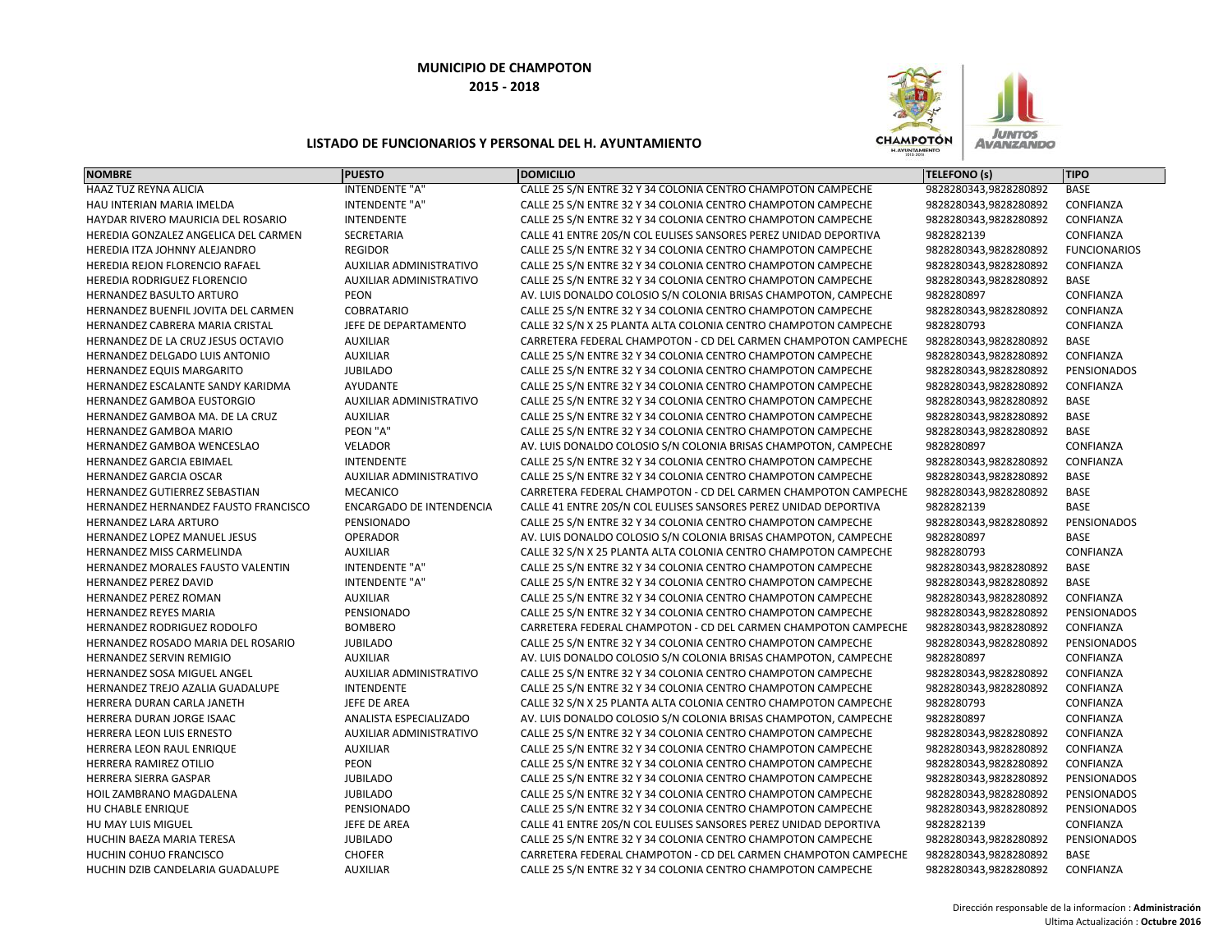

| <b>NOMBRE</b>                        | <b>PUESTO</b>                   | <b>DOMICILIO</b>                                                 | TELEFONO (s)          | <b>TIPO</b>         |
|--------------------------------------|---------------------------------|------------------------------------------------------------------|-----------------------|---------------------|
| HAAZ TUZ REYNA ALICIA                | <b>INTENDENTE "A"</b>           | CALLE 25 S/N ENTRE 32 Y 34 COLONIA CENTRO CHAMPOTON CAMPECHE     | 9828280343,9828280892 | <b>BASE</b>         |
| HAU INTERIAN MARIA IMELDA            | <b>INTENDENTE "A"</b>           | CALLE 25 S/N ENTRE 32 Y 34 COLONIA CENTRO CHAMPOTON CAMPECHE     | 9828280343,9828280892 | CONFIANZA           |
| HAYDAR RIVERO MAURICIA DEL ROSARIO   | <b>INTENDENTE</b>               | CALLE 25 S/N ENTRE 32 Y 34 COLONIA CENTRO CHAMPOTON CAMPECHE     | 9828280343,9828280892 | CONFIANZA           |
| HEREDIA GONZALEZ ANGELICA DEL CARMEN | SECRETARIA                      | CALLE 41 ENTRE 20S/N COL EULISES SANSORES PEREZ UNIDAD DEPORTIVA | 9828282139            | CONFIANZA           |
| HEREDIA ITZA JOHNNY ALEJANDRO        | <b>REGIDOR</b>                  | CALLE 25 S/N ENTRE 32 Y 34 COLONIA CENTRO CHAMPOTON CAMPECHE     | 9828280343,9828280892 | <b>FUNCIONARIOS</b> |
| HEREDIA REJON FLORENCIO RAFAEL       | AUXILIAR ADMINISTRATIVO         | CALLE 25 S/N ENTRE 32 Y 34 COLONIA CENTRO CHAMPOTON CAMPECHE     | 9828280343,9828280892 | CONFIANZA           |
| HEREDIA RODRIGUEZ FLORENCIO          | <b>AUXILIAR ADMINISTRATIVO</b>  | CALLE 25 S/N ENTRE 32 Y 34 COLONIA CENTRO CHAMPOTON CAMPECHE     | 9828280343,9828280892 | BASE                |
| HERNANDEZ BASULTO ARTURO             | PEON                            | AV. LUIS DONALDO COLOSIO S/N COLONIA BRISAS CHAMPOTON, CAMPECHE  | 9828280897            | CONFIANZA           |
| HERNANDEZ BUENFIL JOVITA DEL CARMEN  | <b>COBRATARIO</b>               | CALLE 25 S/N ENTRE 32 Y 34 COLONIA CENTRO CHAMPOTON CAMPECHE     | 9828280343,9828280892 | CONFIANZA           |
| HERNANDEZ CABRERA MARIA CRISTAL      | JEFE DE DEPARTAMENTO            | CALLE 32 S/N X 25 PLANTA ALTA COLONIA CENTRO CHAMPOTON CAMPECHE  | 9828280793            | CONFIANZA           |
| HERNANDEZ DE LA CRUZ JESUS OCTAVIO   | <b>AUXILIAR</b>                 | CARRETERA FEDERAL CHAMPOTON - CD DEL CARMEN CHAMPOTON CAMPECHE   | 9828280343,9828280892 | BASE                |
| HERNANDEZ DELGADO LUIS ANTONIO       | <b>AUXILIAR</b>                 | CALLE 25 S/N ENTRE 32 Y 34 COLONIA CENTRO CHAMPOTON CAMPECHE     | 9828280343,9828280892 | CONFIANZA           |
| HERNANDEZ EQUIS MARGARITO            | <b>JUBILADO</b>                 | CALLE 25 S/N ENTRE 32 Y 34 COLONIA CENTRO CHAMPOTON CAMPECHE     | 9828280343,9828280892 | PENSIONADOS         |
| HERNANDEZ ESCALANTE SANDY KARIDMA    | <b>AYUDANTE</b>                 | CALLE 25 S/N ENTRE 32 Y 34 COLONIA CENTRO CHAMPOTON CAMPECHE     | 9828280343,9828280892 | CONFIANZA           |
| <b>HERNANDEZ GAMBOA EUSTORGIO</b>    | AUXILIAR ADMINISTRATIVO         | CALLE 25 S/N ENTRE 32 Y 34 COLONIA CENTRO CHAMPOTON CAMPECHE     | 9828280343,9828280892 | <b>BASE</b>         |
| HERNANDEZ GAMBOA MA. DE LA CRUZ      | <b>AUXILIAR</b>                 | CALLE 25 S/N ENTRE 32 Y 34 COLONIA CENTRO CHAMPOTON CAMPECHE     | 9828280343,9828280892 | <b>BASE</b>         |
| HERNANDEZ GAMBOA MARIO               | PEON "A"                        | CALLE 25 S/N ENTRE 32 Y 34 COLONIA CENTRO CHAMPOTON CAMPECHE     | 9828280343,9828280892 | <b>BASE</b>         |
| HERNANDEZ GAMBOA WENCESLAO           | <b>VELADOR</b>                  | AV. LUIS DONALDO COLOSIO S/N COLONIA BRISAS CHAMPOTON, CAMPECHE  | 9828280897            | CONFIANZA           |
| HERNANDEZ GARCIA EBIMAEL             | <b>INTENDENTE</b>               | CALLE 25 S/N ENTRE 32 Y 34 COLONIA CENTRO CHAMPOTON CAMPECHE     | 9828280343,9828280892 | CONFIANZA           |
| HERNANDEZ GARCIA OSCAR               | AUXILIAR ADMINISTRATIVO         | CALLE 25 S/N ENTRE 32 Y 34 COLONIA CENTRO CHAMPOTON CAMPECHE     | 9828280343,9828280892 | <b>BASE</b>         |
| HERNANDEZ GUTIERREZ SEBASTIAN        | <b>MECANICO</b>                 | CARRETERA FEDERAL CHAMPOTON - CD DEL CARMEN CHAMPOTON CAMPECHE   | 9828280343,9828280892 | <b>BASE</b>         |
| HERNANDEZ HERNANDEZ FAUSTO FRANCISCO | <b>ENCARGADO DE INTENDENCIA</b> | CALLE 41 ENTRE 20S/N COL EULISES SANSORES PEREZ UNIDAD DEPORTIVA | 9828282139            | <b>BASE</b>         |
| HERNANDEZ LARA ARTURO                | PENSIONADO                      | CALLE 25 S/N ENTRE 32 Y 34 COLONIA CENTRO CHAMPOTON CAMPECHE     | 9828280343,9828280892 | PENSIONADOS         |
| HERNANDEZ LOPEZ MANUEL JESUS         | <b>OPERADOR</b>                 | AV. LUIS DONALDO COLOSIO S/N COLONIA BRISAS CHAMPOTON, CAMPECHE  | 9828280897            | <b>BASE</b>         |
| <b>HERNANDEZ MISS CARMELINDA</b>     | <b>AUXILIAR</b>                 | CALLE 32 S/N X 25 PLANTA ALTA COLONIA CENTRO CHAMPOTON CAMPECHE  | 9828280793            | CONFIANZA           |
| HERNANDEZ MORALES FAUSTO VALENTIN    | <b>INTENDENTE "A"</b>           | CALLE 25 S/N ENTRE 32 Y 34 COLONIA CENTRO CHAMPOTON CAMPECHE     | 9828280343,9828280892 | <b>BASE</b>         |
| HERNANDEZ PEREZ DAVID                | <b>INTENDENTE "A"</b>           | CALLE 25 S/N ENTRE 32 Y 34 COLONIA CENTRO CHAMPOTON CAMPECHE     | 9828280343,9828280892 | BASE                |
| <b>HERNANDEZ PEREZ ROMAN</b>         | <b>AUXILIAR</b>                 | CALLE 25 S/N ENTRE 32 Y 34 COLONIA CENTRO CHAMPOTON CAMPECHE     | 9828280343,9828280892 | CONFIANZA           |
| HERNANDEZ REYES MARIA                | PENSIONADO                      | CALLE 25 S/N ENTRE 32 Y 34 COLONIA CENTRO CHAMPOTON CAMPECHE     | 9828280343,9828280892 | PENSIONADOS         |
| HERNANDEZ RODRIGUEZ RODOLFO          | <b>BOMBERO</b>                  | CARRETERA FEDERAL CHAMPOTON - CD DEL CARMEN CHAMPOTON CAMPECHE   | 9828280343,9828280892 | CONFIANZA           |
| HERNANDEZ ROSADO MARIA DEL ROSARIO   | <b>JUBILADO</b>                 | CALLE 25 S/N ENTRE 32 Y 34 COLONIA CENTRO CHAMPOTON CAMPECHE     | 9828280343,9828280892 | PENSIONADOS         |
| <b>HERNANDEZ SERVIN REMIGIO</b>      | <b>AUXILIAR</b>                 | AV. LUIS DONALDO COLOSIO S/N COLONIA BRISAS CHAMPOTON, CAMPECHE  | 9828280897            | CONFIANZA           |
| HERNANDEZ SOSA MIGUEL ANGEL          | AUXILIAR ADMINISTRATIVO         | CALLE 25 S/N ENTRE 32 Y 34 COLONIA CENTRO CHAMPOTON CAMPECHE     | 9828280343,9828280892 | CONFIANZA           |
| HERNANDEZ TREJO AZALIA GUADALUPE     | <b>INTENDENTE</b>               | CALLE 25 S/N ENTRE 32 Y 34 COLONIA CENTRO CHAMPOTON CAMPECHE     | 9828280343,9828280892 | CONFIANZA           |
| HERRERA DURAN CARLA JANETH           | JEFE DE AREA                    | CALLE 32 S/N X 25 PLANTA ALTA COLONIA CENTRO CHAMPOTON CAMPECHE  | 9828280793            | CONFIANZA           |
| HERRERA DURAN JORGE ISAAC            | ANALISTA ESPECIALIZADO          | AV. LUIS DONALDO COLOSIO S/N COLONIA BRISAS CHAMPOTON, CAMPECHE  | 9828280897            | CONFIANZA           |
| HERRERA LEON LUIS ERNESTO            | AUXILIAR ADMINISTRATIVO         | CALLE 25 S/N ENTRE 32 Y 34 COLONIA CENTRO CHAMPOTON CAMPECHE     | 9828280343,9828280892 | CONFIANZA           |
| <b>HERRERA LEON RAUL ENRIQUE</b>     | <b>AUXILIAR</b>                 | CALLE 25 S/N ENTRE 32 Y 34 COLONIA CENTRO CHAMPOTON CAMPECHE     | 9828280343,9828280892 | CONFIANZA           |
| <b>HERRERA RAMIREZ OTILIO</b>        | PEON                            | CALLE 25 S/N ENTRE 32 Y 34 COLONIA CENTRO CHAMPOTON CAMPECHE     | 9828280343,9828280892 | CONFIANZA           |
| HERRERA SIERRA GASPAR                | <b>JUBILADO</b>                 | CALLE 25 S/N ENTRE 32 Y 34 COLONIA CENTRO CHAMPOTON CAMPECHE     | 9828280343,9828280892 | PENSIONADOS         |
| HOIL ZAMBRANO MAGDALENA              | <b>JUBILADO</b>                 | CALLE 25 S/N ENTRE 32 Y 34 COLONIA CENTRO CHAMPOTON CAMPECHE     | 9828280343,9828280892 | PENSIONADOS         |
| HU CHABLE ENRIQUE                    | PENSIONADO                      | CALLE 25 S/N ENTRE 32 Y 34 COLONIA CENTRO CHAMPOTON CAMPECHE     | 9828280343,9828280892 | PENSIONADOS         |
| HU MAY LUIS MIGUEL                   | JEFE DE AREA                    | CALLE 41 ENTRE 20S/N COL EULISES SANSORES PEREZ UNIDAD DEPORTIVA | 9828282139            | CONFIANZA           |
| HUCHIN BAEZA MARIA TERESA            | <b>JUBILADO</b>                 | CALLE 25 S/N ENTRE 32 Y 34 COLONIA CENTRO CHAMPOTON CAMPECHE     | 9828280343,9828280892 | PENSIONADOS         |
| HUCHIN COHUO FRANCISCO               | <b>CHOFER</b>                   | CARRETERA FEDERAL CHAMPOTON - CD DEL CARMEN CHAMPOTON CAMPECHE   | 9828280343,9828280892 | <b>BASE</b>         |
| HUCHIN DZIB CANDELARIA GUADALUPE     | <b>AUXILIAR</b>                 | CALLE 25 S/N ENTRE 32 Y 34 COLONIA CENTRO CHAMPOTON CAMPECHE     | 9828280343,9828280892 | CONFIANZA           |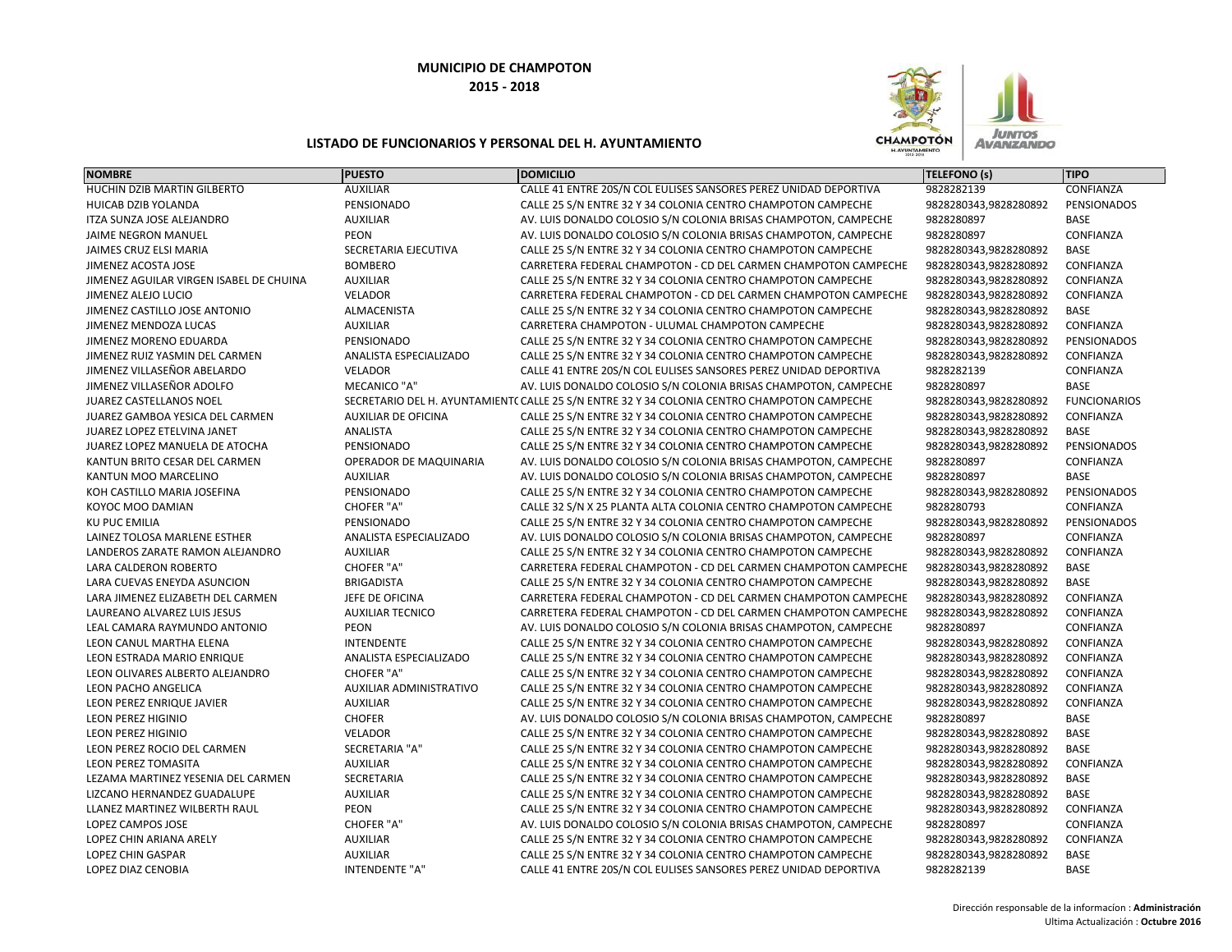

| <b>NOMBRE</b>                           | <b>PUESTO</b>              | <b>DOMICILIO</b>                                                                            | <b>TELEFONO (s)</b>   | <b>TIPO</b>         |
|-----------------------------------------|----------------------------|---------------------------------------------------------------------------------------------|-----------------------|---------------------|
| HUCHIN DZIB MARTIN GILBERTO             | <b>AUXILIAR</b>            | CALLE 41 ENTRE 20S/N COL EULISES SANSORES PEREZ UNIDAD DEPORTIVA                            | 9828282139            | CONFIANZA           |
| HUICAB DZIB YOLANDA                     | PENSIONADO                 | CALLE 25 S/N ENTRE 32 Y 34 COLONIA CENTRO CHAMPOTON CAMPECHE                                | 9828280343,9828280892 | PENSIONADOS         |
| ITZA SUNZA JOSE ALEJANDRO               | <b>AUXILIAR</b>            | AV. LUIS DONALDO COLOSIO S/N COLONIA BRISAS CHAMPOTON, CAMPECHE                             | 9828280897            | BASE                |
| <b>JAIME NEGRON MANUEL</b>              | <b>PEON</b>                | AV. LUIS DONALDO COLOSIO S/N COLONIA BRISAS CHAMPOTON, CAMPECHE                             | 9828280897            | CONFIANZA           |
| JAIMES CRUZ ELSI MARIA                  | SECRETARIA EJECUTIVA       | CALLE 25 S/N ENTRE 32 Y 34 COLONIA CENTRO CHAMPOTON CAMPECHE                                | 9828280343,9828280892 | <b>BASE</b>         |
| JIMENEZ ACOSTA JOSE                     | <b>BOMBERO</b>             | CARRETERA FEDERAL CHAMPOTON - CD DEL CARMEN CHAMPOTON CAMPECHE                              | 9828280343,9828280892 | CONFIANZA           |
| JIMENEZ AGUILAR VIRGEN ISABEL DE CHUINA | <b>AUXILIAR</b>            | CALLE 25 S/N ENTRE 32 Y 34 COLONIA CENTRO CHAMPOTON CAMPECHE                                | 9828280343,9828280892 | CONFIANZA           |
| JIMENEZ ALEJO LUCIO                     | <b>VELADOR</b>             | CARRETERA FEDERAL CHAMPOTON - CD DEL CARMEN CHAMPOTON CAMPECHE                              | 9828280343,9828280892 | CONFIANZA           |
| JIMENEZ CASTILLO JOSE ANTONIO           | ALMACENISTA                | CALLE 25 S/N ENTRE 32 Y 34 COLONIA CENTRO CHAMPOTON CAMPECHE                                | 9828280343,9828280892 | <b>BASE</b>         |
| JIMENEZ MENDOZA LUCAS                   | <b>AUXILIAR</b>            | CARRETERA CHAMPOTON - ULUMAL CHAMPOTON CAMPECHE                                             | 9828280343,9828280892 | CONFIANZA           |
| JIMENEZ MORENO EDUARDA                  | PENSIONADO                 | CALLE 25 S/N ENTRE 32 Y 34 COLONIA CENTRO CHAMPOTON CAMPECHE                                | 9828280343,9828280892 | PENSIONADOS         |
| JIMENEZ RUIZ YASMIN DEL CARMEN          | ANALISTA ESPECIALIZADO     | CALLE 25 S/N ENTRE 32 Y 34 COLONIA CENTRO CHAMPOTON CAMPECHE                                | 9828280343,9828280892 | CONFIANZA           |
| JIMENEZ VILLASEÑOR ABELARDO             | VELADOR                    | CALLE 41 ENTRE 20S/N COL EULISES SANSORES PEREZ UNIDAD DEPORTIVA                            | 9828282139            | CONFIANZA           |
| JIMENEZ VILLASEÑOR ADOLFO               | <b>MECANICO "A"</b>        | AV. LUIS DONALDO COLOSIO S/N COLONIA BRISAS CHAMPOTON, CAMPECHE                             | 9828280897            | BASE                |
| JUAREZ CASTELLANOS NOEL                 |                            | SECRETARIO DEL H. AYUNTAMIENT( CALLE 25 S/N ENTRE 32 Y 34 COLONIA CENTRO CHAMPOTON CAMPECHE | 9828280343,9828280892 | <b>FUNCIONARIOS</b> |
| JUAREZ GAMBOA YESICA DEL CARMEN         | <b>AUXILIAR DE OFICINA</b> | CALLE 25 S/N ENTRE 32 Y 34 COLONIA CENTRO CHAMPOTON CAMPECHE                                | 9828280343,9828280892 | CONFIANZA           |
| JUAREZ LOPEZ ETELVINA JANET             | ANALISTA                   | CALLE 25 S/N ENTRE 32 Y 34 COLONIA CENTRO CHAMPOTON CAMPECHE                                | 9828280343,9828280892 | BASE                |
| JUAREZ LOPEZ MANUELA DE ATOCHA          | PENSIONADO                 | CALLE 25 S/N ENTRE 32 Y 34 COLONIA CENTRO CHAMPOTON CAMPECHE                                | 9828280343,9828280892 | PENSIONADOS         |
| KANTUN BRITO CESAR DEL CARMEN           | OPERADOR DE MAQUINARIA     | AV. LUIS DONALDO COLOSIO S/N COLONIA BRISAS CHAMPOTON, CAMPECHE                             | 9828280897            | CONFIANZA           |
| KANTUN MOO MARCELINO                    | <b>AUXILIAR</b>            | AV. LUIS DONALDO COLOSIO S/N COLONIA BRISAS CHAMPOTON, CAMPECHE                             | 9828280897            | BASE                |
| KOH CASTILLO MARIA JOSEFINA             | PENSIONADO                 | CALLE 25 S/N ENTRE 32 Y 34 COLONIA CENTRO CHAMPOTON CAMPECHE                                | 9828280343,9828280892 | PENSIONADOS         |
| KOYOC MOO DAMIAN                        | CHOFER "A"                 | CALLE 32 S/N X 25 PLANTA ALTA COLONIA CENTRO CHAMPOTON CAMPECHE                             | 9828280793            | CONFIANZA           |
| <b>KU PUC EMILIA</b>                    | PENSIONADO                 | CALLE 25 S/N ENTRE 32 Y 34 COLONIA CENTRO CHAMPOTON CAMPECHE                                | 9828280343,9828280892 | PENSIONADOS         |
| LAINEZ TOLOSA MARLENE ESTHER            | ANALISTA ESPECIALIZADO     | AV. LUIS DONALDO COLOSIO S/N COLONIA BRISAS CHAMPOTON, CAMPECHE                             | 9828280897            | CONFIANZA           |
| LANDEROS ZARATE RAMON ALEJANDRO         | <b>AUXILIAR</b>            | CALLE 25 S/N ENTRE 32 Y 34 COLONIA CENTRO CHAMPOTON CAMPECHE                                | 9828280343,9828280892 | CONFIANZA           |
| LARA CALDERON ROBERTO                   | <b>CHOFER "A"</b>          | CARRETERA FEDERAL CHAMPOTON - CD DEL CARMEN CHAMPOTON CAMPECHE                              | 9828280343,9828280892 | BASE                |
| LARA CUEVAS ENEYDA ASUNCION             | <b>BRIGADISTA</b>          | CALLE 25 S/N ENTRE 32 Y 34 COLONIA CENTRO CHAMPOTON CAMPECHE                                | 9828280343,9828280892 | <b>BASE</b>         |
| LARA JIMENEZ ELIZABETH DEL CARMEN       | JEFE DE OFICINA            | CARRETERA FEDERAL CHAMPOTON - CD DEL CARMEN CHAMPOTON CAMPECHE                              | 9828280343,9828280892 | CONFIANZA           |
| LAUREANO ALVAREZ LUIS JESUS             | <b>AUXILIAR TECNICO</b>    | CARRETERA FEDERAL CHAMPOTON - CD DEL CARMEN CHAMPOTON CAMPECHE                              | 9828280343,9828280892 | CONFIANZA           |
| LEAL CAMARA RAYMUNDO ANTONIO            | <b>PEON</b>                | AV. LUIS DONALDO COLOSIO S/N COLONIA BRISAS CHAMPOTON, CAMPECHE                             | 9828280897            | CONFIANZA           |
| LEON CANUL MARTHA ELENA                 | <b>INTENDENTE</b>          | CALLE 25 S/N ENTRE 32 Y 34 COLONIA CENTRO CHAMPOTON CAMPECHE                                | 9828280343,9828280892 | CONFIANZA           |
| LEON ESTRADA MARIO ENRIQUE              | ANALISTA ESPECIALIZADO     | CALLE 25 S/N ENTRE 32 Y 34 COLONIA CENTRO CHAMPOTON CAMPECHE                                | 9828280343,9828280892 | CONFIANZA           |
| LEON OLIVARES ALBERTO ALEJANDRO         | CHOFER "A"                 | CALLE 25 S/N ENTRE 32 Y 34 COLONIA CENTRO CHAMPOTON CAMPECHE                                | 9828280343,9828280892 | CONFIANZA           |
| LEON PACHO ANGELICA                     | AUXILIAR ADMINISTRATIVO    | CALLE 25 S/N ENTRE 32 Y 34 COLONIA CENTRO CHAMPOTON CAMPECHE                                | 9828280343,9828280892 | CONFIANZA           |
| LEON PEREZ ENRIQUE JAVIER               | <b>AUXILIAR</b>            | CALLE 25 S/N ENTRE 32 Y 34 COLONIA CENTRO CHAMPOTON CAMPECHE                                | 9828280343,9828280892 | CONFIANZA           |
| <b>LEON PEREZ HIGINIO</b>               | <b>CHOFER</b>              | AV. LUIS DONALDO COLOSIO S/N COLONIA BRISAS CHAMPOTON, CAMPECHE                             | 9828280897            | BASE                |
| <b>LEON PEREZ HIGINIO</b>               | <b>VELADOR</b>             | CALLE 25 S/N ENTRE 32 Y 34 COLONIA CENTRO CHAMPOTON CAMPECHE                                | 9828280343,9828280892 | BASE                |
| LEON PEREZ ROCIO DEL CARMEN             | <b>SECRETARIA "A"</b>      | CALLE 25 S/N ENTRE 32 Y 34 COLONIA CENTRO CHAMPOTON CAMPECHE                                | 9828280343,9828280892 | <b>BASE</b>         |
| <b>LEON PEREZ TOMASITA</b>              | <b>AUXILIAR</b>            | CALLE 25 S/N ENTRE 32 Y 34 COLONIA CENTRO CHAMPOTON CAMPECHE                                | 9828280343,9828280892 | CONFIANZA           |
| LEZAMA MARTINEZ YESENIA DEL CARMEN      | SECRETARIA                 | CALLE 25 S/N ENTRE 32 Y 34 COLONIA CENTRO CHAMPOTON CAMPECHE                                | 9828280343,9828280892 | <b>BASE</b>         |
| LIZCANO HERNANDEZ GUADALUPE             | <b>AUXILIAR</b>            | CALLE 25 S/N ENTRE 32 Y 34 COLONIA CENTRO CHAMPOTON CAMPECHE                                | 9828280343,9828280892 | <b>BASE</b>         |
| LLANEZ MARTINEZ WILBERTH RAUL           | PEON                       | CALLE 25 S/N ENTRE 32 Y 34 COLONIA CENTRO CHAMPOTON CAMPECHE                                | 9828280343,9828280892 | CONFIANZA           |
| LOPEZ CAMPOS JOSE                       | <b>CHOFER "A"</b>          | AV. LUIS DONALDO COLOSIO S/N COLONIA BRISAS CHAMPOTON, CAMPECHE                             | 9828280897            | CONFIANZA           |
| LOPEZ CHIN ARIANA ARELY                 | <b>AUXILIAR</b>            | CALLE 25 S/N ENTRE 32 Y 34 COLONIA CENTRO CHAMPOTON CAMPECHE                                | 9828280343,9828280892 | CONFIANZA           |
| LOPEZ CHIN GASPAR                       | <b>AUXILIAR</b>            | CALLE 25 S/N ENTRE 32 Y 34 COLONIA CENTRO CHAMPOTON CAMPECHE                                | 9828280343,9828280892 | <b>BASE</b>         |
| <b>LOPEZ DIAZ CENOBIA</b>               | <b>INTENDENTE "A"</b>      | CALLE 41 ENTRE 20S/N COL EULISES SANSORES PEREZ UNIDAD DEPORTIVA                            | 9828282139            | <b>BASE</b>         |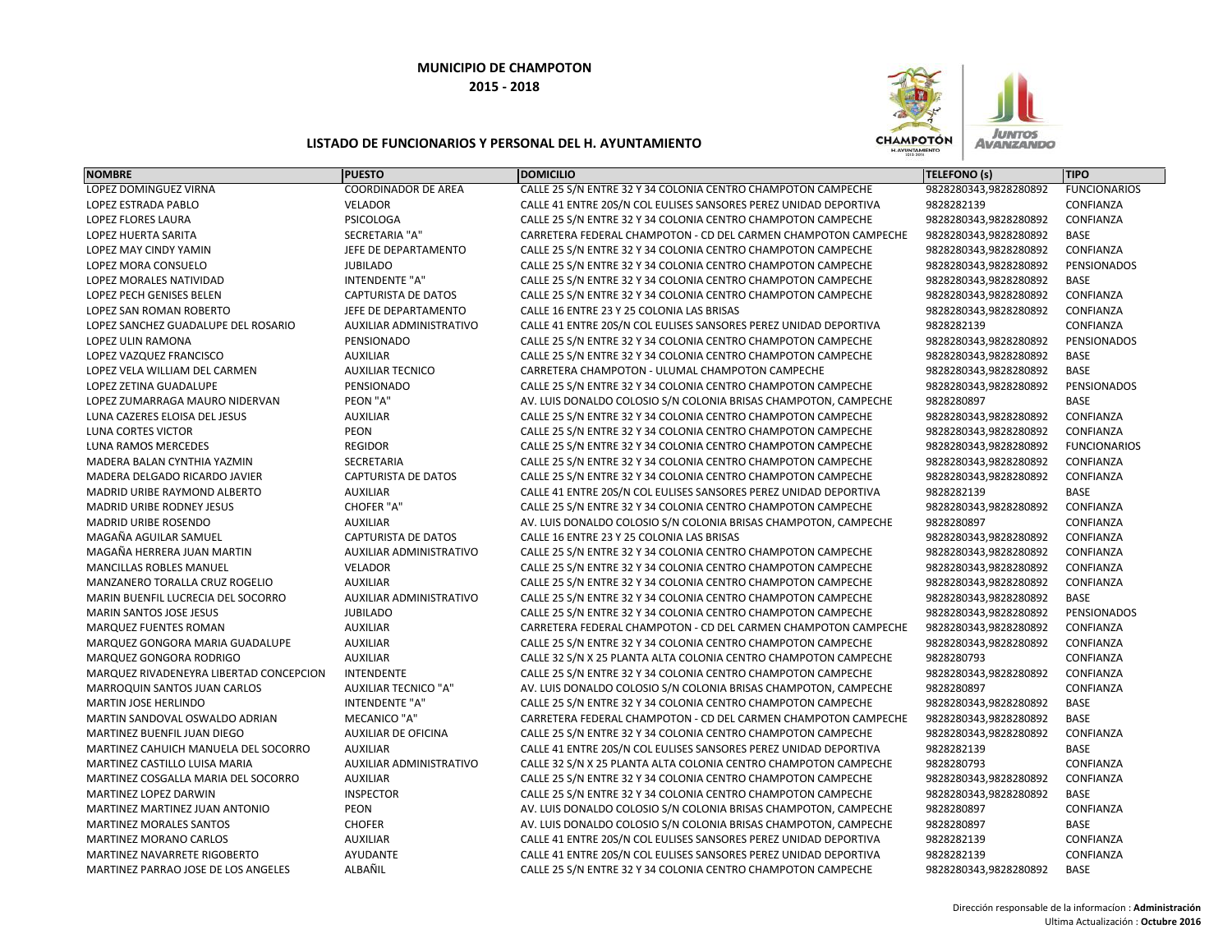

| <b>NOMBRE</b>                           | <b>PUESTO</b>               | <b>DOMICILIO</b>                                                 | <b>TELEFONO (s)</b>   | <b>TIPO</b>         |
|-----------------------------------------|-----------------------------|------------------------------------------------------------------|-----------------------|---------------------|
| LOPEZ DOMINGUEZ VIRNA                   | <b>COORDINADOR DE AREA</b>  | CALLE 25 S/N ENTRE 32 Y 34 COLONIA CENTRO CHAMPOTON CAMPECHE     | 9828280343,9828280892 | <b>FUNCIONARIOS</b> |
| LOPEZ ESTRADA PABLO                     | <b>VELADOR</b>              | CALLE 41 ENTRE 20S/N COL EULISES SANSORES PEREZ UNIDAD DEPORTIVA | 9828282139            | CONFIANZA           |
| <b>LOPEZ FLORES LAURA</b>               | PSICOLOGA                   | CALLE 25 S/N ENTRE 32 Y 34 COLONIA CENTRO CHAMPOTON CAMPECHE     | 9828280343,9828280892 | CONFIANZA           |
| <b>LOPEZ HUERTA SARITA</b>              | SECRETARIA "A"              | CARRETERA FEDERAL CHAMPOTON - CD DEL CARMEN CHAMPOTON CAMPECHE   | 9828280343,9828280892 | <b>BASE</b>         |
| LOPEZ MAY CINDY YAMIN                   | JEFE DE DEPARTAMENTO        | CALLE 25 S/N ENTRE 32 Y 34 COLONIA CENTRO CHAMPOTON CAMPECHE     | 9828280343,9828280892 | CONFIANZA           |
| LOPEZ MORA CONSUELO                     | <b>JUBILADO</b>             | CALLE 25 S/N ENTRE 32 Y 34 COLONIA CENTRO CHAMPOTON CAMPECHE     | 9828280343,9828280892 | PENSIONADOS         |
| LOPEZ MORALES NATIVIDAD                 | INTENDENTE "A"              | CALLE 25 S/N ENTRE 32 Y 34 COLONIA CENTRO CHAMPOTON CAMPECHE     | 9828280343,9828280892 | BASE                |
| LOPEZ PECH GENISES BELEN                | <b>CAPTURISTA DE DATOS</b>  | CALLE 25 S/N ENTRE 32 Y 34 COLONIA CENTRO CHAMPOTON CAMPECHE     | 9828280343,9828280892 | CONFIANZA           |
| LOPEZ SAN ROMAN ROBERTO                 | JEFE DE DEPARTAMENTO        | CALLE 16 ENTRE 23 Y 25 COLONIA LAS BRISAS                        | 9828280343,9828280892 | CONFIANZA           |
| LOPEZ SANCHEZ GUADALUPE DEL ROSARIO     | AUXILIAR ADMINISTRATIVO     | CALLE 41 ENTRE 20S/N COL EULISES SANSORES PEREZ UNIDAD DEPORTIVA | 9828282139            | CONFIANZA           |
| LOPEZ ULIN RAMONA                       | PENSIONADO                  | CALLE 25 S/N ENTRE 32 Y 34 COLONIA CENTRO CHAMPOTON CAMPECHE     | 9828280343,9828280892 | PENSIONADOS         |
| LOPEZ VAZQUEZ FRANCISCO                 | <b>AUXILIAR</b>             | CALLE 25 S/N ENTRE 32 Y 34 COLONIA CENTRO CHAMPOTON CAMPECHE     | 9828280343,9828280892 | BASE                |
| LOPEZ VELA WILLIAM DEL CARMEN           | <b>AUXILIAR TECNICO</b>     | CARRETERA CHAMPOTON - ULUMAL CHAMPOTON CAMPECHE                  | 9828280343,9828280892 | <b>BASE</b>         |
| <b>LOPEZ ZETINA GUADALUPE</b>           | PENSIONADO                  | CALLE 25 S/N ENTRE 32 Y 34 COLONIA CENTRO CHAMPOTON CAMPECHE     | 9828280343,9828280892 | PENSIONADOS         |
| LOPEZ ZUMARRAGA MAURO NIDERVAN          | PEON "A"                    | AV. LUIS DONALDO COLOSIO S/N COLONIA BRISAS CHAMPOTON, CAMPECHE  | 9828280897            | <b>BASE</b>         |
| LUNA CAZERES ELOISA DEL JESUS           | <b>AUXILIAR</b>             | CALLE 25 S/N ENTRE 32 Y 34 COLONIA CENTRO CHAMPOTON CAMPECHE     | 9828280343,9828280892 | CONFIANZA           |
| <b>LUNA CORTES VICTOR</b>               | PEON                        | CALLE 25 S/N ENTRE 32 Y 34 COLONIA CENTRO CHAMPOTON CAMPECHE     | 9828280343,9828280892 | CONFIANZA           |
| LUNA RAMOS MERCEDES                     | <b>REGIDOR</b>              | CALLE 25 S/N ENTRE 32 Y 34 COLONIA CENTRO CHAMPOTON CAMPECHE     | 9828280343,9828280892 | <b>FUNCIONARIOS</b> |
| MADERA BALAN CYNTHIA YAZMIN             | SECRETARIA                  | CALLE 25 S/N ENTRE 32 Y 34 COLONIA CENTRO CHAMPOTON CAMPECHE     | 9828280343,9828280892 | CONFIANZA           |
| MADERA DELGADO RICARDO JAVIER           | <b>CAPTURISTA DE DATOS</b>  | CALLE 25 S/N ENTRE 32 Y 34 COLONIA CENTRO CHAMPOTON CAMPECHE     | 9828280343,9828280892 | CONFIANZA           |
| MADRID URIBE RAYMOND ALBERTO            | <b>AUXILIAR</b>             | CALLE 41 ENTRE 20S/N COL EULISES SANSORES PEREZ UNIDAD DEPORTIVA | 9828282139            | BASE                |
| MADRID URIBE RODNEY JESUS               | CHOFER "A"                  | CALLE 25 S/N ENTRE 32 Y 34 COLONIA CENTRO CHAMPOTON CAMPECHE     | 9828280343,9828280892 | CONFIANZA           |
| MADRID URIBE ROSENDO                    | <b>AUXILIAR</b>             | AV. LUIS DONALDO COLOSIO S/N COLONIA BRISAS CHAMPOTON, CAMPECHE  | 9828280897            | CONFIANZA           |
| MAGAÑA AGUILAR SAMUEL                   | <b>CAPTURISTA DE DATOS</b>  | CALLE 16 ENTRE 23 Y 25 COLONIA LAS BRISAS                        | 9828280343,9828280892 | CONFIANZA           |
| MAGAÑA HERRERA JUAN MARTIN              | AUXILIAR ADMINISTRATIVO     | CALLE 25 S/N ENTRE 32 Y 34 COLONIA CENTRO CHAMPOTON CAMPECHE     | 9828280343,9828280892 | CONFIANZA           |
| <b>MANCILLAS ROBLES MANUEL</b>          | <b>VELADOR</b>              | CALLE 25 S/N ENTRE 32 Y 34 COLONIA CENTRO CHAMPOTON CAMPECHE     | 9828280343,9828280892 | CONFIANZA           |
| MANZANERO TORALLA CRUZ ROGELIO          | <b>AUXILIAR</b>             | CALLE 25 S/N ENTRE 32 Y 34 COLONIA CENTRO CHAMPOTON CAMPECHE     | 9828280343,9828280892 | CONFIANZA           |
| MARIN BUENFIL LUCRECIA DEL SOCORRO      | AUXILIAR ADMINISTRATIVO     | CALLE 25 S/N ENTRE 32 Y 34 COLONIA CENTRO CHAMPOTON CAMPECHE     | 9828280343,9828280892 | BASE                |
| <b>MARIN SANTOS JOSE JESUS</b>          | <b>JUBILADO</b>             | CALLE 25 S/N ENTRE 32 Y 34 COLONIA CENTRO CHAMPOTON CAMPECHE     | 9828280343,9828280892 | PENSIONADOS         |
| MARQUEZ FUENTES ROMAN                   | <b>AUXILIAR</b>             | CARRETERA FEDERAL CHAMPOTON - CD DEL CARMEN CHAMPOTON CAMPECHE   | 9828280343,9828280892 | CONFIANZA           |
| MARQUEZ GONGORA MARIA GUADALUPE         | <b>AUXILIAR</b>             | CALLE 25 S/N ENTRE 32 Y 34 COLONIA CENTRO CHAMPOTON CAMPECHE     | 9828280343,9828280892 | CONFIANZA           |
| MARQUEZ GONGORA RODRIGO                 | <b>AUXILIAR</b>             | CALLE 32 S/N X 25 PLANTA ALTA COLONIA CENTRO CHAMPOTON CAMPECHE  | 9828280793            | CONFIANZA           |
| MARQUEZ RIVADENEYRA LIBERTAD CONCEPCION | <b>INTENDENTE</b>           | CALLE 25 S/N ENTRE 32 Y 34 COLONIA CENTRO CHAMPOTON CAMPECHE     | 9828280343,9828280892 | CONFIANZA           |
| MARROQUIN SANTOS JUAN CARLOS            | <b>AUXILIAR TECNICO "A"</b> | AV. LUIS DONALDO COLOSIO S/N COLONIA BRISAS CHAMPOTON, CAMPECHE  | 9828280897            | CONFIANZA           |
| <b>MARTIN JOSE HERLINDO</b>             | <b>INTENDENTE "A"</b>       | CALLE 25 S/N ENTRE 32 Y 34 COLONIA CENTRO CHAMPOTON CAMPECHE     | 9828280343,9828280892 | BASE                |
| MARTIN SANDOVAL OSWALDO ADRIAN          | <b>MECANICO "A"</b>         | CARRETERA FEDERAL CHAMPOTON - CD DEL CARMEN CHAMPOTON CAMPECHE   | 9828280343,9828280892 | <b>BASE</b>         |
| MARTINEZ BUENFIL JUAN DIEGO             | <b>AUXILIAR DE OFICINA</b>  | CALLE 25 S/N ENTRE 32 Y 34 COLONIA CENTRO CHAMPOTON CAMPECHE     | 9828280343,9828280892 | CONFIANZA           |
| MARTINEZ CAHUICH MANUELA DEL SOCORRO    | <b>AUXILIAR</b>             | CALLE 41 ENTRE 20S/N COL EULISES SANSORES PEREZ UNIDAD DEPORTIVA | 9828282139            | <b>BASE</b>         |
| MARTINEZ CASTILLO LUISA MARIA           | AUXILIAR ADMINISTRATIVO     | CALLE 32 S/N X 25 PLANTA ALTA COLONIA CENTRO CHAMPOTON CAMPECHE  | 9828280793            | CONFIANZA           |
| MARTINEZ COSGALLA MARIA DEL SOCORRO     | <b>AUXILIAR</b>             | CALLE 25 S/N ENTRE 32 Y 34 COLONIA CENTRO CHAMPOTON CAMPECHE     | 9828280343,9828280892 | CONFIANZA           |
| <b>MARTINEZ LOPEZ DARWIN</b>            | <b>INSPECTOR</b>            | CALLE 25 S/N ENTRE 32 Y 34 COLONIA CENTRO CHAMPOTON CAMPECHE     | 9828280343,9828280892 | <b>BASE</b>         |
| MARTINEZ MARTINEZ JUAN ANTONIO          | PEON                        | AV. LUIS DONALDO COLOSIO S/N COLONIA BRISAS CHAMPOTON, CAMPECHE  | 9828280897            | CONFIANZA           |
| <b>MARTINEZ MORALES SANTOS</b>          | <b>CHOFER</b>               | AV. LUIS DONALDO COLOSIO S/N COLONIA BRISAS CHAMPOTON, CAMPECHE  | 9828280897            | <b>BASE</b>         |
| <b>MARTINEZ MORANO CARLOS</b>           | <b>AUXILIAR</b>             | CALLE 41 ENTRE 20S/N COL EULISES SANSORES PEREZ UNIDAD DEPORTIVA | 9828282139            | CONFIANZA           |
| MARTINEZ NAVARRETE RIGOBERTO            | AYUDANTE                    | CALLE 41 ENTRE 20S/N COL EULISES SANSORES PEREZ UNIDAD DEPORTIVA | 9828282139            | CONFIANZA           |
| MARTINEZ PARRAO JOSE DE LOS ANGELES     | ALBAÑIL                     | CALLE 25 S/N ENTRE 32 Y 34 COLONIA CENTRO CHAMPOTON CAMPECHE     | 9828280343,9828280892 | <b>BASE</b>         |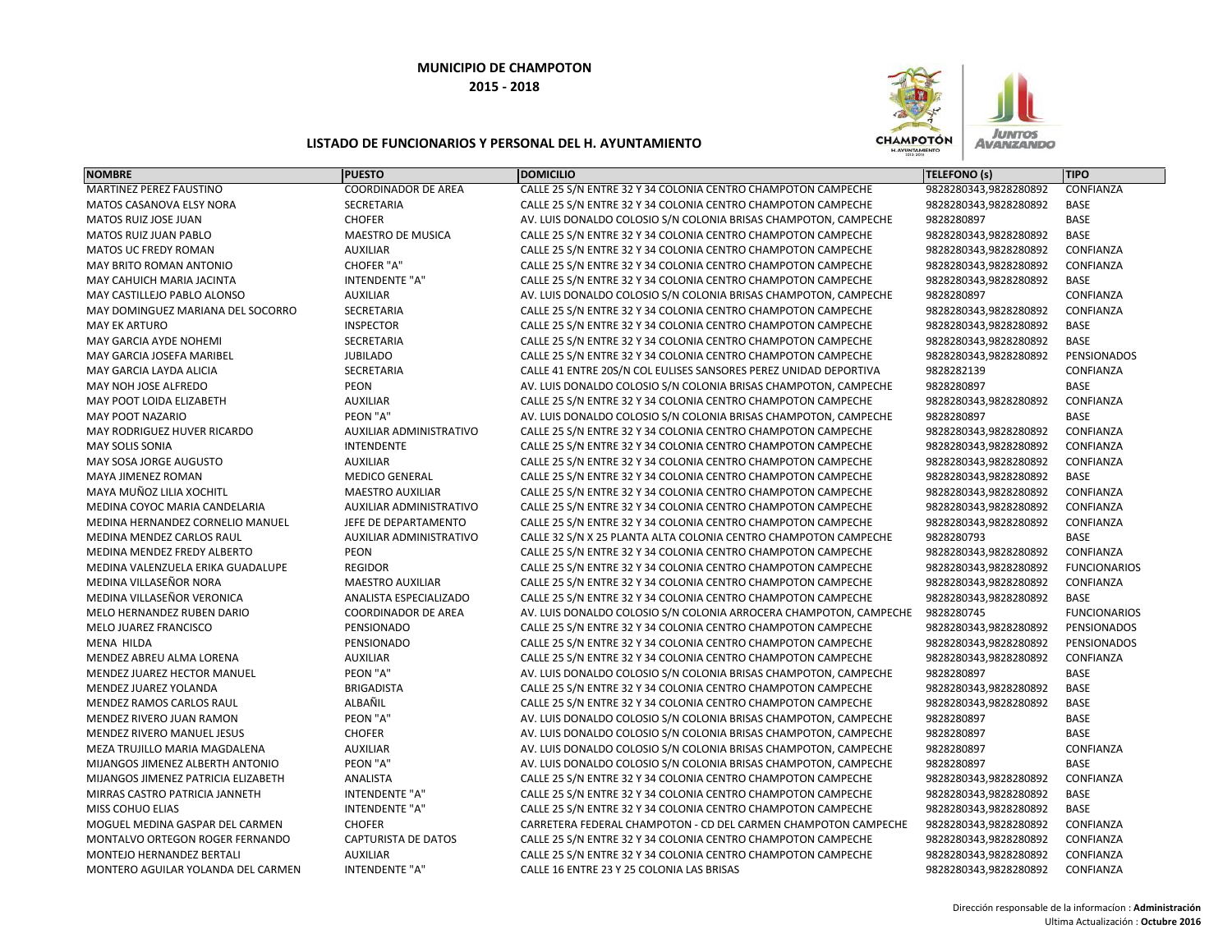

| <b>NOMBRE</b>                       | <b>PUESTO</b>              | <b>DOMICILIO</b>                                                  | <b>TELEFONO (s)</b>   | <b>TIPO</b>         |
|-------------------------------------|----------------------------|-------------------------------------------------------------------|-----------------------|---------------------|
| MARTINEZ PEREZ FAUSTINO             | <b>COORDINADOR DE AREA</b> | CALLE 25 S/N ENTRE 32 Y 34 COLONIA CENTRO CHAMPOTON CAMPECHE      | 9828280343,9828280892 | CONFIANZA           |
| MATOS CASANOVA ELSY NORA            | SECRETARIA                 | CALLE 25 S/N ENTRE 32 Y 34 COLONIA CENTRO CHAMPOTON CAMPECHE      | 9828280343,9828280892 | BASE                |
| MATOS RUIZ JOSE JUAN                | <b>CHOFER</b>              | AV. LUIS DONALDO COLOSIO S/N COLONIA BRISAS CHAMPOTON, CAMPECHE   | 9828280897            | <b>BASE</b>         |
| MATOS RUIZ JUAN PABLO               | <b>MAESTRO DE MUSICA</b>   | CALLE 25 S/N ENTRE 32 Y 34 COLONIA CENTRO CHAMPOTON CAMPECHE      | 9828280343,9828280892 | <b>BASE</b>         |
| <b>MATOS UC FREDY ROMAN</b>         | <b>AUXILIAR</b>            | CALLE 25 S/N ENTRE 32 Y 34 COLONIA CENTRO CHAMPOTON CAMPECHE      | 9828280343,9828280892 | CONFIANZA           |
| MAY BRITO ROMAN ANTONIO             | CHOFER "A"                 | CALLE 25 S/N ENTRE 32 Y 34 COLONIA CENTRO CHAMPOTON CAMPECHE      | 9828280343,9828280892 | CONFIANZA           |
| MAY CAHUICH MARIA JACINTA           | <b>INTENDENTE "A"</b>      | CALLE 25 S/N ENTRE 32 Y 34 COLONIA CENTRO CHAMPOTON CAMPECHE      | 9828280343,9828280892 | BASE                |
| MAY CASTILLEJO PABLO ALONSO         | <b>AUXILIAR</b>            | AV. LUIS DONALDO COLOSIO S/N COLONIA BRISAS CHAMPOTON, CAMPECHE   | 9828280897            | CONFIANZA           |
| MAY DOMINGUEZ MARIANA DEL SOCORRO   | <b>SECRETARIA</b>          | CALLE 25 S/N ENTRE 32 Y 34 COLONIA CENTRO CHAMPOTON CAMPECHE      | 9828280343,9828280892 | CONFIANZA           |
| <b>MAY EK ARTURO</b>                | <b>INSPECTOR</b>           | CALLE 25 S/N ENTRE 32 Y 34 COLONIA CENTRO CHAMPOTON CAMPECHE      | 9828280343,9828280892 | <b>BASE</b>         |
| MAY GARCIA AYDE NOHEMI              | SECRETARIA                 | CALLE 25 S/N ENTRE 32 Y 34 COLONIA CENTRO CHAMPOTON CAMPECHE      | 9828280343,9828280892 | <b>BASE</b>         |
| <b>MAY GARCIA JOSEFA MARIBEL</b>    | <b>JUBILADO</b>            | CALLE 25 S/N ENTRE 32 Y 34 COLONIA CENTRO CHAMPOTON CAMPECHE      | 9828280343,9828280892 | PENSIONADOS         |
| MAY GARCIA LAYDA ALICIA             | SECRETARIA                 | CALLE 41 ENTRE 20S/N COL EULISES SANSORES PEREZ UNIDAD DEPORTIVA  | 9828282139            | CONFIANZA           |
| MAY NOH JOSE ALFREDO                | PEON                       | AV. LUIS DONALDO COLOSIO S/N COLONIA BRISAS CHAMPOTON, CAMPECHE   | 9828280897            | <b>BASE</b>         |
| MAY POOT LOIDA ELIZABETH            | <b>AUXILIAR</b>            | CALLE 25 S/N ENTRE 32 Y 34 COLONIA CENTRO CHAMPOTON CAMPECHE      | 9828280343,9828280892 | CONFIANZA           |
| <b>MAY POOT NAZARIO</b>             | PEON "A"                   | AV. LUIS DONALDO COLOSIO S/N COLONIA BRISAS CHAMPOTON, CAMPECHE   | 9828280897            | BASE                |
| MAY RODRIGUEZ HUVER RICARDO         | AUXILIAR ADMINISTRATIVO    | CALLE 25 S/N ENTRE 32 Y 34 COLONIA CENTRO CHAMPOTON CAMPECHE      | 9828280343,9828280892 | CONFIANZA           |
| <b>MAY SOLIS SONIA</b>              | <b>INTENDENTE</b>          | CALLE 25 S/N ENTRE 32 Y 34 COLONIA CENTRO CHAMPOTON CAMPECHE      | 9828280343,9828280892 | CONFIANZA           |
| MAY SOSA JORGE AUGUSTO              | <b>AUXILIAR</b>            | CALLE 25 S/N ENTRE 32 Y 34 COLONIA CENTRO CHAMPOTON CAMPECHE      | 9828280343,9828280892 | CONFIANZA           |
| MAYA JIMENEZ ROMAN                  | <b>MEDICO GENERAL</b>      | CALLE 25 S/N ENTRE 32 Y 34 COLONIA CENTRO CHAMPOTON CAMPECHE      | 9828280343,9828280892 | BASE                |
| MAYA MUÑOZ LILIA XOCHITL            | <b>MAESTRO AUXILIAR</b>    | CALLE 25 S/N ENTRE 32 Y 34 COLONIA CENTRO CHAMPOTON CAMPECHE      | 9828280343,9828280892 | CONFIANZA           |
| MEDINA COYOC MARIA CANDELARIA       | AUXILIAR ADMINISTRATIVO    | CALLE 25 S/N ENTRE 32 Y 34 COLONIA CENTRO CHAMPOTON CAMPECHE      | 9828280343,9828280892 | CONFIANZA           |
| MEDINA HERNANDEZ CORNELIO MANUEL    | JEFE DE DEPARTAMENTO       | CALLE 25 S/N ENTRE 32 Y 34 COLONIA CENTRO CHAMPOTON CAMPECHE      | 9828280343,9828280892 | CONFIANZA           |
| <b>MEDINA MENDEZ CARLOS RAUL</b>    | AUXILIAR ADMINISTRATIVO    | CALLE 32 S/N X 25 PLANTA ALTA COLONIA CENTRO CHAMPOTON CAMPECHE   | 9828280793            | <b>BASE</b>         |
| MEDINA MENDEZ FREDY ALBERTO         | <b>PEON</b>                | CALLE 25 S/N ENTRE 32 Y 34 COLONIA CENTRO CHAMPOTON CAMPECHE      | 9828280343,9828280892 | CONFIANZA           |
| MEDINA VALENZUELA ERIKA GUADALUPE   | <b>REGIDOR</b>             | CALLE 25 S/N ENTRE 32 Y 34 COLONIA CENTRO CHAMPOTON CAMPECHE      | 9828280343,9828280892 | <b>FUNCIONARIOS</b> |
| MEDINA VILLASEÑOR NORA              | <b>MAESTRO AUXILIAR</b>    | CALLE 25 S/N ENTRE 32 Y 34 COLONIA CENTRO CHAMPOTON CAMPECHE      | 9828280343,9828280892 | CONFIANZA           |
| MEDINA VILLASEÑOR VERONICA          | ANALISTA ESPECIALIZADO     | CALLE 25 S/N ENTRE 32 Y 34 COLONIA CENTRO CHAMPOTON CAMPECHE      | 9828280343,9828280892 | BASE                |
| MELO HERNANDEZ RUBEN DARIO          | <b>COORDINADOR DE AREA</b> | AV. LUIS DONALDO COLOSIO S/N COLONIA ARROCERA CHAMPOTON, CAMPECHE | 9828280745            | <b>FUNCIONARIOS</b> |
| MELO JUAREZ FRANCISCO               | PENSIONADO                 | CALLE 25 S/N ENTRE 32 Y 34 COLONIA CENTRO CHAMPOTON CAMPECHE      | 9828280343,9828280892 | PENSIONADOS         |
| <b>MENA HILDA</b>                   | PENSIONADO                 | CALLE 25 S/N ENTRE 32 Y 34 COLONIA CENTRO CHAMPOTON CAMPECHE      | 9828280343,9828280892 | PENSIONADOS         |
| MENDEZ ABREU ALMA LORENA            | <b>AUXILIAR</b>            | CALLE 25 S/N ENTRE 32 Y 34 COLONIA CENTRO CHAMPOTON CAMPECHE      | 9828280343,9828280892 | CONFIANZA           |
| MENDEZ JUAREZ HECTOR MANUEL         | PEON "A"                   | AV. LUIS DONALDO COLOSIO S/N COLONIA BRISAS CHAMPOTON, CAMPECHE   | 9828280897            | <b>BASE</b>         |
| MENDEZ JUAREZ YOLANDA               | <b>BRIGADISTA</b>          | CALLE 25 S/N ENTRE 32 Y 34 COLONIA CENTRO CHAMPOTON CAMPECHE      | 9828280343,9828280892 | <b>BASE</b>         |
| MENDEZ RAMOS CARLOS RAUL            | ALBAÑIL                    | CALLE 25 S/N ENTRE 32 Y 34 COLONIA CENTRO CHAMPOTON CAMPECHE      | 9828280343,9828280892 | <b>BASE</b>         |
| <b>MENDEZ RIVERO JUAN RAMON</b>     | PEON "A"                   | AV. LUIS DONALDO COLOSIO S/N COLONIA BRISAS CHAMPOTON, CAMPECHE   | 9828280897            | <b>BASE</b>         |
| <b>MENDEZ RIVERO MANUEL JESUS</b>   | <b>CHOFER</b>              | AV. LUIS DONALDO COLOSIO S/N COLONIA BRISAS CHAMPOTON, CAMPECHE   | 9828280897            | <b>BASE</b>         |
| MEZA TRUJILLO MARIA MAGDALENA       | <b>AUXILIAR</b>            | AV. LUIS DONALDO COLOSIO S/N COLONIA BRISAS CHAMPOTON, CAMPECHE   | 9828280897            | CONFIANZA           |
| MIJANGOS JIMENEZ ALBERTH ANTONIO    | PEON "A"                   | AV. LUIS DONALDO COLOSIO S/N COLONIA BRISAS CHAMPOTON, CAMPECHE   | 9828280897            | <b>BASE</b>         |
| MIJANGOS JIMENEZ PATRICIA ELIZABETH | ANALISTA                   | CALLE 25 S/N ENTRE 32 Y 34 COLONIA CENTRO CHAMPOTON CAMPECHE      | 9828280343,9828280892 | CONFIANZA           |
| MIRRAS CASTRO PATRICIA JANNETH      | <b>INTENDENTE "A"</b>      | CALLE 25 S/N ENTRE 32 Y 34 COLONIA CENTRO CHAMPOTON CAMPECHE      | 9828280343,9828280892 | BASE                |
| MISS COHUO ELIAS                    | <b>INTENDENTE "A"</b>      | CALLE 25 S/N ENTRE 32 Y 34 COLONIA CENTRO CHAMPOTON CAMPECHE      | 9828280343,9828280892 | <b>BASE</b>         |
| MOGUEL MEDINA GASPAR DEL CARMEN     | <b>CHOFER</b>              | CARRETERA FEDERAL CHAMPOTON - CD DEL CARMEN CHAMPOTON CAMPECHE    | 9828280343,9828280892 | CONFIANZA           |
| MONTALVO ORTEGON ROGER FERNANDO     | <b>CAPTURISTA DE DATOS</b> | CALLE 25 S/N ENTRE 32 Y 34 COLONIA CENTRO CHAMPOTON CAMPECHE      | 9828280343,9828280892 | CONFIANZA           |
| <b>MONTEJO HERNANDEZ BERTALI</b>    | <b>AUXILIAR</b>            | CALLE 25 S/N ENTRE 32 Y 34 COLONIA CENTRO CHAMPOTON CAMPECHE      | 9828280343,9828280892 | CONFIANZA           |
| MONTERO AGUILAR YOLANDA DEL CARMEN  | <b>INTENDENTE "A"</b>      | CALLE 16 ENTRE 23 Y 25 COLONIA LAS BRISAS                         | 9828280343,9828280892 | CONFIANZA           |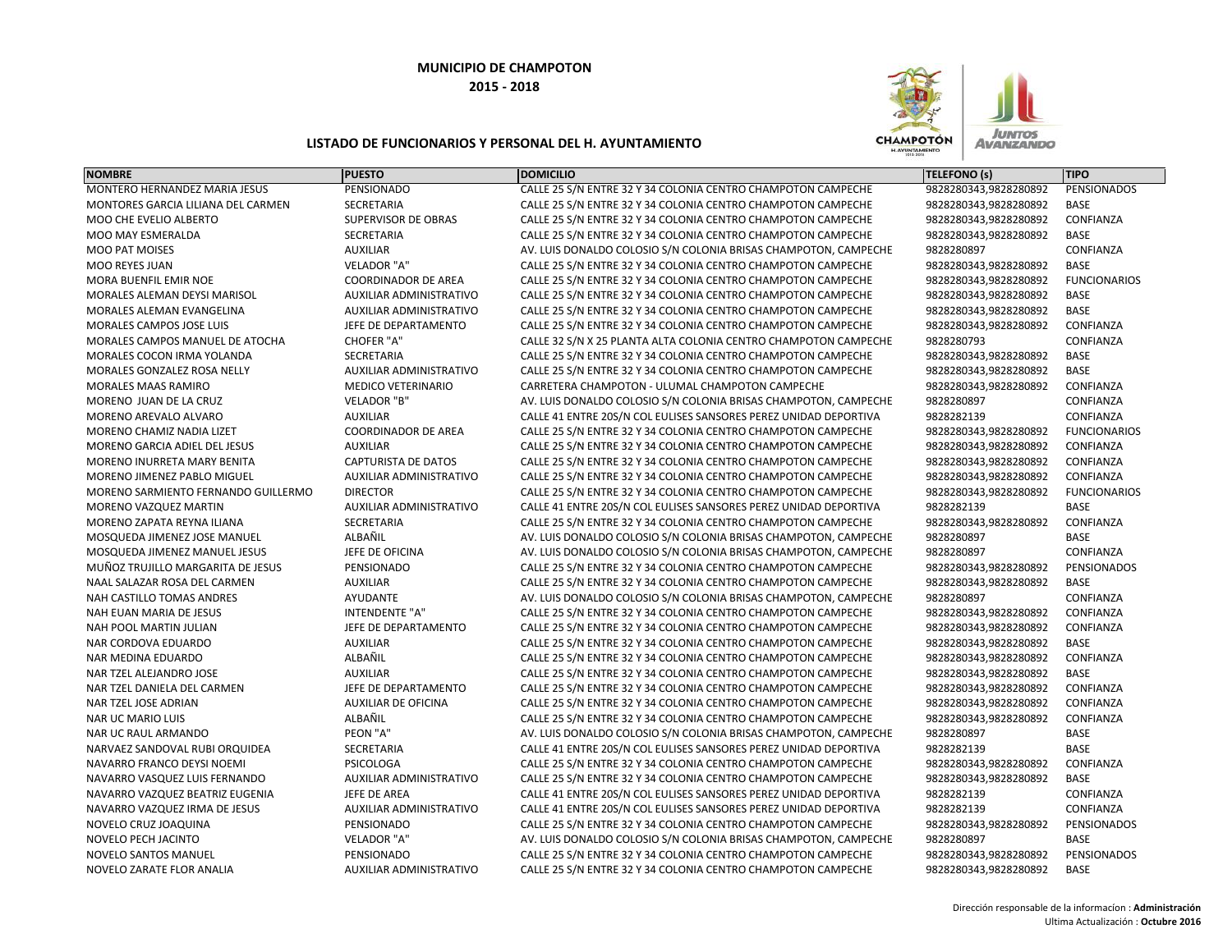

| <b>NOMBRE</b>                       | <b>PUESTO</b>                  | <b>DOMICILIO</b>                                                 | TELEFONO (s)          | <b>TIPO</b>         |
|-------------------------------------|--------------------------------|------------------------------------------------------------------|-----------------------|---------------------|
| MONTERO HERNANDEZ MARIA JESUS       | PENSIONADO                     | CALLE 25 S/N ENTRE 32 Y 34 COLONIA CENTRO CHAMPOTON CAMPECHE     | 9828280343,9828280892 | <b>PENSIONADOS</b>  |
| MONTORES GARCIA LILIANA DEL CARMEN  | <b>SECRETARIA</b>              | CALLE 25 S/N ENTRE 32 Y 34 COLONIA CENTRO CHAMPOTON CAMPECHE     | 9828280343,9828280892 | <b>BASE</b>         |
| MOO CHE EVELIO ALBERTO              | SUPERVISOR DE OBRAS            | CALLE 25 S/N ENTRE 32 Y 34 COLONIA CENTRO CHAMPOTON CAMPECHE     | 9828280343,9828280892 | CONFIANZA           |
| MOO MAY ESMERALDA                   | <b>SECRETARIA</b>              | CALLE 25 S/N ENTRE 32 Y 34 COLONIA CENTRO CHAMPOTON CAMPECHE     | 9828280343,9828280892 | <b>BASE</b>         |
| <b>MOO PAT MOISES</b>               | <b>AUXILIAR</b>                | AV. LUIS DONALDO COLOSIO S/N COLONIA BRISAS CHAMPOTON, CAMPECHE  | 9828280897            | CONFIANZA           |
| MOO REYES JUAN                      | <b>VELADOR "A"</b>             | CALLE 25 S/N ENTRE 32 Y 34 COLONIA CENTRO CHAMPOTON CAMPECHE     | 9828280343,9828280892 | <b>BASE</b>         |
| MORA BUENFIL EMIR NOE               | <b>COORDINADOR DE AREA</b>     | CALLE 25 S/N ENTRE 32 Y 34 COLONIA CENTRO CHAMPOTON CAMPECHE     | 9828280343,9828280892 | <b>FUNCIONARIOS</b> |
| MORALES ALEMAN DEYSI MARISOL        | AUXILIAR ADMINISTRATIVO        | CALLE 25 S/N ENTRE 32 Y 34 COLONIA CENTRO CHAMPOTON CAMPECHE     | 9828280343,9828280892 | BASE                |
| MORALES ALEMAN EVANGELINA           | AUXILIAR ADMINISTRATIVO        | CALLE 25 S/N ENTRE 32 Y 34 COLONIA CENTRO CHAMPOTON CAMPECHE     | 9828280343,9828280892 | <b>BASE</b>         |
| <b>MORALES CAMPOS JOSE LUIS</b>     | JEFE DE DEPARTAMENTO           | CALLE 25 S/N ENTRE 32 Y 34 COLONIA CENTRO CHAMPOTON CAMPECHE     | 9828280343,9828280892 | CONFIANZA           |
| MORALES CAMPOS MANUEL DE ATOCHA     | <b>CHOFER "A"</b>              | CALLE 32 S/N X 25 PLANTA ALTA COLONIA CENTRO CHAMPOTON CAMPECHE  | 9828280793            | CONFIANZA           |
| MORALES COCON IRMA YOLANDA          | SECRETARIA                     | CALLE 25 S/N ENTRE 32 Y 34 COLONIA CENTRO CHAMPOTON CAMPECHE     | 9828280343,9828280892 | BASE                |
| MORALES GONZALEZ ROSA NELLY         | <b>AUXILIAR ADMINISTRATIVO</b> | CALLE 25 S/N ENTRE 32 Y 34 COLONIA CENTRO CHAMPOTON CAMPECHE     | 9828280343,9828280892 | <b>BASE</b>         |
| <b>MORALES MAAS RAMIRO</b>          | <b>MEDICO VETERINARIO</b>      | CARRETERA CHAMPOTON - ULUMAL CHAMPOTON CAMPECHE                  | 9828280343,9828280892 | CONFIANZA           |
| MORENO JUAN DE LA CRUZ              | VELADOR "B"                    | AV. LUIS DONALDO COLOSIO S/N COLONIA BRISAS CHAMPOTON, CAMPECHE  | 9828280897            | CONFIANZA           |
| MORENO AREVALO ALVARO               | <b>AUXILIAR</b>                | CALLE 41 ENTRE 20S/N COL EULISES SANSORES PEREZ UNIDAD DEPORTIVA | 9828282139            | CONFIANZA           |
| MORENO CHAMIZ NADIA LIZET           | <b>COORDINADOR DE AREA</b>     | CALLE 25 S/N ENTRE 32 Y 34 COLONIA CENTRO CHAMPOTON CAMPECHE     | 9828280343,9828280892 | <b>FUNCIONARIOS</b> |
| MORENO GARCIA ADIEL DEL JESUS       | <b>AUXILIAR</b>                | CALLE 25 S/N ENTRE 32 Y 34 COLONIA CENTRO CHAMPOTON CAMPECHE     | 9828280343,9828280892 | CONFIANZA           |
| MORENO INURRETA MARY BENITA         | <b>CAPTURISTA DE DATOS</b>     | CALLE 25 S/N ENTRE 32 Y 34 COLONIA CENTRO CHAMPOTON CAMPECHE     | 9828280343,9828280892 | CONFIANZA           |
| MORENO JIMENEZ PABLO MIGUEL         | <b>AUXILIAR ADMINISTRATIVO</b> | CALLE 25 S/N ENTRE 32 Y 34 COLONIA CENTRO CHAMPOTON CAMPECHE     | 9828280343,9828280892 | CONFIANZA           |
| MORENO SARMIENTO FERNANDO GUILLERMO | <b>DIRECTOR</b>                | CALLE 25 S/N ENTRE 32 Y 34 COLONIA CENTRO CHAMPOTON CAMPECHE     | 9828280343,9828280892 | <b>FUNCIONARIOS</b> |
| MORENO VAZQUEZ MARTIN               | AUXILIAR ADMINISTRATIVO        | CALLE 41 ENTRE 20S/N COL EULISES SANSORES PEREZ UNIDAD DEPORTIVA | 9828282139            | <b>BASE</b>         |
| MORENO ZAPATA REYNA ILIANA          | <b>SECRETARIA</b>              | CALLE 25 S/N ENTRE 32 Y 34 COLONIA CENTRO CHAMPOTON CAMPECHE     | 9828280343,9828280892 | CONFIANZA           |
| MOSQUEDA JIMENEZ JOSE MANUEL        | ALBAÑIL                        | AV. LUIS DONALDO COLOSIO S/N COLONIA BRISAS CHAMPOTON, CAMPECHE  | 9828280897            | <b>BASE</b>         |
| MOSQUEDA JIMENEZ MANUEL JESUS       | JEFE DE OFICINA                | AV. LUIS DONALDO COLOSIO S/N COLONIA BRISAS CHAMPOTON, CAMPECHE  | 9828280897            | CONFIANZA           |
| MUÑOZ TRUJILLO MARGARITA DE JESUS   | PENSIONADO                     | CALLE 25 S/N ENTRE 32 Y 34 COLONIA CENTRO CHAMPOTON CAMPECHE     | 9828280343,9828280892 | PENSIONADOS         |
| NAAL SALAZAR ROSA DEL CARMEN        | <b>AUXILIAR</b>                | CALLE 25 S/N ENTRE 32 Y 34 COLONIA CENTRO CHAMPOTON CAMPECHE     | 9828280343,9828280892 | <b>BASE</b>         |
| NAH CASTILLO TOMAS ANDRES           | AYUDANTE                       | AV. LUIS DONALDO COLOSIO S/N COLONIA BRISAS CHAMPOTON, CAMPECHE  | 9828280897            | CONFIANZA           |
| NAH EUAN MARIA DE JESUS             | <b>INTENDENTE "A"</b>          | CALLE 25 S/N ENTRE 32 Y 34 COLONIA CENTRO CHAMPOTON CAMPECHE     | 9828280343,9828280892 | CONFIANZA           |
| NAH POOL MARTIN JULIAN              | JEFE DE DEPARTAMENTO           | CALLE 25 S/N ENTRE 32 Y 34 COLONIA CENTRO CHAMPOTON CAMPECHE     | 9828280343,9828280892 | CONFIANZA           |
| NAR CORDOVA EDUARDO                 | <b>AUXILIAR</b>                | CALLE 25 S/N ENTRE 32 Y 34 COLONIA CENTRO CHAMPOTON CAMPECHE     | 9828280343,9828280892 | <b>BASE</b>         |
| NAR MEDINA EDUARDO                  | ALBAÑIL                        | CALLE 25 S/N ENTRE 32 Y 34 COLONIA CENTRO CHAMPOTON CAMPECHE     | 9828280343,9828280892 | CONFIANZA           |
| NAR TZEL ALEJANDRO JOSE             | <b>AUXILIAR</b>                | CALLE 25 S/N ENTRE 32 Y 34 COLONIA CENTRO CHAMPOTON CAMPECHE     | 9828280343,9828280892 | BASE                |
| NAR TZEL DANIELA DEL CARMEN         | JEFE DE DEPARTAMENTO           | CALLE 25 S/N ENTRE 32 Y 34 COLONIA CENTRO CHAMPOTON CAMPECHE     | 9828280343,9828280892 | CONFIANZA           |
| NAR TZEL JOSE ADRIAN                | <b>AUXILIAR DE OFICINA</b>     | CALLE 25 S/N ENTRE 32 Y 34 COLONIA CENTRO CHAMPOTON CAMPECHE     | 9828280343,9828280892 | CONFIANZA           |
| <b>NAR UC MARIO LUIS</b>            | ALBAÑIL                        | CALLE 25 S/N ENTRE 32 Y 34 COLONIA CENTRO CHAMPOTON CAMPECHE     | 9828280343,9828280892 | CONFIANZA           |
| <b>NAR UC RAUL ARMANDO</b>          | PEON "A"                       | AV. LUIS DONALDO COLOSIO S/N COLONIA BRISAS CHAMPOTON, CAMPECHE  | 9828280897            | BASE                |
| NARVAEZ SANDOVAL RUBI ORQUIDEA      | SECRETARIA                     | CALLE 41 ENTRE 20S/N COL EULISES SANSORES PEREZ UNIDAD DEPORTIVA | 9828282139            | <b>BASE</b>         |
| NAVARRO FRANCO DEYSI NOEMI          | PSICOLOGA                      | CALLE 25 S/N ENTRE 32 Y 34 COLONIA CENTRO CHAMPOTON CAMPECHE     | 9828280343,9828280892 | CONFIANZA           |
| NAVARRO VASQUEZ LUIS FERNANDO       | AUXILIAR ADMINISTRATIVO        | CALLE 25 S/N ENTRE 32 Y 34 COLONIA CENTRO CHAMPOTON CAMPECHE     | 9828280343,9828280892 | <b>BASE</b>         |
| NAVARRO VAZQUEZ BEATRIZ EUGENIA     | JEFE DE AREA                   | CALLE 41 ENTRE 20S/N COL EULISES SANSORES PEREZ UNIDAD DEPORTIVA | 9828282139            | CONFIANZA           |
| NAVARRO VAZQUEZ IRMA DE JESUS       | AUXILIAR ADMINISTRATIVO        | CALLE 41 ENTRE 20S/N COL EULISES SANSORES PEREZ UNIDAD DEPORTIVA | 9828282139            | CONFIANZA           |
| NOVELO CRUZ JOAQUINA                | PENSIONADO                     | CALLE 25 S/N ENTRE 32 Y 34 COLONIA CENTRO CHAMPOTON CAMPECHE     | 9828280343,9828280892 | PENSIONADOS         |
| <b>NOVELO PECH JACINTO</b>          | VELADOR "A"                    | AV. LUIS DONALDO COLOSIO S/N COLONIA BRISAS CHAMPOTON, CAMPECHE  | 9828280897            | <b>BASE</b>         |
| NOVELO SANTOS MANUEL                | PENSIONADO                     | CALLE 25 S/N ENTRE 32 Y 34 COLONIA CENTRO CHAMPOTON CAMPECHE     | 9828280343,9828280892 | PENSIONADOS         |
| NOVELO ZARATE FLOR ANALIA           | <b>AUXILIAR ADMINISTRATIVO</b> | CALLE 25 S/N ENTRE 32 Y 34 COLONIA CENTRO CHAMPOTON CAMPECHE     | 9828280343,9828280892 | <b>BASE</b>         |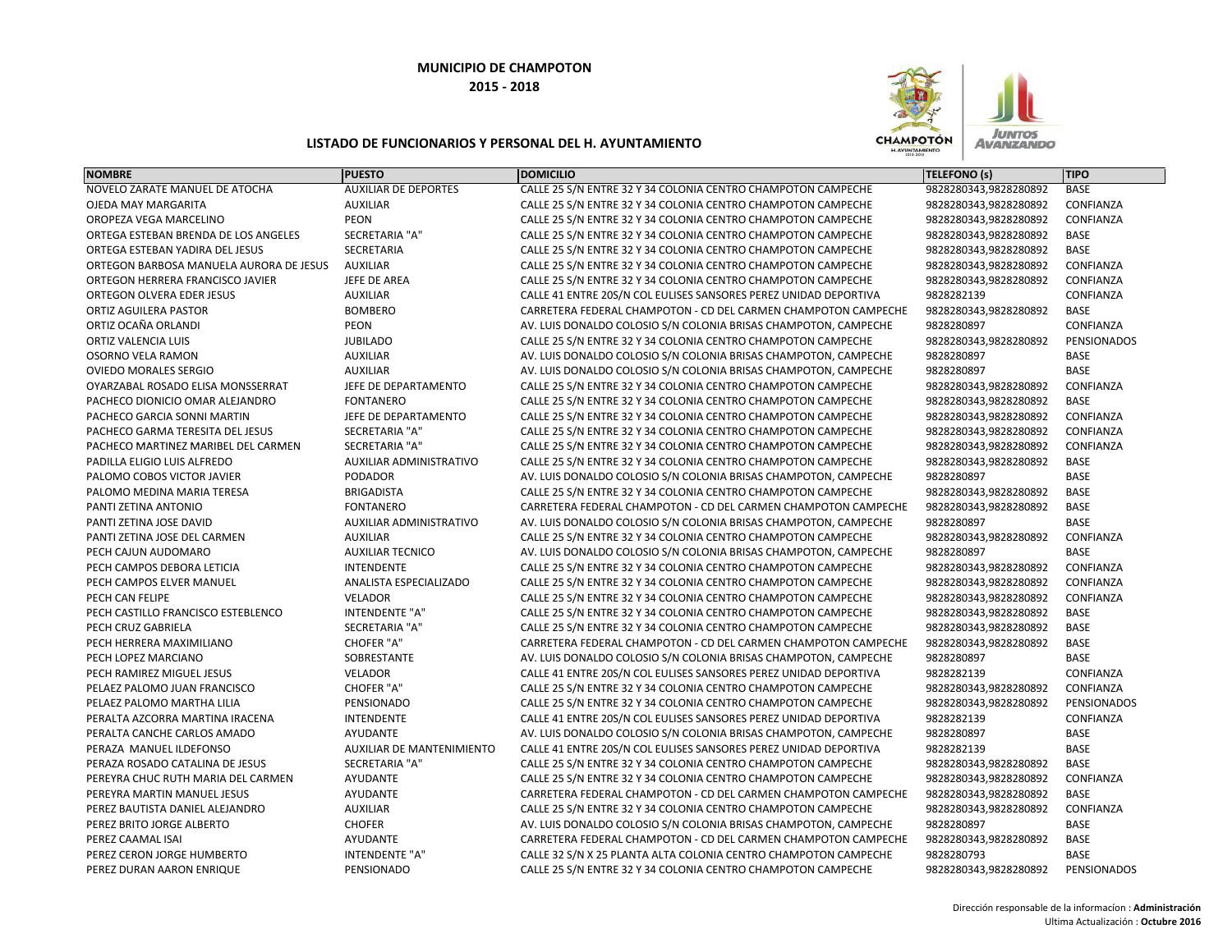

| <b>NOMBRE</b>                           | <b>PUESTO</b>                    | <b>DOMICILIO</b>                                                 | TELEFONO (s)          | <b>TIPO</b> |
|-----------------------------------------|----------------------------------|------------------------------------------------------------------|-----------------------|-------------|
| NOVELO ZARATE MANUEL DE ATOCHA          | <b>AUXILIAR DE DEPORTES</b>      | CALLE 25 S/N ENTRE 32 Y 34 COLONIA CENTRO CHAMPOTON CAMPECHE     | 9828280343,9828280892 | <b>BASE</b> |
| OJEDA MAY MARGARITA                     | <b>AUXILIAR</b>                  | CALLE 25 S/N ENTRE 32 Y 34 COLONIA CENTRO CHAMPOTON CAMPECHE     | 9828280343,9828280892 | CONFIANZA   |
| OROPEZA VEGA MARCELINO                  | PEON                             | CALLE 25 S/N ENTRE 32 Y 34 COLONIA CENTRO CHAMPOTON CAMPECHE     | 9828280343,9828280892 | CONFIANZA   |
| ORTEGA ESTEBAN BRENDA DE LOS ANGELES    | <b>SECRETARIA "A"</b>            | CALLE 25 S/N ENTRE 32 Y 34 COLONIA CENTRO CHAMPOTON CAMPECHE     | 9828280343,9828280892 | <b>BASE</b> |
| ORTEGA ESTEBAN YADIRA DEL JESUS         | <b>SECRETARIA</b>                | CALLE 25 S/N ENTRE 32 Y 34 COLONIA CENTRO CHAMPOTON CAMPECHE     | 9828280343,9828280892 | <b>BASE</b> |
| ORTEGON BARBOSA MANUELA AURORA DE JESUS | <b>AUXILIAR</b>                  | CALLE 25 S/N ENTRE 32 Y 34 COLONIA CENTRO CHAMPOTON CAMPECHE     | 9828280343,9828280892 | CONFIANZA   |
| ORTEGON HERRERA FRANCISCO JAVIER        | JEFE DE AREA                     | CALLE 25 S/N ENTRE 32 Y 34 COLONIA CENTRO CHAMPOTON CAMPECHE     | 9828280343,9828280892 | CONFIANZA   |
| ORTEGON OLVERA EDER JESUS               | <b>AUXILIAR</b>                  | CALLE 41 ENTRE 20S/N COL EULISES SANSORES PEREZ UNIDAD DEPORTIVA | 9828282139            | CONFIANZA   |
| ORTIZ AGUILERA PASTOR                   | <b>BOMBERO</b>                   | CARRETERA FEDERAL CHAMPOTON - CD DEL CARMEN CHAMPOTON CAMPECHE   | 9828280343,9828280892 | <b>BASE</b> |
| ORTIZ OCAÑA ORLANDI                     | PEON                             | AV. LUIS DONALDO COLOSIO S/N COLONIA BRISAS CHAMPOTON, CAMPECHE  | 9828280897            | CONFIANZA   |
| ORTIZ VALENCIA LUIS                     | <b>JUBILADO</b>                  | CALLE 25 S/N ENTRE 32 Y 34 COLONIA CENTRO CHAMPOTON CAMPECHE     | 9828280343,9828280892 | PENSIONADOS |
| OSORNO VELA RAMON                       | <b>AUXILIAR</b>                  | AV. LUIS DONALDO COLOSIO S/N COLONIA BRISAS CHAMPOTON, CAMPECHE  | 9828280897            | <b>BASE</b> |
| <b>OVIEDO MORALES SERGIO</b>            | <b>AUXILIAR</b>                  | AV. LUIS DONALDO COLOSIO S/N COLONIA BRISAS CHAMPOTON, CAMPECHE  | 9828280897            | BASE        |
| OYARZABAL ROSADO ELISA MONSSERRAT       | JEFE DE DEPARTAMENTO             | CALLE 25 S/N ENTRE 32 Y 34 COLONIA CENTRO CHAMPOTON CAMPECHE     | 9828280343,9828280892 | CONFIANZA   |
| PACHECO DIONICIO OMAR ALEJANDRO         | <b>FONTANERO</b>                 | CALLE 25 S/N ENTRE 32 Y 34 COLONIA CENTRO CHAMPOTON CAMPECHE     | 9828280343,9828280892 | <b>BASE</b> |
| PACHECO GARCIA SONNI MARTIN             | JEFE DE DEPARTAMENTO             | CALLE 25 S/N ENTRE 32 Y 34 COLONIA CENTRO CHAMPOTON CAMPECHE     | 9828280343,9828280892 | CONFIANZA   |
| PACHECO GARMA TERESITA DEL JESUS        | SECRETARIA "A"                   | CALLE 25 S/N ENTRE 32 Y 34 COLONIA CENTRO CHAMPOTON CAMPECHE     | 9828280343,9828280892 | CONFIANZA   |
| PACHECO MARTINEZ MARIBEL DEL CARMEN     | <b>SECRETARIA "A"</b>            | CALLE 25 S/N ENTRE 32 Y 34 COLONIA CENTRO CHAMPOTON CAMPECHE     | 9828280343,9828280892 | CONFIANZA   |
| PADILLA ELIGIO LUIS ALFREDO             | AUXILIAR ADMINISTRATIVO          | CALLE 25 S/N ENTRE 32 Y 34 COLONIA CENTRO CHAMPOTON CAMPECHE     | 9828280343,9828280892 | <b>BASE</b> |
| PALOMO COBOS VICTOR JAVIER              | <b>PODADOR</b>                   | AV. LUIS DONALDO COLOSIO S/N COLONIA BRISAS CHAMPOTON, CAMPECHE  | 9828280897            | <b>BASE</b> |
| PALOMO MEDINA MARIA TERESA              | <b>BRIGADISTA</b>                | CALLE 25 S/N ENTRE 32 Y 34 COLONIA CENTRO CHAMPOTON CAMPECHE     | 9828280343,9828280892 | <b>BASE</b> |
| PANTI ZETINA ANTONIO                    | <b>FONTANERO</b>                 | CARRETERA FEDERAL CHAMPOTON - CD DEL CARMEN CHAMPOTON CAMPECHE   | 9828280343,9828280892 | <b>BASE</b> |
| PANTI ZETINA JOSE DAVID                 | <b>AUXILIAR ADMINISTRATIVO</b>   | AV. LUIS DONALDO COLOSIO S/N COLONIA BRISAS CHAMPOTON, CAMPECHE  | 9828280897            | <b>BASE</b> |
| PANTI ZETINA JOSE DEL CARMEN            | <b>AUXILIAR</b>                  | CALLE 25 S/N ENTRE 32 Y 34 COLONIA CENTRO CHAMPOTON CAMPECHE     | 9828280343,9828280892 | CONFIANZA   |
| PECH CAJUN AUDOMARO                     | <b>AUXILIAR TECNICO</b>          | AV. LUIS DONALDO COLOSIO S/N COLONIA BRISAS CHAMPOTON, CAMPECHE  | 9828280897            | <b>BASE</b> |
| PECH CAMPOS DEBORA LETICIA              | INTENDENTE                       | CALLE 25 S/N ENTRE 32 Y 34 COLONIA CENTRO CHAMPOTON CAMPECHE     | 9828280343,9828280892 | CONFIANZA   |
| PECH CAMPOS ELVER MANUEL                | ANALISTA ESPECIALIZADO           | CALLE 25 S/N ENTRE 32 Y 34 COLONIA CENTRO CHAMPOTON CAMPECHE     | 9828280343,9828280892 | CONFIANZA   |
| PECH CAN FELIPE                         | <b>VELADOR</b>                   | CALLE 25 S/N ENTRE 32 Y 34 COLONIA CENTRO CHAMPOTON CAMPECHE     | 9828280343,9828280892 | CONFIANZA   |
| PECH CASTILLO FRANCISCO ESTEBLENCO      | INTENDENTE "A"                   | CALLE 25 S/N ENTRE 32 Y 34 COLONIA CENTRO CHAMPOTON CAMPECHE     | 9828280343,9828280892 | BASE        |
| PECH CRUZ GABRIELA                      | <b>SECRETARIA "A"</b>            | CALLE 25 S/N ENTRE 32 Y 34 COLONIA CENTRO CHAMPOTON CAMPECHE     | 9828280343,9828280892 | <b>BASE</b> |
| PECH HERRERA MAXIMILIANO                | <b>CHOFER "A"</b>                | CARRETERA FEDERAL CHAMPOTON - CD DEL CARMEN CHAMPOTON CAMPECHE   | 9828280343,9828280892 | <b>BASE</b> |
| PECH LOPEZ MARCIANO                     | SOBRESTANTE                      | AV. LUIS DONALDO COLOSIO S/N COLONIA BRISAS CHAMPOTON, CAMPECHE  | 9828280897            | <b>BASE</b> |
| PECH RAMIREZ MIGUEL JESUS               | <b>VELADOR</b>                   | CALLE 41 ENTRE 20S/N COL EULISES SANSORES PEREZ UNIDAD DEPORTIVA | 9828282139            | CONFIANZA   |
| PELAEZ PALOMO JUAN FRANCISCO            | <b>CHOFER "A"</b>                | CALLE 25 S/N ENTRE 32 Y 34 COLONIA CENTRO CHAMPOTON CAMPECHE     | 9828280343,9828280892 | CONFIANZA   |
| PELAEZ PALOMO MARTHA LILIA              | PENSIONADO                       | CALLE 25 S/N ENTRE 32 Y 34 COLONIA CENTRO CHAMPOTON CAMPECHE     | 9828280343,9828280892 | PENSIONADOS |
| PERALTA AZCORRA MARTINA IRACENA         | <b>INTENDENTE</b>                | CALLE 41 ENTRE 20S/N COL EULISES SANSORES PEREZ UNIDAD DEPORTIVA | 9828282139            | CONFIANZA   |
| PERALTA CANCHE CARLOS AMADO             | AYUDANTE                         | AV. LUIS DONALDO COLOSIO S/N COLONIA BRISAS CHAMPOTON, CAMPECHE  | 9828280897            | BASE        |
| PERAZA MANUEL ILDEFONSO                 | <b>AUXILIAR DE MANTENIMIENTO</b> | CALLE 41 ENTRE 20S/N COL EULISES SANSORES PEREZ UNIDAD DEPORTIVA | 9828282139            | <b>BASE</b> |
| PERAZA ROSADO CATALINA DE JESUS         | <b>SECRETARIA "A"</b>            | CALLE 25 S/N ENTRE 32 Y 34 COLONIA CENTRO CHAMPOTON CAMPECHE     | 9828280343,9828280892 | <b>BASE</b> |
| PEREYRA CHUC RUTH MARIA DEL CARMEN      | AYUDANTE                         | CALLE 25 S/N ENTRE 32 Y 34 COLONIA CENTRO CHAMPOTON CAMPECHE     | 9828280343,9828280892 | CONFIANZA   |
| PEREYRA MARTIN MANUEL JESUS             | AYUDANTE                         | CARRETERA FEDERAL CHAMPOTON - CD DEL CARMEN CHAMPOTON CAMPECHE   | 9828280343,9828280892 | <b>BASE</b> |
| PEREZ BAUTISTA DANIEL ALEJANDRO         | <b>AUXILIAR</b>                  | CALLE 25 S/N ENTRE 32 Y 34 COLONIA CENTRO CHAMPOTON CAMPECHE     | 9828280343,9828280892 | CONFIANZA   |
| PEREZ BRITO JORGE ALBERTO               | <b>CHOFER</b>                    | AV. LUIS DONALDO COLOSIO S/N COLONIA BRISAS CHAMPOTON, CAMPECHE  | 9828280897            | <b>BASE</b> |
| PEREZ CAAMAL ISAI                       | AYUDANTE                         | CARRETERA FEDERAL CHAMPOTON - CD DEL CARMEN CHAMPOTON CAMPECHE   | 9828280343,9828280892 | BASE        |
| PEREZ CERON JORGE HUMBERTO              | <b>INTENDENTE "A"</b>            | CALLE 32 S/N X 25 PLANTA ALTA COLONIA CENTRO CHAMPOTON CAMPECHE  | 9828280793            | <b>BASE</b> |
| PEREZ DURAN AARON ENRIQUE               | PENSIONADO                       | CALLE 25 S/N ENTRE 32 Y 34 COLONIA CENTRO CHAMPOTON CAMPECHE     | 9828280343,9828280892 | PENSIONADOS |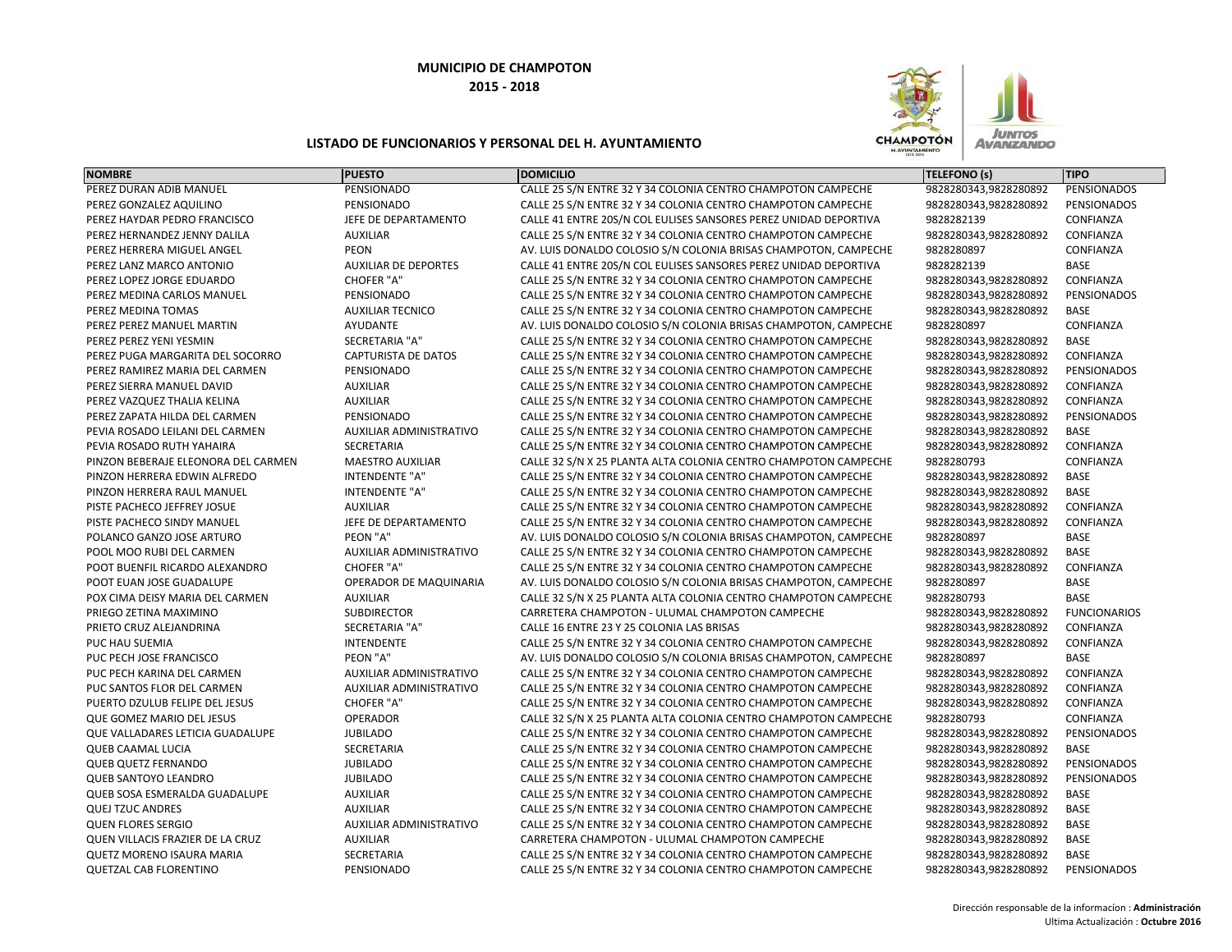

| <b>NOMBRE</b>                       | <b>PUESTO</b>                  | <b>DOMICILIO</b>                                                 | TELEFONO (s)          | <b>TIPO</b>         |
|-------------------------------------|--------------------------------|------------------------------------------------------------------|-----------------------|---------------------|
| PEREZ DURAN ADIB MANUEL             | PENSIONADO                     | CALLE 25 S/N ENTRE 32 Y 34 COLONIA CENTRO CHAMPOTON CAMPECHE     | 9828280343,9828280892 | <b>PENSIONADOS</b>  |
| PEREZ GONZALEZ AQUILINO             | PENSIONADO                     | CALLE 25 S/N ENTRE 32 Y 34 COLONIA CENTRO CHAMPOTON CAMPECHE     | 9828280343,9828280892 | PENSIONADOS         |
| PEREZ HAYDAR PEDRO FRANCISCO        | JEFE DE DEPARTAMENTO           | CALLE 41 ENTRE 20S/N COL EULISES SANSORES PEREZ UNIDAD DEPORTIVA | 9828282139            | CONFIANZA           |
| PEREZ HERNANDEZ JENNY DALILA        | <b>AUXILIAR</b>                | CALLE 25 S/N ENTRE 32 Y 34 COLONIA CENTRO CHAMPOTON CAMPECHE     | 9828280343,9828280892 | CONFIANZA           |
| PEREZ HERRERA MIGUEL ANGEL          | <b>PEON</b>                    | AV. LUIS DONALDO COLOSIO S/N COLONIA BRISAS CHAMPOTON, CAMPECHE  | 9828280897            | CONFIANZA           |
| PEREZ LANZ MARCO ANTONIO            | <b>AUXILIAR DE DEPORTES</b>    | CALLE 41 ENTRE 20S/N COL EULISES SANSORES PEREZ UNIDAD DEPORTIVA | 9828282139            | <b>BASE</b>         |
| PEREZ LOPEZ JORGE EDUARDO           | <b>CHOFER "A"</b>              | CALLE 25 S/N ENTRE 32 Y 34 COLONIA CENTRO CHAMPOTON CAMPECHE     | 9828280343,9828280892 | CONFIANZA           |
| PEREZ MEDINA CARLOS MANUEL          | PENSIONADO                     | CALLE 25 S/N ENTRE 32 Y 34 COLONIA CENTRO CHAMPOTON CAMPECHE     | 9828280343,9828280892 | <b>PENSIONADOS</b>  |
| PEREZ MEDINA TOMAS                  | <b>AUXILIAR TECNICO</b>        | CALLE 25 S/N ENTRE 32 Y 34 COLONIA CENTRO CHAMPOTON CAMPECHE     | 9828280343,9828280892 | <b>BASE</b>         |
| PEREZ PEREZ MANUEL MARTIN           | AYUDANTE                       | AV. LUIS DONALDO COLOSIO S/N COLONIA BRISAS CHAMPOTON, CAMPECHE  | 9828280897            | CONFIANZA           |
| PEREZ PEREZ YENI YESMIN             | <b>SECRETARIA "A"</b>          | CALLE 25 S/N ENTRE 32 Y 34 COLONIA CENTRO CHAMPOTON CAMPECHE     | 9828280343,9828280892 | <b>BASE</b>         |
| PEREZ PUGA MARGARITA DEL SOCORRO    | <b>CAPTURISTA DE DATOS</b>     | CALLE 25 S/N ENTRE 32 Y 34 COLONIA CENTRO CHAMPOTON CAMPECHE     | 9828280343,9828280892 | CONFIANZA           |
| PEREZ RAMIREZ MARIA DEL CARMEN      | PENSIONADO                     | CALLE 25 S/N ENTRE 32 Y 34 COLONIA CENTRO CHAMPOTON CAMPECHE     | 9828280343,9828280892 | PENSIONADOS         |
| PEREZ SIERRA MANUEL DAVID           | <b>AUXILIAR</b>                | CALLE 25 S/N ENTRE 32 Y 34 COLONIA CENTRO CHAMPOTON CAMPECHE     | 9828280343,9828280892 | CONFIANZA           |
| PEREZ VAZQUEZ THALIA KELINA         | <b>AUXILIAR</b>                | CALLE 25 S/N ENTRE 32 Y 34 COLONIA CENTRO CHAMPOTON CAMPECHE     | 9828280343,9828280892 | CONFIANZA           |
| PEREZ ZAPATA HILDA DEL CARMEN       | PENSIONADO                     | CALLE 25 S/N ENTRE 32 Y 34 COLONIA CENTRO CHAMPOTON CAMPECHE     | 9828280343,9828280892 | PENSIONADOS         |
| PEVIA ROSADO LEILANI DEL CARMEN     | AUXILIAR ADMINISTRATIVO        | CALLE 25 S/N ENTRE 32 Y 34 COLONIA CENTRO CHAMPOTON CAMPECHE     | 9828280343,9828280892 | <b>BASE</b>         |
| PEVIA ROSADO RUTH YAHAIRA           | <b>SECRETARIA</b>              | CALLE 25 S/N ENTRE 32 Y 34 COLONIA CENTRO CHAMPOTON CAMPECHE     | 9828280343,9828280892 | CONFIANZA           |
| PINZON BEBERAJE ELEONORA DEL CARMEN | <b>MAESTRO AUXILIAR</b>        | CALLE 32 S/N X 25 PLANTA ALTA COLONIA CENTRO CHAMPOTON CAMPECHE  | 9828280793            | CONFIANZA           |
| PINZON HERRERA EDWIN ALFREDO        | <b>INTENDENTE "A"</b>          | CALLE 25 S/N ENTRE 32 Y 34 COLONIA CENTRO CHAMPOTON CAMPECHE     | 9828280343,9828280892 | <b>BASE</b>         |
| PINZON HERRERA RAUL MANUEL          | <b>INTENDENTE "A"</b>          | CALLE 25 S/N ENTRE 32 Y 34 COLONIA CENTRO CHAMPOTON CAMPECHE     | 9828280343,9828280892 | BASE                |
| PISTE PACHECO JEFFREY JOSUE         | <b>AUXILIAR</b>                | CALLE 25 S/N ENTRE 32 Y 34 COLONIA CENTRO CHAMPOTON CAMPECHE     | 9828280343,9828280892 | CONFIANZA           |
| PISTE PACHECO SINDY MANUEL          | JEFE DE DEPARTAMENTO           | CALLE 25 S/N ENTRE 32 Y 34 COLONIA CENTRO CHAMPOTON CAMPECHE     | 9828280343,9828280892 | CONFIANZA           |
| POLANCO GANZO JOSE ARTURO           | PEON "A"                       | AV. LUIS DONALDO COLOSIO S/N COLONIA BRISAS CHAMPOTON, CAMPECHE  | 9828280897            | <b>BASE</b>         |
| POOL MOO RUBI DEL CARMEN            | AUXILIAR ADMINISTRATIVO        | CALLE 25 S/N ENTRE 32 Y 34 COLONIA CENTRO CHAMPOTON CAMPECHE     | 9828280343,9828280892 | <b>BASE</b>         |
| POOT BUENFIL RICARDO ALEXANDRO      | <b>CHOFER "A"</b>              | CALLE 25 S/N ENTRE 32 Y 34 COLONIA CENTRO CHAMPOTON CAMPECHE     | 9828280343,9828280892 | CONFIANZA           |
| POOT EUAN JOSE GUADALUPE            | OPERADOR DE MAQUINARIA         | AV. LUIS DONALDO COLOSIO S/N COLONIA BRISAS CHAMPOTON, CAMPECHE  | 9828280897            | BASE                |
| POX CIMA DEISY MARIA DEL CARMEN     | <b>AUXILIAR</b>                | CALLE 32 S/N X 25 PLANTA ALTA COLONIA CENTRO CHAMPOTON CAMPECHE  | 9828280793            | <b>BASE</b>         |
| PRIEGO ZETINA MAXIMINO              | <b>SUBDIRECTOR</b>             | CARRETERA CHAMPOTON - ULUMAL CHAMPOTON CAMPECHE                  | 9828280343,9828280892 | <b>FUNCIONARIOS</b> |
| PRIETO CRUZ ALEJANDRINA             | SECRETARIA "A"                 | CALLE 16 ENTRE 23 Y 25 COLONIA LAS BRISAS                        | 9828280343,9828280892 | CONFIANZA           |
| PUC HAU SUEMIA                      | <b>INTENDENTE</b>              | CALLE 25 S/N ENTRE 32 Y 34 COLONIA CENTRO CHAMPOTON CAMPECHE     | 9828280343,9828280892 | CONFIANZA           |
| PUC PECH JOSE FRANCISCO             | PEON "A"                       | AV. LUIS DONALDO COLOSIO S/N COLONIA BRISAS CHAMPOTON, CAMPECHE  | 9828280897            | <b>BASE</b>         |
| PUC PECH KARINA DEL CARMEN          | AUXILIAR ADMINISTRATIVO        | CALLE 25 S/N ENTRE 32 Y 34 COLONIA CENTRO CHAMPOTON CAMPECHE     | 9828280343,9828280892 | CONFIANZA           |
| PUC SANTOS FLOR DEL CARMEN          | <b>AUXILIAR ADMINISTRATIVO</b> | CALLE 25 S/N ENTRE 32 Y 34 COLONIA CENTRO CHAMPOTON CAMPECHE     | 9828280343,9828280892 | CONFIANZA           |
| PUERTO DZULUB FELIPE DEL JESUS      | CHOFER "A"                     | CALLE 25 S/N ENTRE 32 Y 34 COLONIA CENTRO CHAMPOTON CAMPECHE     | 9828280343,9828280892 | CONFIANZA           |
| <b>QUE GOMEZ MARIO DEL JESUS</b>    | <b>OPERADOR</b>                | CALLE 32 S/N X 25 PLANTA ALTA COLONIA CENTRO CHAMPOTON CAMPECHE  | 9828280793            | CONFIANZA           |
| QUE VALLADARES LETICIA GUADALUPE    | <b>JUBILADO</b>                | CALLE 25 S/N ENTRE 32 Y 34 COLONIA CENTRO CHAMPOTON CAMPECHE     | 9828280343,9828280892 | PENSIONADOS         |
| <b>QUEB CAAMAL LUCIA</b>            | SECRETARIA                     | CALLE 25 S/N ENTRE 32 Y 34 COLONIA CENTRO CHAMPOTON CAMPECHE     | 9828280343,9828280892 | <b>BASE</b>         |
| <b>QUEB QUETZ FERNANDO</b>          | <b>JUBILADO</b>                | CALLE 25 S/N ENTRE 32 Y 34 COLONIA CENTRO CHAMPOTON CAMPECHE     | 9828280343,9828280892 | PENSIONADOS         |
| <b>QUEB SANTOYO LEANDRO</b>         | <b>JUBILADO</b>                | CALLE 25 S/N ENTRE 32 Y 34 COLONIA CENTRO CHAMPOTON CAMPECHE     | 9828280343,9828280892 | PENSIONADOS         |
| QUEB SOSA ESMERALDA GUADALUPE       | <b>AUXILIAR</b>                | CALLE 25 S/N ENTRE 32 Y 34 COLONIA CENTRO CHAMPOTON CAMPECHE     | 9828280343,9828280892 | <b>BASE</b>         |
| <b>QUEJ TZUC ANDRES</b>             | <b>AUXILIAR</b>                | CALLE 25 S/N ENTRE 32 Y 34 COLONIA CENTRO CHAMPOTON CAMPECHE     | 9828280343,9828280892 | BASE                |
| <b>QUEN FLORES SERGIO</b>           | AUXILIAR ADMINISTRATIVO        | CALLE 25 S/N ENTRE 32 Y 34 COLONIA CENTRO CHAMPOTON CAMPECHE     | 9828280343,9828280892 | <b>BASE</b>         |
| QUEN VILLACIS FRAZIER DE LA CRUZ    | <b>AUXILIAR</b>                | CARRETERA CHAMPOTON - ULUMAL CHAMPOTON CAMPECHE                  | 9828280343,9828280892 | BASE                |
| <b>QUETZ MORENO ISAURA MARIA</b>    | SECRETARIA                     | CALLE 25 S/N ENTRE 32 Y 34 COLONIA CENTRO CHAMPOTON CAMPECHE     | 9828280343,9828280892 | <b>BASE</b>         |
| <b>QUETZAL CAB FLORENTINO</b>       | PENSIONADO                     | CALLE 25 S/N ENTRE 32 Y 34 COLONIA CENTRO CHAMPOTON CAMPECHE     | 9828280343,9828280892 | PENSIONADOS         |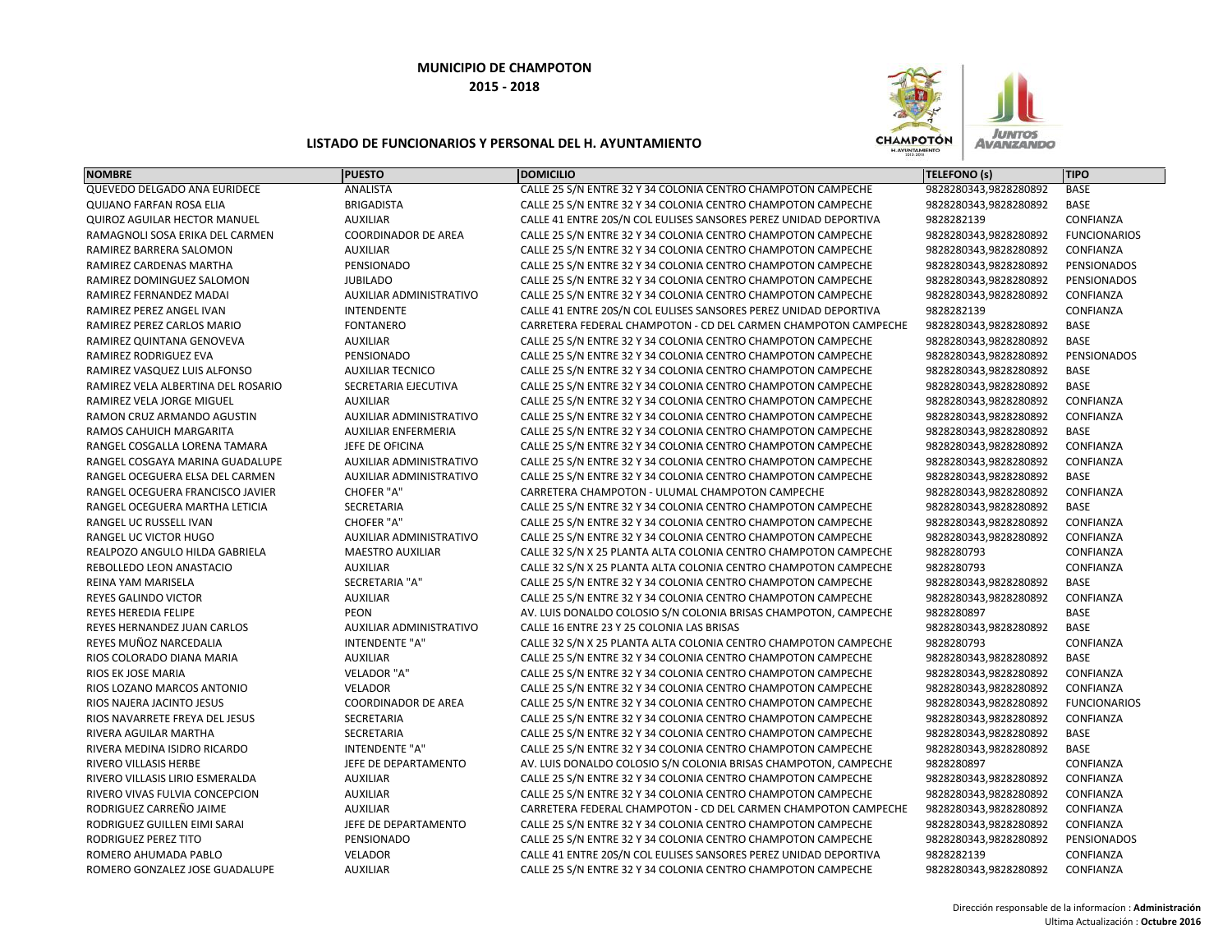

| <b>NOMBRE</b>                      | <b>PUESTO</b>                  | <b>DOMICILIO</b>                                                 | <b>TELEFONO (s)</b>   | <b>TIPO</b>         |
|------------------------------------|--------------------------------|------------------------------------------------------------------|-----------------------|---------------------|
| QUEVEDO DELGADO ANA EURIDECE       | ANALISTA                       | CALLE 25 S/N ENTRE 32 Y 34 COLONIA CENTRO CHAMPOTON CAMPECHE     | 9828280343,9828280892 | <b>BASE</b>         |
| <b>QUIJANO FARFAN ROSA ELIA</b>    | <b>BRIGADISTA</b>              | CALLE 25 S/N ENTRE 32 Y 34 COLONIA CENTRO CHAMPOTON CAMPECHE     | 9828280343,9828280892 | BASE                |
| QUIROZ AGUILAR HECTOR MANUEL       | <b>AUXILIAR</b>                | CALLE 41 ENTRE 20S/N COL EULISES SANSORES PEREZ UNIDAD DEPORTIVA | 9828282139            | CONFIANZA           |
| RAMAGNOLI SOSA ERIKA DEL CARMEN    | <b>COORDINADOR DE AREA</b>     | CALLE 25 S/N ENTRE 32 Y 34 COLONIA CENTRO CHAMPOTON CAMPECHE     | 9828280343,9828280892 | <b>FUNCIONARIOS</b> |
| RAMIREZ BARRERA SALOMON            | <b>AUXILIAR</b>                | CALLE 25 S/N ENTRE 32 Y 34 COLONIA CENTRO CHAMPOTON CAMPECHE     | 9828280343,9828280892 | CONFIANZA           |
| RAMIREZ CARDENAS MARTHA            | PENSIONADO                     | CALLE 25 S/N ENTRE 32 Y 34 COLONIA CENTRO CHAMPOTON CAMPECHE     | 9828280343,9828280892 | PENSIONADOS         |
| RAMIREZ DOMINGUEZ SALOMON          | <b>JUBILADO</b>                | CALLE 25 S/N ENTRE 32 Y 34 COLONIA CENTRO CHAMPOTON CAMPECHE     | 9828280343,9828280892 | PENSIONADOS         |
| RAMIREZ FERNANDEZ MADAI            | AUXILIAR ADMINISTRATIVO        | CALLE 25 S/N ENTRE 32 Y 34 COLONIA CENTRO CHAMPOTON CAMPECHE     | 9828280343,9828280892 | CONFIANZA           |
| RAMIREZ PEREZ ANGEL IVAN           | <b>INTENDENTE</b>              | CALLE 41 ENTRE 20S/N COL EULISES SANSORES PEREZ UNIDAD DEPORTIVA | 9828282139            | CONFIANZA           |
| RAMIREZ PEREZ CARLOS MARIO         | <b>FONTANERO</b>               | CARRETERA FEDERAL CHAMPOTON - CD DEL CARMEN CHAMPOTON CAMPECHE   | 9828280343,9828280892 | <b>BASE</b>         |
| RAMIREZ QUINTANA GENOVEVA          | <b>AUXILIAR</b>                | CALLE 25 S/N ENTRE 32 Y 34 COLONIA CENTRO CHAMPOTON CAMPECHE     | 9828280343,9828280892 | <b>BASE</b>         |
| RAMIREZ RODRIGUEZ EVA              | PENSIONADO                     | CALLE 25 S/N ENTRE 32 Y 34 COLONIA CENTRO CHAMPOTON CAMPECHE     | 9828280343,9828280892 | PENSIONADOS         |
| RAMIREZ VASQUEZ LUIS ALFONSO       | <b>AUXILIAR TECNICO</b>        | CALLE 25 S/N ENTRE 32 Y 34 COLONIA CENTRO CHAMPOTON CAMPECHE     | 9828280343,9828280892 | <b>BASE</b>         |
| RAMIREZ VELA ALBERTINA DEL ROSARIO | SECRETARIA EJECUTIVA           | CALLE 25 S/N ENTRE 32 Y 34 COLONIA CENTRO CHAMPOTON CAMPECHE     | 9828280343,9828280892 | BASE                |
| RAMIREZ VELA JORGE MIGUEL          | <b>AUXILIAR</b>                | CALLE 25 S/N ENTRE 32 Y 34 COLONIA CENTRO CHAMPOTON CAMPECHE     | 9828280343,9828280892 | CONFIANZA           |
| RAMON CRUZ ARMANDO AGUSTIN         | AUXILIAR ADMINISTRATIVO        | CALLE 25 S/N ENTRE 32 Y 34 COLONIA CENTRO CHAMPOTON CAMPECHE     | 9828280343,9828280892 | CONFIANZA           |
| RAMOS CAHUICH MARGARITA            | <b>AUXILIAR ENFERMERIA</b>     | CALLE 25 S/N ENTRE 32 Y 34 COLONIA CENTRO CHAMPOTON CAMPECHE     | 9828280343,9828280892 | <b>BASE</b>         |
| RANGEL COSGALLA LORENA TAMARA      | JEFE DE OFICINA                | CALLE 25 S/N ENTRE 32 Y 34 COLONIA CENTRO CHAMPOTON CAMPECHE     | 9828280343,9828280892 | CONFIANZA           |
| RANGEL COSGAYA MARINA GUADALUPE    | AUXILIAR ADMINISTRATIVO        | CALLE 25 S/N ENTRE 32 Y 34 COLONIA CENTRO CHAMPOTON CAMPECHE     | 9828280343,9828280892 | CONFIANZA           |
| RANGEL OCEGUERA ELSA DEL CARMEN    | <b>AUXILIAR ADMINISTRATIVO</b> | CALLE 25 S/N ENTRE 32 Y 34 COLONIA CENTRO CHAMPOTON CAMPECHE     | 9828280343,9828280892 | <b>BASE</b>         |
| RANGEL OCEGUERA FRANCISCO JAVIER   | <b>CHOFER "A"</b>              | CARRETERA CHAMPOTON - ULUMAL CHAMPOTON CAMPECHE                  | 9828280343,9828280892 | CONFIANZA           |
| RANGEL OCEGUERA MARTHA LETICIA     | SECRETARIA                     | CALLE 25 S/N ENTRE 32 Y 34 COLONIA CENTRO CHAMPOTON CAMPECHE     | 9828280343,9828280892 | <b>BASE</b>         |
| RANGEL UC RUSSELL IVAN             | <b>CHOFER "A"</b>              | CALLE 25 S/N ENTRE 32 Y 34 COLONIA CENTRO CHAMPOTON CAMPECHE     | 9828280343,9828280892 | CONFIANZA           |
| RANGEL UC VICTOR HUGO              | AUXILIAR ADMINISTRATIVO        | CALLE 25 S/N ENTRE 32 Y 34 COLONIA CENTRO CHAMPOTON CAMPECHE     | 9828280343,9828280892 | CONFIANZA           |
| REALPOZO ANGULO HILDA GABRIELA     | <b>MAESTRO AUXILIAR</b>        | CALLE 32 S/N X 25 PLANTA ALTA COLONIA CENTRO CHAMPOTON CAMPECHE  | 9828280793            | CONFIANZA           |
| REBOLLEDO LEON ANASTACIO           | <b>AUXILIAR</b>                | CALLE 32 S/N X 25 PLANTA ALTA COLONIA CENTRO CHAMPOTON CAMPECHE  | 9828280793            | CONFIANZA           |
| REINA YAM MARISELA                 | <b>SECRETARIA "A"</b>          | CALLE 25 S/N ENTRE 32 Y 34 COLONIA CENTRO CHAMPOTON CAMPECHE     | 9828280343,9828280892 | <b>BASE</b>         |
| REYES GALINDO VICTOR               | <b>AUXILIAR</b>                | CALLE 25 S/N ENTRE 32 Y 34 COLONIA CENTRO CHAMPOTON CAMPECHE     | 9828280343,9828280892 | CONFIANZA           |
| REYES HEREDIA FELIPE               | PEON                           | AV. LUIS DONALDO COLOSIO S/N COLONIA BRISAS CHAMPOTON, CAMPECHE  | 9828280897            | <b>BASE</b>         |
| REYES HERNANDEZ JUAN CARLOS        | AUXILIAR ADMINISTRATIVO        | CALLE 16 ENTRE 23 Y 25 COLONIA LAS BRISAS                        | 9828280343,9828280892 | <b>BASE</b>         |
| REYES MUÑOZ NARCEDALIA             | <b>INTENDENTE "A"</b>          | CALLE 32 S/N X 25 PLANTA ALTA COLONIA CENTRO CHAMPOTON CAMPECHE  | 9828280793            | CONFIANZA           |
| RIOS COLORADO DIANA MARIA          | <b>AUXILIAR</b>                | CALLE 25 S/N ENTRE 32 Y 34 COLONIA CENTRO CHAMPOTON CAMPECHE     | 9828280343,9828280892 | <b>BASE</b>         |
| RIOS EK JOSE MARIA                 | VELADOR "A"                    | CALLE 25 S/N ENTRE 32 Y 34 COLONIA CENTRO CHAMPOTON CAMPECHE     | 9828280343,9828280892 | CONFIANZA           |
| RIOS LOZANO MARCOS ANTONIO         | <b>VELADOR</b>                 | CALLE 25 S/N ENTRE 32 Y 34 COLONIA CENTRO CHAMPOTON CAMPECHE     | 9828280343,9828280892 | CONFIANZA           |
| RIOS NAJERA JACINTO JESUS          | <b>COORDINADOR DE AREA</b>     | CALLE 25 S/N ENTRE 32 Y 34 COLONIA CENTRO CHAMPOTON CAMPECHE     | 9828280343,9828280892 | <b>FUNCIONARIOS</b> |
| RIOS NAVARRETE FREYA DEL JESUS     | SECRETARIA                     | CALLE 25 S/N ENTRE 32 Y 34 COLONIA CENTRO CHAMPOTON CAMPECHE     | 9828280343,9828280892 | CONFIANZA           |
| RIVERA AGUILAR MARTHA              | <b>SECRETARIA</b>              | CALLE 25 S/N ENTRE 32 Y 34 COLONIA CENTRO CHAMPOTON CAMPECHE     | 9828280343,9828280892 | BASE                |
| RIVERA MEDINA ISIDRO RICARDO       | <b>INTENDENTE "A"</b>          | CALLE 25 S/N ENTRE 32 Y 34 COLONIA CENTRO CHAMPOTON CAMPECHE     | 9828280343,9828280892 | <b>BASE</b>         |
| RIVERO VILLASIS HERBE              | JEFE DE DEPARTAMENTO           | AV. LUIS DONALDO COLOSIO S/N COLONIA BRISAS CHAMPOTON, CAMPECHE  | 9828280897            | CONFIANZA           |
| RIVERO VILLASIS LIRIO ESMERALDA    | <b>AUXILIAR</b>                | CALLE 25 S/N ENTRE 32 Y 34 COLONIA CENTRO CHAMPOTON CAMPECHE     | 9828280343,9828280892 | CONFIANZA           |
| RIVERO VIVAS FULVIA CONCEPCION     | <b>AUXILIAR</b>                | CALLE 25 S/N ENTRE 32 Y 34 COLONIA CENTRO CHAMPOTON CAMPECHE     | 9828280343,9828280892 | CONFIANZA           |
| RODRIGUEZ CARREÑO JAIME            | <b>AUXILIAR</b>                | CARRETERA FEDERAL CHAMPOTON - CD DEL CARMEN CHAMPOTON CAMPECHE   | 9828280343,9828280892 | CONFIANZA           |
| RODRIGUEZ GUILLEN EIMI SARAI       | JEFE DE DEPARTAMENTO           | CALLE 25 S/N ENTRE 32 Y 34 COLONIA CENTRO CHAMPOTON CAMPECHE     | 9828280343,9828280892 | CONFIANZA           |
| RODRIGUEZ PEREZ TITO               | PENSIONADO                     | CALLE 25 S/N ENTRE 32 Y 34 COLONIA CENTRO CHAMPOTON CAMPECHE     | 9828280343,9828280892 | PENSIONADOS         |
| ROMERO AHUMADA PABLO               | <b>VELADOR</b>                 | CALLE 41 ENTRE 20S/N COL EULISES SANSORES PEREZ UNIDAD DEPORTIVA | 9828282139            | CONFIANZA           |
| ROMERO GONZALEZ JOSE GUADALUPE     | <b>AUXILIAR</b>                | CALLE 25 S/N ENTRE 32 Y 34 COLONIA CENTRO CHAMPOTON CAMPECHE     | 9828280343,9828280892 | CONFIANZA           |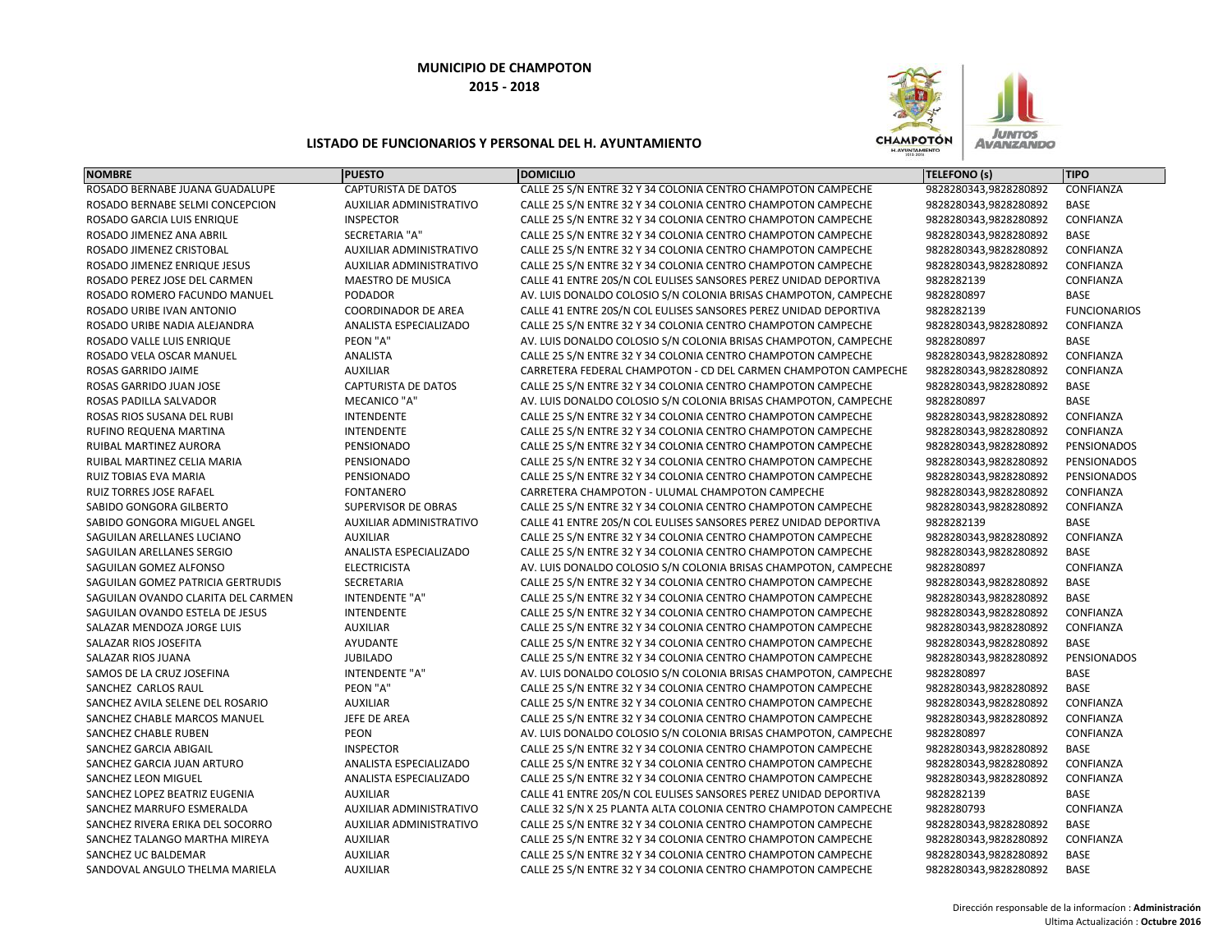

| <b>CAPTURISTA DE DATOS</b><br><b>CONFIANZA</b><br>ROSADO BERNABE JUANA GUADALUPE<br>CALLE 25 S/N ENTRE 32 Y 34 COLONIA CENTRO CHAMPOTON CAMPECHE<br>9828280343,9828280892<br>ROSADO BERNABE SELMI CONCEPCION<br><b>AUXILIAR ADMINISTRATIVO</b><br>CALLE 25 S/N ENTRE 32 Y 34 COLONIA CENTRO CHAMPOTON CAMPECHE<br>9828280343,9828280892<br>BASE<br>CONFIANZA<br>ROSADO GARCIA LUIS ENRIQUE<br><b>INSPECTOR</b><br>CALLE 25 S/N ENTRE 32 Y 34 COLONIA CENTRO CHAMPOTON CAMPECHE<br>9828280343,9828280892<br><b>SECRETARIA "A"</b><br>CALLE 25 S/N ENTRE 32 Y 34 COLONIA CENTRO CHAMPOTON CAMPECHE<br>9828280343,9828280892<br><b>BASE</b><br>ROSADO JIMENEZ ANA ABRIL<br>CONFIANZA<br>ROSADO JIMENEZ CRISTOBAL<br>AUXILIAR ADMINISTRATIVO<br>CALLE 25 S/N ENTRE 32 Y 34 COLONIA CENTRO CHAMPOTON CAMPECHE<br>9828280343,9828280892<br><b>AUXILIAR ADMINISTRATIVO</b><br>CALLE 25 S/N ENTRE 32 Y 34 COLONIA CENTRO CHAMPOTON CAMPECHE<br>9828280343,9828280892<br>CONFIANZA<br>ROSADO JIMENEZ ENRIQUE JESUS<br>CALLE 41 ENTRE 20S/N COL EULISES SANSORES PEREZ UNIDAD DEPORTIVA<br>9828282139<br>ROSADO PEREZ JOSE DEL CARMEN<br>MAESTRO DE MUSICA<br>CONFIANZA<br>9828280897<br>ROSADO ROMERO FACUNDO MANUEL<br><b>PODADOR</b><br>AV. LUIS DONALDO COLOSIO S/N COLONIA BRISAS CHAMPOTON, CAMPECHE<br>BASE<br>9828282139<br>ROSADO URIBE IVAN ANTONIO<br><b>COORDINADOR DE AREA</b><br>CALLE 41 ENTRE 20S/N COL EULISES SANSORES PEREZ UNIDAD DEPORTIVA<br><b>FUNCIONARIOS</b><br>ROSADO URIBE NADIA ALEJANDRA<br>ANALISTA ESPECIALIZADO<br>CALLE 25 S/N ENTRE 32 Y 34 COLONIA CENTRO CHAMPOTON CAMPECHE<br>CONFIANZA<br>9828280343,9828280892<br>PEON "A"<br><b>BASE</b><br>ROSADO VALLE LUIS ENRIQUE<br>AV. LUIS DONALDO COLOSIO S/N COLONIA BRISAS CHAMPOTON, CAMPECHE<br>9828280897<br>ROSADO VELA OSCAR MANUEL<br>ANALISTA<br>CALLE 25 S/N ENTRE 32 Y 34 COLONIA CENTRO CHAMPOTON CAMPECHE<br>9828280343,9828280892<br>CONFIANZA<br><b>AUXILIAR</b><br>CARRETERA FEDERAL CHAMPOTON - CD DEL CARMEN CHAMPOTON CAMPECHE<br>9828280343,9828280892<br>CONFIANZA<br>ROSAS GARRIDO JAIME<br><b>BASE</b><br><b>CAPTURISTA DE DATOS</b><br>CALLE 25 S/N ENTRE 32 Y 34 COLONIA CENTRO CHAMPOTON CAMPECHE<br>9828280343,9828280892<br>ROSAS GARRIDO JUAN JOSE<br><b>BASE</b><br><b>MECANICO "A"</b><br>9828280897<br>ROSAS PADILLA SALVADOR<br>AV. LUIS DONALDO COLOSIO S/N COLONIA BRISAS CHAMPOTON, CAMPECHE<br>ROSAS RIOS SUSANA DEL RUBI<br><b>INTENDENTE</b><br>9828280343,9828280892<br>CONFIANZA<br>CALLE 25 S/N ENTRE 32 Y 34 COLONIA CENTRO CHAMPOTON CAMPECHE<br><b>INTENDENTE</b><br>RUFINO REQUENA MARTINA<br>CALLE 25 S/N ENTRE 32 Y 34 COLONIA CENTRO CHAMPOTON CAMPECHE<br>9828280343,9828280892<br>CONFIANZA<br>RUIBAL MARTINEZ AURORA<br>PENSIONADO<br>CALLE 25 S/N ENTRE 32 Y 34 COLONIA CENTRO CHAMPOTON CAMPECHE<br>9828280343,9828280892<br>PENSIONADOS<br>PENSIONADO<br>9828280343,9828280892<br>PENSIONADOS<br>RUIBAL MARTINEZ CELIA MARIA<br>CALLE 25 S/N ENTRE 32 Y 34 COLONIA CENTRO CHAMPOTON CAMPECHE<br>RUIZ TOBIAS EVA MARIA<br>PENSIONADO<br>CALLE 25 S/N ENTRE 32 Y 34 COLONIA CENTRO CHAMPOTON CAMPECHE<br>9828280343,9828280892<br>PENSIONADOS<br><b>RUIZ TORRES JOSE RAFAEL</b><br><b>FONTANERO</b><br>CARRETERA CHAMPOTON - ULUMAL CHAMPOTON CAMPECHE<br>9828280343,9828280892<br>CONFIANZA<br>SABIDO GONGORA GILBERTO<br><b>SUPERVISOR DE OBRAS</b><br>CALLE 25 S/N ENTRE 32 Y 34 COLONIA CENTRO CHAMPOTON CAMPECHE<br>9828280343,9828280892<br>CONFIANZA<br>9828282139<br><b>BASE</b><br>SABIDO GONGORA MIGUEL ANGEL<br>AUXILIAR ADMINISTRATIVO<br>CALLE 41 ENTRE 20S/N COL EULISES SANSORES PEREZ UNIDAD DEPORTIVA<br>CONFIANZA<br>SAGUILAN ARELLANES LUCIANO<br><b>AUXILIAR</b><br>CALLE 25 S/N ENTRE 32 Y 34 COLONIA CENTRO CHAMPOTON CAMPECHE<br>9828280343,9828280892<br>ANALISTA ESPECIALIZADO<br>9828280343,9828280892<br><b>BASE</b><br>SAGUILAN ARELLANES SERGIO<br>CALLE 25 S/N ENTRE 32 Y 34 COLONIA CENTRO CHAMPOTON CAMPECHE<br><b>ELECTRICISTA</b><br>9828280897<br>CONFIANZA<br>SAGUILAN GOMEZ ALFONSO<br>AV. LUIS DONALDO COLOSIO S/N COLONIA BRISAS CHAMPOTON, CAMPECHE<br><b>SECRETARIA</b><br>9828280343,9828280892<br><b>BASE</b><br>SAGUILAN GOMEZ PATRICIA GERTRUDIS<br>CALLE 25 S/N ENTRE 32 Y 34 COLONIA CENTRO CHAMPOTON CAMPECHE<br>SAGUILAN OVANDO CLARITA DEL CARMEN<br>INTENDENTE "A"<br>9828280343,9828280892<br>BASE<br>CALLE 25 S/N ENTRE 32 Y 34 COLONIA CENTRO CHAMPOTON CAMPECHE<br><b>INTENDENTE</b><br>9828280343,9828280892<br>CONFIANZA<br>SAGUILAN OVANDO ESTELA DE JESUS<br>CALLE 25 S/N ENTRE 32 Y 34 COLONIA CENTRO CHAMPOTON CAMPECHE<br>CONFIANZA<br>SALAZAR MENDOZA JORGE LUIS<br><b>AUXILIAR</b><br>CALLE 25 S/N ENTRE 32 Y 34 COLONIA CENTRO CHAMPOTON CAMPECHE<br>9828280343,9828280892<br>SALAZAR RIOS JOSEFITA<br>AYUDANTE<br>CALLE 25 S/N ENTRE 32 Y 34 COLONIA CENTRO CHAMPOTON CAMPECHE<br>9828280343,9828280892<br><b>BASE</b><br><b>JUBILADO</b><br>9828280343,9828280892<br>PENSIONADOS<br>SALAZAR RIOS JUANA<br>CALLE 25 S/N ENTRE 32 Y 34 COLONIA CENTRO CHAMPOTON CAMPECHE<br>INTENDENTE "A"<br>AV. LUIS DONALDO COLOSIO S/N COLONIA BRISAS CHAMPOTON, CAMPECHE<br>9828280897<br><b>BASE</b><br>SAMOS DE LA CRUZ JOSEFINA<br>PEON "A"<br>9828280343,9828280892<br>BASE<br>SANCHEZ CARLOS RAUL<br>CALLE 25 S/N ENTRE 32 Y 34 COLONIA CENTRO CHAMPOTON CAMPECHE<br>CALLE 25 S/N ENTRE 32 Y 34 COLONIA CENTRO CHAMPOTON CAMPECHE<br>9828280343,9828280892<br>CONFIANZA<br>SANCHEZ AVILA SELENE DEL ROSARIO<br><b>AUXILIAR</b><br>SANCHEZ CHABLE MARCOS MANUEL<br>JEFE DE AREA<br>CALLE 25 S/N ENTRE 32 Y 34 COLONIA CENTRO CHAMPOTON CAMPECHE<br>9828280343,9828280892<br>CONFIANZA<br>PEON<br>9828280897<br>CONFIANZA<br>SANCHEZ CHABLE RUBEN<br>AV. LUIS DONALDO COLOSIO S/N COLONIA BRISAS CHAMPOTON, CAMPECHE<br><b>INSPECTOR</b><br>9828280343,9828280892<br><b>BASE</b><br>SANCHEZ GARCIA ABIGAIL<br>CALLE 25 S/N ENTRE 32 Y 34 COLONIA CENTRO CHAMPOTON CAMPECHE<br>CONFIANZA<br>ANALISTA ESPECIALIZADO<br>CALLE 25 S/N ENTRE 32 Y 34 COLONIA CENTRO CHAMPOTON CAMPECHE<br>9828280343,9828280892<br>SANCHEZ GARCIA JUAN ARTURO<br>ANALISTA ESPECIALIZADO<br>9828280343,9828280892<br>CONFIANZA<br>SANCHEZ LEON MIGUEL<br>CALLE 25 S/N ENTRE 32 Y 34 COLONIA CENTRO CHAMPOTON CAMPECHE<br><b>AUXILIAR</b><br>9828282139<br>BASE<br>SANCHEZ LOPEZ BEATRIZ EUGENIA<br>CALLE 41 ENTRE 20S/N COL EULISES SANSORES PEREZ UNIDAD DEPORTIVA<br><b>AUXILIAR ADMINISTRATIVO</b><br>9828280793<br>CONFIANZA<br>SANCHEZ MARRUFO ESMERALDA<br>CALLE 32 S/N X 25 PLANTA ALTA COLONIA CENTRO CHAMPOTON CAMPECHE<br>SANCHEZ RIVERA ERIKA DEL SOCORRO<br>AUXILIAR ADMINISTRATIVO<br>CALLE 25 S/N ENTRE 32 Y 34 COLONIA CENTRO CHAMPOTON CAMPECHE<br>BASE<br>9828280343,9828280892<br><b>AUXILIAR</b><br>CONFIANZA<br>SANCHEZ TALANGO MARTHA MIREYA<br>CALLE 25 S/N ENTRE 32 Y 34 COLONIA CENTRO CHAMPOTON CAMPECHE<br>9828280343,9828280892<br><b>AUXILIAR</b><br>CALLE 25 S/N ENTRE 32 Y 34 COLONIA CENTRO CHAMPOTON CAMPECHE<br>9828280343,9828280892<br>BASE<br>SANCHEZ UC BALDEMAR | <b>NOMBRE</b>                  | <b>PUESTO</b>   | <b>DOMICILIO</b>                                             | TELEFONO (s)          | <b>TIPO</b> |
|----------------------------------------------------------------------------------------------------------------------------------------------------------------------------------------------------------------------------------------------------------------------------------------------------------------------------------------------------------------------------------------------------------------------------------------------------------------------------------------------------------------------------------------------------------------------------------------------------------------------------------------------------------------------------------------------------------------------------------------------------------------------------------------------------------------------------------------------------------------------------------------------------------------------------------------------------------------------------------------------------------------------------------------------------------------------------------------------------------------------------------------------------------------------------------------------------------------------------------------------------------------------------------------------------------------------------------------------------------------------------------------------------------------------------------------------------------------------------------------------------------------------------------------------------------------------------------------------------------------------------------------------------------------------------------------------------------------------------------------------------------------------------------------------------------------------------------------------------------------------------------------------------------------------------------------------------------------------------------------------------------------------------------------------------------------------------------------------------------------------------------------------------------------------------------------------------------------------------------------------------------------------------------------------------------------------------------------------------------------------------------------------------------------------------------------------------------------------------------------------------------------------------------------------------------------------------------------------------------------------------------------------------------------------------------------------------------------------------------------------------------------------------------------------------------------------------------------------------------------------------------------------------------------------------------------------------------------------------------------------------------------------------------------------------------------------------------------------------------------------------------------------------------------------------------------------------------------------------------------------------------------------------------------------------------------------------------------------------------------------------------------------------------------------------------------------------------------------------------------------------------------------------------------------------------------------------------------------------------------------------------------------------------------------------------------------------------------------------------------------------------------------------------------------------------------------------------------------------------------------------------------------------------------------------------------------------------------------------------------------------------------------------------------------------------------------------------------------------------------------------------------------------------------------------------------------------------------------------------------------------------------------------------------------------------------------------------------------------------------------------------------------------------------------------------------------------------------------------------------------------------------------------------------------------------------------------------------------------------------------------------------------------------------------------------------------------------------------------------------------------------------------------------------------------------------------------------------------------------------------------------------------------------------------------------------------------------------------------------------------------------------------------------------------------------------------------------------------------------------------------------------------------------------------------------------------------------------------------------------------------------------------------------------------------------------------------------------------------------------------------------------------------------------------------------------------------------------------------------------------------------------------------------------------------------------------------------------------------------------------------------------------------------------------------------------------------------------------------------------------------------------------------------------------------------------------------------------------------------------------------------------------------------------------------------------------------------------------------------------------------------------------------------------------------------------------------------------------------------------------------------------------------------------------------------------------------------------------------------------------------------------------------------------------------------------------------------------------------------------------------------------------------------------------------------------------------------------------------------------------------------------------------------------------------------------------------------------------------------------------------------------------------------------------------------------------------------------------------------------------------------------------------------------------------------------------------------------------------------------------------------------------------------------------------------------------------------------------------------------------------------------------------------------------------------------------|--------------------------------|-----------------|--------------------------------------------------------------|-----------------------|-------------|
|                                                                                                                                                                                                                                                                                                                                                                                                                                                                                                                                                                                                                                                                                                                                                                                                                                                                                                                                                                                                                                                                                                                                                                                                                                                                                                                                                                                                                                                                                                                                                                                                                                                                                                                                                                                                                                                                                                                                                                                                                                                                                                                                                                                                                                                                                                                                                                                                                                                                                                                                                                                                                                                                                                                                                                                                                                                                                                                                                                                                                                                                                                                                                                                                                                                                                                                                                                                                                                                                                                                                                                                                                                                                                                                                                                                                                                                                                                                                                                                                                                                                                                                                                                                                                                                                                                                                                                                                                                                                                                                                                                                                                                                                                                                                                                                                                                                                                                                                                                                                                                                                                                                                                                                                                                                                                                                                                                                                                                                                                                                                                                                                                                                                                                                                                                                                                                                                                                                                                                                                                                                                                                                                                                                                                                                                                                                                                                                                                                                                                                                                                                                                                                                                                                                                                                                                                                                                                                                                                                                                                                                                      |                                |                 |                                                              |                       |             |
|                                                                                                                                                                                                                                                                                                                                                                                                                                                                                                                                                                                                                                                                                                                                                                                                                                                                                                                                                                                                                                                                                                                                                                                                                                                                                                                                                                                                                                                                                                                                                                                                                                                                                                                                                                                                                                                                                                                                                                                                                                                                                                                                                                                                                                                                                                                                                                                                                                                                                                                                                                                                                                                                                                                                                                                                                                                                                                                                                                                                                                                                                                                                                                                                                                                                                                                                                                                                                                                                                                                                                                                                                                                                                                                                                                                                                                                                                                                                                                                                                                                                                                                                                                                                                                                                                                                                                                                                                                                                                                                                                                                                                                                                                                                                                                                                                                                                                                                                                                                                                                                                                                                                                                                                                                                                                                                                                                                                                                                                                                                                                                                                                                                                                                                                                                                                                                                                                                                                                                                                                                                                                                                                                                                                                                                                                                                                                                                                                                                                                                                                                                                                                                                                                                                                                                                                                                                                                                                                                                                                                                                                      |                                |                 |                                                              |                       |             |
|                                                                                                                                                                                                                                                                                                                                                                                                                                                                                                                                                                                                                                                                                                                                                                                                                                                                                                                                                                                                                                                                                                                                                                                                                                                                                                                                                                                                                                                                                                                                                                                                                                                                                                                                                                                                                                                                                                                                                                                                                                                                                                                                                                                                                                                                                                                                                                                                                                                                                                                                                                                                                                                                                                                                                                                                                                                                                                                                                                                                                                                                                                                                                                                                                                                                                                                                                                                                                                                                                                                                                                                                                                                                                                                                                                                                                                                                                                                                                                                                                                                                                                                                                                                                                                                                                                                                                                                                                                                                                                                                                                                                                                                                                                                                                                                                                                                                                                                                                                                                                                                                                                                                                                                                                                                                                                                                                                                                                                                                                                                                                                                                                                                                                                                                                                                                                                                                                                                                                                                                                                                                                                                                                                                                                                                                                                                                                                                                                                                                                                                                                                                                                                                                                                                                                                                                                                                                                                                                                                                                                                                                      |                                |                 |                                                              |                       |             |
|                                                                                                                                                                                                                                                                                                                                                                                                                                                                                                                                                                                                                                                                                                                                                                                                                                                                                                                                                                                                                                                                                                                                                                                                                                                                                                                                                                                                                                                                                                                                                                                                                                                                                                                                                                                                                                                                                                                                                                                                                                                                                                                                                                                                                                                                                                                                                                                                                                                                                                                                                                                                                                                                                                                                                                                                                                                                                                                                                                                                                                                                                                                                                                                                                                                                                                                                                                                                                                                                                                                                                                                                                                                                                                                                                                                                                                                                                                                                                                                                                                                                                                                                                                                                                                                                                                                                                                                                                                                                                                                                                                                                                                                                                                                                                                                                                                                                                                                                                                                                                                                                                                                                                                                                                                                                                                                                                                                                                                                                                                                                                                                                                                                                                                                                                                                                                                                                                                                                                                                                                                                                                                                                                                                                                                                                                                                                                                                                                                                                                                                                                                                                                                                                                                                                                                                                                                                                                                                                                                                                                                                                      |                                |                 |                                                              |                       |             |
|                                                                                                                                                                                                                                                                                                                                                                                                                                                                                                                                                                                                                                                                                                                                                                                                                                                                                                                                                                                                                                                                                                                                                                                                                                                                                                                                                                                                                                                                                                                                                                                                                                                                                                                                                                                                                                                                                                                                                                                                                                                                                                                                                                                                                                                                                                                                                                                                                                                                                                                                                                                                                                                                                                                                                                                                                                                                                                                                                                                                                                                                                                                                                                                                                                                                                                                                                                                                                                                                                                                                                                                                                                                                                                                                                                                                                                                                                                                                                                                                                                                                                                                                                                                                                                                                                                                                                                                                                                                                                                                                                                                                                                                                                                                                                                                                                                                                                                                                                                                                                                                                                                                                                                                                                                                                                                                                                                                                                                                                                                                                                                                                                                                                                                                                                                                                                                                                                                                                                                                                                                                                                                                                                                                                                                                                                                                                                                                                                                                                                                                                                                                                                                                                                                                                                                                                                                                                                                                                                                                                                                                                      |                                |                 |                                                              |                       |             |
|                                                                                                                                                                                                                                                                                                                                                                                                                                                                                                                                                                                                                                                                                                                                                                                                                                                                                                                                                                                                                                                                                                                                                                                                                                                                                                                                                                                                                                                                                                                                                                                                                                                                                                                                                                                                                                                                                                                                                                                                                                                                                                                                                                                                                                                                                                                                                                                                                                                                                                                                                                                                                                                                                                                                                                                                                                                                                                                                                                                                                                                                                                                                                                                                                                                                                                                                                                                                                                                                                                                                                                                                                                                                                                                                                                                                                                                                                                                                                                                                                                                                                                                                                                                                                                                                                                                                                                                                                                                                                                                                                                                                                                                                                                                                                                                                                                                                                                                                                                                                                                                                                                                                                                                                                                                                                                                                                                                                                                                                                                                                                                                                                                                                                                                                                                                                                                                                                                                                                                                                                                                                                                                                                                                                                                                                                                                                                                                                                                                                                                                                                                                                                                                                                                                                                                                                                                                                                                                                                                                                                                                                      |                                |                 |                                                              |                       |             |
|                                                                                                                                                                                                                                                                                                                                                                                                                                                                                                                                                                                                                                                                                                                                                                                                                                                                                                                                                                                                                                                                                                                                                                                                                                                                                                                                                                                                                                                                                                                                                                                                                                                                                                                                                                                                                                                                                                                                                                                                                                                                                                                                                                                                                                                                                                                                                                                                                                                                                                                                                                                                                                                                                                                                                                                                                                                                                                                                                                                                                                                                                                                                                                                                                                                                                                                                                                                                                                                                                                                                                                                                                                                                                                                                                                                                                                                                                                                                                                                                                                                                                                                                                                                                                                                                                                                                                                                                                                                                                                                                                                                                                                                                                                                                                                                                                                                                                                                                                                                                                                                                                                                                                                                                                                                                                                                                                                                                                                                                                                                                                                                                                                                                                                                                                                                                                                                                                                                                                                                                                                                                                                                                                                                                                                                                                                                                                                                                                                                                                                                                                                                                                                                                                                                                                                                                                                                                                                                                                                                                                                                                      |                                |                 |                                                              |                       |             |
|                                                                                                                                                                                                                                                                                                                                                                                                                                                                                                                                                                                                                                                                                                                                                                                                                                                                                                                                                                                                                                                                                                                                                                                                                                                                                                                                                                                                                                                                                                                                                                                                                                                                                                                                                                                                                                                                                                                                                                                                                                                                                                                                                                                                                                                                                                                                                                                                                                                                                                                                                                                                                                                                                                                                                                                                                                                                                                                                                                                                                                                                                                                                                                                                                                                                                                                                                                                                                                                                                                                                                                                                                                                                                                                                                                                                                                                                                                                                                                                                                                                                                                                                                                                                                                                                                                                                                                                                                                                                                                                                                                                                                                                                                                                                                                                                                                                                                                                                                                                                                                                                                                                                                                                                                                                                                                                                                                                                                                                                                                                                                                                                                                                                                                                                                                                                                                                                                                                                                                                                                                                                                                                                                                                                                                                                                                                                                                                                                                                                                                                                                                                                                                                                                                                                                                                                                                                                                                                                                                                                                                                                      |                                |                 |                                                              |                       |             |
|                                                                                                                                                                                                                                                                                                                                                                                                                                                                                                                                                                                                                                                                                                                                                                                                                                                                                                                                                                                                                                                                                                                                                                                                                                                                                                                                                                                                                                                                                                                                                                                                                                                                                                                                                                                                                                                                                                                                                                                                                                                                                                                                                                                                                                                                                                                                                                                                                                                                                                                                                                                                                                                                                                                                                                                                                                                                                                                                                                                                                                                                                                                                                                                                                                                                                                                                                                                                                                                                                                                                                                                                                                                                                                                                                                                                                                                                                                                                                                                                                                                                                                                                                                                                                                                                                                                                                                                                                                                                                                                                                                                                                                                                                                                                                                                                                                                                                                                                                                                                                                                                                                                                                                                                                                                                                                                                                                                                                                                                                                                                                                                                                                                                                                                                                                                                                                                                                                                                                                                                                                                                                                                                                                                                                                                                                                                                                                                                                                                                                                                                                                                                                                                                                                                                                                                                                                                                                                                                                                                                                                                                      |                                |                 |                                                              |                       |             |
|                                                                                                                                                                                                                                                                                                                                                                                                                                                                                                                                                                                                                                                                                                                                                                                                                                                                                                                                                                                                                                                                                                                                                                                                                                                                                                                                                                                                                                                                                                                                                                                                                                                                                                                                                                                                                                                                                                                                                                                                                                                                                                                                                                                                                                                                                                                                                                                                                                                                                                                                                                                                                                                                                                                                                                                                                                                                                                                                                                                                                                                                                                                                                                                                                                                                                                                                                                                                                                                                                                                                                                                                                                                                                                                                                                                                                                                                                                                                                                                                                                                                                                                                                                                                                                                                                                                                                                                                                                                                                                                                                                                                                                                                                                                                                                                                                                                                                                                                                                                                                                                                                                                                                                                                                                                                                                                                                                                                                                                                                                                                                                                                                                                                                                                                                                                                                                                                                                                                                                                                                                                                                                                                                                                                                                                                                                                                                                                                                                                                                                                                                                                                                                                                                                                                                                                                                                                                                                                                                                                                                                                                      |                                |                 |                                                              |                       |             |
|                                                                                                                                                                                                                                                                                                                                                                                                                                                                                                                                                                                                                                                                                                                                                                                                                                                                                                                                                                                                                                                                                                                                                                                                                                                                                                                                                                                                                                                                                                                                                                                                                                                                                                                                                                                                                                                                                                                                                                                                                                                                                                                                                                                                                                                                                                                                                                                                                                                                                                                                                                                                                                                                                                                                                                                                                                                                                                                                                                                                                                                                                                                                                                                                                                                                                                                                                                                                                                                                                                                                                                                                                                                                                                                                                                                                                                                                                                                                                                                                                                                                                                                                                                                                                                                                                                                                                                                                                                                                                                                                                                                                                                                                                                                                                                                                                                                                                                                                                                                                                                                                                                                                                                                                                                                                                                                                                                                                                                                                                                                                                                                                                                                                                                                                                                                                                                                                                                                                                                                                                                                                                                                                                                                                                                                                                                                                                                                                                                                                                                                                                                                                                                                                                                                                                                                                                                                                                                                                                                                                                                                                      |                                |                 |                                                              |                       |             |
|                                                                                                                                                                                                                                                                                                                                                                                                                                                                                                                                                                                                                                                                                                                                                                                                                                                                                                                                                                                                                                                                                                                                                                                                                                                                                                                                                                                                                                                                                                                                                                                                                                                                                                                                                                                                                                                                                                                                                                                                                                                                                                                                                                                                                                                                                                                                                                                                                                                                                                                                                                                                                                                                                                                                                                                                                                                                                                                                                                                                                                                                                                                                                                                                                                                                                                                                                                                                                                                                                                                                                                                                                                                                                                                                                                                                                                                                                                                                                                                                                                                                                                                                                                                                                                                                                                                                                                                                                                                                                                                                                                                                                                                                                                                                                                                                                                                                                                                                                                                                                                                                                                                                                                                                                                                                                                                                                                                                                                                                                                                                                                                                                                                                                                                                                                                                                                                                                                                                                                                                                                                                                                                                                                                                                                                                                                                                                                                                                                                                                                                                                                                                                                                                                                                                                                                                                                                                                                                                                                                                                                                                      |                                |                 |                                                              |                       |             |
|                                                                                                                                                                                                                                                                                                                                                                                                                                                                                                                                                                                                                                                                                                                                                                                                                                                                                                                                                                                                                                                                                                                                                                                                                                                                                                                                                                                                                                                                                                                                                                                                                                                                                                                                                                                                                                                                                                                                                                                                                                                                                                                                                                                                                                                                                                                                                                                                                                                                                                                                                                                                                                                                                                                                                                                                                                                                                                                                                                                                                                                                                                                                                                                                                                                                                                                                                                                                                                                                                                                                                                                                                                                                                                                                                                                                                                                                                                                                                                                                                                                                                                                                                                                                                                                                                                                                                                                                                                                                                                                                                                                                                                                                                                                                                                                                                                                                                                                                                                                                                                                                                                                                                                                                                                                                                                                                                                                                                                                                                                                                                                                                                                                                                                                                                                                                                                                                                                                                                                                                                                                                                                                                                                                                                                                                                                                                                                                                                                                                                                                                                                                                                                                                                                                                                                                                                                                                                                                                                                                                                                                                      |                                |                 |                                                              |                       |             |
|                                                                                                                                                                                                                                                                                                                                                                                                                                                                                                                                                                                                                                                                                                                                                                                                                                                                                                                                                                                                                                                                                                                                                                                                                                                                                                                                                                                                                                                                                                                                                                                                                                                                                                                                                                                                                                                                                                                                                                                                                                                                                                                                                                                                                                                                                                                                                                                                                                                                                                                                                                                                                                                                                                                                                                                                                                                                                                                                                                                                                                                                                                                                                                                                                                                                                                                                                                                                                                                                                                                                                                                                                                                                                                                                                                                                                                                                                                                                                                                                                                                                                                                                                                                                                                                                                                                                                                                                                                                                                                                                                                                                                                                                                                                                                                                                                                                                                                                                                                                                                                                                                                                                                                                                                                                                                                                                                                                                                                                                                                                                                                                                                                                                                                                                                                                                                                                                                                                                                                                                                                                                                                                                                                                                                                                                                                                                                                                                                                                                                                                                                                                                                                                                                                                                                                                                                                                                                                                                                                                                                                                                      |                                |                 |                                                              |                       |             |
|                                                                                                                                                                                                                                                                                                                                                                                                                                                                                                                                                                                                                                                                                                                                                                                                                                                                                                                                                                                                                                                                                                                                                                                                                                                                                                                                                                                                                                                                                                                                                                                                                                                                                                                                                                                                                                                                                                                                                                                                                                                                                                                                                                                                                                                                                                                                                                                                                                                                                                                                                                                                                                                                                                                                                                                                                                                                                                                                                                                                                                                                                                                                                                                                                                                                                                                                                                                                                                                                                                                                                                                                                                                                                                                                                                                                                                                                                                                                                                                                                                                                                                                                                                                                                                                                                                                                                                                                                                                                                                                                                                                                                                                                                                                                                                                                                                                                                                                                                                                                                                                                                                                                                                                                                                                                                                                                                                                                                                                                                                                                                                                                                                                                                                                                                                                                                                                                                                                                                                                                                                                                                                                                                                                                                                                                                                                                                                                                                                                                                                                                                                                                                                                                                                                                                                                                                                                                                                                                                                                                                                                                      |                                |                 |                                                              |                       |             |
|                                                                                                                                                                                                                                                                                                                                                                                                                                                                                                                                                                                                                                                                                                                                                                                                                                                                                                                                                                                                                                                                                                                                                                                                                                                                                                                                                                                                                                                                                                                                                                                                                                                                                                                                                                                                                                                                                                                                                                                                                                                                                                                                                                                                                                                                                                                                                                                                                                                                                                                                                                                                                                                                                                                                                                                                                                                                                                                                                                                                                                                                                                                                                                                                                                                                                                                                                                                                                                                                                                                                                                                                                                                                                                                                                                                                                                                                                                                                                                                                                                                                                                                                                                                                                                                                                                                                                                                                                                                                                                                                                                                                                                                                                                                                                                                                                                                                                                                                                                                                                                                                                                                                                                                                                                                                                                                                                                                                                                                                                                                                                                                                                                                                                                                                                                                                                                                                                                                                                                                                                                                                                                                                                                                                                                                                                                                                                                                                                                                                                                                                                                                                                                                                                                                                                                                                                                                                                                                                                                                                                                                                      |                                |                 |                                                              |                       |             |
|                                                                                                                                                                                                                                                                                                                                                                                                                                                                                                                                                                                                                                                                                                                                                                                                                                                                                                                                                                                                                                                                                                                                                                                                                                                                                                                                                                                                                                                                                                                                                                                                                                                                                                                                                                                                                                                                                                                                                                                                                                                                                                                                                                                                                                                                                                                                                                                                                                                                                                                                                                                                                                                                                                                                                                                                                                                                                                                                                                                                                                                                                                                                                                                                                                                                                                                                                                                                                                                                                                                                                                                                                                                                                                                                                                                                                                                                                                                                                                                                                                                                                                                                                                                                                                                                                                                                                                                                                                                                                                                                                                                                                                                                                                                                                                                                                                                                                                                                                                                                                                                                                                                                                                                                                                                                                                                                                                                                                                                                                                                                                                                                                                                                                                                                                                                                                                                                                                                                                                                                                                                                                                                                                                                                                                                                                                                                                                                                                                                                                                                                                                                                                                                                                                                                                                                                                                                                                                                                                                                                                                                                      |                                |                 |                                                              |                       |             |
|                                                                                                                                                                                                                                                                                                                                                                                                                                                                                                                                                                                                                                                                                                                                                                                                                                                                                                                                                                                                                                                                                                                                                                                                                                                                                                                                                                                                                                                                                                                                                                                                                                                                                                                                                                                                                                                                                                                                                                                                                                                                                                                                                                                                                                                                                                                                                                                                                                                                                                                                                                                                                                                                                                                                                                                                                                                                                                                                                                                                                                                                                                                                                                                                                                                                                                                                                                                                                                                                                                                                                                                                                                                                                                                                                                                                                                                                                                                                                                                                                                                                                                                                                                                                                                                                                                                                                                                                                                                                                                                                                                                                                                                                                                                                                                                                                                                                                                                                                                                                                                                                                                                                                                                                                                                                                                                                                                                                                                                                                                                                                                                                                                                                                                                                                                                                                                                                                                                                                                                                                                                                                                                                                                                                                                                                                                                                                                                                                                                                                                                                                                                                                                                                                                                                                                                                                                                                                                                                                                                                                                                                      |                                |                 |                                                              |                       |             |
|                                                                                                                                                                                                                                                                                                                                                                                                                                                                                                                                                                                                                                                                                                                                                                                                                                                                                                                                                                                                                                                                                                                                                                                                                                                                                                                                                                                                                                                                                                                                                                                                                                                                                                                                                                                                                                                                                                                                                                                                                                                                                                                                                                                                                                                                                                                                                                                                                                                                                                                                                                                                                                                                                                                                                                                                                                                                                                                                                                                                                                                                                                                                                                                                                                                                                                                                                                                                                                                                                                                                                                                                                                                                                                                                                                                                                                                                                                                                                                                                                                                                                                                                                                                                                                                                                                                                                                                                                                                                                                                                                                                                                                                                                                                                                                                                                                                                                                                                                                                                                                                                                                                                                                                                                                                                                                                                                                                                                                                                                                                                                                                                                                                                                                                                                                                                                                                                                                                                                                                                                                                                                                                                                                                                                                                                                                                                                                                                                                                                                                                                                                                                                                                                                                                                                                                                                                                                                                                                                                                                                                                                      |                                |                 |                                                              |                       |             |
|                                                                                                                                                                                                                                                                                                                                                                                                                                                                                                                                                                                                                                                                                                                                                                                                                                                                                                                                                                                                                                                                                                                                                                                                                                                                                                                                                                                                                                                                                                                                                                                                                                                                                                                                                                                                                                                                                                                                                                                                                                                                                                                                                                                                                                                                                                                                                                                                                                                                                                                                                                                                                                                                                                                                                                                                                                                                                                                                                                                                                                                                                                                                                                                                                                                                                                                                                                                                                                                                                                                                                                                                                                                                                                                                                                                                                                                                                                                                                                                                                                                                                                                                                                                                                                                                                                                                                                                                                                                                                                                                                                                                                                                                                                                                                                                                                                                                                                                                                                                                                                                                                                                                                                                                                                                                                                                                                                                                                                                                                                                                                                                                                                                                                                                                                                                                                                                                                                                                                                                                                                                                                                                                                                                                                                                                                                                                                                                                                                                                                                                                                                                                                                                                                                                                                                                                                                                                                                                                                                                                                                                                      |                                |                 |                                                              |                       |             |
|                                                                                                                                                                                                                                                                                                                                                                                                                                                                                                                                                                                                                                                                                                                                                                                                                                                                                                                                                                                                                                                                                                                                                                                                                                                                                                                                                                                                                                                                                                                                                                                                                                                                                                                                                                                                                                                                                                                                                                                                                                                                                                                                                                                                                                                                                                                                                                                                                                                                                                                                                                                                                                                                                                                                                                                                                                                                                                                                                                                                                                                                                                                                                                                                                                                                                                                                                                                                                                                                                                                                                                                                                                                                                                                                                                                                                                                                                                                                                                                                                                                                                                                                                                                                                                                                                                                                                                                                                                                                                                                                                                                                                                                                                                                                                                                                                                                                                                                                                                                                                                                                                                                                                                                                                                                                                                                                                                                                                                                                                                                                                                                                                                                                                                                                                                                                                                                                                                                                                                                                                                                                                                                                                                                                                                                                                                                                                                                                                                                                                                                                                                                                                                                                                                                                                                                                                                                                                                                                                                                                                                                                      |                                |                 |                                                              |                       |             |
|                                                                                                                                                                                                                                                                                                                                                                                                                                                                                                                                                                                                                                                                                                                                                                                                                                                                                                                                                                                                                                                                                                                                                                                                                                                                                                                                                                                                                                                                                                                                                                                                                                                                                                                                                                                                                                                                                                                                                                                                                                                                                                                                                                                                                                                                                                                                                                                                                                                                                                                                                                                                                                                                                                                                                                                                                                                                                                                                                                                                                                                                                                                                                                                                                                                                                                                                                                                                                                                                                                                                                                                                                                                                                                                                                                                                                                                                                                                                                                                                                                                                                                                                                                                                                                                                                                                                                                                                                                                                                                                                                                                                                                                                                                                                                                                                                                                                                                                                                                                                                                                                                                                                                                                                                                                                                                                                                                                                                                                                                                                                                                                                                                                                                                                                                                                                                                                                                                                                                                                                                                                                                                                                                                                                                                                                                                                                                                                                                                                                                                                                                                                                                                                                                                                                                                                                                                                                                                                                                                                                                                                                      |                                |                 |                                                              |                       |             |
|                                                                                                                                                                                                                                                                                                                                                                                                                                                                                                                                                                                                                                                                                                                                                                                                                                                                                                                                                                                                                                                                                                                                                                                                                                                                                                                                                                                                                                                                                                                                                                                                                                                                                                                                                                                                                                                                                                                                                                                                                                                                                                                                                                                                                                                                                                                                                                                                                                                                                                                                                                                                                                                                                                                                                                                                                                                                                                                                                                                                                                                                                                                                                                                                                                                                                                                                                                                                                                                                                                                                                                                                                                                                                                                                                                                                                                                                                                                                                                                                                                                                                                                                                                                                                                                                                                                                                                                                                                                                                                                                                                                                                                                                                                                                                                                                                                                                                                                                                                                                                                                                                                                                                                                                                                                                                                                                                                                                                                                                                                                                                                                                                                                                                                                                                                                                                                                                                                                                                                                                                                                                                                                                                                                                                                                                                                                                                                                                                                                                                                                                                                                                                                                                                                                                                                                                                                                                                                                                                                                                                                                                      |                                |                 |                                                              |                       |             |
|                                                                                                                                                                                                                                                                                                                                                                                                                                                                                                                                                                                                                                                                                                                                                                                                                                                                                                                                                                                                                                                                                                                                                                                                                                                                                                                                                                                                                                                                                                                                                                                                                                                                                                                                                                                                                                                                                                                                                                                                                                                                                                                                                                                                                                                                                                                                                                                                                                                                                                                                                                                                                                                                                                                                                                                                                                                                                                                                                                                                                                                                                                                                                                                                                                                                                                                                                                                                                                                                                                                                                                                                                                                                                                                                                                                                                                                                                                                                                                                                                                                                                                                                                                                                                                                                                                                                                                                                                                                                                                                                                                                                                                                                                                                                                                                                                                                                                                                                                                                                                                                                                                                                                                                                                                                                                                                                                                                                                                                                                                                                                                                                                                                                                                                                                                                                                                                                                                                                                                                                                                                                                                                                                                                                                                                                                                                                                                                                                                                                                                                                                                                                                                                                                                                                                                                                                                                                                                                                                                                                                                                                      |                                |                 |                                                              |                       |             |
|                                                                                                                                                                                                                                                                                                                                                                                                                                                                                                                                                                                                                                                                                                                                                                                                                                                                                                                                                                                                                                                                                                                                                                                                                                                                                                                                                                                                                                                                                                                                                                                                                                                                                                                                                                                                                                                                                                                                                                                                                                                                                                                                                                                                                                                                                                                                                                                                                                                                                                                                                                                                                                                                                                                                                                                                                                                                                                                                                                                                                                                                                                                                                                                                                                                                                                                                                                                                                                                                                                                                                                                                                                                                                                                                                                                                                                                                                                                                                                                                                                                                                                                                                                                                                                                                                                                                                                                                                                                                                                                                                                                                                                                                                                                                                                                                                                                                                                                                                                                                                                                                                                                                                                                                                                                                                                                                                                                                                                                                                                                                                                                                                                                                                                                                                                                                                                                                                                                                                                                                                                                                                                                                                                                                                                                                                                                                                                                                                                                                                                                                                                                                                                                                                                                                                                                                                                                                                                                                                                                                                                                                      |                                |                 |                                                              |                       |             |
|                                                                                                                                                                                                                                                                                                                                                                                                                                                                                                                                                                                                                                                                                                                                                                                                                                                                                                                                                                                                                                                                                                                                                                                                                                                                                                                                                                                                                                                                                                                                                                                                                                                                                                                                                                                                                                                                                                                                                                                                                                                                                                                                                                                                                                                                                                                                                                                                                                                                                                                                                                                                                                                                                                                                                                                                                                                                                                                                                                                                                                                                                                                                                                                                                                                                                                                                                                                                                                                                                                                                                                                                                                                                                                                                                                                                                                                                                                                                                                                                                                                                                                                                                                                                                                                                                                                                                                                                                                                                                                                                                                                                                                                                                                                                                                                                                                                                                                                                                                                                                                                                                                                                                                                                                                                                                                                                                                                                                                                                                                                                                                                                                                                                                                                                                                                                                                                                                                                                                                                                                                                                                                                                                                                                                                                                                                                                                                                                                                                                                                                                                                                                                                                                                                                                                                                                                                                                                                                                                                                                                                                                      |                                |                 |                                                              |                       |             |
|                                                                                                                                                                                                                                                                                                                                                                                                                                                                                                                                                                                                                                                                                                                                                                                                                                                                                                                                                                                                                                                                                                                                                                                                                                                                                                                                                                                                                                                                                                                                                                                                                                                                                                                                                                                                                                                                                                                                                                                                                                                                                                                                                                                                                                                                                                                                                                                                                                                                                                                                                                                                                                                                                                                                                                                                                                                                                                                                                                                                                                                                                                                                                                                                                                                                                                                                                                                                                                                                                                                                                                                                                                                                                                                                                                                                                                                                                                                                                                                                                                                                                                                                                                                                                                                                                                                                                                                                                                                                                                                                                                                                                                                                                                                                                                                                                                                                                                                                                                                                                                                                                                                                                                                                                                                                                                                                                                                                                                                                                                                                                                                                                                                                                                                                                                                                                                                                                                                                                                                                                                                                                                                                                                                                                                                                                                                                                                                                                                                                                                                                                                                                                                                                                                                                                                                                                                                                                                                                                                                                                                                                      |                                |                 |                                                              |                       |             |
|                                                                                                                                                                                                                                                                                                                                                                                                                                                                                                                                                                                                                                                                                                                                                                                                                                                                                                                                                                                                                                                                                                                                                                                                                                                                                                                                                                                                                                                                                                                                                                                                                                                                                                                                                                                                                                                                                                                                                                                                                                                                                                                                                                                                                                                                                                                                                                                                                                                                                                                                                                                                                                                                                                                                                                                                                                                                                                                                                                                                                                                                                                                                                                                                                                                                                                                                                                                                                                                                                                                                                                                                                                                                                                                                                                                                                                                                                                                                                                                                                                                                                                                                                                                                                                                                                                                                                                                                                                                                                                                                                                                                                                                                                                                                                                                                                                                                                                                                                                                                                                                                                                                                                                                                                                                                                                                                                                                                                                                                                                                                                                                                                                                                                                                                                                                                                                                                                                                                                                                                                                                                                                                                                                                                                                                                                                                                                                                                                                                                                                                                                                                                                                                                                                                                                                                                                                                                                                                                                                                                                                                                      |                                |                 |                                                              |                       |             |
|                                                                                                                                                                                                                                                                                                                                                                                                                                                                                                                                                                                                                                                                                                                                                                                                                                                                                                                                                                                                                                                                                                                                                                                                                                                                                                                                                                                                                                                                                                                                                                                                                                                                                                                                                                                                                                                                                                                                                                                                                                                                                                                                                                                                                                                                                                                                                                                                                                                                                                                                                                                                                                                                                                                                                                                                                                                                                                                                                                                                                                                                                                                                                                                                                                                                                                                                                                                                                                                                                                                                                                                                                                                                                                                                                                                                                                                                                                                                                                                                                                                                                                                                                                                                                                                                                                                                                                                                                                                                                                                                                                                                                                                                                                                                                                                                                                                                                                                                                                                                                                                                                                                                                                                                                                                                                                                                                                                                                                                                                                                                                                                                                                                                                                                                                                                                                                                                                                                                                                                                                                                                                                                                                                                                                                                                                                                                                                                                                                                                                                                                                                                                                                                                                                                                                                                                                                                                                                                                                                                                                                                                      |                                |                 |                                                              |                       |             |
|                                                                                                                                                                                                                                                                                                                                                                                                                                                                                                                                                                                                                                                                                                                                                                                                                                                                                                                                                                                                                                                                                                                                                                                                                                                                                                                                                                                                                                                                                                                                                                                                                                                                                                                                                                                                                                                                                                                                                                                                                                                                                                                                                                                                                                                                                                                                                                                                                                                                                                                                                                                                                                                                                                                                                                                                                                                                                                                                                                                                                                                                                                                                                                                                                                                                                                                                                                                                                                                                                                                                                                                                                                                                                                                                                                                                                                                                                                                                                                                                                                                                                                                                                                                                                                                                                                                                                                                                                                                                                                                                                                                                                                                                                                                                                                                                                                                                                                                                                                                                                                                                                                                                                                                                                                                                                                                                                                                                                                                                                                                                                                                                                                                                                                                                                                                                                                                                                                                                                                                                                                                                                                                                                                                                                                                                                                                                                                                                                                                                                                                                                                                                                                                                                                                                                                                                                                                                                                                                                                                                                                                                      |                                |                 |                                                              |                       |             |
|                                                                                                                                                                                                                                                                                                                                                                                                                                                                                                                                                                                                                                                                                                                                                                                                                                                                                                                                                                                                                                                                                                                                                                                                                                                                                                                                                                                                                                                                                                                                                                                                                                                                                                                                                                                                                                                                                                                                                                                                                                                                                                                                                                                                                                                                                                                                                                                                                                                                                                                                                                                                                                                                                                                                                                                                                                                                                                                                                                                                                                                                                                                                                                                                                                                                                                                                                                                                                                                                                                                                                                                                                                                                                                                                                                                                                                                                                                                                                                                                                                                                                                                                                                                                                                                                                                                                                                                                                                                                                                                                                                                                                                                                                                                                                                                                                                                                                                                                                                                                                                                                                                                                                                                                                                                                                                                                                                                                                                                                                                                                                                                                                                                                                                                                                                                                                                                                                                                                                                                                                                                                                                                                                                                                                                                                                                                                                                                                                                                                                                                                                                                                                                                                                                                                                                                                                                                                                                                                                                                                                                                                      |                                |                 |                                                              |                       |             |
|                                                                                                                                                                                                                                                                                                                                                                                                                                                                                                                                                                                                                                                                                                                                                                                                                                                                                                                                                                                                                                                                                                                                                                                                                                                                                                                                                                                                                                                                                                                                                                                                                                                                                                                                                                                                                                                                                                                                                                                                                                                                                                                                                                                                                                                                                                                                                                                                                                                                                                                                                                                                                                                                                                                                                                                                                                                                                                                                                                                                                                                                                                                                                                                                                                                                                                                                                                                                                                                                                                                                                                                                                                                                                                                                                                                                                                                                                                                                                                                                                                                                                                                                                                                                                                                                                                                                                                                                                                                                                                                                                                                                                                                                                                                                                                                                                                                                                                                                                                                                                                                                                                                                                                                                                                                                                                                                                                                                                                                                                                                                                                                                                                                                                                                                                                                                                                                                                                                                                                                                                                                                                                                                                                                                                                                                                                                                                                                                                                                                                                                                                                                                                                                                                                                                                                                                                                                                                                                                                                                                                                                                      |                                |                 |                                                              |                       |             |
|                                                                                                                                                                                                                                                                                                                                                                                                                                                                                                                                                                                                                                                                                                                                                                                                                                                                                                                                                                                                                                                                                                                                                                                                                                                                                                                                                                                                                                                                                                                                                                                                                                                                                                                                                                                                                                                                                                                                                                                                                                                                                                                                                                                                                                                                                                                                                                                                                                                                                                                                                                                                                                                                                                                                                                                                                                                                                                                                                                                                                                                                                                                                                                                                                                                                                                                                                                                                                                                                                                                                                                                                                                                                                                                                                                                                                                                                                                                                                                                                                                                                                                                                                                                                                                                                                                                                                                                                                                                                                                                                                                                                                                                                                                                                                                                                                                                                                                                                                                                                                                                                                                                                                                                                                                                                                                                                                                                                                                                                                                                                                                                                                                                                                                                                                                                                                                                                                                                                                                                                                                                                                                                                                                                                                                                                                                                                                                                                                                                                                                                                                                                                                                                                                                                                                                                                                                                                                                                                                                                                                                                                      |                                |                 |                                                              |                       |             |
|                                                                                                                                                                                                                                                                                                                                                                                                                                                                                                                                                                                                                                                                                                                                                                                                                                                                                                                                                                                                                                                                                                                                                                                                                                                                                                                                                                                                                                                                                                                                                                                                                                                                                                                                                                                                                                                                                                                                                                                                                                                                                                                                                                                                                                                                                                                                                                                                                                                                                                                                                                                                                                                                                                                                                                                                                                                                                                                                                                                                                                                                                                                                                                                                                                                                                                                                                                                                                                                                                                                                                                                                                                                                                                                                                                                                                                                                                                                                                                                                                                                                                                                                                                                                                                                                                                                                                                                                                                                                                                                                                                                                                                                                                                                                                                                                                                                                                                                                                                                                                                                                                                                                                                                                                                                                                                                                                                                                                                                                                                                                                                                                                                                                                                                                                                                                                                                                                                                                                                                                                                                                                                                                                                                                                                                                                                                                                                                                                                                                                                                                                                                                                                                                                                                                                                                                                                                                                                                                                                                                                                                                      |                                |                 |                                                              |                       |             |
|                                                                                                                                                                                                                                                                                                                                                                                                                                                                                                                                                                                                                                                                                                                                                                                                                                                                                                                                                                                                                                                                                                                                                                                                                                                                                                                                                                                                                                                                                                                                                                                                                                                                                                                                                                                                                                                                                                                                                                                                                                                                                                                                                                                                                                                                                                                                                                                                                                                                                                                                                                                                                                                                                                                                                                                                                                                                                                                                                                                                                                                                                                                                                                                                                                                                                                                                                                                                                                                                                                                                                                                                                                                                                                                                                                                                                                                                                                                                                                                                                                                                                                                                                                                                                                                                                                                                                                                                                                                                                                                                                                                                                                                                                                                                                                                                                                                                                                                                                                                                                                                                                                                                                                                                                                                                                                                                                                                                                                                                                                                                                                                                                                                                                                                                                                                                                                                                                                                                                                                                                                                                                                                                                                                                                                                                                                                                                                                                                                                                                                                                                                                                                                                                                                                                                                                                                                                                                                                                                                                                                                                                      |                                |                 |                                                              |                       |             |
|                                                                                                                                                                                                                                                                                                                                                                                                                                                                                                                                                                                                                                                                                                                                                                                                                                                                                                                                                                                                                                                                                                                                                                                                                                                                                                                                                                                                                                                                                                                                                                                                                                                                                                                                                                                                                                                                                                                                                                                                                                                                                                                                                                                                                                                                                                                                                                                                                                                                                                                                                                                                                                                                                                                                                                                                                                                                                                                                                                                                                                                                                                                                                                                                                                                                                                                                                                                                                                                                                                                                                                                                                                                                                                                                                                                                                                                                                                                                                                                                                                                                                                                                                                                                                                                                                                                                                                                                                                                                                                                                                                                                                                                                                                                                                                                                                                                                                                                                                                                                                                                                                                                                                                                                                                                                                                                                                                                                                                                                                                                                                                                                                                                                                                                                                                                                                                                                                                                                                                                                                                                                                                                                                                                                                                                                                                                                                                                                                                                                                                                                                                                                                                                                                                                                                                                                                                                                                                                                                                                                                                                                      |                                |                 |                                                              |                       |             |
|                                                                                                                                                                                                                                                                                                                                                                                                                                                                                                                                                                                                                                                                                                                                                                                                                                                                                                                                                                                                                                                                                                                                                                                                                                                                                                                                                                                                                                                                                                                                                                                                                                                                                                                                                                                                                                                                                                                                                                                                                                                                                                                                                                                                                                                                                                                                                                                                                                                                                                                                                                                                                                                                                                                                                                                                                                                                                                                                                                                                                                                                                                                                                                                                                                                                                                                                                                                                                                                                                                                                                                                                                                                                                                                                                                                                                                                                                                                                                                                                                                                                                                                                                                                                                                                                                                                                                                                                                                                                                                                                                                                                                                                                                                                                                                                                                                                                                                                                                                                                                                                                                                                                                                                                                                                                                                                                                                                                                                                                                                                                                                                                                                                                                                                                                                                                                                                                                                                                                                                                                                                                                                                                                                                                                                                                                                                                                                                                                                                                                                                                                                                                                                                                                                                                                                                                                                                                                                                                                                                                                                                                      |                                |                 |                                                              |                       |             |
|                                                                                                                                                                                                                                                                                                                                                                                                                                                                                                                                                                                                                                                                                                                                                                                                                                                                                                                                                                                                                                                                                                                                                                                                                                                                                                                                                                                                                                                                                                                                                                                                                                                                                                                                                                                                                                                                                                                                                                                                                                                                                                                                                                                                                                                                                                                                                                                                                                                                                                                                                                                                                                                                                                                                                                                                                                                                                                                                                                                                                                                                                                                                                                                                                                                                                                                                                                                                                                                                                                                                                                                                                                                                                                                                                                                                                                                                                                                                                                                                                                                                                                                                                                                                                                                                                                                                                                                                                                                                                                                                                                                                                                                                                                                                                                                                                                                                                                                                                                                                                                                                                                                                                                                                                                                                                                                                                                                                                                                                                                                                                                                                                                                                                                                                                                                                                                                                                                                                                                                                                                                                                                                                                                                                                                                                                                                                                                                                                                                                                                                                                                                                                                                                                                                                                                                                                                                                                                                                                                                                                                                                      |                                |                 |                                                              |                       |             |
|                                                                                                                                                                                                                                                                                                                                                                                                                                                                                                                                                                                                                                                                                                                                                                                                                                                                                                                                                                                                                                                                                                                                                                                                                                                                                                                                                                                                                                                                                                                                                                                                                                                                                                                                                                                                                                                                                                                                                                                                                                                                                                                                                                                                                                                                                                                                                                                                                                                                                                                                                                                                                                                                                                                                                                                                                                                                                                                                                                                                                                                                                                                                                                                                                                                                                                                                                                                                                                                                                                                                                                                                                                                                                                                                                                                                                                                                                                                                                                                                                                                                                                                                                                                                                                                                                                                                                                                                                                                                                                                                                                                                                                                                                                                                                                                                                                                                                                                                                                                                                                                                                                                                                                                                                                                                                                                                                                                                                                                                                                                                                                                                                                                                                                                                                                                                                                                                                                                                                                                                                                                                                                                                                                                                                                                                                                                                                                                                                                                                                                                                                                                                                                                                                                                                                                                                                                                                                                                                                                                                                                                                      |                                |                 |                                                              |                       |             |
|                                                                                                                                                                                                                                                                                                                                                                                                                                                                                                                                                                                                                                                                                                                                                                                                                                                                                                                                                                                                                                                                                                                                                                                                                                                                                                                                                                                                                                                                                                                                                                                                                                                                                                                                                                                                                                                                                                                                                                                                                                                                                                                                                                                                                                                                                                                                                                                                                                                                                                                                                                                                                                                                                                                                                                                                                                                                                                                                                                                                                                                                                                                                                                                                                                                                                                                                                                                                                                                                                                                                                                                                                                                                                                                                                                                                                                                                                                                                                                                                                                                                                                                                                                                                                                                                                                                                                                                                                                                                                                                                                                                                                                                                                                                                                                                                                                                                                                                                                                                                                                                                                                                                                                                                                                                                                                                                                                                                                                                                                                                                                                                                                                                                                                                                                                                                                                                                                                                                                                                                                                                                                                                                                                                                                                                                                                                                                                                                                                                                                                                                                                                                                                                                                                                                                                                                                                                                                                                                                                                                                                                                      |                                |                 |                                                              |                       |             |
|                                                                                                                                                                                                                                                                                                                                                                                                                                                                                                                                                                                                                                                                                                                                                                                                                                                                                                                                                                                                                                                                                                                                                                                                                                                                                                                                                                                                                                                                                                                                                                                                                                                                                                                                                                                                                                                                                                                                                                                                                                                                                                                                                                                                                                                                                                                                                                                                                                                                                                                                                                                                                                                                                                                                                                                                                                                                                                                                                                                                                                                                                                                                                                                                                                                                                                                                                                                                                                                                                                                                                                                                                                                                                                                                                                                                                                                                                                                                                                                                                                                                                                                                                                                                                                                                                                                                                                                                                                                                                                                                                                                                                                                                                                                                                                                                                                                                                                                                                                                                                                                                                                                                                                                                                                                                                                                                                                                                                                                                                                                                                                                                                                                                                                                                                                                                                                                                                                                                                                                                                                                                                                                                                                                                                                                                                                                                                                                                                                                                                                                                                                                                                                                                                                                                                                                                                                                                                                                                                                                                                                                                      |                                |                 |                                                              |                       |             |
|                                                                                                                                                                                                                                                                                                                                                                                                                                                                                                                                                                                                                                                                                                                                                                                                                                                                                                                                                                                                                                                                                                                                                                                                                                                                                                                                                                                                                                                                                                                                                                                                                                                                                                                                                                                                                                                                                                                                                                                                                                                                                                                                                                                                                                                                                                                                                                                                                                                                                                                                                                                                                                                                                                                                                                                                                                                                                                                                                                                                                                                                                                                                                                                                                                                                                                                                                                                                                                                                                                                                                                                                                                                                                                                                                                                                                                                                                                                                                                                                                                                                                                                                                                                                                                                                                                                                                                                                                                                                                                                                                                                                                                                                                                                                                                                                                                                                                                                                                                                                                                                                                                                                                                                                                                                                                                                                                                                                                                                                                                                                                                                                                                                                                                                                                                                                                                                                                                                                                                                                                                                                                                                                                                                                                                                                                                                                                                                                                                                                                                                                                                                                                                                                                                                                                                                                                                                                                                                                                                                                                                                                      |                                |                 |                                                              |                       |             |
|                                                                                                                                                                                                                                                                                                                                                                                                                                                                                                                                                                                                                                                                                                                                                                                                                                                                                                                                                                                                                                                                                                                                                                                                                                                                                                                                                                                                                                                                                                                                                                                                                                                                                                                                                                                                                                                                                                                                                                                                                                                                                                                                                                                                                                                                                                                                                                                                                                                                                                                                                                                                                                                                                                                                                                                                                                                                                                                                                                                                                                                                                                                                                                                                                                                                                                                                                                                                                                                                                                                                                                                                                                                                                                                                                                                                                                                                                                                                                                                                                                                                                                                                                                                                                                                                                                                                                                                                                                                                                                                                                                                                                                                                                                                                                                                                                                                                                                                                                                                                                                                                                                                                                                                                                                                                                                                                                                                                                                                                                                                                                                                                                                                                                                                                                                                                                                                                                                                                                                                                                                                                                                                                                                                                                                                                                                                                                                                                                                                                                                                                                                                                                                                                                                                                                                                                                                                                                                                                                                                                                                                                      |                                |                 |                                                              |                       |             |
|                                                                                                                                                                                                                                                                                                                                                                                                                                                                                                                                                                                                                                                                                                                                                                                                                                                                                                                                                                                                                                                                                                                                                                                                                                                                                                                                                                                                                                                                                                                                                                                                                                                                                                                                                                                                                                                                                                                                                                                                                                                                                                                                                                                                                                                                                                                                                                                                                                                                                                                                                                                                                                                                                                                                                                                                                                                                                                                                                                                                                                                                                                                                                                                                                                                                                                                                                                                                                                                                                                                                                                                                                                                                                                                                                                                                                                                                                                                                                                                                                                                                                                                                                                                                                                                                                                                                                                                                                                                                                                                                                                                                                                                                                                                                                                                                                                                                                                                                                                                                                                                                                                                                                                                                                                                                                                                                                                                                                                                                                                                                                                                                                                                                                                                                                                                                                                                                                                                                                                                                                                                                                                                                                                                                                                                                                                                                                                                                                                                                                                                                                                                                                                                                                                                                                                                                                                                                                                                                                                                                                                                                      |                                |                 |                                                              |                       |             |
|                                                                                                                                                                                                                                                                                                                                                                                                                                                                                                                                                                                                                                                                                                                                                                                                                                                                                                                                                                                                                                                                                                                                                                                                                                                                                                                                                                                                                                                                                                                                                                                                                                                                                                                                                                                                                                                                                                                                                                                                                                                                                                                                                                                                                                                                                                                                                                                                                                                                                                                                                                                                                                                                                                                                                                                                                                                                                                                                                                                                                                                                                                                                                                                                                                                                                                                                                                                                                                                                                                                                                                                                                                                                                                                                                                                                                                                                                                                                                                                                                                                                                                                                                                                                                                                                                                                                                                                                                                                                                                                                                                                                                                                                                                                                                                                                                                                                                                                                                                                                                                                                                                                                                                                                                                                                                                                                                                                                                                                                                                                                                                                                                                                                                                                                                                                                                                                                                                                                                                                                                                                                                                                                                                                                                                                                                                                                                                                                                                                                                                                                                                                                                                                                                                                                                                                                                                                                                                                                                                                                                                                                      |                                |                 |                                                              |                       |             |
|                                                                                                                                                                                                                                                                                                                                                                                                                                                                                                                                                                                                                                                                                                                                                                                                                                                                                                                                                                                                                                                                                                                                                                                                                                                                                                                                                                                                                                                                                                                                                                                                                                                                                                                                                                                                                                                                                                                                                                                                                                                                                                                                                                                                                                                                                                                                                                                                                                                                                                                                                                                                                                                                                                                                                                                                                                                                                                                                                                                                                                                                                                                                                                                                                                                                                                                                                                                                                                                                                                                                                                                                                                                                                                                                                                                                                                                                                                                                                                                                                                                                                                                                                                                                                                                                                                                                                                                                                                                                                                                                                                                                                                                                                                                                                                                                                                                                                                                                                                                                                                                                                                                                                                                                                                                                                                                                                                                                                                                                                                                                                                                                                                                                                                                                                                                                                                                                                                                                                                                                                                                                                                                                                                                                                                                                                                                                                                                                                                                                                                                                                                                                                                                                                                                                                                                                                                                                                                                                                                                                                                                                      | SANDOVAL ANGULO THELMA MARIELA | <b>AUXILIAR</b> | CALLE 25 S/N ENTRE 32 Y 34 COLONIA CENTRO CHAMPOTON CAMPECHE | 9828280343,9828280892 | <b>BASE</b> |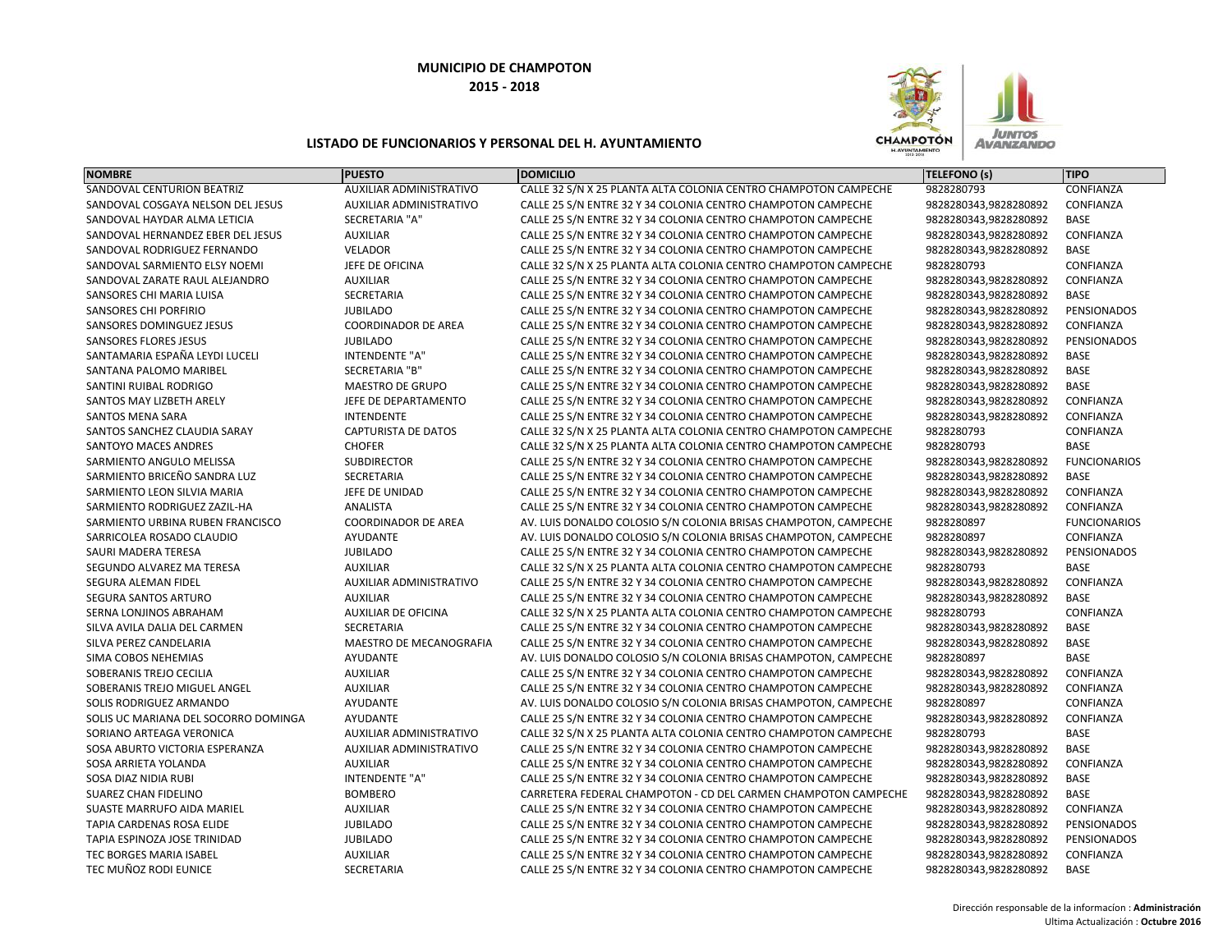

| <b>NOMBRE</b>                        | <b>PUESTO</b>              | <b>DOMICILIO</b>                                                | TELEFONO (s)          | <b>TIPO</b>         |
|--------------------------------------|----------------------------|-----------------------------------------------------------------|-----------------------|---------------------|
| SANDOVAL CENTURION BEATRIZ           | AUXILIAR ADMINISTRATIVO    | CALLE 32 S/N X 25 PLANTA ALTA COLONIA CENTRO CHAMPOTON CAMPECHE | 9828280793            | <b>CONFIANZA</b>    |
| SANDOVAL COSGAYA NELSON DEL JESUS    | AUXILIAR ADMINISTRATIVO    | CALLE 25 S/N ENTRE 32 Y 34 COLONIA CENTRO CHAMPOTON CAMPECHE    | 9828280343,9828280892 | CONFIANZA           |
| SANDOVAL HAYDAR ALMA LETICIA         | <b>SECRETARIA "A"</b>      | CALLE 25 S/N ENTRE 32 Y 34 COLONIA CENTRO CHAMPOTON CAMPECHE    | 9828280343,9828280892 | <b>BASE</b>         |
| SANDOVAL HERNANDEZ EBER DEL JESUS    | <b>AUXILIAR</b>            | CALLE 25 S/N ENTRE 32 Y 34 COLONIA CENTRO CHAMPOTON CAMPECHE    | 9828280343,9828280892 | CONFIANZA           |
| SANDOVAL RODRIGUEZ FERNANDO          | <b>VELADOR</b>             | CALLE 25 S/N ENTRE 32 Y 34 COLONIA CENTRO CHAMPOTON CAMPECHE    | 9828280343,9828280892 | <b>BASE</b>         |
| SANDOVAL SARMIENTO ELSY NOEMI        | JEFE DE OFICINA            | CALLE 32 S/N X 25 PLANTA ALTA COLONIA CENTRO CHAMPOTON CAMPECHE | 9828280793            | CONFIANZA           |
| SANDOVAL ZARATE RAUL ALEJANDRO       | <b>AUXILIAR</b>            | CALLE 25 S/N ENTRE 32 Y 34 COLONIA CENTRO CHAMPOTON CAMPECHE    | 9828280343,9828280892 | CONFIANZA           |
| SANSORES CHI MARIA LUISA             | SECRETARIA                 | CALLE 25 S/N ENTRE 32 Y 34 COLONIA CENTRO CHAMPOTON CAMPECHE    | 9828280343,9828280892 | <b>BASE</b>         |
| SANSORES CHI PORFIRIO                | <b>JUBILADO</b>            | CALLE 25 S/N ENTRE 32 Y 34 COLONIA CENTRO CHAMPOTON CAMPECHE    | 9828280343,9828280892 | <b>PENSIONADOS</b>  |
| SANSORES DOMINGUEZ JESUS             | <b>COORDINADOR DE AREA</b> | CALLE 25 S/N ENTRE 32 Y 34 COLONIA CENTRO CHAMPOTON CAMPECHE    | 9828280343,9828280892 | CONFIANZA           |
| SANSORES FLORES JESUS                | <b>JUBILADO</b>            | CALLE 25 S/N ENTRE 32 Y 34 COLONIA CENTRO CHAMPOTON CAMPECHE    | 9828280343,9828280892 | <b>PENSIONADOS</b>  |
| SANTAMARIA ESPAÑA LEYDI LUCELI       | <b>INTENDENTE "A"</b>      | CALLE 25 S/N ENTRE 32 Y 34 COLONIA CENTRO CHAMPOTON CAMPECHE    | 9828280343,9828280892 | BASE                |
| SANTANA PALOMO MARIBEL               | <b>SECRETARIA "B"</b>      | CALLE 25 S/N ENTRE 32 Y 34 COLONIA CENTRO CHAMPOTON CAMPECHE    | 9828280343,9828280892 | <b>BASE</b>         |
| SANTINI RUIBAL RODRIGO               | <b>MAESTRO DE GRUPO</b>    | CALLE 25 S/N ENTRE 32 Y 34 COLONIA CENTRO CHAMPOTON CAMPECHE    | 9828280343,9828280892 | BASE                |
| SANTOS MAY LIZBETH ARELY             | JEFE DE DEPARTAMENTO       | CALLE 25 S/N ENTRE 32 Y 34 COLONIA CENTRO CHAMPOTON CAMPECHE    | 9828280343,9828280892 | CONFIANZA           |
| <b>SANTOS MENA SARA</b>              | <b>INTENDENTE</b>          | CALLE 25 S/N ENTRE 32 Y 34 COLONIA CENTRO CHAMPOTON CAMPECHE    | 9828280343,9828280892 | CONFIANZA           |
| SANTOS SANCHEZ CLAUDIA SARAY         | <b>CAPTURISTA DE DATOS</b> | CALLE 32 S/N X 25 PLANTA ALTA COLONIA CENTRO CHAMPOTON CAMPECHE | 9828280793            | CONFIANZA           |
| SANTOYO MACES ANDRES                 | <b>CHOFER</b>              | CALLE 32 S/N X 25 PLANTA ALTA COLONIA CENTRO CHAMPOTON CAMPECHE | 9828280793            | <b>BASE</b>         |
| SARMIENTO ANGULO MELISSA             | <b>SUBDIRECTOR</b>         | CALLE 25 S/N ENTRE 32 Y 34 COLONIA CENTRO CHAMPOTON CAMPECHE    | 9828280343,9828280892 | <b>FUNCIONARIOS</b> |
| SARMIENTO BRICEÑO SANDRA LUZ         | <b>SECRETARIA</b>          | CALLE 25 S/N ENTRE 32 Y 34 COLONIA CENTRO CHAMPOTON CAMPECHE    | 9828280343,9828280892 | <b>BASE</b>         |
| SARMIENTO LEON SILVIA MARIA          | JEFE DE UNIDAD             | CALLE 25 S/N ENTRE 32 Y 34 COLONIA CENTRO CHAMPOTON CAMPECHE    | 9828280343,9828280892 | CONFIANZA           |
| SARMIENTO RODRIGUEZ ZAZIL-HA         | ANALISTA                   | CALLE 25 S/N ENTRE 32 Y 34 COLONIA CENTRO CHAMPOTON CAMPECHE    | 9828280343,9828280892 | CONFIANZA           |
| SARMIENTO URBINA RUBEN FRANCISCO     | <b>COORDINADOR DE AREA</b> | AV. LUIS DONALDO COLOSIO S/N COLONIA BRISAS CHAMPOTON, CAMPECHE | 9828280897            | <b>FUNCIONARIOS</b> |
| SARRICOLEA ROSADO CLAUDIO            | AYUDANTE                   | AV. LUIS DONALDO COLOSIO S/N COLONIA BRISAS CHAMPOTON, CAMPECHE | 9828280897            | CONFIANZA           |
| SAURI MADERA TERESA                  | <b>JUBILADO</b>            | CALLE 25 S/N ENTRE 32 Y 34 COLONIA CENTRO CHAMPOTON CAMPECHE    | 9828280343,9828280892 | PENSIONADOS         |
| SEGUNDO ALVAREZ MA TERESA            | <b>AUXILIAR</b>            | CALLE 32 S/N X 25 PLANTA ALTA COLONIA CENTRO CHAMPOTON CAMPECHE | 9828280793            | <b>BASE</b>         |
| SEGURA ALEMAN FIDEL                  | AUXILIAR ADMINISTRATIVO    | CALLE 25 S/N ENTRE 32 Y 34 COLONIA CENTRO CHAMPOTON CAMPECHE    | 9828280343,9828280892 | CONFIANZA           |
| SEGURA SANTOS ARTURO                 | <b>AUXILIAR</b>            | CALLE 25 S/N ENTRE 32 Y 34 COLONIA CENTRO CHAMPOTON CAMPECHE    | 9828280343,9828280892 | <b>BASE</b>         |
| SERNA LONJINOS ABRAHAM               | <b>AUXILIAR DE OFICINA</b> | CALLE 32 S/N X 25 PLANTA ALTA COLONIA CENTRO CHAMPOTON CAMPECHE | 9828280793            | CONFIANZA           |
| SILVA AVILA DALIA DEL CARMEN         | <b>SECRETARIA</b>          | CALLE 25 S/N ENTRE 32 Y 34 COLONIA CENTRO CHAMPOTON CAMPECHE    | 9828280343,9828280892 | <b>BASE</b>         |
| SILVA PEREZ CANDELARIA               | MAESTRO DE MECANOGRAFIA    | CALLE 25 S/N ENTRE 32 Y 34 COLONIA CENTRO CHAMPOTON CAMPECHE    | 9828280343,9828280892 | <b>BASE</b>         |
| SIMA COBOS NEHEMIAS                  | <b>AYUDANTE</b>            | AV. LUIS DONALDO COLOSIO S/N COLONIA BRISAS CHAMPOTON, CAMPECHE | 9828280897            | <b>BASE</b>         |
| SOBERANIS TREJO CECILIA              | <b>AUXILIAR</b>            | CALLE 25 S/N ENTRE 32 Y 34 COLONIA CENTRO CHAMPOTON CAMPECHE    | 9828280343,9828280892 | CONFIANZA           |
| SOBERANIS TREJO MIGUEL ANGEL         | <b>AUXILIAR</b>            | CALLE 25 S/N ENTRE 32 Y 34 COLONIA CENTRO CHAMPOTON CAMPECHE    | 9828280343,9828280892 | CONFIANZA           |
| SOLIS RODRIGUEZ ARMANDO              | AYUDANTE                   | AV. LUIS DONALDO COLOSIO S/N COLONIA BRISAS CHAMPOTON, CAMPECHE | 9828280897            | CONFIANZA           |
| SOLIS UC MARIANA DEL SOCORRO DOMINGA | AYUDANTE                   | CALLE 25 S/N ENTRE 32 Y 34 COLONIA CENTRO CHAMPOTON CAMPECHE    | 9828280343,9828280892 | CONFIANZA           |
| SORIANO ARTEAGA VERONICA             | AUXILIAR ADMINISTRATIVO    | CALLE 32 S/N X 25 PLANTA ALTA COLONIA CENTRO CHAMPOTON CAMPECHE | 9828280793            | <b>BASE</b>         |
| SOSA ABURTO VICTORIA ESPERANZA       | AUXILIAR ADMINISTRATIVO    | CALLE 25 S/N ENTRE 32 Y 34 COLONIA CENTRO CHAMPOTON CAMPECHE    | 9828280343,9828280892 | <b>BASE</b>         |
| SOSA ARRIETA YOLANDA                 | <b>AUXILIAR</b>            | CALLE 25 S/N ENTRE 32 Y 34 COLONIA CENTRO CHAMPOTON CAMPECHE    | 9828280343,9828280892 | CONFIANZA           |
| SOSA DIAZ NIDIA RUBI                 | INTENDENTE "A"             | CALLE 25 S/N ENTRE 32 Y 34 COLONIA CENTRO CHAMPOTON CAMPECHE    | 9828280343,9828280892 | BASE                |
| <b>SUAREZ CHAN FIDELINO</b>          | <b>BOMBERO</b>             | CARRETERA FEDERAL CHAMPOTON - CD DEL CARMEN CHAMPOTON CAMPECHE  | 9828280343,9828280892 | <b>BASE</b>         |
| <b>SUASTE MARRUFO AIDA MARIEL</b>    | <b>AUXILIAR</b>            | CALLE 25 S/N ENTRE 32 Y 34 COLONIA CENTRO CHAMPOTON CAMPECHE    | 9828280343,9828280892 | CONFIANZA           |
| TAPIA CARDENAS ROSA ELIDE            | <b>JUBILADO</b>            | CALLE 25 S/N ENTRE 32 Y 34 COLONIA CENTRO CHAMPOTON CAMPECHE    | 9828280343,9828280892 | PENSIONADOS         |
| TAPIA ESPINOZA JOSE TRINIDAD         | <b>JUBILADO</b>            | CALLE 25 S/N ENTRE 32 Y 34 COLONIA CENTRO CHAMPOTON CAMPECHE    | 9828280343,9828280892 | PENSIONADOS         |
| <b>TEC BORGES MARIA ISABEL</b>       | <b>AUXILIAR</b>            | CALLE 25 S/N ENTRE 32 Y 34 COLONIA CENTRO CHAMPOTON CAMPECHE    | 9828280343,9828280892 | CONFIANZA           |
| TEC MUÑOZ RODI EUNICE                | <b>SECRETARIA</b>          | CALLE 25 S/N ENTRE 32 Y 34 COLONIA CENTRO CHAMPOTON CAMPECHE    | 9828280343,9828280892 | <b>BASE</b>         |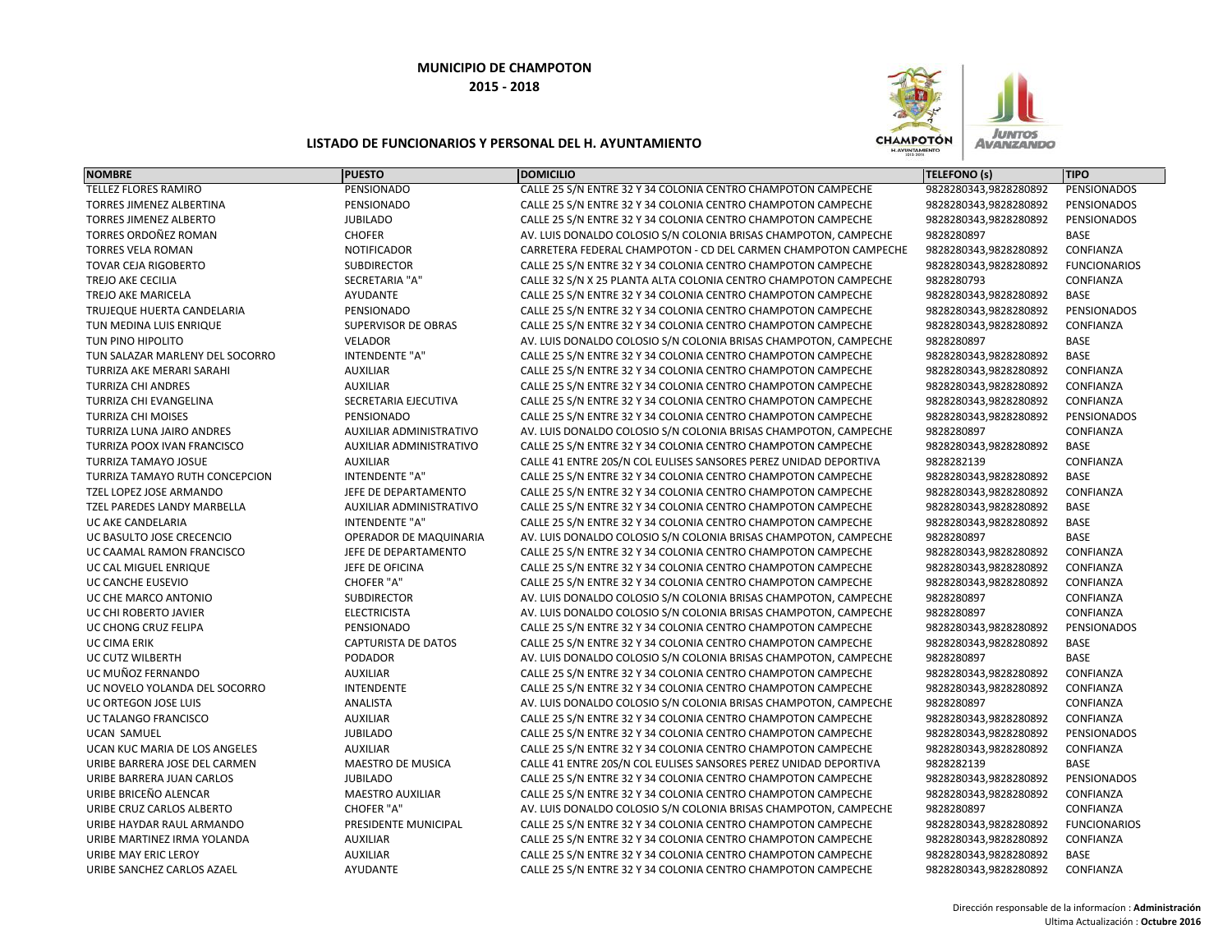

| <b>NOMBRE</b>                      | <b>PUESTO</b>                  | <b>DOMICILIO</b>                                                 | <b>TELEFONO (s)</b>   | <b>TIPO</b>         |
|------------------------------------|--------------------------------|------------------------------------------------------------------|-----------------------|---------------------|
| <b>TELLEZ FLORES RAMIRO</b>        | PENSIONADO                     | CALLE 25 S/N ENTRE 32 Y 34 COLONIA CENTRO CHAMPOTON CAMPECHE     | 9828280343,9828280892 | PENSIONADOS         |
| <b>TORRES JIMENEZ ALBERTINA</b>    | PENSIONADO                     | CALLE 25 S/N ENTRE 32 Y 34 COLONIA CENTRO CHAMPOTON CAMPECHE     | 9828280343,9828280892 | PENSIONADOS         |
| <b>TORRES JIMENEZ ALBERTO</b>      | <b>JUBILADO</b>                | CALLE 25 S/N ENTRE 32 Y 34 COLONIA CENTRO CHAMPOTON CAMPECHE     | 9828280343,9828280892 | PENSIONADOS         |
| TORRES ORDOÑEZ ROMAN               | <b>CHOFER</b>                  | AV. LUIS DONALDO COLOSIO S/N COLONIA BRISAS CHAMPOTON, CAMPECHE  | 9828280897            | <b>BASE</b>         |
| <b>TORRES VELA ROMAN</b>           | <b>NOTIFICADOR</b>             | CARRETERA FEDERAL CHAMPOTON - CD DEL CARMEN CHAMPOTON CAMPECHE   | 9828280343,9828280892 | CONFIANZA           |
| <b>TOVAR CEJA RIGOBERTO</b>        | <b>SUBDIRECTOR</b>             | CALLE 25 S/N ENTRE 32 Y 34 COLONIA CENTRO CHAMPOTON CAMPECHE     | 9828280343,9828280892 | <b>FUNCIONARIOS</b> |
| TREJO AKE CECILIA                  | SECRETARIA "A"                 | CALLE 32 S/N X 25 PLANTA ALTA COLONIA CENTRO CHAMPOTON CAMPECHE  | 9828280793            | CONFIANZA           |
| TREJO AKE MARICELA                 | AYUDANTE                       | CALLE 25 S/N ENTRE 32 Y 34 COLONIA CENTRO CHAMPOTON CAMPECHE     | 9828280343,9828280892 | BASE                |
| TRUJEQUE HUERTA CANDELARIA         | PENSIONADO                     | CALLE 25 S/N ENTRE 32 Y 34 COLONIA CENTRO CHAMPOTON CAMPECHE     | 9828280343,9828280892 | PENSIONADOS         |
| TUN MEDINA LUIS ENRIQUE            | SUPERVISOR DE OBRAS            | CALLE 25 S/N ENTRE 32 Y 34 COLONIA CENTRO CHAMPOTON CAMPECHE     | 9828280343,9828280892 | CONFIANZA           |
| TUN PINO HIPOLITO                  | <b>VELADOR</b>                 | AV. LUIS DONALDO COLOSIO S/N COLONIA BRISAS CHAMPOTON, CAMPECHE  | 9828280897            | <b>BASE</b>         |
| TUN SALAZAR MARLENY DEL SOCORRO    | <b>INTENDENTE "A"</b>          | CALLE 25 S/N ENTRE 32 Y 34 COLONIA CENTRO CHAMPOTON CAMPECHE     | 9828280343,9828280892 | <b>BASE</b>         |
| TURRIZA AKE MERARI SARAHI          | <b>AUXILIAR</b>                | CALLE 25 S/N ENTRE 32 Y 34 COLONIA CENTRO CHAMPOTON CAMPECHE     | 9828280343,9828280892 | CONFIANZA           |
| <b>TURRIZA CHI ANDRES</b>          | <b>AUXILIAR</b>                | CALLE 25 S/N ENTRE 32 Y 34 COLONIA CENTRO CHAMPOTON CAMPECHE     | 9828280343,9828280892 | CONFIANZA           |
| <b>TURRIZA CHI EVANGELINA</b>      | SECRETARIA EJECUTIVA           | CALLE 25 S/N ENTRE 32 Y 34 COLONIA CENTRO CHAMPOTON CAMPECHE     | 9828280343,9828280892 | CONFIANZA           |
| <b>TURRIZA CHI MOISES</b>          | PENSIONADO                     | CALLE 25 S/N ENTRE 32 Y 34 COLONIA CENTRO CHAMPOTON CAMPECHE     | 9828280343,9828280892 | PENSIONADOS         |
| TURRIZA LUNA JAIRO ANDRES          | AUXILIAR ADMINISTRATIVO        | AV. LUIS DONALDO COLOSIO S/N COLONIA BRISAS CHAMPOTON, CAMPECHE  | 9828280897            | CONFIANZA           |
| <b>TURRIZA POOX IVAN FRANCISCO</b> | <b>AUXILIAR ADMINISTRATIVO</b> | CALLE 25 S/N ENTRE 32 Y 34 COLONIA CENTRO CHAMPOTON CAMPECHE     | 9828280343,9828280892 | <b>BASE</b>         |
| <b>TURRIZA TAMAYO JOSUE</b>        | <b>AUXILIAR</b>                | CALLE 41 ENTRE 20S/N COL EULISES SANSORES PEREZ UNIDAD DEPORTIVA | 9828282139            | CONFIANZA           |
| TURRIZA TAMAYO RUTH CONCEPCION     | <b>INTENDENTE "A"</b>          | CALLE 25 S/N ENTRE 32 Y 34 COLONIA CENTRO CHAMPOTON CAMPECHE     | 9828280343,9828280892 | <b>BASE</b>         |
| <b>TZEL LOPEZ JOSE ARMANDO</b>     | JEFE DE DEPARTAMENTO           | CALLE 25 S/N ENTRE 32 Y 34 COLONIA CENTRO CHAMPOTON CAMPECHE     | 9828280343,9828280892 | CONFIANZA           |
| TZEL PAREDES LANDY MARBELLA        | AUXILIAR ADMINISTRATIVO        | CALLE 25 S/N ENTRE 32 Y 34 COLONIA CENTRO CHAMPOTON CAMPECHE     | 9828280343,9828280892 | BASE                |
| UC AKE CANDELARIA                  | <b>INTENDENTE "A"</b>          | CALLE 25 S/N ENTRE 32 Y 34 COLONIA CENTRO CHAMPOTON CAMPECHE     | 9828280343,9828280892 | <b>BASE</b>         |
| UC BASULTO JOSE CRECENCIO          | OPERADOR DE MAQUINARIA         | AV. LUIS DONALDO COLOSIO S/N COLONIA BRISAS CHAMPOTON, CAMPECHE  | 9828280897            | <b>BASE</b>         |
| UC CAAMAL RAMON FRANCISCO          | JEFE DE DEPARTAMENTO           | CALLE 25 S/N ENTRE 32 Y 34 COLONIA CENTRO CHAMPOTON CAMPECHE     | 9828280343,9828280892 | CONFIANZA           |
| UC CAL MIGUEL ENRIQUE              | JEFE DE OFICINA                | CALLE 25 S/N ENTRE 32 Y 34 COLONIA CENTRO CHAMPOTON CAMPECHE     | 9828280343,9828280892 | CONFIANZA           |
| UC CANCHE EUSEVIO                  | CHOFER "A"                     | CALLE 25 S/N ENTRE 32 Y 34 COLONIA CENTRO CHAMPOTON CAMPECHE     | 9828280343,9828280892 | CONFIANZA           |
| UC CHE MARCO ANTONIO               | <b>SUBDIRECTOR</b>             | AV. LUIS DONALDO COLOSIO S/N COLONIA BRISAS CHAMPOTON, CAMPECHE  | 9828280897            | CONFIANZA           |
| UC CHI ROBERTO JAVIER              | <b>ELECTRICISTA</b>            | AV. LUIS DONALDO COLOSIO S/N COLONIA BRISAS CHAMPOTON, CAMPECHE  | 9828280897            | CONFIANZA           |
| UC CHONG CRUZ FELIPA               | PENSIONADO                     | CALLE 25 S/N ENTRE 32 Y 34 COLONIA CENTRO CHAMPOTON CAMPECHE     | 9828280343,9828280892 | PENSIONADOS         |
| UC CIMA ERIK                       | <b>CAPTURISTA DE DATOS</b>     | CALLE 25 S/N ENTRE 32 Y 34 COLONIA CENTRO CHAMPOTON CAMPECHE     | 9828280343,9828280892 | BASE                |
| UC CUTZ WILBERTH                   | PODADOR                        | AV. LUIS DONALDO COLOSIO S/N COLONIA BRISAS CHAMPOTON, CAMPECHE  | 9828280897            | <b>BASE</b>         |
| UC MUÑOZ FERNANDO                  | <b>AUXILIAR</b>                | CALLE 25 S/N ENTRE 32 Y 34 COLONIA CENTRO CHAMPOTON CAMPECHE     | 9828280343,9828280892 | CONFIANZA           |
| UC NOVELO YOLANDA DEL SOCORRO      | <b>INTENDENTE</b>              | CALLE 25 S/N ENTRE 32 Y 34 COLONIA CENTRO CHAMPOTON CAMPECHE     | 9828280343,9828280892 | CONFIANZA           |
| UC ORTEGON JOSE LUIS               | ANALISTA                       | AV. LUIS DONALDO COLOSIO S/N COLONIA BRISAS CHAMPOTON, CAMPECHE  | 9828280897            | CONFIANZA           |
| <b>UC TALANGO FRANCISCO</b>        | <b>AUXILIAR</b>                | CALLE 25 S/N ENTRE 32 Y 34 COLONIA CENTRO CHAMPOTON CAMPECHE     | 9828280343,9828280892 | CONFIANZA           |
| <b>UCAN SAMUEL</b>                 | <b>JUBILADO</b>                | CALLE 25 S/N ENTRE 32 Y 34 COLONIA CENTRO CHAMPOTON CAMPECHE     | 9828280343,9828280892 | PENSIONADOS         |
| UCAN KUC MARIA DE LOS ANGELES      | <b>AUXILIAR</b>                | CALLE 25 S/N ENTRE 32 Y 34 COLONIA CENTRO CHAMPOTON CAMPECHE     | 9828280343,9828280892 | CONFIANZA           |
| URIBE BARRERA JOSE DEL CARMEN      | <b>MAESTRO DE MUSICA</b>       | CALLE 41 ENTRE 20S/N COL EULISES SANSORES PEREZ UNIDAD DEPORTIVA | 9828282139            | <b>BASE</b>         |
| URIBE BARRERA JUAN CARLOS          | <b>JUBILADO</b>                | CALLE 25 S/N ENTRE 32 Y 34 COLONIA CENTRO CHAMPOTON CAMPECHE     | 9828280343,9828280892 | PENSIONADOS         |
| URIBE BRICEÑO ALENCAR              | <b>MAESTRO AUXILIAR</b>        | CALLE 25 S/N ENTRE 32 Y 34 COLONIA CENTRO CHAMPOTON CAMPECHE     | 9828280343,9828280892 | CONFIANZA           |
| URIBE CRUZ CARLOS ALBERTO          | <b>CHOFER "A"</b>              | AV. LUIS DONALDO COLOSIO S/N COLONIA BRISAS CHAMPOTON, CAMPECHE  | 9828280897            | CONFIANZA           |
| URIBE HAYDAR RAUL ARMANDO          | PRESIDENTE MUNICIPAL           | CALLE 25 S/N ENTRE 32 Y 34 COLONIA CENTRO CHAMPOTON CAMPECHE     | 9828280343,9828280892 | <b>FUNCIONARIOS</b> |
| URIBE MARTINEZ IRMA YOLANDA        | <b>AUXILIAR</b>                | CALLE 25 S/N ENTRE 32 Y 34 COLONIA CENTRO CHAMPOTON CAMPECHE     | 9828280343,9828280892 | CONFIANZA           |
| URIBE MAY ERIC LEROY               | <b>AUXILIAR</b>                | CALLE 25 S/N ENTRE 32 Y 34 COLONIA CENTRO CHAMPOTON CAMPECHE     | 9828280343,9828280892 | <b>BASE</b>         |
| URIBE SANCHEZ CARLOS AZAEL         | <b>AYUDANTE</b>                | CALLE 25 S/N ENTRE 32 Y 34 COLONIA CENTRO CHAMPOTON CAMPECHE     | 9828280343,9828280892 | CONFIANZA           |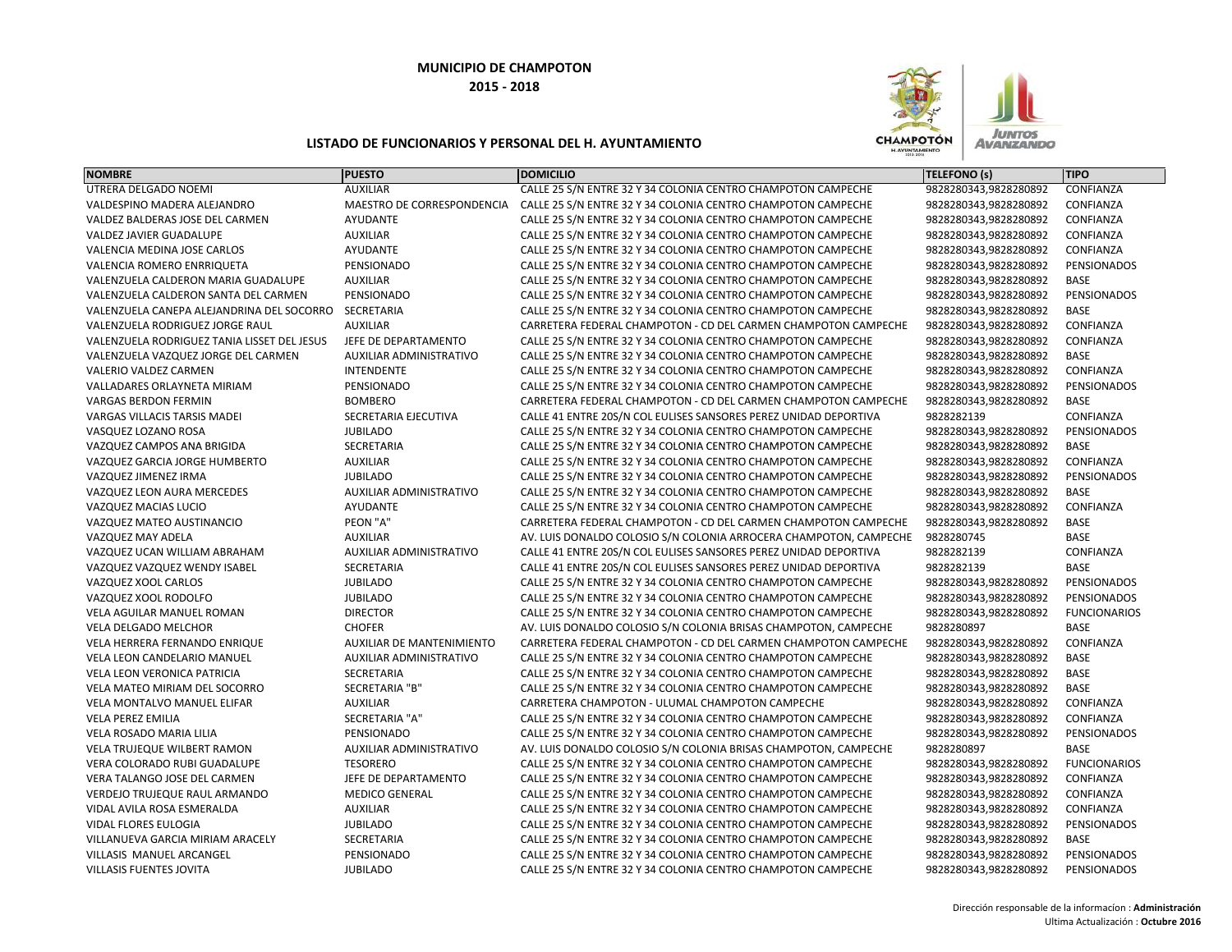

| UTRERA DELGADO NOEMI<br>CALLE 25 S/N ENTRE 32 Y 34 COLONIA CENTRO CHAMPOTON CAMPECHE<br>9828280343,9828280892<br>CONFIANZA<br><b>AUXILIAR</b><br>MAESTRO DE CORRESPONDENCIA<br>9828280343,9828280892<br>CONFIANZA<br>VALDESPINO MADERA ALEJANDRO<br>CALLE 25 S/N ENTRE 32 Y 34 COLONIA CENTRO CHAMPOTON CAMPECHE<br><b>AYUDANTE</b><br>9828280343,9828280892<br>CONFIANZA<br>VALDEZ BALDERAS JOSE DEL CARMEN<br>CALLE 25 S/N ENTRE 32 Y 34 COLONIA CENTRO CHAMPOTON CAMPECHE<br><b>AUXILIAR</b><br>VALDEZ JAVIER GUADALUPE<br>CALLE 25 S/N ENTRE 32 Y 34 COLONIA CENTRO CHAMPOTON CAMPECHE<br>9828280343,9828280892<br>CONFIANZA<br>VALENCIA MEDINA JOSE CARLOS<br>AYUDANTE<br>CALLE 25 S/N ENTRE 32 Y 34 COLONIA CENTRO CHAMPOTON CAMPECHE<br>9828280343,9828280892<br>CONFIANZA<br>PENSIONADO<br>9828280343,9828280892<br>PENSIONADOS<br>VALENCIA ROMERO ENRRIQUETA<br>CALLE 25 S/N ENTRE 32 Y 34 COLONIA CENTRO CHAMPOTON CAMPECHE |
|---------------------------------------------------------------------------------------------------------------------------------------------------------------------------------------------------------------------------------------------------------------------------------------------------------------------------------------------------------------------------------------------------------------------------------------------------------------------------------------------------------------------------------------------------------------------------------------------------------------------------------------------------------------------------------------------------------------------------------------------------------------------------------------------------------------------------------------------------------------------------------------------------------------------------------------|
|                                                                                                                                                                                                                                                                                                                                                                                                                                                                                                                                                                                                                                                                                                                                                                                                                                                                                                                                       |
|                                                                                                                                                                                                                                                                                                                                                                                                                                                                                                                                                                                                                                                                                                                                                                                                                                                                                                                                       |
|                                                                                                                                                                                                                                                                                                                                                                                                                                                                                                                                                                                                                                                                                                                                                                                                                                                                                                                                       |
|                                                                                                                                                                                                                                                                                                                                                                                                                                                                                                                                                                                                                                                                                                                                                                                                                                                                                                                                       |
|                                                                                                                                                                                                                                                                                                                                                                                                                                                                                                                                                                                                                                                                                                                                                                                                                                                                                                                                       |
|                                                                                                                                                                                                                                                                                                                                                                                                                                                                                                                                                                                                                                                                                                                                                                                                                                                                                                                                       |
| <b>AUXILIAR</b><br>VALENZUELA CALDERON MARIA GUADALUPE<br>CALLE 25 S/N ENTRE 32 Y 34 COLONIA CENTRO CHAMPOTON CAMPECHE<br>9828280343,9828280892<br>BASE                                                                                                                                                                                                                                                                                                                                                                                                                                                                                                                                                                                                                                                                                                                                                                               |
| VALENZUELA CALDERON SANTA DEL CARMEN<br>PENSIONADO<br>CALLE 25 S/N ENTRE 32 Y 34 COLONIA CENTRO CHAMPOTON CAMPECHE<br>9828280343,9828280892<br>PENSIONADOS                                                                                                                                                                                                                                                                                                                                                                                                                                                                                                                                                                                                                                                                                                                                                                            |
| SECRETARIA<br>VALENZUELA CANEPA ALEJANDRINA DEL SOCORRO<br>CALLE 25 S/N ENTRE 32 Y 34 COLONIA CENTRO CHAMPOTON CAMPECHE<br>9828280343,9828280892<br>BASE                                                                                                                                                                                                                                                                                                                                                                                                                                                                                                                                                                                                                                                                                                                                                                              |
| <b>AUXILIAR</b><br>CONFIANZA<br>VALENZUELA RODRIGUEZ JORGE RAUL<br>CARRETERA FEDERAL CHAMPOTON - CD DEL CARMEN CHAMPOTON CAMPECHE<br>9828280343,9828280892                                                                                                                                                                                                                                                                                                                                                                                                                                                                                                                                                                                                                                                                                                                                                                            |
| VALENZUELA RODRIGUEZ TANIA LISSET DEL JESUS<br>JEFE DE DEPARTAMENTO<br>9828280343,9828280892<br>CONFIANZA<br>CALLE 25 S/N ENTRE 32 Y 34 COLONIA CENTRO CHAMPOTON CAMPECHE                                                                                                                                                                                                                                                                                                                                                                                                                                                                                                                                                                                                                                                                                                                                                             |
| <b>BASE</b><br>VALENZUELA VAZQUEZ JORGE DEL CARMEN<br>AUXILIAR ADMINISTRATIVO<br>CALLE 25 S/N ENTRE 32 Y 34 COLONIA CENTRO CHAMPOTON CAMPECHE<br>9828280343,9828280892                                                                                                                                                                                                                                                                                                                                                                                                                                                                                                                                                                                                                                                                                                                                                                |
| CONFIANZA<br>VALERIO VALDEZ CARMEN<br><b>INTENDENTE</b><br>CALLE 25 S/N ENTRE 32 Y 34 COLONIA CENTRO CHAMPOTON CAMPECHE<br>9828280343,9828280892                                                                                                                                                                                                                                                                                                                                                                                                                                                                                                                                                                                                                                                                                                                                                                                      |
| VALLADARES ORLAYNETA MIRIAM<br>PENSIONADO<br>CALLE 25 S/N ENTRE 32 Y 34 COLONIA CENTRO CHAMPOTON CAMPECHE<br>9828280343,9828280892<br>PENSIONADOS                                                                                                                                                                                                                                                                                                                                                                                                                                                                                                                                                                                                                                                                                                                                                                                     |
| <b>BOMBERO</b><br>CARRETERA FEDERAL CHAMPOTON - CD DEL CARMEN CHAMPOTON CAMPECHE<br>BASE<br><b>VARGAS BERDON FERMIN</b><br>9828280343,9828280892                                                                                                                                                                                                                                                                                                                                                                                                                                                                                                                                                                                                                                                                                                                                                                                      |
| SECRETARIA EJECUTIVA<br>9828282139<br>CONFIANZA<br><b>VARGAS VILLACIS TARSIS MADEI</b><br>CALLE 41 ENTRE 20S/N COL EULISES SANSORES PEREZ UNIDAD DEPORTIVA                                                                                                                                                                                                                                                                                                                                                                                                                                                                                                                                                                                                                                                                                                                                                                            |
| VASQUEZ LOZANO ROSA<br><b>JUBILADO</b><br>9828280343,9828280892<br>PENSIONADOS<br>CALLE 25 S/N ENTRE 32 Y 34 COLONIA CENTRO CHAMPOTON CAMPECHE                                                                                                                                                                                                                                                                                                                                                                                                                                                                                                                                                                                                                                                                                                                                                                                        |
| SECRETARIA<br>9828280343,9828280892<br>VAZQUEZ CAMPOS ANA BRIGIDA<br>CALLE 25 S/N ENTRE 32 Y 34 COLONIA CENTRO CHAMPOTON CAMPECHE<br>BASE                                                                                                                                                                                                                                                                                                                                                                                                                                                                                                                                                                                                                                                                                                                                                                                             |
| <b>AUXILIAR</b><br>CONFIANZA<br>VAZQUEZ GARCIA JORGE HUMBERTO<br>CALLE 25 S/N ENTRE 32 Y 34 COLONIA CENTRO CHAMPOTON CAMPECHE<br>9828280343,9828280892                                                                                                                                                                                                                                                                                                                                                                                                                                                                                                                                                                                                                                                                                                                                                                                |
| <b>JUBILADO</b><br>VAZQUEZ JIMENEZ IRMA<br>CALLE 25 S/N ENTRE 32 Y 34 COLONIA CENTRO CHAMPOTON CAMPECHE<br>9828280343,9828280892<br>PENSIONADOS                                                                                                                                                                                                                                                                                                                                                                                                                                                                                                                                                                                                                                                                                                                                                                                       |
| AUXILIAR ADMINISTRATIVO<br>BASE<br>VAZQUEZ LEON AURA MERCEDES<br>CALLE 25 S/N ENTRE 32 Y 34 COLONIA CENTRO CHAMPOTON CAMPECHE<br>9828280343,9828280892                                                                                                                                                                                                                                                                                                                                                                                                                                                                                                                                                                                                                                                                                                                                                                                |
| CONFIANZA<br>VAZQUEZ MACIAS LUCIO<br>AYUDANTE<br>CALLE 25 S/N ENTRE 32 Y 34 COLONIA CENTRO CHAMPOTON CAMPECHE<br>9828280343,9828280892                                                                                                                                                                                                                                                                                                                                                                                                                                                                                                                                                                                                                                                                                                                                                                                                |
| PEON "A"<br>9828280343,9828280892<br><b>BASE</b><br>VAZQUEZ MATEO AUSTINANCIO<br>CARRETERA FEDERAL CHAMPOTON - CD DEL CARMEN CHAMPOTON CAMPECHE                                                                                                                                                                                                                                                                                                                                                                                                                                                                                                                                                                                                                                                                                                                                                                                       |
| <b>BASE</b><br>VAZQUEZ MAY ADELA<br><b>AUXILIAR</b><br>AV. LUIS DONALDO COLOSIO S/N COLONIA ARROCERA CHAMPOTON, CAMPECHE<br>9828280745                                                                                                                                                                                                                                                                                                                                                                                                                                                                                                                                                                                                                                                                                                                                                                                                |
| <b>AUXILIAR ADMINISTRATIVO</b><br>9828282139<br>CALLE 41 ENTRE 20S/N COL EULISES SANSORES PEREZ UNIDAD DEPORTIVA<br>CONFIANZA<br>VAZQUEZ UCAN WILLIAM ABRAHAM                                                                                                                                                                                                                                                                                                                                                                                                                                                                                                                                                                                                                                                                                                                                                                         |
| SECRETARIA<br>9828282139<br>BASE<br>VAZQUEZ VAZQUEZ WENDY ISABEL<br>CALLE 41 ENTRE 20S/N COL EULISES SANSORES PEREZ UNIDAD DEPORTIVA                                                                                                                                                                                                                                                                                                                                                                                                                                                                                                                                                                                                                                                                                                                                                                                                  |
| <b>JUBILADO</b><br>9828280343,9828280892<br>PENSIONADOS<br>VAZQUEZ XOOL CARLOS<br>CALLE 25 S/N ENTRE 32 Y 34 COLONIA CENTRO CHAMPOTON CAMPECHE                                                                                                                                                                                                                                                                                                                                                                                                                                                                                                                                                                                                                                                                                                                                                                                        |
| VAZQUEZ XOOL RODOLFO<br><b>JUBILADO</b><br>CALLE 25 S/N ENTRE 32 Y 34 COLONIA CENTRO CHAMPOTON CAMPECHE<br>9828280343,9828280892<br>PENSIONADOS                                                                                                                                                                                                                                                                                                                                                                                                                                                                                                                                                                                                                                                                                                                                                                                       |
| <b>DIRECTOR</b><br>CALLE 25 S/N ENTRE 32 Y 34 COLONIA CENTRO CHAMPOTON CAMPECHE<br>9828280343,9828280892<br><b>FUNCIONARIOS</b><br>VELA AGUILAR MANUEL ROMAN                                                                                                                                                                                                                                                                                                                                                                                                                                                                                                                                                                                                                                                                                                                                                                          |
| <b>CHOFER</b><br>AV. LUIS DONALDO COLOSIO S/N COLONIA BRISAS CHAMPOTON, CAMPECHE<br>9828280897<br>BASE<br><b>VELA DELGADO MELCHOR</b>                                                                                                                                                                                                                                                                                                                                                                                                                                                                                                                                                                                                                                                                                                                                                                                                 |
| VELA HERRERA FERNANDO ENRIQUE<br><b>AUXILIAR DE MANTENIMIENTO</b><br>CARRETERA FEDERAL CHAMPOTON - CD DEL CARMEN CHAMPOTON CAMPECHE<br>9828280343,9828280892<br>CONFIANZA                                                                                                                                                                                                                                                                                                                                                                                                                                                                                                                                                                                                                                                                                                                                                             |
| <b>BASE</b><br>VELA LEON CANDELARIO MANUEL<br>AUXILIAR ADMINISTRATIVO<br>CALLE 25 S/N ENTRE 32 Y 34 COLONIA CENTRO CHAMPOTON CAMPECHE<br>9828280343,9828280892                                                                                                                                                                                                                                                                                                                                                                                                                                                                                                                                                                                                                                                                                                                                                                        |
| <b>BASE</b><br>VELA LEON VERONICA PATRICIA<br>SECRETARIA<br>CALLE 25 S/N ENTRE 32 Y 34 COLONIA CENTRO CHAMPOTON CAMPECHE<br>9828280343,9828280892                                                                                                                                                                                                                                                                                                                                                                                                                                                                                                                                                                                                                                                                                                                                                                                     |
| <b>VELA MATEO MIRIAM DEL SOCORRO</b><br><b>SECRETARIA "B"</b><br>CALLE 25 S/N ENTRE 32 Y 34 COLONIA CENTRO CHAMPOTON CAMPECHE<br>9828280343,9828280892<br>BASE                                                                                                                                                                                                                                                                                                                                                                                                                                                                                                                                                                                                                                                                                                                                                                        |
| <b>AUXILIAR</b><br>CARRETERA CHAMPOTON - ULUMAL CHAMPOTON CAMPECHE<br>9828280343,9828280892<br>CONFIANZA<br>VELA MONTALVO MANUEL ELIFAR                                                                                                                                                                                                                                                                                                                                                                                                                                                                                                                                                                                                                                                                                                                                                                                               |
| <b>SECRETARIA "A"</b><br><b>VELA PEREZ EMILIA</b><br>CALLE 25 S/N ENTRE 32 Y 34 COLONIA CENTRO CHAMPOTON CAMPECHE<br>9828280343,9828280892<br>CONFIANZA                                                                                                                                                                                                                                                                                                                                                                                                                                                                                                                                                                                                                                                                                                                                                                               |
| VELA ROSADO MARIA LILIA<br>PENSIONADO<br>CALLE 25 S/N ENTRE 32 Y 34 COLONIA CENTRO CHAMPOTON CAMPECHE<br>9828280343,9828280892<br>PENSIONADOS                                                                                                                                                                                                                                                                                                                                                                                                                                                                                                                                                                                                                                                                                                                                                                                         |
| 9828280897<br><b>BASE</b><br><b>VELA TRUJEQUE WILBERT RAMON</b><br>AUXILIAR ADMINISTRATIVO<br>AV. LUIS DONALDO COLOSIO S/N COLONIA BRISAS CHAMPOTON, CAMPECHE                                                                                                                                                                                                                                                                                                                                                                                                                                                                                                                                                                                                                                                                                                                                                                         |
| <b>TESORERO</b><br><b>VERA COLORADO RUBI GUADALUPE</b><br>CALLE 25 S/N ENTRE 32 Y 34 COLONIA CENTRO CHAMPOTON CAMPECHE<br>9828280343,9828280892<br><b>FUNCIONARIOS</b>                                                                                                                                                                                                                                                                                                                                                                                                                                                                                                                                                                                                                                                                                                                                                                |
| VERA TALANGO JOSE DEL CARMEN<br>JEFE DE DEPARTAMENTO<br>9828280343,9828280892<br>CONFIANZA<br>CALLE 25 S/N ENTRE 32 Y 34 COLONIA CENTRO CHAMPOTON CAMPECHE                                                                                                                                                                                                                                                                                                                                                                                                                                                                                                                                                                                                                                                                                                                                                                            |
| VERDEJO TRUJEQUE RAUL ARMANDO<br><b>MEDICO GENERAL</b><br>9828280343,9828280892<br>CONFIANZA<br>CALLE 25 S/N ENTRE 32 Y 34 COLONIA CENTRO CHAMPOTON CAMPECHE                                                                                                                                                                                                                                                                                                                                                                                                                                                                                                                                                                                                                                                                                                                                                                          |
| <b>AUXILIAR</b><br>9828280343,9828280892<br>CONFIANZA<br>VIDAL AVILA ROSA ESMERALDA<br>CALLE 25 S/N ENTRE 32 Y 34 COLONIA CENTRO CHAMPOTON CAMPECHE                                                                                                                                                                                                                                                                                                                                                                                                                                                                                                                                                                                                                                                                                                                                                                                   |
| VIDAL FLORES EULOGIA<br><b>JUBILADO</b><br>CALLE 25 S/N ENTRE 32 Y 34 COLONIA CENTRO CHAMPOTON CAMPECHE<br>9828280343,9828280892<br>PENSIONADOS                                                                                                                                                                                                                                                                                                                                                                                                                                                                                                                                                                                                                                                                                                                                                                                       |
| VILLANUEVA GARCIA MIRIAM ARACELY<br>SECRETARIA<br>CALLE 25 S/N ENTRE 32 Y 34 COLONIA CENTRO CHAMPOTON CAMPECHE<br>9828280343,9828280892<br>BASE                                                                                                                                                                                                                                                                                                                                                                                                                                                                                                                                                                                                                                                                                                                                                                                       |
| <b>VILLASIS MANUEL ARCANGEL</b><br>PENSIONADO<br>CALLE 25 S/N ENTRE 32 Y 34 COLONIA CENTRO CHAMPOTON CAMPECHE<br>9828280343,9828280892<br>PENSIONADOS                                                                                                                                                                                                                                                                                                                                                                                                                                                                                                                                                                                                                                                                                                                                                                                 |
| VILLASIS FUENTES JOVITA<br><b>JUBILADO</b><br>CALLE 25 S/N ENTRE 32 Y 34 COLONIA CENTRO CHAMPOTON CAMPECHE<br>9828280343,9828280892<br>PENSIONADOS                                                                                                                                                                                                                                                                                                                                                                                                                                                                                                                                                                                                                                                                                                                                                                                    |